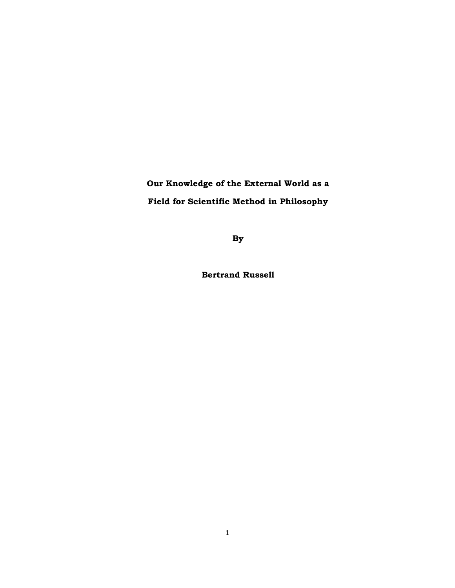**Our Knowledge of the External World as a Field for Scientific Method in Philosophy** 

**By** 

**Bertrand Russell**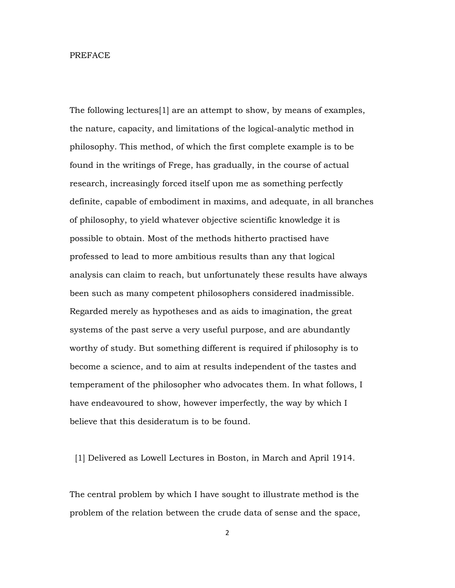#### PREFACE

The following lectures[1] are an attempt to show, by means of examples, the nature, capacity, and limitations of the logical-analytic method in philosophy. This method, of which the first complete example is to be found in the writings of Frege, has gradually, in the course of actual research, increasingly forced itself upon me as something perfectly definite, capable of embodiment in maxims, and adequate, in all branches of philosophy, to yield whatever objective scientific knowledge it is possible to obtain. Most of the methods hitherto practised have professed to lead to more ambitious results than any that logical analysis can claim to reach, but unfortunately these results have always been such as many competent philosophers considered inadmissible. Regarded merely as hypotheses and as aids to imagination, the great systems of the past serve a very useful purpose, and are abundantly worthy of study. But something different is required if philosophy is to become a science, and to aim at results independent of the tastes and temperament of the philosopher who advocates them. In what follows, I have endeavoured to show, however imperfectly, the way by which I believe that this desideratum is to be found.

[1] Delivered as Lowell Lectures in Boston, in March and April 1914.

The central problem by which I have sought to illustrate method is the problem of the relation between the crude data of sense and the space,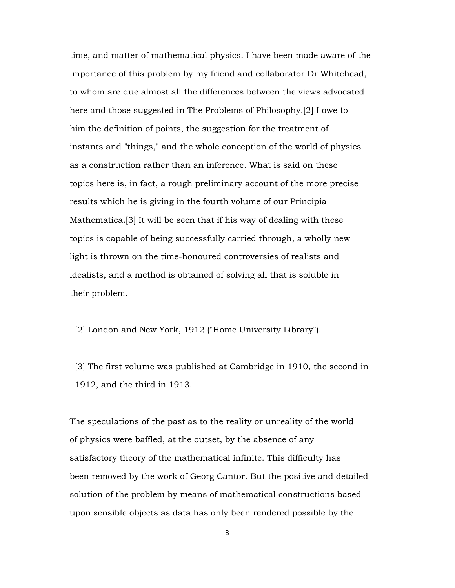time, and matter of mathematical physics. I have been made aware of the importance of this problem by my friend and collaborator Dr Whitehead, to whom are due almost all the differences between the views advocated here and those suggested in The Problems of Philosophy.[2] I owe to him the definition of points, the suggestion for the treatment of instants and "things," and the whole conception of the world of physics as a construction rather than an inference. What is said on these topics here is, in fact, a rough preliminary account of the more precise results which he is giving in the fourth volume of our Principia Mathematica.[3] It will be seen that if his way of dealing with these topics is capable of being successfully carried through, a wholly new light is thrown on the time-honoured controversies of realists and idealists, and a method is obtained of solving all that is soluble in their problem.

[2] London and New York, 1912 ("Home University Library").

 [3] The first volume was published at Cambridge in 1910, the second in 1912, and the third in 1913.

The speculations of the past as to the reality or unreality of the world of physics were baffled, at the outset, by the absence of any satisfactory theory of the mathematical infinite. This difficulty has been removed by the work of Georg Cantor. But the positive and detailed solution of the problem by means of mathematical constructions based upon sensible objects as data has only been rendered possible by the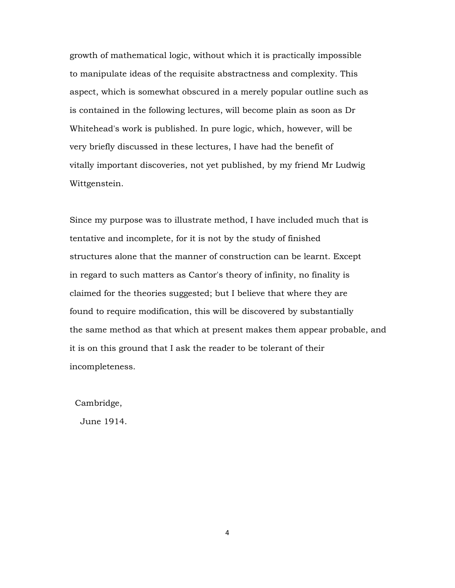growth of mathematical logic, without which it is practically impossible to manipulate ideas of the requisite abstractness and complexity. This aspect, which is somewhat obscured in a merely popular outline such as is contained in the following lectures, will become plain as soon as Dr Whitehead's work is published. In pure logic, which, however, will be very briefly discussed in these lectures, I have had the benefit of vitally important discoveries, not yet published, by my friend Mr Ludwig Wittgenstein.

Since my purpose was to illustrate method, I have included much that is tentative and incomplete, for it is not by the study of finished structures alone that the manner of construction can be learnt. Except in regard to such matters as Cantor's theory of infinity, no finality is claimed for the theories suggested; but I believe that where they are found to require modification, this will be discovered by substantially the same method as that which at present makes them appear probable, and it is on this ground that I ask the reader to be tolerant of their incompleteness.

Cambridge,

June 1914.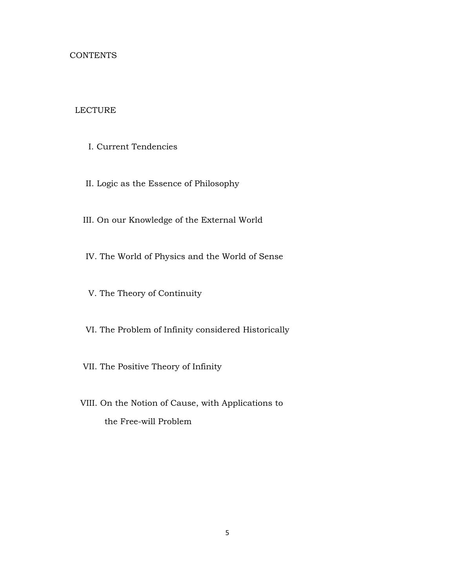## **CONTENTS**

# LECTURE

- I. Current Tendencies
- II. Logic as the Essence of Philosophy
- III. On our Knowledge of the External World
- IV. The World of Physics and the World of Sense
- V. The Theory of Continuity
- VI. The Problem of Infinity considered Historically
- VII. The Positive Theory of Infinity
- VIII. On the Notion of Cause, with Applications to the Free-will Problem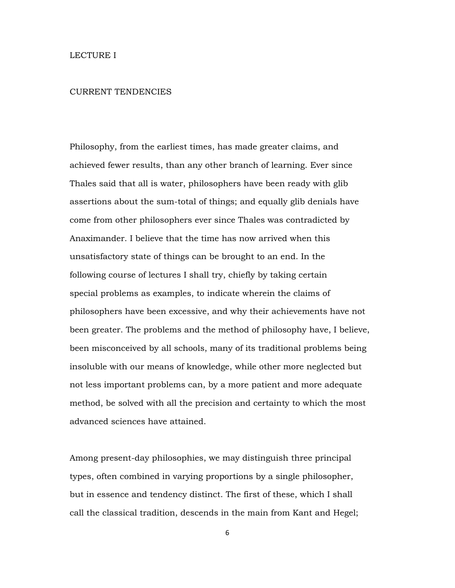#### CURRENT TENDENCIES

Philosophy, from the earliest times, has made greater claims, and achieved fewer results, than any other branch of learning. Ever since Thales said that all is water, philosophers have been ready with glib assertions about the sum-total of things; and equally glib denials have come from other philosophers ever since Thales was contradicted by Anaximander. I believe that the time has now arrived when this unsatisfactory state of things can be brought to an end. In the following course of lectures I shall try, chiefly by taking certain special problems as examples, to indicate wherein the claims of philosophers have been excessive, and why their achievements have not been greater. The problems and the method of philosophy have, I believe, been misconceived by all schools, many of its traditional problems being insoluble with our means of knowledge, while other more neglected but not less important problems can, by a more patient and more adequate method, be solved with all the precision and certainty to which the most advanced sciences have attained.

Among present-day philosophies, we may distinguish three principal types, often combined in varying proportions by a single philosopher, but in essence and tendency distinct. The first of these, which I shall call the classical tradition, descends in the main from Kant and Hegel;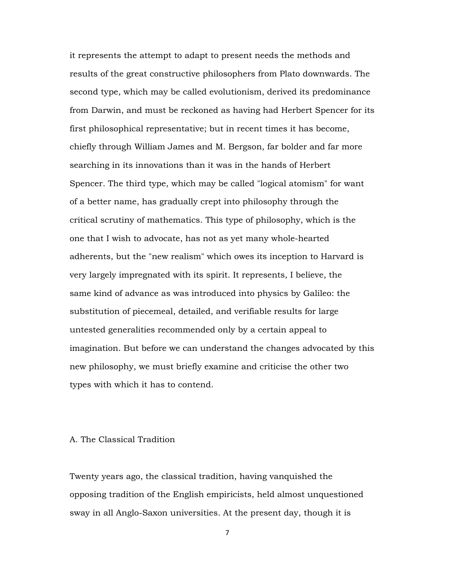it represents the attempt to adapt to present needs the methods and results of the great constructive philosophers from Plato downwards. The second type, which may be called evolutionism, derived its predominance from Darwin, and must be reckoned as having had Herbert Spencer for its first philosophical representative; but in recent times it has become, chiefly through William James and M. Bergson, far bolder and far more searching in its innovations than it was in the hands of Herbert Spencer. The third type, which may be called "logical atomism" for want of a better name, has gradually crept into philosophy through the critical scrutiny of mathematics. This type of philosophy, which is the one that I wish to advocate, has not as yet many whole-hearted adherents, but the "new realism" which owes its inception to Harvard is very largely impregnated with its spirit. It represents, I believe, the same kind of advance as was introduced into physics by Galileo: the substitution of piecemeal, detailed, and verifiable results for large untested generalities recommended only by a certain appeal to imagination. But before we can understand the changes advocated by this new philosophy, we must briefly examine and criticise the other two types with which it has to contend.

### A. The Classical Tradition

Twenty years ago, the classical tradition, having vanquished the opposing tradition of the English empiricists, held almost unquestioned sway in all Anglo-Saxon universities. At the present day, though it is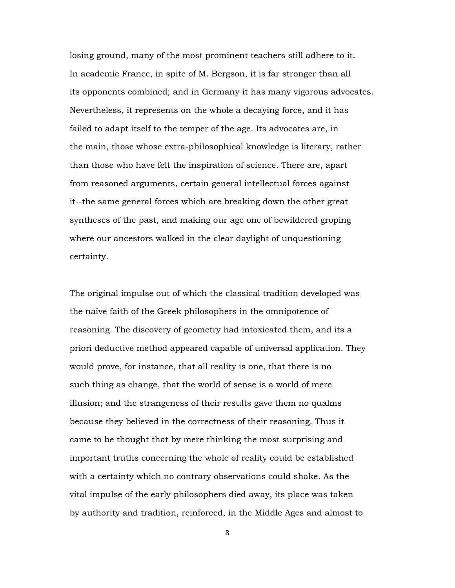losing ground, many of the most prominent teachers still adhere to it. In academic France, in spite of M. Bergson, it is far stronger than all its opponents combined; and in Germany it has many vigorous advocates. Nevertheless, it represents on the whole a decaying force, and it has failed to adapt itself to the temper of the age. Its advocates are, in the main, those whose extra-philosophical knowledge is literary, rather than those who have felt the inspiration of science. There are, apart from reasoned arguments, certain general intellectual forces against it--the same general forces which are breaking down the other great syntheses of the past, and making our age one of bewildered groping where our ancestors walked in the clear daylight of unquestioning certainty.

The original impulse out of which the classical tradition developed was the naïve faith of the Greek philosophers in the omnipotence of reasoning. The discovery of geometry had intoxicated them, and its a priori deductive method appeared capable of universal application. They would prove, for instance, that all reality is one, that there is no such thing as change, that the world of sense is a world of mere illusion; and the strangeness of their results gave them no qualms because they believed in the correctness of their reasoning. Thus it came to be thought that by mere thinking the most surprising and important truths concerning the whole of reality could be established with a certainty which no contrary observations could shake. As the vital impulse of the early philosophers died away, its place was taken by authority and tradition, reinforced, in the Middle Ages and almost to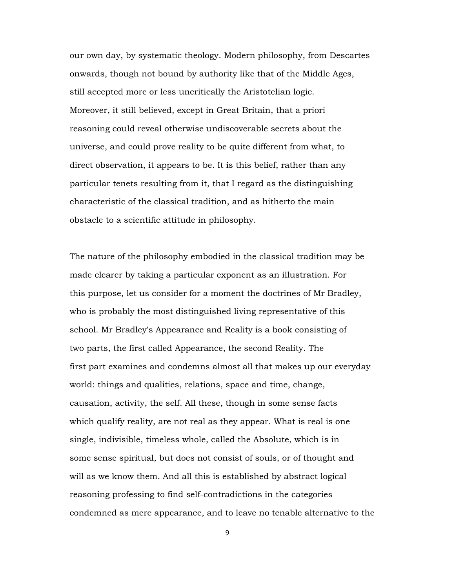our own day, by systematic theology. Modern philosophy, from Descartes onwards, though not bound by authority like that of the Middle Ages, still accepted more or less uncritically the Aristotelian logic. Moreover, it still believed, except in Great Britain, that a priori reasoning could reveal otherwise undiscoverable secrets about the universe, and could prove reality to be quite different from what, to direct observation, it appears to be. It is this belief, rather than any particular tenets resulting from it, that I regard as the distinguishing characteristic of the classical tradition, and as hitherto the main obstacle to a scientific attitude in philosophy.

The nature of the philosophy embodied in the classical tradition may be made clearer by taking a particular exponent as an illustration. For this purpose, let us consider for a moment the doctrines of Mr Bradley, who is probably the most distinguished living representative of this school. Mr Bradley's Appearance and Reality is a book consisting of two parts, the first called Appearance, the second Reality. The first part examines and condemns almost all that makes up our everyday world: things and qualities, relations, space and time, change, causation, activity, the self. All these, though in some sense facts which qualify reality, are not real as they appear. What is real is one single, indivisible, timeless whole, called the Absolute, which is in some sense spiritual, but does not consist of souls, or of thought and will as we know them. And all this is established by abstract logical reasoning professing to find self-contradictions in the categories condemned as mere appearance, and to leave no tenable alternative to the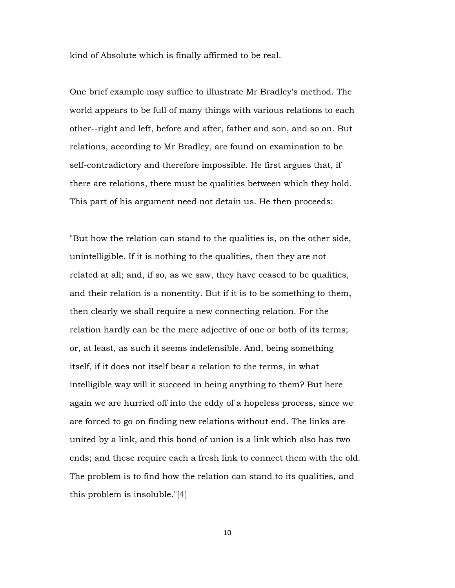kind of Absolute which is finally affirmed to be real.

One brief example may suffice to illustrate Mr Bradley's method. The world appears to be full of many things with various relations to each other--right and left, before and after, father and son, and so on. But relations, according to Mr Bradley, are found on examination to be self-contradictory and therefore impossible. He first argues that, if there are relations, there must be qualities between which they hold. This part of his argument need not detain us. He then proceeds:

"But how the relation can stand to the qualities is, on the other side, unintelligible. If it is nothing to the qualities, then they are not related at all; and, if so, as we saw, they have ceased to be qualities, and their relation is a nonentity. But if it is to be something to them, then clearly we shall require a new connecting relation. For the relation hardly can be the mere adjective of one or both of its terms; or, at least, as such it seems indefensible. And, being something itself, if it does not itself bear a relation to the terms, in what intelligible way will it succeed in being anything to them? But here again we are hurried off into the eddy of a hopeless process, since we are forced to go on finding new relations without end. The links are united by a link, and this bond of union is a link which also has two ends; and these require each a fresh link to connect them with the old. The problem is to find how the relation can stand to its qualities, and this problem is insoluble."[4]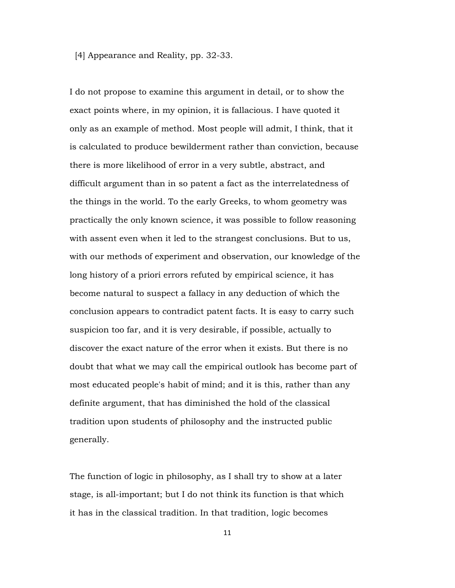## [4] Appearance and Reality, pp. 32-33.

I do not propose to examine this argument in detail, or to show the exact points where, in my opinion, it is fallacious. I have quoted it only as an example of method. Most people will admit, I think, that it is calculated to produce bewilderment rather than conviction, because there is more likelihood of error in a very subtle, abstract, and difficult argument than in so patent a fact as the interrelatedness of the things in the world. To the early Greeks, to whom geometry was practically the only known science, it was possible to follow reasoning with assent even when it led to the strangest conclusions. But to us, with our methods of experiment and observation, our knowledge of the long history of a priori errors refuted by empirical science, it has become natural to suspect a fallacy in any deduction of which the conclusion appears to contradict patent facts. It is easy to carry such suspicion too far, and it is very desirable, if possible, actually to discover the exact nature of the error when it exists. But there is no doubt that what we may call the empirical outlook has become part of most educated people's habit of mind; and it is this, rather than any definite argument, that has diminished the hold of the classical tradition upon students of philosophy and the instructed public generally.

The function of logic in philosophy, as I shall try to show at a later stage, is all-important; but I do not think its function is that which it has in the classical tradition. In that tradition, logic becomes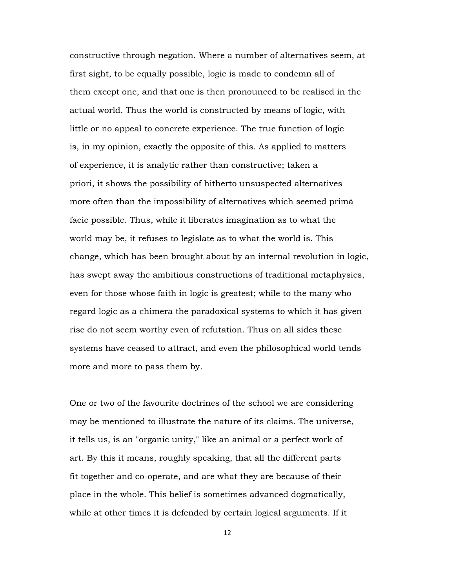constructive through negation. Where a number of alternatives seem, at first sight, to be equally possible, logic is made to condemn all of them except one, and that one is then pronounced to be realised in the actual world. Thus the world is constructed by means of logic, with little or no appeal to concrete experience. The true function of logic is, in my opinion, exactly the opposite of this. As applied to matters of experience, it is analytic rather than constructive; taken a priori, it shows the possibility of hitherto unsuspected alternatives more often than the impossibility of alternatives which seemed primâ facie possible. Thus, while it liberates imagination as to what the world may be, it refuses to legislate as to what the world is. This change, which has been brought about by an internal revolution in logic, has swept away the ambitious constructions of traditional metaphysics, even for those whose faith in logic is greatest; while to the many who regard logic as a chimera the paradoxical systems to which it has given rise do not seem worthy even of refutation. Thus on all sides these systems have ceased to attract, and even the philosophical world tends more and more to pass them by.

One or two of the favourite doctrines of the school we are considering may be mentioned to illustrate the nature of its claims. The universe, it tells us, is an "organic unity," like an animal or a perfect work of art. By this it means, roughly speaking, that all the different parts fit together and co-operate, and are what they are because of their place in the whole. This belief is sometimes advanced dogmatically, while at other times it is defended by certain logical arguments. If it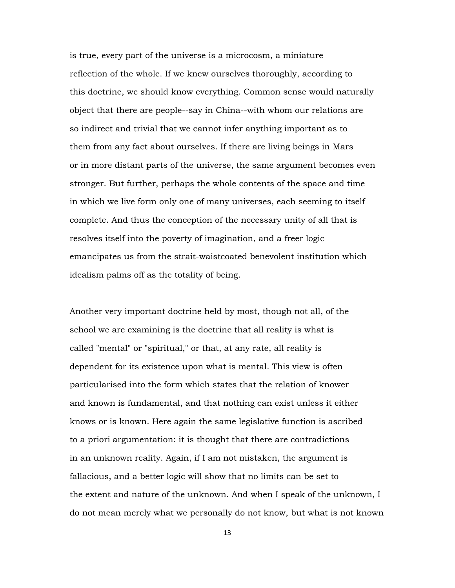is true, every part of the universe is a microcosm, a miniature reflection of the whole. If we knew ourselves thoroughly, according to this doctrine, we should know everything. Common sense would naturally object that there are people--say in China--with whom our relations are so indirect and trivial that we cannot infer anything important as to them from any fact about ourselves. If there are living beings in Mars or in more distant parts of the universe, the same argument becomes even stronger. But further, perhaps the whole contents of the space and time in which we live form only one of many universes, each seeming to itself complete. And thus the conception of the necessary unity of all that is resolves itself into the poverty of imagination, and a freer logic emancipates us from the strait-waistcoated benevolent institution which idealism palms off as the totality of being.

Another very important doctrine held by most, though not all, of the school we are examining is the doctrine that all reality is what is called "mental" or "spiritual," or that, at any rate, all reality is dependent for its existence upon what is mental. This view is often particularised into the form which states that the relation of knower and known is fundamental, and that nothing can exist unless it either knows or is known. Here again the same legislative function is ascribed to a priori argumentation: it is thought that there are contradictions in an unknown reality. Again, if I am not mistaken, the argument is fallacious, and a better logic will show that no limits can be set to the extent and nature of the unknown. And when I speak of the unknown, I do not mean merely what we personally do not know, but what is not known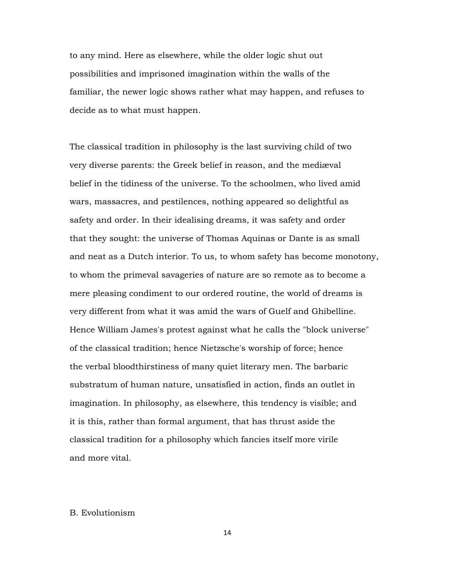to any mind. Here as elsewhere, while the older logic shut out possibilities and imprisoned imagination within the walls of the familiar, the newer logic shows rather what may happen, and refuses to decide as to what must happen.

The classical tradition in philosophy is the last surviving child of two very diverse parents: the Greek belief in reason, and the mediæval belief in the tidiness of the universe. To the schoolmen, who lived amid wars, massacres, and pestilences, nothing appeared so delightful as safety and order. In their idealising dreams, it was safety and order that they sought: the universe of Thomas Aquinas or Dante is as small and neat as a Dutch interior. To us, to whom safety has become monotony, to whom the primeval savageries of nature are so remote as to become a mere pleasing condiment to our ordered routine, the world of dreams is very different from what it was amid the wars of Guelf and Ghibelline. Hence William James's protest against what he calls the "block universe" of the classical tradition; hence Nietzsche's worship of force; hence the verbal bloodthirstiness of many quiet literary men. The barbaric substratum of human nature, unsatisfied in action, finds an outlet in imagination. In philosophy, as elsewhere, this tendency is visible; and it is this, rather than formal argument, that has thrust aside the classical tradition for a philosophy which fancies itself more virile and more vital.

## B. Evolutionism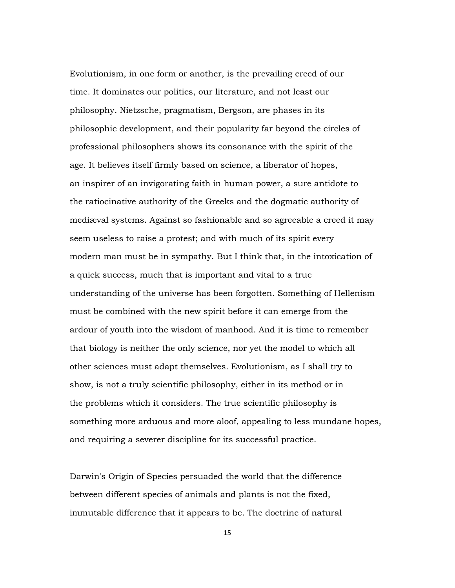Evolutionism, in one form or another, is the prevailing creed of our time. It dominates our politics, our literature, and not least our philosophy. Nietzsche, pragmatism, Bergson, are phases in its philosophic development, and their popularity far beyond the circles of professional philosophers shows its consonance with the spirit of the age. It believes itself firmly based on science, a liberator of hopes, an inspirer of an invigorating faith in human power, a sure antidote to the ratiocinative authority of the Greeks and the dogmatic authority of mediæval systems. Against so fashionable and so agreeable a creed it may seem useless to raise a protest; and with much of its spirit every modern man must be in sympathy. But I think that, in the intoxication of a quick success, much that is important and vital to a true understanding of the universe has been forgotten. Something of Hellenism must be combined with the new spirit before it can emerge from the ardour of youth into the wisdom of manhood. And it is time to remember that biology is neither the only science, nor yet the model to which all other sciences must adapt themselves. Evolutionism, as I shall try to show, is not a truly scientific philosophy, either in its method or in the problems which it considers. The true scientific philosophy is something more arduous and more aloof, appealing to less mundane hopes, and requiring a severer discipline for its successful practice.

Darwin's Origin of Species persuaded the world that the difference between different species of animals and plants is not the fixed, immutable difference that it appears to be. The doctrine of natural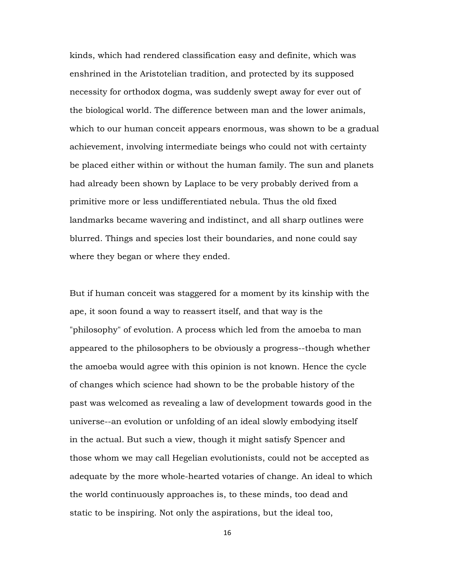kinds, which had rendered classification easy and definite, which was enshrined in the Aristotelian tradition, and protected by its supposed necessity for orthodox dogma, was suddenly swept away for ever out of the biological world. The difference between man and the lower animals, which to our human conceit appears enormous, was shown to be a gradual achievement, involving intermediate beings who could not with certainty be placed either within or without the human family. The sun and planets had already been shown by Laplace to be very probably derived from a primitive more or less undifferentiated nebula. Thus the old fixed landmarks became wavering and indistinct, and all sharp outlines were blurred. Things and species lost their boundaries, and none could say where they began or where they ended.

But if human conceit was staggered for a moment by its kinship with the ape, it soon found a way to reassert itself, and that way is the "philosophy" of evolution. A process which led from the amoeba to man appeared to the philosophers to be obviously a progress--though whether the amoeba would agree with this opinion is not known. Hence the cycle of changes which science had shown to be the probable history of the past was welcomed as revealing a law of development towards good in the universe--an evolution or unfolding of an ideal slowly embodying itself in the actual. But such a view, though it might satisfy Spencer and those whom we may call Hegelian evolutionists, could not be accepted as adequate by the more whole-hearted votaries of change. An ideal to which the world continuously approaches is, to these minds, too dead and static to be inspiring. Not only the aspirations, but the ideal too,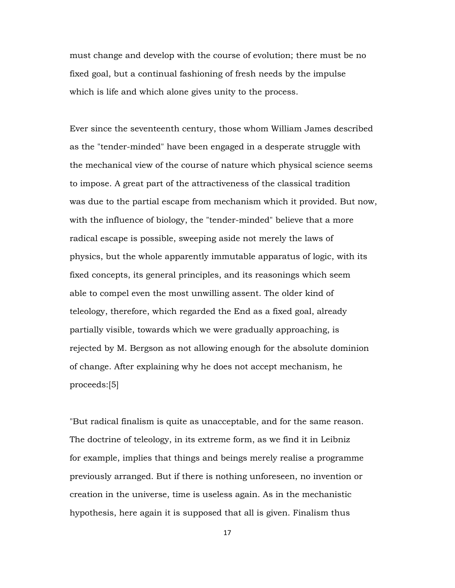must change and develop with the course of evolution; there must be no fixed goal, but a continual fashioning of fresh needs by the impulse which is life and which alone gives unity to the process.

Ever since the seventeenth century, those whom William James described as the "tender-minded" have been engaged in a desperate struggle with the mechanical view of the course of nature which physical science seems to impose. A great part of the attractiveness of the classical tradition was due to the partial escape from mechanism which it provided. But now, with the influence of biology, the "tender-minded" believe that a more radical escape is possible, sweeping aside not merely the laws of physics, but the whole apparently immutable apparatus of logic, with its fixed concepts, its general principles, and its reasonings which seem able to compel even the most unwilling assent. The older kind of teleology, therefore, which regarded the End as a fixed goal, already partially visible, towards which we were gradually approaching, is rejected by M. Bergson as not allowing enough for the absolute dominion of change. After explaining why he does not accept mechanism, he proceeds:[5]

"But radical finalism is quite as unacceptable, and for the same reason. The doctrine of teleology, in its extreme form, as we find it in Leibniz for example, implies that things and beings merely realise a programme previously arranged. But if there is nothing unforeseen, no invention or creation in the universe, time is useless again. As in the mechanistic hypothesis, here again it is supposed that all is given. Finalism thus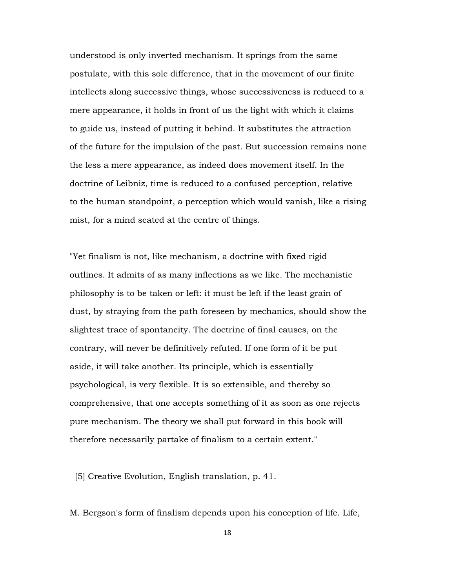understood is only inverted mechanism. It springs from the same postulate, with this sole difference, that in the movement of our finite intellects along successive things, whose successiveness is reduced to a mere appearance, it holds in front of us the light with which it claims to guide us, instead of putting it behind. It substitutes the attraction of the future for the impulsion of the past. But succession remains none the less a mere appearance, as indeed does movement itself. In the doctrine of Leibniz, time is reduced to a confused perception, relative to the human standpoint, a perception which would vanish, like a rising mist, for a mind seated at the centre of things.

"Yet finalism is not, like mechanism, a doctrine with fixed rigid outlines. It admits of as many inflections as we like. The mechanistic philosophy is to be taken or left: it must be left if the least grain of dust, by straying from the path foreseen by mechanics, should show the slightest trace of spontaneity. The doctrine of final causes, on the contrary, will never be definitively refuted. If one form of it be put aside, it will take another. Its principle, which is essentially psychological, is very flexible. It is so extensible, and thereby so comprehensive, that one accepts something of it as soon as one rejects pure mechanism. The theory we shall put forward in this book will therefore necessarily partake of finalism to a certain extent."

[5] Creative Evolution, English translation, p. 41.

M. Bergson's form of finalism depends upon his conception of life. Life,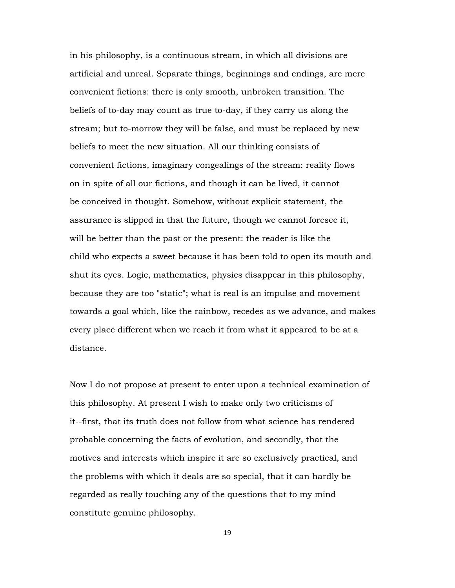in his philosophy, is a continuous stream, in which all divisions are artificial and unreal. Separate things, beginnings and endings, are mere convenient fictions: there is only smooth, unbroken transition. The beliefs of to-day may count as true to-day, if they carry us along the stream; but to-morrow they will be false, and must be replaced by new beliefs to meet the new situation. All our thinking consists of convenient fictions, imaginary congealings of the stream: reality flows on in spite of all our fictions, and though it can be lived, it cannot be conceived in thought. Somehow, without explicit statement, the assurance is slipped in that the future, though we cannot foresee it, will be better than the past or the present: the reader is like the child who expects a sweet because it has been told to open its mouth and shut its eyes. Logic, mathematics, physics disappear in this philosophy, because they are too "static"; what is real is an impulse and movement towards a goal which, like the rainbow, recedes as we advance, and makes every place different when we reach it from what it appeared to be at a distance.

Now I do not propose at present to enter upon a technical examination of this philosophy. At present I wish to make only two criticisms of it--first, that its truth does not follow from what science has rendered probable concerning the facts of evolution, and secondly, that the motives and interests which inspire it are so exclusively practical, and the problems with which it deals are so special, that it can hardly be regarded as really touching any of the questions that to my mind constitute genuine philosophy.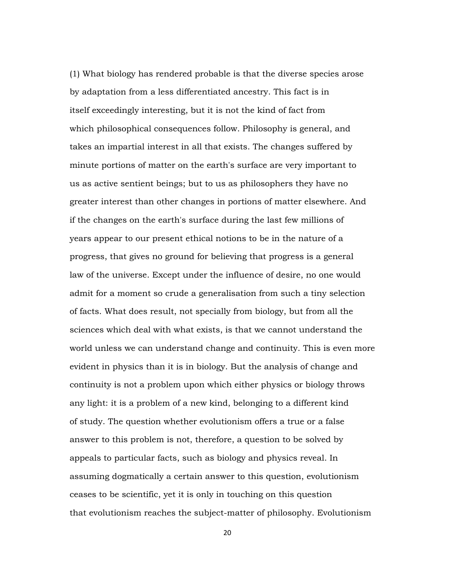(1) What biology has rendered probable is that the diverse species arose by adaptation from a less differentiated ancestry. This fact is in itself exceedingly interesting, but it is not the kind of fact from which philosophical consequences follow. Philosophy is general, and takes an impartial interest in all that exists. The changes suffered by minute portions of matter on the earth's surface are very important to us as active sentient beings; but to us as philosophers they have no greater interest than other changes in portions of matter elsewhere. And if the changes on the earth's surface during the last few millions of years appear to our present ethical notions to be in the nature of a progress, that gives no ground for believing that progress is a general law of the universe. Except under the influence of desire, no one would admit for a moment so crude a generalisation from such a tiny selection of facts. What does result, not specially from biology, but from all the sciences which deal with what exists, is that we cannot understand the world unless we can understand change and continuity. This is even more evident in physics than it is in biology. But the analysis of change and continuity is not a problem upon which either physics or biology throws any light: it is a problem of a new kind, belonging to a different kind of study. The question whether evolutionism offers a true or a false answer to this problem is not, therefore, a question to be solved by appeals to particular facts, such as biology and physics reveal. In assuming dogmatically a certain answer to this question, evolutionism ceases to be scientific, yet it is only in touching on this question that evolutionism reaches the subject-matter of philosophy. Evolutionism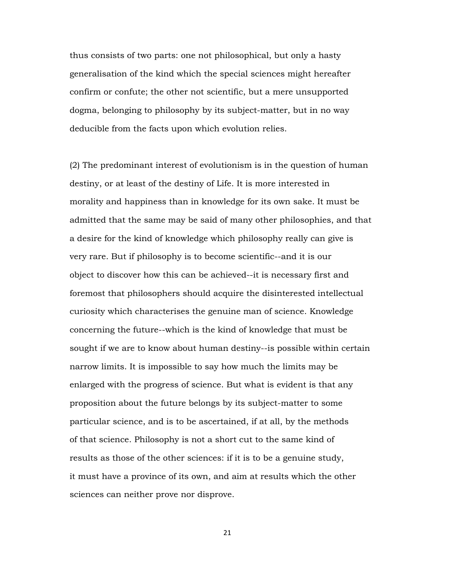thus consists of two parts: one not philosophical, but only a hasty generalisation of the kind which the special sciences might hereafter confirm or confute; the other not scientific, but a mere unsupported dogma, belonging to philosophy by its subject-matter, but in no way deducible from the facts upon which evolution relies.

(2) The predominant interest of evolutionism is in the question of human destiny, or at least of the destiny of Life. It is more interested in morality and happiness than in knowledge for its own sake. It must be admitted that the same may be said of many other philosophies, and that a desire for the kind of knowledge which philosophy really can give is very rare. But if philosophy is to become scientific--and it is our object to discover how this can be achieved--it is necessary first and foremost that philosophers should acquire the disinterested intellectual curiosity which characterises the genuine man of science. Knowledge concerning the future--which is the kind of knowledge that must be sought if we are to know about human destiny--is possible within certain narrow limits. It is impossible to say how much the limits may be enlarged with the progress of science. But what is evident is that any proposition about the future belongs by its subject-matter to some particular science, and is to be ascertained, if at all, by the methods of that science. Philosophy is not a short cut to the same kind of results as those of the other sciences: if it is to be a genuine study, it must have a province of its own, and aim at results which the other sciences can neither prove nor disprove.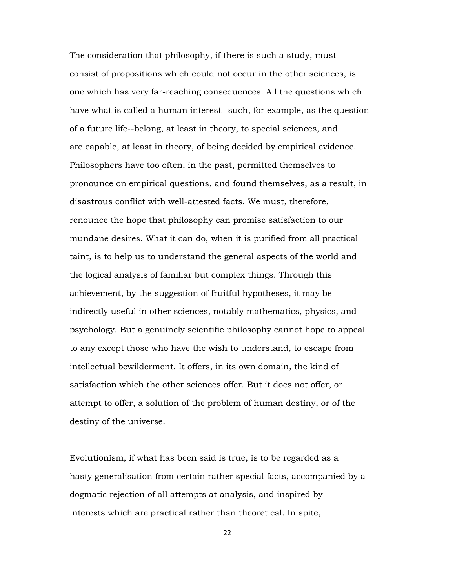The consideration that philosophy, if there is such a study, must consist of propositions which could not occur in the other sciences, is one which has very far-reaching consequences. All the questions which have what is called a human interest--such, for example, as the question of a future life--belong, at least in theory, to special sciences, and are capable, at least in theory, of being decided by empirical evidence. Philosophers have too often, in the past, permitted themselves to pronounce on empirical questions, and found themselves, as a result, in disastrous conflict with well-attested facts. We must, therefore, renounce the hope that philosophy can promise satisfaction to our mundane desires. What it can do, when it is purified from all practical taint, is to help us to understand the general aspects of the world and the logical analysis of familiar but complex things. Through this achievement, by the suggestion of fruitful hypotheses, it may be indirectly useful in other sciences, notably mathematics, physics, and psychology. But a genuinely scientific philosophy cannot hope to appeal to any except those who have the wish to understand, to escape from intellectual bewilderment. It offers, in its own domain, the kind of satisfaction which the other sciences offer. But it does not offer, or attempt to offer, a solution of the problem of human destiny, or of the destiny of the universe.

Evolutionism, if what has been said is true, is to be regarded as a hasty generalisation from certain rather special facts, accompanied by a dogmatic rejection of all attempts at analysis, and inspired by interests which are practical rather than theoretical. In spite,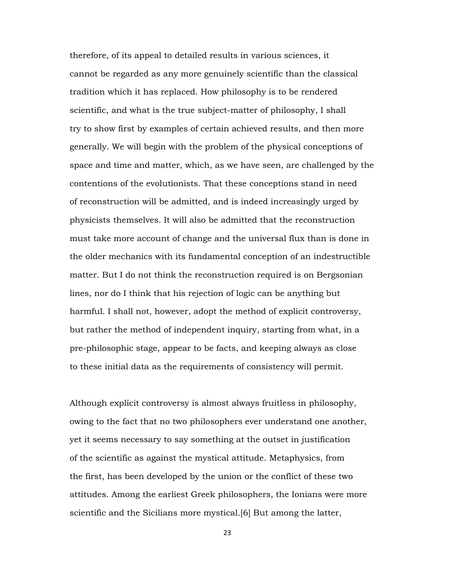therefore, of its appeal to detailed results in various sciences, it cannot be regarded as any more genuinely scientific than the classical tradition which it has replaced. How philosophy is to be rendered scientific, and what is the true subject-matter of philosophy, I shall try to show first by examples of certain achieved results, and then more generally. We will begin with the problem of the physical conceptions of space and time and matter, which, as we have seen, are challenged by the contentions of the evolutionists. That these conceptions stand in need of reconstruction will be admitted, and is indeed increasingly urged by physicists themselves. It will also be admitted that the reconstruction must take more account of change and the universal flux than is done in the older mechanics with its fundamental conception of an indestructible matter. But I do not think the reconstruction required is on Bergsonian lines, nor do I think that his rejection of logic can be anything but harmful. I shall not, however, adopt the method of explicit controversy, but rather the method of independent inquiry, starting from what, in a pre-philosophic stage, appear to be facts, and keeping always as close to these initial data as the requirements of consistency will permit.

Although explicit controversy is almost always fruitless in philosophy, owing to the fact that no two philosophers ever understand one another, yet it seems necessary to say something at the outset in justification of the scientific as against the mystical attitude. Metaphysics, from the first, has been developed by the union or the conflict of these two attitudes. Among the earliest Greek philosophers, the Ionians were more scientific and the Sicilians more mystical.[6] But among the latter,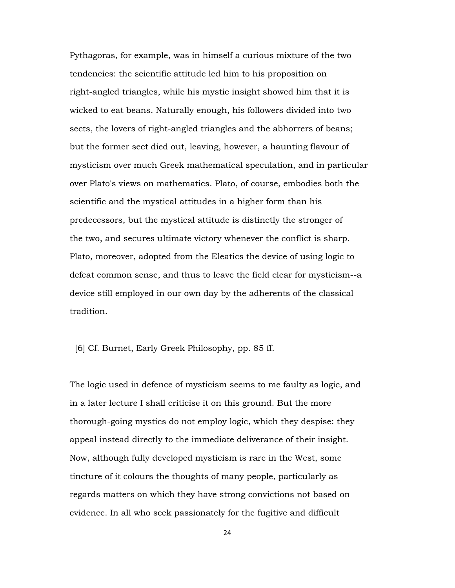Pythagoras, for example, was in himself a curious mixture of the two tendencies: the scientific attitude led him to his proposition on right-angled triangles, while his mystic insight showed him that it is wicked to eat beans. Naturally enough, his followers divided into two sects, the lovers of right-angled triangles and the abhorrers of beans; but the former sect died out, leaving, however, a haunting flavour of mysticism over much Greek mathematical speculation, and in particular over Plato's views on mathematics. Plato, of course, embodies both the scientific and the mystical attitudes in a higher form than his predecessors, but the mystical attitude is distinctly the stronger of the two, and secures ultimate victory whenever the conflict is sharp. Plato, moreover, adopted from the Eleatics the device of using logic to defeat common sense, and thus to leave the field clear for mysticism--a device still employed in our own day by the adherents of the classical tradition.

[6] Cf. Burnet, Early Greek Philosophy, pp. 85 ff.

The logic used in defence of mysticism seems to me faulty as logic, and in a later lecture I shall criticise it on this ground. But the more thorough-going mystics do not employ logic, which they despise: they appeal instead directly to the immediate deliverance of their insight. Now, although fully developed mysticism is rare in the West, some tincture of it colours the thoughts of many people, particularly as regards matters on which they have strong convictions not based on evidence. In all who seek passionately for the fugitive and difficult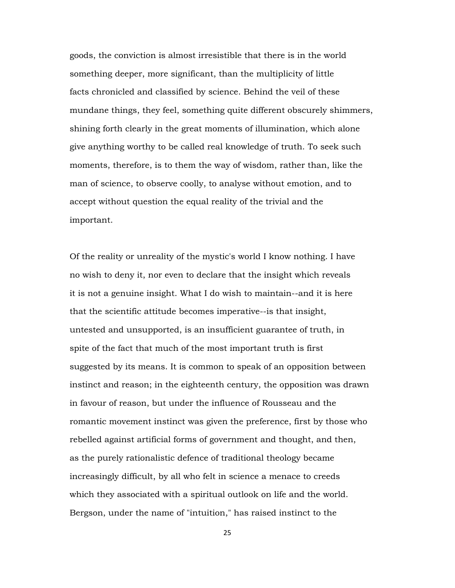goods, the conviction is almost irresistible that there is in the world something deeper, more significant, than the multiplicity of little facts chronicled and classified by science. Behind the veil of these mundane things, they feel, something quite different obscurely shimmers, shining forth clearly in the great moments of illumination, which alone give anything worthy to be called real knowledge of truth. To seek such moments, therefore, is to them the way of wisdom, rather than, like the man of science, to observe coolly, to analyse without emotion, and to accept without question the equal reality of the trivial and the important.

Of the reality or unreality of the mystic's world I know nothing. I have no wish to deny it, nor even to declare that the insight which reveals it is not a genuine insight. What I do wish to maintain--and it is here that the scientific attitude becomes imperative--is that insight, untested and unsupported, is an insufficient guarantee of truth, in spite of the fact that much of the most important truth is first suggested by its means. It is common to speak of an opposition between instinct and reason; in the eighteenth century, the opposition was drawn in favour of reason, but under the influence of Rousseau and the romantic movement instinct was given the preference, first by those who rebelled against artificial forms of government and thought, and then, as the purely rationalistic defence of traditional theology became increasingly difficult, by all who felt in science a menace to creeds which they associated with a spiritual outlook on life and the world. Bergson, under the name of "intuition," has raised instinct to the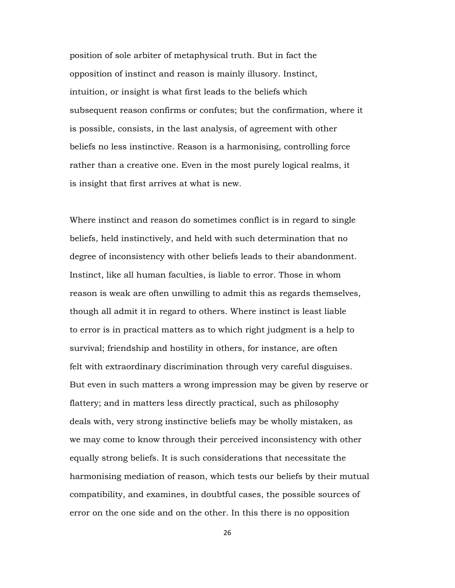position of sole arbiter of metaphysical truth. But in fact the opposition of instinct and reason is mainly illusory. Instinct, intuition, or insight is what first leads to the beliefs which subsequent reason confirms or confutes; but the confirmation, where it is possible, consists, in the last analysis, of agreement with other beliefs no less instinctive. Reason is a harmonising, controlling force rather than a creative one. Even in the most purely logical realms, it is insight that first arrives at what is new.

Where instinct and reason do sometimes conflict is in regard to single beliefs, held instinctively, and held with such determination that no degree of inconsistency with other beliefs leads to their abandonment. Instinct, like all human faculties, is liable to error. Those in whom reason is weak are often unwilling to admit this as regards themselves, though all admit it in regard to others. Where instinct is least liable to error is in practical matters as to which right judgment is a help to survival; friendship and hostility in others, for instance, are often felt with extraordinary discrimination through very careful disguises. But even in such matters a wrong impression may be given by reserve or flattery; and in matters less directly practical, such as philosophy deals with, very strong instinctive beliefs may be wholly mistaken, as we may come to know through their perceived inconsistency with other equally strong beliefs. It is such considerations that necessitate the harmonising mediation of reason, which tests our beliefs by their mutual compatibility, and examines, in doubtful cases, the possible sources of error on the one side and on the other. In this there is no opposition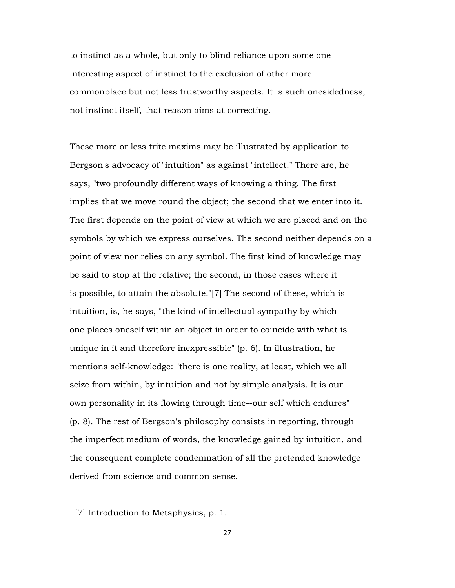to instinct as a whole, but only to blind reliance upon some one interesting aspect of instinct to the exclusion of other more commonplace but not less trustworthy aspects. It is such onesidedness, not instinct itself, that reason aims at correcting.

These more or less trite maxims may be illustrated by application to Bergson's advocacy of "intuition" as against "intellect." There are, he says, "two profoundly different ways of knowing a thing. The first implies that we move round the object; the second that we enter into it. The first depends on the point of view at which we are placed and on the symbols by which we express ourselves. The second neither depends on a point of view nor relies on any symbol. The first kind of knowledge may be said to stop at the relative; the second, in those cases where it is possible, to attain the absolute."[7] The second of these, which is intuition, is, he says, "the kind of intellectual sympathy by which one places oneself within an object in order to coincide with what is unique in it and therefore inexpressible" (p. 6). In illustration, he mentions self-knowledge: "there is one reality, at least, which we all seize from within, by intuition and not by simple analysis. It is our own personality in its flowing through time--our self which endures" (p. 8). The rest of Bergson's philosophy consists in reporting, through the imperfect medium of words, the knowledge gained by intuition, and the consequent complete condemnation of all the pretended knowledge derived from science and common sense.

[7] Introduction to Metaphysics, p. 1.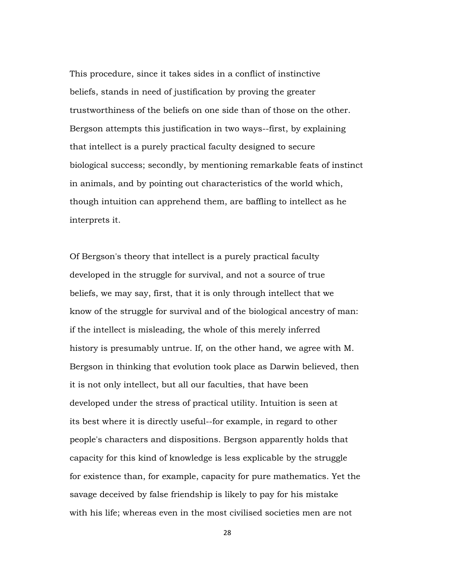This procedure, since it takes sides in a conflict of instinctive beliefs, stands in need of justification by proving the greater trustworthiness of the beliefs on one side than of those on the other. Bergson attempts this justification in two ways--first, by explaining that intellect is a purely practical faculty designed to secure biological success; secondly, by mentioning remarkable feats of instinct in animals, and by pointing out characteristics of the world which, though intuition can apprehend them, are baffling to intellect as he interprets it.

Of Bergson's theory that intellect is a purely practical faculty developed in the struggle for survival, and not a source of true beliefs, we may say, first, that it is only through intellect that we know of the struggle for survival and of the biological ancestry of man: if the intellect is misleading, the whole of this merely inferred history is presumably untrue. If, on the other hand, we agree with M. Bergson in thinking that evolution took place as Darwin believed, then it is not only intellect, but all our faculties, that have been developed under the stress of practical utility. Intuition is seen at its best where it is directly useful--for example, in regard to other people's characters and dispositions. Bergson apparently holds that capacity for this kind of knowledge is less explicable by the struggle for existence than, for example, capacity for pure mathematics. Yet the savage deceived by false friendship is likely to pay for his mistake with his life; whereas even in the most civilised societies men are not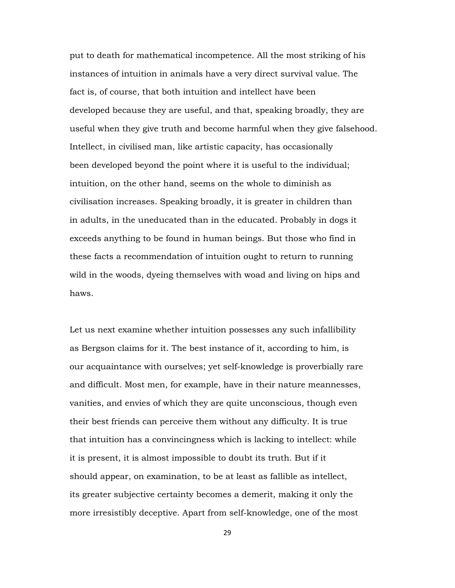put to death for mathematical incompetence. All the most striking of his instances of intuition in animals have a very direct survival value. The fact is, of course, that both intuition and intellect have been developed because they are useful, and that, speaking broadly, they are useful when they give truth and become harmful when they give falsehood. Intellect, in civilised man, like artistic capacity, has occasionally been developed beyond the point where it is useful to the individual; intuition, on the other hand, seems on the whole to diminish as civilisation increases. Speaking broadly, it is greater in children than in adults, in the uneducated than in the educated. Probably in dogs it exceeds anything to be found in human beings. But those who find in these facts a recommendation of intuition ought to return to running wild in the woods, dyeing themselves with woad and living on hips and haws.

Let us next examine whether intuition possesses any such infallibility as Bergson claims for it. The best instance of it, according to him, is our acquaintance with ourselves; yet self-knowledge is proverbially rare and difficult. Most men, for example, have in their nature meannesses, vanities, and envies of which they are quite unconscious, though even their best friends can perceive them without any difficulty. It is true that intuition has a convincingness which is lacking to intellect: while it is present, it is almost impossible to doubt its truth. But if it should appear, on examination, to be at least as fallible as intellect, its greater subjective certainty becomes a demerit, making it only the more irresistibly deceptive. Apart from self-knowledge, one of the most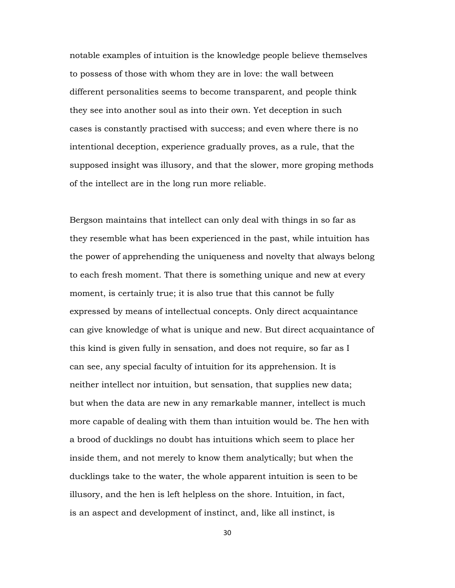notable examples of intuition is the knowledge people believe themselves to possess of those with whom they are in love: the wall between different personalities seems to become transparent, and people think they see into another soul as into their own. Yet deception in such cases is constantly practised with success; and even where there is no intentional deception, experience gradually proves, as a rule, that the supposed insight was illusory, and that the slower, more groping methods of the intellect are in the long run more reliable.

Bergson maintains that intellect can only deal with things in so far as they resemble what has been experienced in the past, while intuition has the power of apprehending the uniqueness and novelty that always belong to each fresh moment. That there is something unique and new at every moment, is certainly true; it is also true that this cannot be fully expressed by means of intellectual concepts. Only direct acquaintance can give knowledge of what is unique and new. But direct acquaintance of this kind is given fully in sensation, and does not require, so far as I can see, any special faculty of intuition for its apprehension. It is neither intellect nor intuition, but sensation, that supplies new data; but when the data are new in any remarkable manner, intellect is much more capable of dealing with them than intuition would be. The hen with a brood of ducklings no doubt has intuitions which seem to place her inside them, and not merely to know them analytically; but when the ducklings take to the water, the whole apparent intuition is seen to be illusory, and the hen is left helpless on the shore. Intuition, in fact, is an aspect and development of instinct, and, like all instinct, is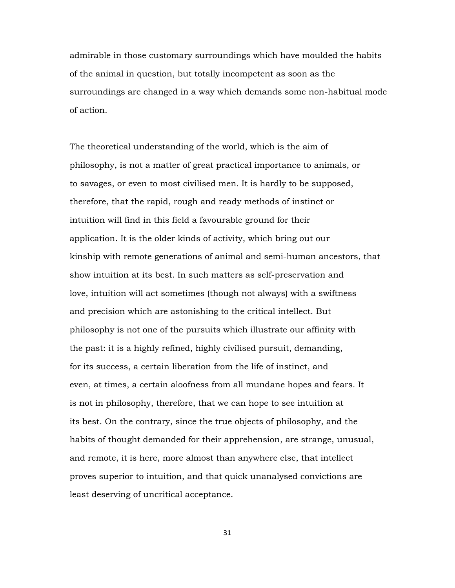admirable in those customary surroundings which have moulded the habits of the animal in question, but totally incompetent as soon as the surroundings are changed in a way which demands some non-habitual mode of action.

The theoretical understanding of the world, which is the aim of philosophy, is not a matter of great practical importance to animals, or to savages, or even to most civilised men. It is hardly to be supposed, therefore, that the rapid, rough and ready methods of instinct or intuition will find in this field a favourable ground for their application. It is the older kinds of activity, which bring out our kinship with remote generations of animal and semi-human ancestors, that show intuition at its best. In such matters as self-preservation and love, intuition will act sometimes (though not always) with a swiftness and precision which are astonishing to the critical intellect. But philosophy is not one of the pursuits which illustrate our affinity with the past: it is a highly refined, highly civilised pursuit, demanding, for its success, a certain liberation from the life of instinct, and even, at times, a certain aloofness from all mundane hopes and fears. It is not in philosophy, therefore, that we can hope to see intuition at its best. On the contrary, since the true objects of philosophy, and the habits of thought demanded for their apprehension, are strange, unusual, and remote, it is here, more almost than anywhere else, that intellect proves superior to intuition, and that quick unanalysed convictions are least deserving of uncritical acceptance.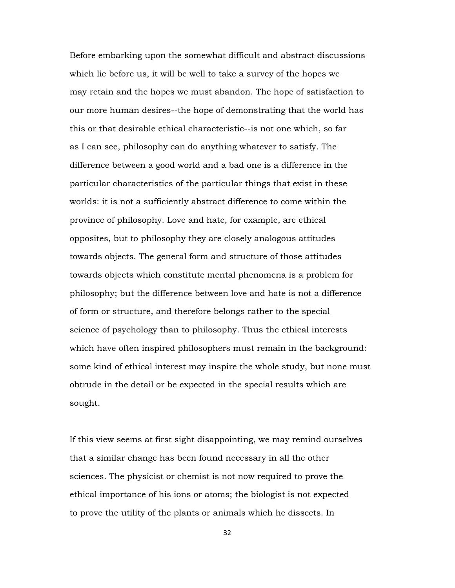Before embarking upon the somewhat difficult and abstract discussions which lie before us, it will be well to take a survey of the hopes we may retain and the hopes we must abandon. The hope of satisfaction to our more human desires--the hope of demonstrating that the world has this or that desirable ethical characteristic--is not one which, so far as I can see, philosophy can do anything whatever to satisfy. The difference between a good world and a bad one is a difference in the particular characteristics of the particular things that exist in these worlds: it is not a sufficiently abstract difference to come within the province of philosophy. Love and hate, for example, are ethical opposites, but to philosophy they are closely analogous attitudes towards objects. The general form and structure of those attitudes towards objects which constitute mental phenomena is a problem for philosophy; but the difference between love and hate is not a difference of form or structure, and therefore belongs rather to the special science of psychology than to philosophy. Thus the ethical interests which have often inspired philosophers must remain in the background: some kind of ethical interest may inspire the whole study, but none must obtrude in the detail or be expected in the special results which are sought.

If this view seems at first sight disappointing, we may remind ourselves that a similar change has been found necessary in all the other sciences. The physicist or chemist is not now required to prove the ethical importance of his ions or atoms; the biologist is not expected to prove the utility of the plants or animals which he dissects. In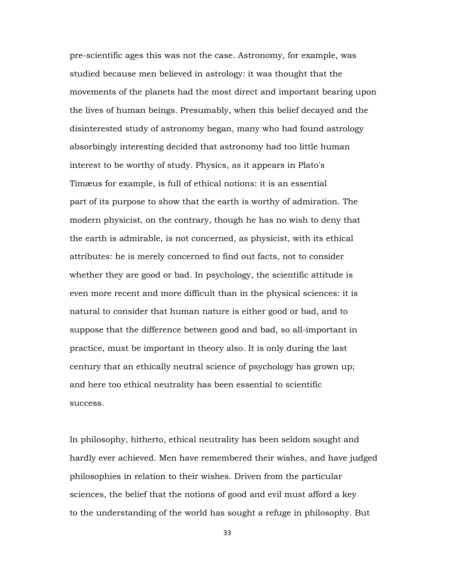pre-scientific ages this was not the case. Astronomy, for example, was studied because men believed in astrology: it was thought that the movements of the planets had the most direct and important bearing upon the lives of human beings. Presumably, when this belief decayed and the disinterested study of astronomy began, many who had found astrology absorbingly interesting decided that astronomy had too little human interest to be worthy of study. Physics, as it appears in Plato's Timæus for example, is full of ethical notions: it is an essential part of its purpose to show that the earth is worthy of admiration. The modern physicist, on the contrary, though he has no wish to deny that the earth is admirable, is not concerned, as physicist, with its ethical attributes: he is merely concerned to find out facts, not to consider whether they are good or bad. In psychology, the scientific attitude is even more recent and more difficult than in the physical sciences: it is natural to consider that human nature is either good or bad, and to suppose that the difference between good and bad, so all-important in practice, must be important in theory also. It is only during the last century that an ethically neutral science of psychology has grown up; and here too ethical neutrality has been essential to scientific success.

In philosophy, hitherto, ethical neutrality has been seldom sought and hardly ever achieved. Men have remembered their wishes, and have judged philosophies in relation to their wishes. Driven from the particular sciences, the belief that the notions of good and evil must afford a key to the understanding of the world has sought a refuge in philosophy. But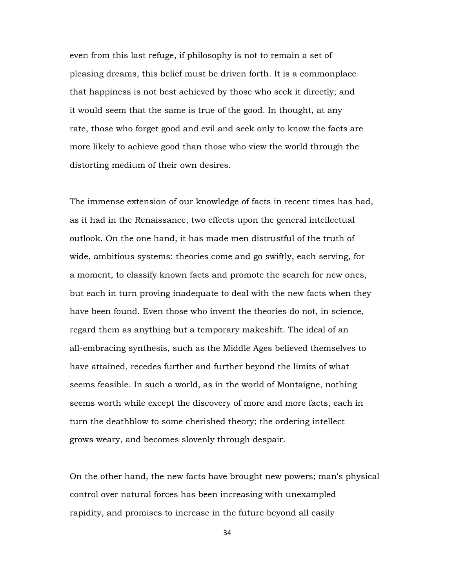even from this last refuge, if philosophy is not to remain a set of pleasing dreams, this belief must be driven forth. It is a commonplace that happiness is not best achieved by those who seek it directly; and it would seem that the same is true of the good. In thought, at any rate, those who forget good and evil and seek only to know the facts are more likely to achieve good than those who view the world through the distorting medium of their own desires.

The immense extension of our knowledge of facts in recent times has had, as it had in the Renaissance, two effects upon the general intellectual outlook. On the one hand, it has made men distrustful of the truth of wide, ambitious systems: theories come and go swiftly, each serving, for a moment, to classify known facts and promote the search for new ones, but each in turn proving inadequate to deal with the new facts when they have been found. Even those who invent the theories do not, in science, regard them as anything but a temporary makeshift. The ideal of an all-embracing synthesis, such as the Middle Ages believed themselves to have attained, recedes further and further beyond the limits of what seems feasible. In such a world, as in the world of Montaigne, nothing seems worth while except the discovery of more and more facts, each in turn the deathblow to some cherished theory; the ordering intellect grows weary, and becomes slovenly through despair.

On the other hand, the new facts have brought new powers; man's physical control over natural forces has been increasing with unexampled rapidity, and promises to increase in the future beyond all easily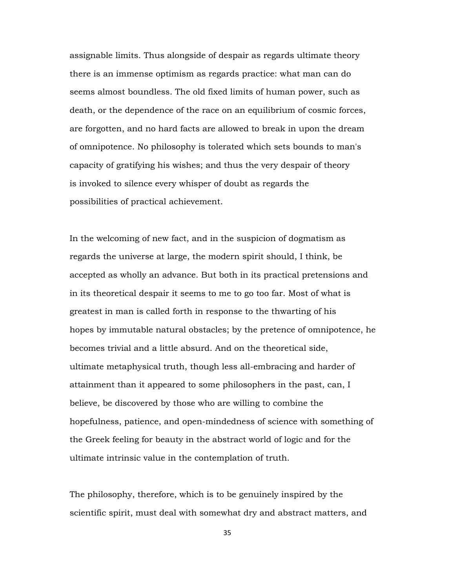assignable limits. Thus alongside of despair as regards ultimate theory there is an immense optimism as regards practice: what man can do seems almost boundless. The old fixed limits of human power, such as death, or the dependence of the race on an equilibrium of cosmic forces, are forgotten, and no hard facts are allowed to break in upon the dream of omnipotence. No philosophy is tolerated which sets bounds to man's capacity of gratifying his wishes; and thus the very despair of theory is invoked to silence every whisper of doubt as regards the possibilities of practical achievement.

In the welcoming of new fact, and in the suspicion of dogmatism as regards the universe at large, the modern spirit should, I think, be accepted as wholly an advance. But both in its practical pretensions and in its theoretical despair it seems to me to go too far. Most of what is greatest in man is called forth in response to the thwarting of his hopes by immutable natural obstacles; by the pretence of omnipotence, he becomes trivial and a little absurd. And on the theoretical side, ultimate metaphysical truth, though less all-embracing and harder of attainment than it appeared to some philosophers in the past, can, I believe, be discovered by those who are willing to combine the hopefulness, patience, and open-mindedness of science with something of the Greek feeling for beauty in the abstract world of logic and for the ultimate intrinsic value in the contemplation of truth.

The philosophy, therefore, which is to be genuinely inspired by the scientific spirit, must deal with somewhat dry and abstract matters, and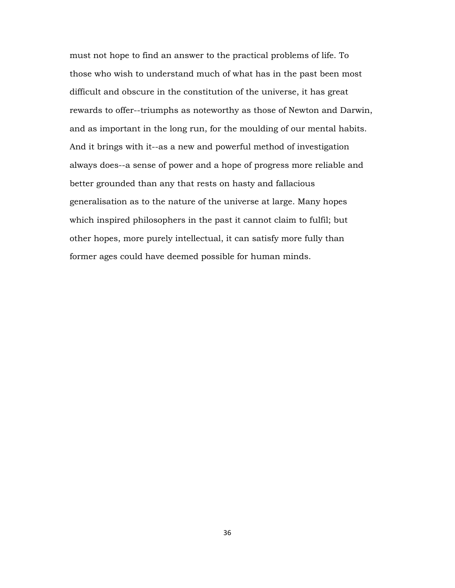must not hope to find an answer to the practical problems of life. To those who wish to understand much of what has in the past been most difficult and obscure in the constitution of the universe, it has great rewards to offer--triumphs as noteworthy as those of Newton and Darwin, and as important in the long run, for the moulding of our mental habits. And it brings with it--as a new and powerful method of investigation always does--a sense of power and a hope of progress more reliable and better grounded than any that rests on hasty and fallacious generalisation as to the nature of the universe at large. Many hopes which inspired philosophers in the past it cannot claim to fulfil; but other hopes, more purely intellectual, it can satisfy more fully than former ages could have deemed possible for human minds.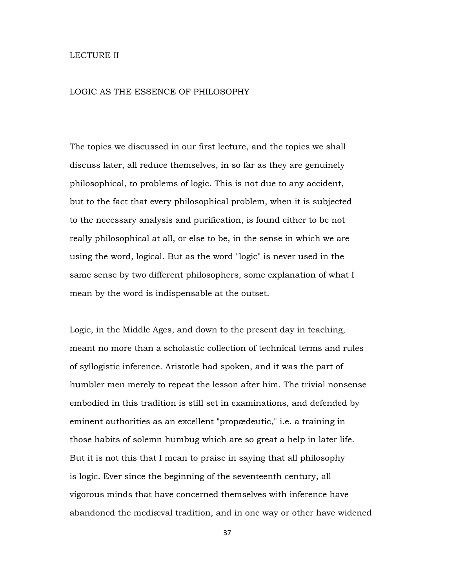## LECTURE II

## LOGIC AS THE ESSENCE OF PHILOSOPHY

The topics we discussed in our first lecture, and the topics we shall discuss later, all reduce themselves, in so far as they are genuinely philosophical, to problems of logic. This is not due to any accident, but to the fact that every philosophical problem, when it is subjected to the necessary analysis and purification, is found either to be not really philosophical at all, or else to be, in the sense in which we are using the word, logical. But as the word "logic" is never used in the same sense by two different philosophers, some explanation of what I mean by the word is indispensable at the outset.

Logic, in the Middle Ages, and down to the present day in teaching, meant no more than a scholastic collection of technical terms and rules of syllogistic inference. Aristotle had spoken, and it was the part of humbler men merely to repeat the lesson after him. The trivial nonsense embodied in this tradition is still set in examinations, and defended by eminent authorities as an excellent "propædeutic," i.e. a training in those habits of solemn humbug which are so great a help in later life. But it is not this that I mean to praise in saying that all philosophy is logic. Ever since the beginning of the seventeenth century, all vigorous minds that have concerned themselves with inference have abandoned the mediæval tradition, and in one way or other have widened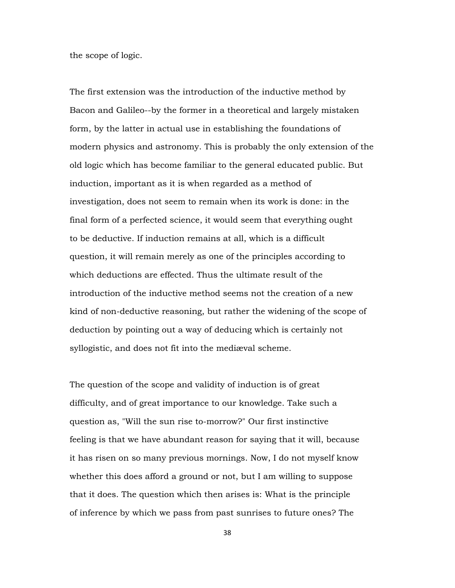the scope of logic.

The first extension was the introduction of the inductive method by Bacon and Galileo--by the former in a theoretical and largely mistaken form, by the latter in actual use in establishing the foundations of modern physics and astronomy. This is probably the only extension of the old logic which has become familiar to the general educated public. But induction, important as it is when regarded as a method of investigation, does not seem to remain when its work is done: in the final form of a perfected science, it would seem that everything ought to be deductive. If induction remains at all, which is a difficult question, it will remain merely as one of the principles according to which deductions are effected. Thus the ultimate result of the introduction of the inductive method seems not the creation of a new kind of non-deductive reasoning, but rather the widening of the scope of deduction by pointing out a way of deducing which is certainly not syllogistic, and does not fit into the mediæval scheme.

The question of the scope and validity of induction is of great difficulty, and of great importance to our knowledge. Take such a question as, "Will the sun rise to-morrow?" Our first instinctive feeling is that we have abundant reason for saying that it will, because it has risen on so many previous mornings. Now, I do not myself know whether this does afford a ground or not, but I am willing to suppose that it does. The question which then arises is: What is the principle of inference by which we pass from past sunrises to future ones? The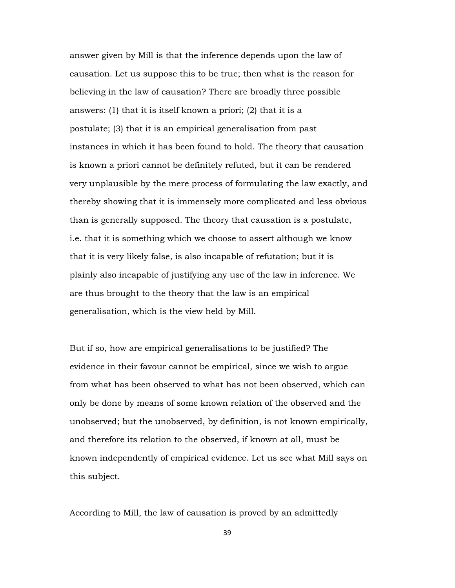answer given by Mill is that the inference depends upon the law of causation. Let us suppose this to be true; then what is the reason for believing in the law of causation? There are broadly three possible answers: (1) that it is itself known a priori; (2) that it is a postulate; (3) that it is an empirical generalisation from past instances in which it has been found to hold. The theory that causation is known a priori cannot be definitely refuted, but it can be rendered very unplausible by the mere process of formulating the law exactly, and thereby showing that it is immensely more complicated and less obvious than is generally supposed. The theory that causation is a postulate, i.e. that it is something which we choose to assert although we know that it is very likely false, is also incapable of refutation; but it is plainly also incapable of justifying any use of the law in inference. We are thus brought to the theory that the law is an empirical generalisation, which is the view held by Mill.

But if so, how are empirical generalisations to be justified? The evidence in their favour cannot be empirical, since we wish to argue from what has been observed to what has not been observed, which can only be done by means of some known relation of the observed and the unobserved; but the unobserved, by definition, is not known empirically, and therefore its relation to the observed, if known at all, must be known independently of empirical evidence. Let us see what Mill says on this subject.

According to Mill, the law of causation is proved by an admittedly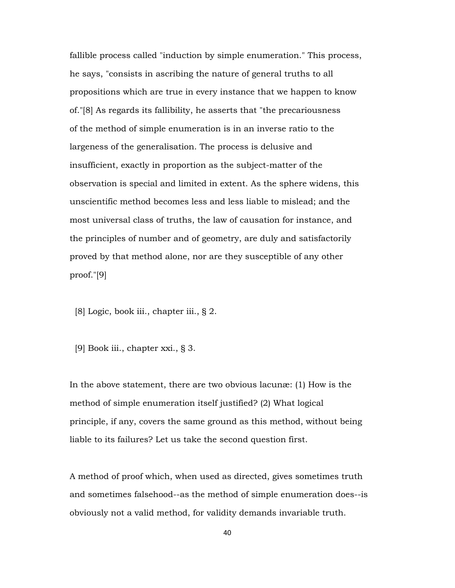fallible process called "induction by simple enumeration." This process, he says, "consists in ascribing the nature of general truths to all propositions which are true in every instance that we happen to know of."[8] As regards its fallibility, he asserts that "the precariousness of the method of simple enumeration is in an inverse ratio to the largeness of the generalisation. The process is delusive and insufficient, exactly in proportion as the subject-matter of the observation is special and limited in extent. As the sphere widens, this unscientific method becomes less and less liable to mislead; and the most universal class of truths, the law of causation for instance, and the principles of number and of geometry, are duly and satisfactorily proved by that method alone, nor are they susceptible of any other proof."[9]

- [8] Logic, book iii., chapter iii., § 2.
- [9] Book iii., chapter xxi., § 3.

In the above statement, there are two obvious lacunæ: (1) How is the method of simple enumeration itself justified? (2) What logical principle, if any, covers the same ground as this method, without being liable to its failures? Let us take the second question first.

A method of proof which, when used as directed, gives sometimes truth and sometimes falsehood--as the method of simple enumeration does--is obviously not a valid method, for validity demands invariable truth.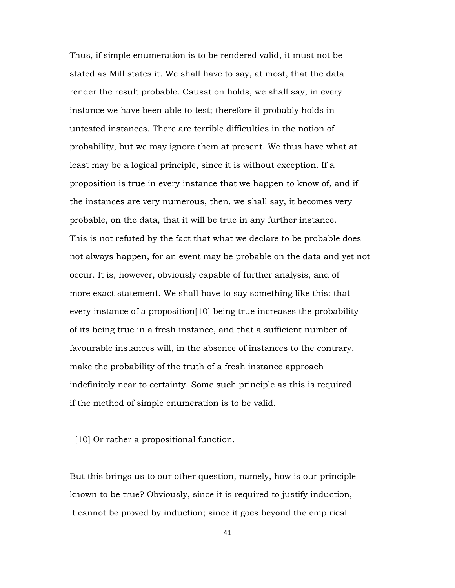Thus, if simple enumeration is to be rendered valid, it must not be stated as Mill states it. We shall have to say, at most, that the data render the result probable. Causation holds, we shall say, in every instance we have been able to test; therefore it probably holds in untested instances. There are terrible difficulties in the notion of probability, but we may ignore them at present. We thus have what at least may be a logical principle, since it is without exception. If a proposition is true in every instance that we happen to know of, and if the instances are very numerous, then, we shall say, it becomes very probable, on the data, that it will be true in any further instance. This is not refuted by the fact that what we declare to be probable does not always happen, for an event may be probable on the data and yet not occur. It is, however, obviously capable of further analysis, and of more exact statement. We shall have to say something like this: that every instance of a proposition[10] being true increases the probability of its being true in a fresh instance, and that a sufficient number of favourable instances will, in the absence of instances to the contrary, make the probability of the truth of a fresh instance approach indefinitely near to certainty. Some such principle as this is required if the method of simple enumeration is to be valid.

[10] Or rather a propositional function.

But this brings us to our other question, namely, how is our principle known to be true? Obviously, since it is required to justify induction, it cannot be proved by induction; since it goes beyond the empirical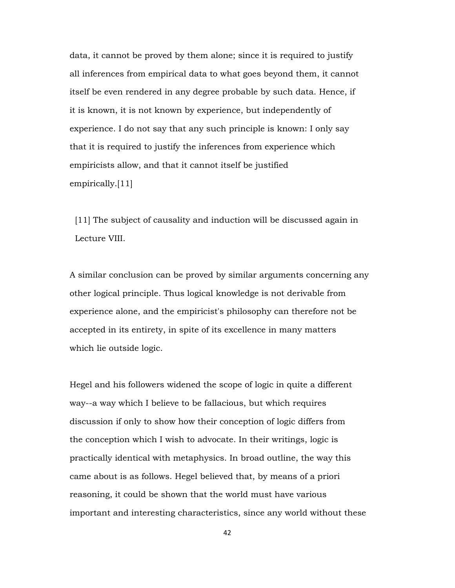data, it cannot be proved by them alone; since it is required to justify all inferences from empirical data to what goes beyond them, it cannot itself be even rendered in any degree probable by such data. Hence, if it is known, it is not known by experience, but independently of experience. I do not say that any such principle is known: I only say that it is required to justify the inferences from experience which empiricists allow, and that it cannot itself be justified empirically.[11]

 [11] The subject of causality and induction will be discussed again in Lecture VIII.

A similar conclusion can be proved by similar arguments concerning any other logical principle. Thus logical knowledge is not derivable from experience alone, and the empiricist's philosophy can therefore not be accepted in its entirety, in spite of its excellence in many matters which lie outside logic.

Hegel and his followers widened the scope of logic in quite a different way--a way which I believe to be fallacious, but which requires discussion if only to show how their conception of logic differs from the conception which I wish to advocate. In their writings, logic is practically identical with metaphysics. In broad outline, the way this came about is as follows. Hegel believed that, by means of a priori reasoning, it could be shown that the world must have various important and interesting characteristics, since any world without these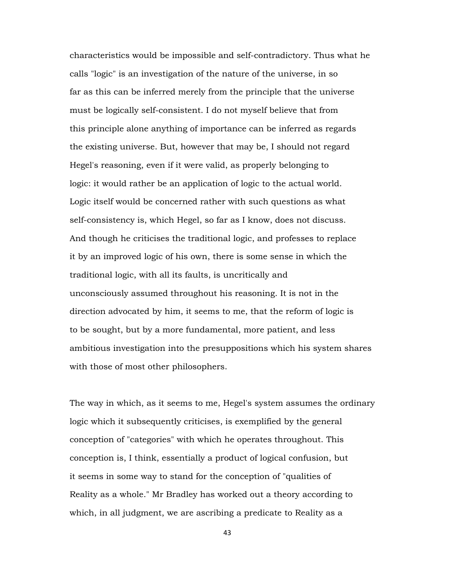characteristics would be impossible and self-contradictory. Thus what he calls "logic" is an investigation of the nature of the universe, in so far as this can be inferred merely from the principle that the universe must be logically self-consistent. I do not myself believe that from this principle alone anything of importance can be inferred as regards the existing universe. But, however that may be, I should not regard Hegel's reasoning, even if it were valid, as properly belonging to logic: it would rather be an application of logic to the actual world. Logic itself would be concerned rather with such questions as what self-consistency is, which Hegel, so far as I know, does not discuss. And though he criticises the traditional logic, and professes to replace it by an improved logic of his own, there is some sense in which the traditional logic, with all its faults, is uncritically and unconsciously assumed throughout his reasoning. It is not in the direction advocated by him, it seems to me, that the reform of logic is to be sought, but by a more fundamental, more patient, and less ambitious investigation into the presuppositions which his system shares with those of most other philosophers.

The way in which, as it seems to me, Hegel's system assumes the ordinary logic which it subsequently criticises, is exemplified by the general conception of "categories" with which he operates throughout. This conception is, I think, essentially a product of logical confusion, but it seems in some way to stand for the conception of "qualities of Reality as a whole." Mr Bradley has worked out a theory according to which, in all judgment, we are ascribing a predicate to Reality as a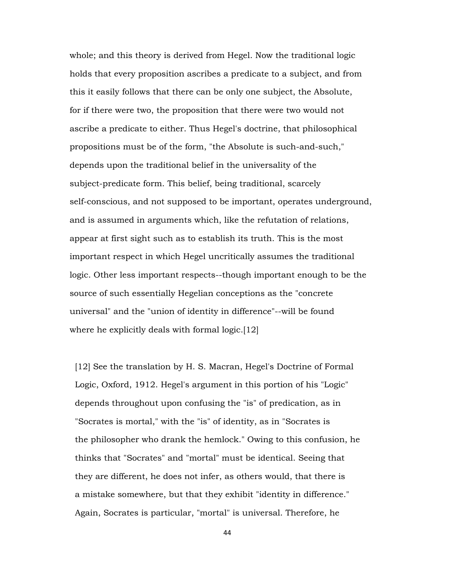whole; and this theory is derived from Hegel. Now the traditional logic holds that every proposition ascribes a predicate to a subject, and from this it easily follows that there can be only one subject, the Absolute, for if there were two, the proposition that there were two would not ascribe a predicate to either. Thus Hegel's doctrine, that philosophical propositions must be of the form, "the Absolute is such-and-such," depends upon the traditional belief in the universality of the subject-predicate form. This belief, being traditional, scarcely self-conscious, and not supposed to be important, operates underground, and is assumed in arguments which, like the refutation of relations, appear at first sight such as to establish its truth. This is the most important respect in which Hegel uncritically assumes the traditional logic. Other less important respects--though important enough to be the source of such essentially Hegelian conceptions as the "concrete universal" and the "union of identity in difference"--will be found where he explicitly deals with formal logic.[12]

 [12] See the translation by H. S. Macran, Hegel's Doctrine of Formal Logic, Oxford, 1912. Hegel's argument in this portion of his "Logic" depends throughout upon confusing the "is" of predication, as in "Socrates is mortal," with the "is" of identity, as in "Socrates is the philosopher who drank the hemlock." Owing to this confusion, he thinks that "Socrates" and "mortal" must be identical. Seeing that they are different, he does not infer, as others would, that there is a mistake somewhere, but that they exhibit "identity in difference." Again, Socrates is particular, "mortal" is universal. Therefore, he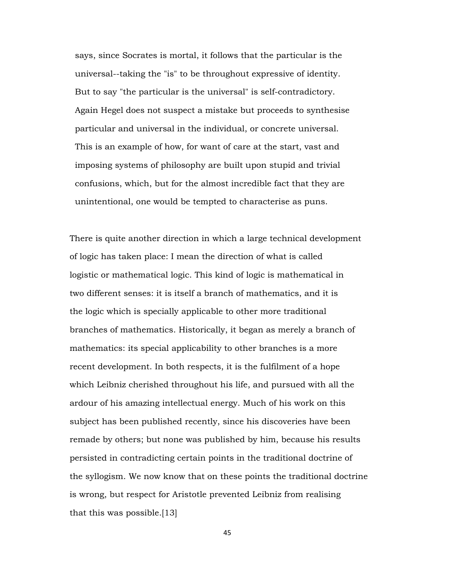says, since Socrates is mortal, it follows that the particular is the universal--taking the "is" to be throughout expressive of identity. But to say "the particular is the universal" is self-contradictory. Again Hegel does not suspect a mistake but proceeds to synthesise particular and universal in the individual, or concrete universal. This is an example of how, for want of care at the start, vast and imposing systems of philosophy are built upon stupid and trivial confusions, which, but for the almost incredible fact that they are unintentional, one would be tempted to characterise as puns.

There is quite another direction in which a large technical development of logic has taken place: I mean the direction of what is called logistic or mathematical logic. This kind of logic is mathematical in two different senses: it is itself a branch of mathematics, and it is the logic which is specially applicable to other more traditional branches of mathematics. Historically, it began as merely a branch of mathematics: its special applicability to other branches is a more recent development. In both respects, it is the fulfilment of a hope which Leibniz cherished throughout his life, and pursued with all the ardour of his amazing intellectual energy. Much of his work on this subject has been published recently, since his discoveries have been remade by others; but none was published by him, because his results persisted in contradicting certain points in the traditional doctrine of the syllogism. We now know that on these points the traditional doctrine is wrong, but respect for Aristotle prevented Leibniz from realising that this was possible.[13]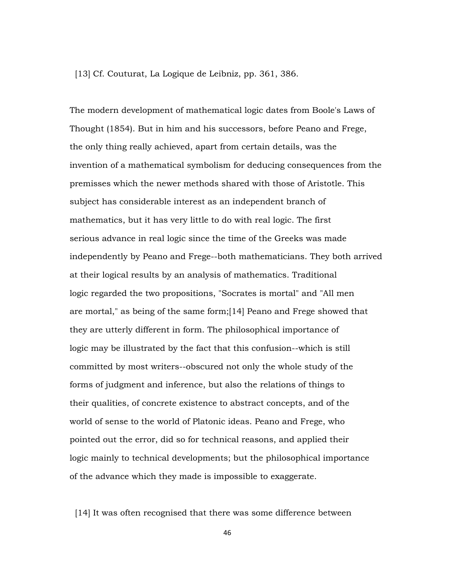[13] Cf. Couturat, La Logique de Leibniz, pp. 361, 386.

The modern development of mathematical logic dates from Boole's Laws of Thought (1854). But in him and his successors, before Peano and Frege, the only thing really achieved, apart from certain details, was the invention of a mathematical symbolism for deducing consequences from the premisses which the newer methods shared with those of Aristotle. This subject has considerable interest as an independent branch of mathematics, but it has very little to do with real logic. The first serious advance in real logic since the time of the Greeks was made independently by Peano and Frege--both mathematicians. They both arrived at their logical results by an analysis of mathematics. Traditional logic regarded the two propositions, "Socrates is mortal" and "All men are mortal," as being of the same form;[14] Peano and Frege showed that they are utterly different in form. The philosophical importance of logic may be illustrated by the fact that this confusion--which is still committed by most writers--obscured not only the whole study of the forms of judgment and inference, but also the relations of things to their qualities, of concrete existence to abstract concepts, and of the world of sense to the world of Platonic ideas. Peano and Frege, who pointed out the error, did so for technical reasons, and applied their logic mainly to technical developments; but the philosophical importance of the advance which they made is impossible to exaggerate.

[14] It was often recognised that there was some difference between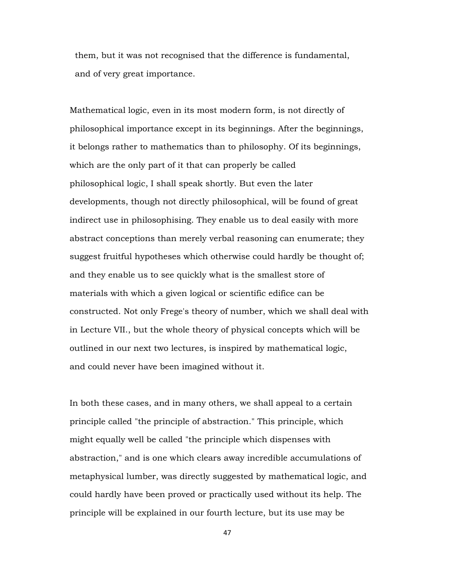them, but it was not recognised that the difference is fundamental, and of very great importance.

Mathematical logic, even in its most modern form, is not directly of philosophical importance except in its beginnings. After the beginnings, it belongs rather to mathematics than to philosophy. Of its beginnings, which are the only part of it that can properly be called philosophical logic, I shall speak shortly. But even the later developments, though not directly philosophical, will be found of great indirect use in philosophising. They enable us to deal easily with more abstract conceptions than merely verbal reasoning can enumerate; they suggest fruitful hypotheses which otherwise could hardly be thought of; and they enable us to see quickly what is the smallest store of materials with which a given logical or scientific edifice can be constructed. Not only Frege's theory of number, which we shall deal with in Lecture VII., but the whole theory of physical concepts which will be outlined in our next two lectures, is inspired by mathematical logic, and could never have been imagined without it.

In both these cases, and in many others, we shall appeal to a certain principle called "the principle of abstraction." This principle, which might equally well be called "the principle which dispenses with abstraction," and is one which clears away incredible accumulations of metaphysical lumber, was directly suggested by mathematical logic, and could hardly have been proved or practically used without its help. The principle will be explained in our fourth lecture, but its use may be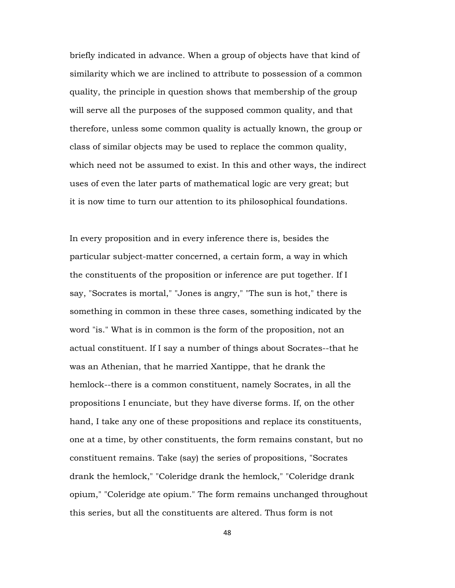briefly indicated in advance. When a group of objects have that kind of similarity which we are inclined to attribute to possession of a common quality, the principle in question shows that membership of the group will serve all the purposes of the supposed common quality, and that therefore, unless some common quality is actually known, the group or class of similar objects may be used to replace the common quality, which need not be assumed to exist. In this and other ways, the indirect uses of even the later parts of mathematical logic are very great; but it is now time to turn our attention to its philosophical foundations.

In every proposition and in every inference there is, besides the particular subject-matter concerned, a certain form, a way in which the constituents of the proposition or inference are put together. If I say, "Socrates is mortal," "Jones is angry," "The sun is hot," there is something in common in these three cases, something indicated by the word "is." What is in common is the form of the proposition, not an actual constituent. If I say a number of things about Socrates--that he was an Athenian, that he married Xantippe, that he drank the hemlock--there is a common constituent, namely Socrates, in all the propositions I enunciate, but they have diverse forms. If, on the other hand, I take any one of these propositions and replace its constituents, one at a time, by other constituents, the form remains constant, but no constituent remains. Take (say) the series of propositions, "Socrates drank the hemlock," "Coleridge drank the hemlock," "Coleridge drank opium," "Coleridge ate opium." The form remains unchanged throughout this series, but all the constituents are altered. Thus form is not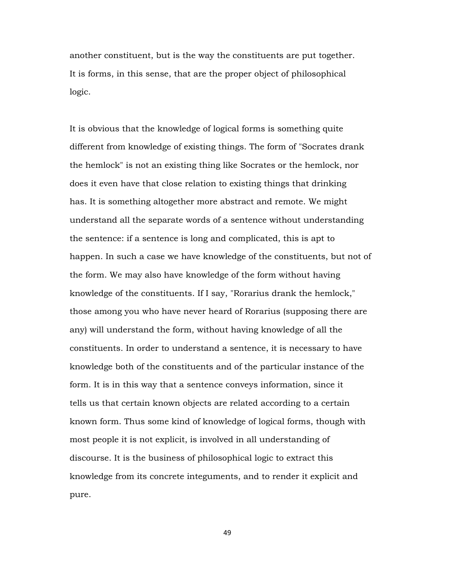another constituent, but is the way the constituents are put together. It is forms, in this sense, that are the proper object of philosophical logic.

It is obvious that the knowledge of logical forms is something quite different from knowledge of existing things. The form of "Socrates drank the hemlock" is not an existing thing like Socrates or the hemlock, nor does it even have that close relation to existing things that drinking has. It is something altogether more abstract and remote. We might understand all the separate words of a sentence without understanding the sentence: if a sentence is long and complicated, this is apt to happen. In such a case we have knowledge of the constituents, but not of the form. We may also have knowledge of the form without having knowledge of the constituents. If I say, "Rorarius drank the hemlock," those among you who have never heard of Rorarius (supposing there are any) will understand the form, without having knowledge of all the constituents. In order to understand a sentence, it is necessary to have knowledge both of the constituents and of the particular instance of the form. It is in this way that a sentence conveys information, since it tells us that certain known objects are related according to a certain known form. Thus some kind of knowledge of logical forms, though with most people it is not explicit, is involved in all understanding of discourse. It is the business of philosophical logic to extract this knowledge from its concrete integuments, and to render it explicit and pure.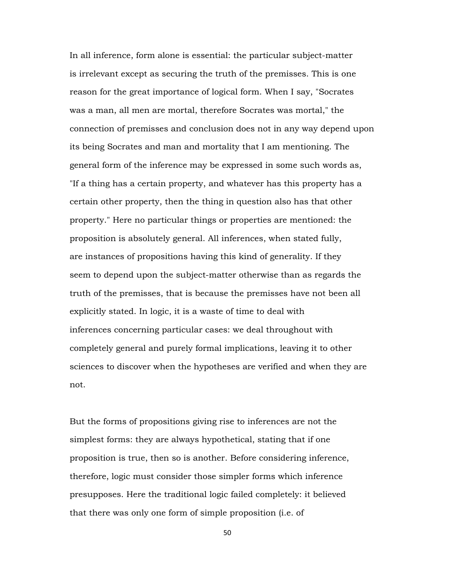In all inference, form alone is essential: the particular subject-matter is irrelevant except as securing the truth of the premisses. This is one reason for the great importance of logical form. When I say, "Socrates was a man, all men are mortal, therefore Socrates was mortal," the connection of premisses and conclusion does not in any way depend upon its being Socrates and man and mortality that I am mentioning. The general form of the inference may be expressed in some such words as, "If a thing has a certain property, and whatever has this property has a certain other property, then the thing in question also has that other property." Here no particular things or properties are mentioned: the proposition is absolutely general. All inferences, when stated fully, are instances of propositions having this kind of generality. If they seem to depend upon the subject-matter otherwise than as regards the truth of the premisses, that is because the premisses have not been all explicitly stated. In logic, it is a waste of time to deal with inferences concerning particular cases: we deal throughout with completely general and purely formal implications, leaving it to other sciences to discover when the hypotheses are verified and when they are not.

But the forms of propositions giving rise to inferences are not the simplest forms: they are always hypothetical, stating that if one proposition is true, then so is another. Before considering inference, therefore, logic must consider those simpler forms which inference presupposes. Here the traditional logic failed completely: it believed that there was only one form of simple proposition (i.e. of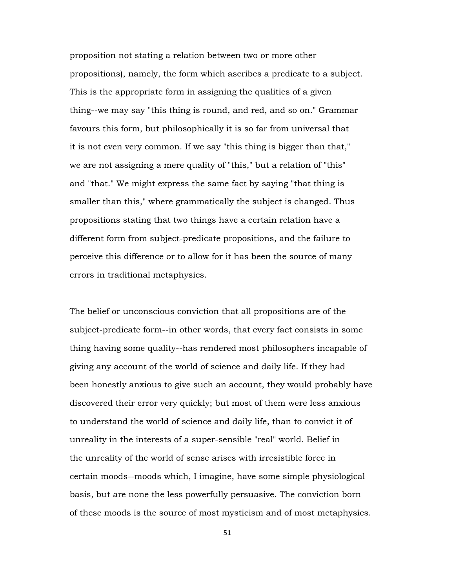proposition not stating a relation between two or more other propositions), namely, the form which ascribes a predicate to a subject. This is the appropriate form in assigning the qualities of a given thing--we may say "this thing is round, and red, and so on." Grammar favours this form, but philosophically it is so far from universal that it is not even very common. If we say "this thing is bigger than that," we are not assigning a mere quality of "this," but a relation of "this" and "that." We might express the same fact by saying "that thing is smaller than this," where grammatically the subject is changed. Thus propositions stating that two things have a certain relation have a different form from subject-predicate propositions, and the failure to perceive this difference or to allow for it has been the source of many errors in traditional metaphysics.

The belief or unconscious conviction that all propositions are of the subject-predicate form--in other words, that every fact consists in some thing having some quality--has rendered most philosophers incapable of giving any account of the world of science and daily life. If they had been honestly anxious to give such an account, they would probably have discovered their error very quickly; but most of them were less anxious to understand the world of science and daily life, than to convict it of unreality in the interests of a super-sensible "real" world. Belief in the unreality of the world of sense arises with irresistible force in certain moods--moods which, I imagine, have some simple physiological basis, but are none the less powerfully persuasive. The conviction born of these moods is the source of most mysticism and of most metaphysics.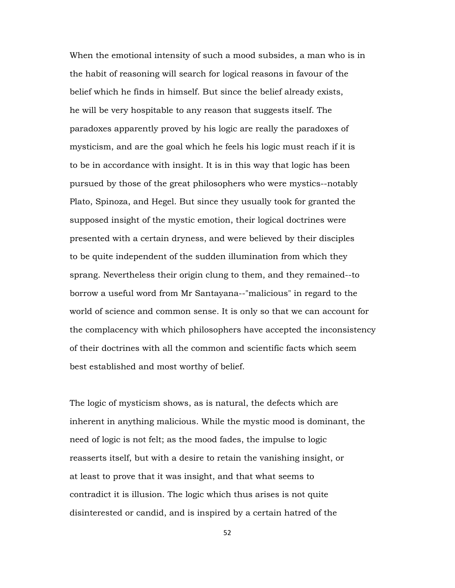When the emotional intensity of such a mood subsides, a man who is in the habit of reasoning will search for logical reasons in favour of the belief which he finds in himself. But since the belief already exists, he will be very hospitable to any reason that suggests itself. The paradoxes apparently proved by his logic are really the paradoxes of mysticism, and are the goal which he feels his logic must reach if it is to be in accordance with insight. It is in this way that logic has been pursued by those of the great philosophers who were mystics--notably Plato, Spinoza, and Hegel. But since they usually took for granted the supposed insight of the mystic emotion, their logical doctrines were presented with a certain dryness, and were believed by their disciples to be quite independent of the sudden illumination from which they sprang. Nevertheless their origin clung to them, and they remained--to borrow a useful word from Mr Santayana--"malicious" in regard to the world of science and common sense. It is only so that we can account for the complacency with which philosophers have accepted the inconsistency of their doctrines with all the common and scientific facts which seem best established and most worthy of belief.

The logic of mysticism shows, as is natural, the defects which are inherent in anything malicious. While the mystic mood is dominant, the need of logic is not felt; as the mood fades, the impulse to logic reasserts itself, but with a desire to retain the vanishing insight, or at least to prove that it was insight, and that what seems to contradict it is illusion. The logic which thus arises is not quite disinterested or candid, and is inspired by a certain hatred of the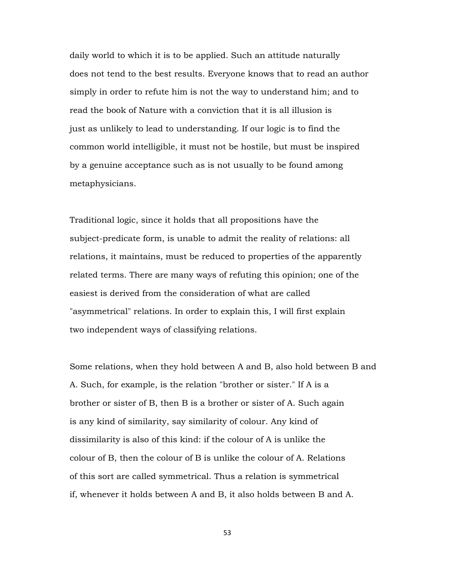daily world to which it is to be applied. Such an attitude naturally does not tend to the best results. Everyone knows that to read an author simply in order to refute him is not the way to understand him; and to read the book of Nature with a conviction that it is all illusion is just as unlikely to lead to understanding. If our logic is to find the common world intelligible, it must not be hostile, but must be inspired by a genuine acceptance such as is not usually to be found among metaphysicians.

Traditional logic, since it holds that all propositions have the subject-predicate form, is unable to admit the reality of relations: all relations, it maintains, must be reduced to properties of the apparently related terms. There are many ways of refuting this opinion; one of the easiest is derived from the consideration of what are called "asymmetrical" relations. In order to explain this, I will first explain two independent ways of classifying relations.

Some relations, when they hold between A and B, also hold between B and A. Such, for example, is the relation "brother or sister." If A is a brother or sister of B, then B is a brother or sister of A. Such again is any kind of similarity, say similarity of colour. Any kind of dissimilarity is also of this kind: if the colour of A is unlike the colour of B, then the colour of B is unlike the colour of A. Relations of this sort are called symmetrical. Thus a relation is symmetrical if, whenever it holds between A and B, it also holds between B and A.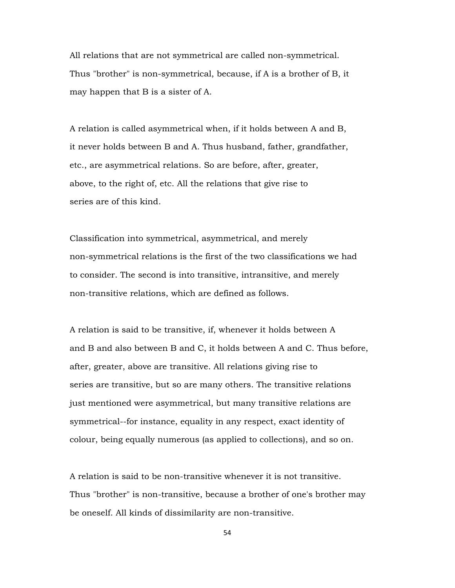All relations that are not symmetrical are called non-symmetrical. Thus "brother" is non-symmetrical, because, if A is a brother of B, it may happen that B is a sister of A.

A relation is called asymmetrical when, if it holds between A and B, it never holds between B and A. Thus husband, father, grandfather, etc., are asymmetrical relations. So are before, after, greater, above, to the right of, etc. All the relations that give rise to series are of this kind.

Classification into symmetrical, asymmetrical, and merely non-symmetrical relations is the first of the two classifications we had to consider. The second is into transitive, intransitive, and merely non-transitive relations, which are defined as follows.

A relation is said to be transitive, if, whenever it holds between A and B and also between B and C, it holds between A and C. Thus before, after, greater, above are transitive. All relations giving rise to series are transitive, but so are many others. The transitive relations just mentioned were asymmetrical, but many transitive relations are symmetrical--for instance, equality in any respect, exact identity of colour, being equally numerous (as applied to collections), and so on.

A relation is said to be non-transitive whenever it is not transitive. Thus "brother" is non-transitive, because a brother of one's brother may be oneself. All kinds of dissimilarity are non-transitive.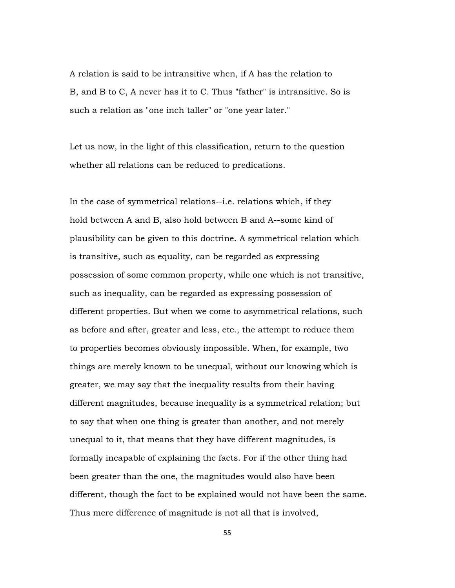A relation is said to be intransitive when, if A has the relation to B, and B to C, A never has it to C. Thus "father" is intransitive. So is such a relation as "one inch taller" or "one year later."

Let us now, in the light of this classification, return to the question whether all relations can be reduced to predications.

In the case of symmetrical relations--i.e. relations which, if they hold between A and B, also hold between B and A--some kind of plausibility can be given to this doctrine. A symmetrical relation which is transitive, such as equality, can be regarded as expressing possession of some common property, while one which is not transitive, such as inequality, can be regarded as expressing possession of different properties. But when we come to asymmetrical relations, such as before and after, greater and less, etc., the attempt to reduce them to properties becomes obviously impossible. When, for example, two things are merely known to be unequal, without our knowing which is greater, we may say that the inequality results from their having different magnitudes, because inequality is a symmetrical relation; but to say that when one thing is greater than another, and not merely unequal to it, that means that they have different magnitudes, is formally incapable of explaining the facts. For if the other thing had been greater than the one, the magnitudes would also have been different, though the fact to be explained would not have been the same. Thus mere difference of magnitude is not all that is involved,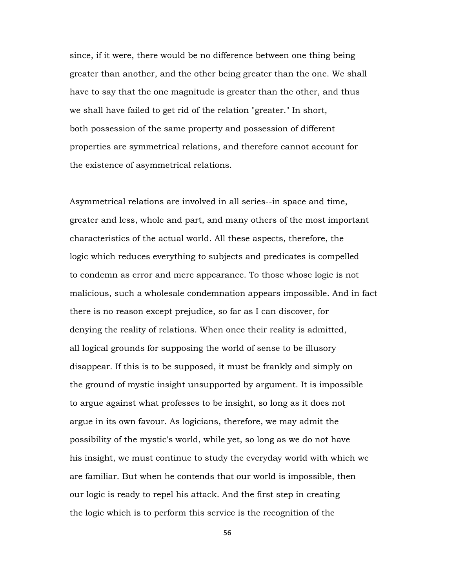since, if it were, there would be no difference between one thing being greater than another, and the other being greater than the one. We shall have to say that the one magnitude is greater than the other, and thus we shall have failed to get rid of the relation "greater." In short, both possession of the same property and possession of different properties are symmetrical relations, and therefore cannot account for the existence of asymmetrical relations.

Asymmetrical relations are involved in all series--in space and time, greater and less, whole and part, and many others of the most important characteristics of the actual world. All these aspects, therefore, the logic which reduces everything to subjects and predicates is compelled to condemn as error and mere appearance. To those whose logic is not malicious, such a wholesale condemnation appears impossible. And in fact there is no reason except prejudice, so far as I can discover, for denying the reality of relations. When once their reality is admitted, all logical grounds for supposing the world of sense to be illusory disappear. If this is to be supposed, it must be frankly and simply on the ground of mystic insight unsupported by argument. It is impossible to argue against what professes to be insight, so long as it does not argue in its own favour. As logicians, therefore, we may admit the possibility of the mystic's world, while yet, so long as we do not have his insight, we must continue to study the everyday world with which we are familiar. But when he contends that our world is impossible, then our logic is ready to repel his attack. And the first step in creating the logic which is to perform this service is the recognition of the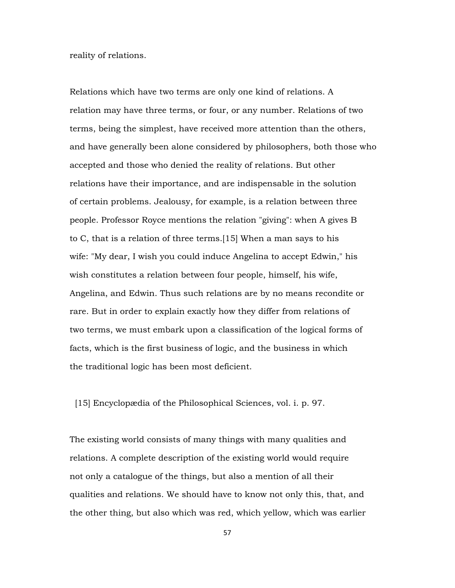reality of relations.

Relations which have two terms are only one kind of relations. A relation may have three terms, or four, or any number. Relations of two terms, being the simplest, have received more attention than the others, and have generally been alone considered by philosophers, both those who accepted and those who denied the reality of relations. But other relations have their importance, and are indispensable in the solution of certain problems. Jealousy, for example, is a relation between three people. Professor Royce mentions the relation "giving": when A gives B to C, that is a relation of three terms.[15] When a man says to his wife: "My dear, I wish you could induce Angelina to accept Edwin," his wish constitutes a relation between four people, himself, his wife, Angelina, and Edwin. Thus such relations are by no means recondite or rare. But in order to explain exactly how they differ from relations of two terms, we must embark upon a classification of the logical forms of facts, which is the first business of logic, and the business in which the traditional logic has been most deficient.

[15] Encyclopædia of the Philosophical Sciences, vol. i. p. 97.

The existing world consists of many things with many qualities and relations. A complete description of the existing world would require not only a catalogue of the things, but also a mention of all their qualities and relations. We should have to know not only this, that, and the other thing, but also which was red, which yellow, which was earlier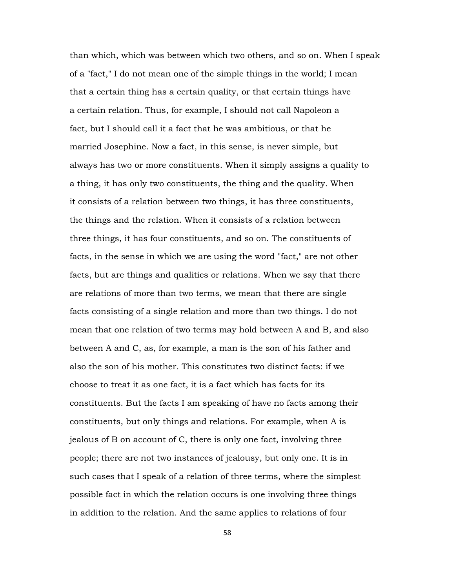than which, which was between which two others, and so on. When I speak of a "fact," I do not mean one of the simple things in the world; I mean that a certain thing has a certain quality, or that certain things have a certain relation. Thus, for example, I should not call Napoleon a fact, but I should call it a fact that he was ambitious, or that he married Josephine. Now a fact, in this sense, is never simple, but always has two or more constituents. When it simply assigns a quality to a thing, it has only two constituents, the thing and the quality. When it consists of a relation between two things, it has three constituents, the things and the relation. When it consists of a relation between three things, it has four constituents, and so on. The constituents of facts, in the sense in which we are using the word "fact," are not other facts, but are things and qualities or relations. When we say that there are relations of more than two terms, we mean that there are single facts consisting of a single relation and more than two things. I do not mean that one relation of two terms may hold between A and B, and also between A and C, as, for example, a man is the son of his father and also the son of his mother. This constitutes two distinct facts: if we choose to treat it as one fact, it is a fact which has facts for its constituents. But the facts I am speaking of have no facts among their constituents, but only things and relations. For example, when A is jealous of B on account of C, there is only one fact, involving three people; there are not two instances of jealousy, but only one. It is in such cases that I speak of a relation of three terms, where the simplest possible fact in which the relation occurs is one involving three things in addition to the relation. And the same applies to relations of four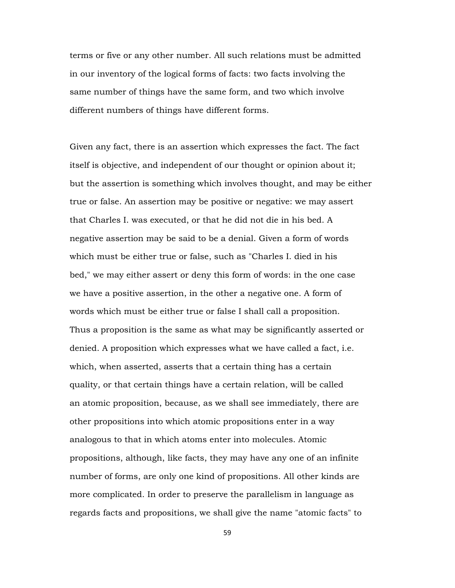terms or five or any other number. All such relations must be admitted in our inventory of the logical forms of facts: two facts involving the same number of things have the same form, and two which involve different numbers of things have different forms.

Given any fact, there is an assertion which expresses the fact. The fact itself is objective, and independent of our thought or opinion about it; but the assertion is something which involves thought, and may be either true or false. An assertion may be positive or negative: we may assert that Charles I. was executed, or that he did not die in his bed. A negative assertion may be said to be a denial. Given a form of words which must be either true or false, such as "Charles I. died in his bed," we may either assert or deny this form of words: in the one case we have a positive assertion, in the other a negative one. A form of words which must be either true or false I shall call a proposition. Thus a proposition is the same as what may be significantly asserted or denied. A proposition which expresses what we have called a fact, i.e. which, when asserted, asserts that a certain thing has a certain quality, or that certain things have a certain relation, will be called an atomic proposition, because, as we shall see immediately, there are other propositions into which atomic propositions enter in a way analogous to that in which atoms enter into molecules. Atomic propositions, although, like facts, they may have any one of an infinite number of forms, are only one kind of propositions. All other kinds are more complicated. In order to preserve the parallelism in language as regards facts and propositions, we shall give the name "atomic facts" to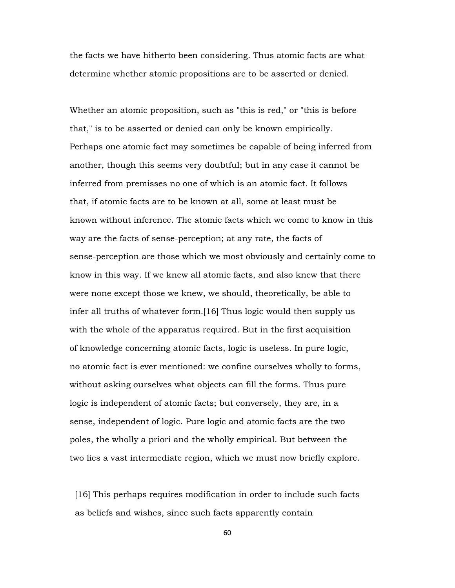the facts we have hitherto been considering. Thus atomic facts are what determine whether atomic propositions are to be asserted or denied.

Whether an atomic proposition, such as "this is red," or "this is before that," is to be asserted or denied can only be known empirically. Perhaps one atomic fact may sometimes be capable of being inferred from another, though this seems very doubtful; but in any case it cannot be inferred from premisses no one of which is an atomic fact. It follows that, if atomic facts are to be known at all, some at least must be known without inference. The atomic facts which we come to know in this way are the facts of sense-perception; at any rate, the facts of sense-perception are those which we most obviously and certainly come to know in this way. If we knew all atomic facts, and also knew that there were none except those we knew, we should, theoretically, be able to infer all truths of whatever form.[16] Thus logic would then supply us with the whole of the apparatus required. But in the first acquisition of knowledge concerning atomic facts, logic is useless. In pure logic, no atomic fact is ever mentioned: we confine ourselves wholly to forms, without asking ourselves what objects can fill the forms. Thus pure logic is independent of atomic facts; but conversely, they are, in a sense, independent of logic. Pure logic and atomic facts are the two poles, the wholly a priori and the wholly empirical. But between the two lies a vast intermediate region, which we must now briefly explore.

 [16] This perhaps requires modification in order to include such facts as beliefs and wishes, since such facts apparently contain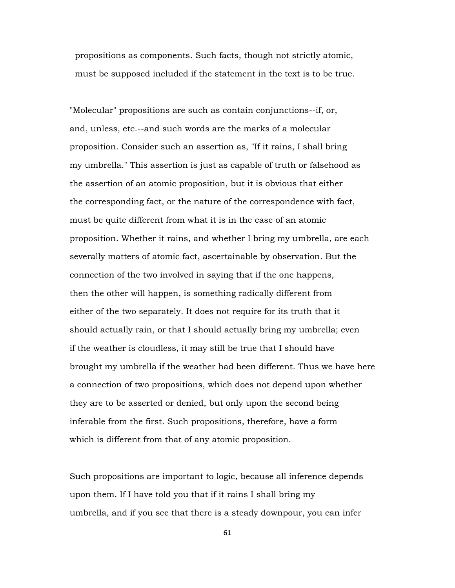propositions as components. Such facts, though not strictly atomic, must be supposed included if the statement in the text is to be true.

"Molecular" propositions are such as contain conjunctions--if, or, and, unless, etc.--and such words are the marks of a molecular proposition. Consider such an assertion as, "If it rains, I shall bring my umbrella." This assertion is just as capable of truth or falsehood as the assertion of an atomic proposition, but it is obvious that either the corresponding fact, or the nature of the correspondence with fact, must be quite different from what it is in the case of an atomic proposition. Whether it rains, and whether I bring my umbrella, are each severally matters of atomic fact, ascertainable by observation. But the connection of the two involved in saying that if the one happens, then the other will happen, is something radically different from either of the two separately. It does not require for its truth that it should actually rain, or that I should actually bring my umbrella; even if the weather is cloudless, it may still be true that I should have brought my umbrella if the weather had been different. Thus we have here a connection of two propositions, which does not depend upon whether they are to be asserted or denied, but only upon the second being inferable from the first. Such propositions, therefore, have a form which is different from that of any atomic proposition.

Such propositions are important to logic, because all inference depends upon them. If I have told you that if it rains I shall bring my umbrella, and if you see that there is a steady downpour, you can infer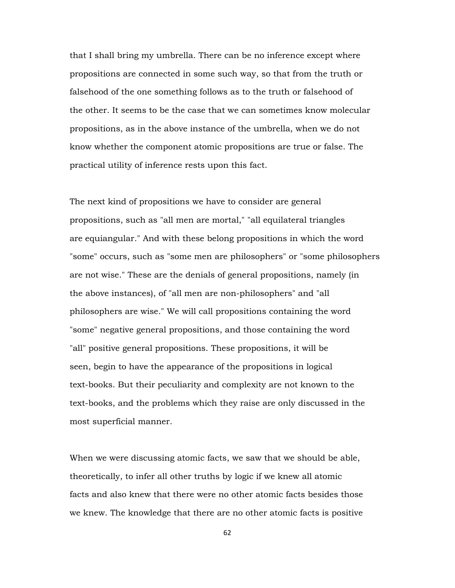that I shall bring my umbrella. There can be no inference except where propositions are connected in some such way, so that from the truth or falsehood of the one something follows as to the truth or falsehood of the other. It seems to be the case that we can sometimes know molecular propositions, as in the above instance of the umbrella, when we do not know whether the component atomic propositions are true or false. The practical utility of inference rests upon this fact.

The next kind of propositions we have to consider are general propositions, such as "all men are mortal," "all equilateral triangles are equiangular." And with these belong propositions in which the word "some" occurs, such as "some men are philosophers" or "some philosophers are not wise." These are the denials of general propositions, namely (in the above instances), of "all men are non-philosophers" and "all philosophers are wise." We will call propositions containing the word "some" negative general propositions, and those containing the word "all" positive general propositions. These propositions, it will be seen, begin to have the appearance of the propositions in logical text-books. But their peculiarity and complexity are not known to the text-books, and the problems which they raise are only discussed in the most superficial manner.

When we were discussing atomic facts, we saw that we should be able, theoretically, to infer all other truths by logic if we knew all atomic facts and also knew that there were no other atomic facts besides those we knew. The knowledge that there are no other atomic facts is positive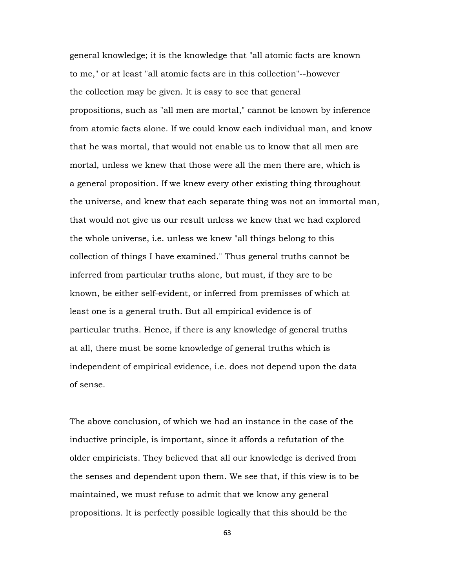general knowledge; it is the knowledge that "all atomic facts are known to me," or at least "all atomic facts are in this collection"--however the collection may be given. It is easy to see that general propositions, such as "all men are mortal," cannot be known by inference from atomic facts alone. If we could know each individual man, and know that he was mortal, that would not enable us to know that all men are mortal, unless we knew that those were all the men there are, which is a general proposition. If we knew every other existing thing throughout the universe, and knew that each separate thing was not an immortal man, that would not give us our result unless we knew that we had explored the whole universe, i.e. unless we knew "all things belong to this collection of things I have examined." Thus general truths cannot be inferred from particular truths alone, but must, if they are to be known, be either self-evident, or inferred from premisses of which at least one is a general truth. But all empirical evidence is of particular truths. Hence, if there is any knowledge of general truths at all, there must be some knowledge of general truths which is independent of empirical evidence, i.e. does not depend upon the data of sense.

The above conclusion, of which we had an instance in the case of the inductive principle, is important, since it affords a refutation of the older empiricists. They believed that all our knowledge is derived from the senses and dependent upon them. We see that, if this view is to be maintained, we must refuse to admit that we know any general propositions. It is perfectly possible logically that this should be the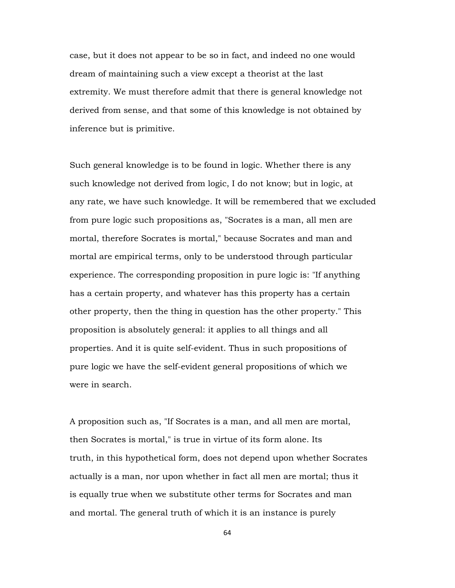case, but it does not appear to be so in fact, and indeed no one would dream of maintaining such a view except a theorist at the last extremity. We must therefore admit that there is general knowledge not derived from sense, and that some of this knowledge is not obtained by inference but is primitive.

Such general knowledge is to be found in logic. Whether there is any such knowledge not derived from logic, I do not know; but in logic, at any rate, we have such knowledge. It will be remembered that we excluded from pure logic such propositions as, "Socrates is a man, all men are mortal, therefore Socrates is mortal," because Socrates and man and mortal are empirical terms, only to be understood through particular experience. The corresponding proposition in pure logic is: "If anything has a certain property, and whatever has this property has a certain other property, then the thing in question has the other property." This proposition is absolutely general: it applies to all things and all properties. And it is quite self-evident. Thus in such propositions of pure logic we have the self-evident general propositions of which we were in search.

A proposition such as, "If Socrates is a man, and all men are mortal, then Socrates is mortal," is true in virtue of its form alone. Its truth, in this hypothetical form, does not depend upon whether Socrates actually is a man, nor upon whether in fact all men are mortal; thus it is equally true when we substitute other terms for Socrates and man and mortal. The general truth of which it is an instance is purely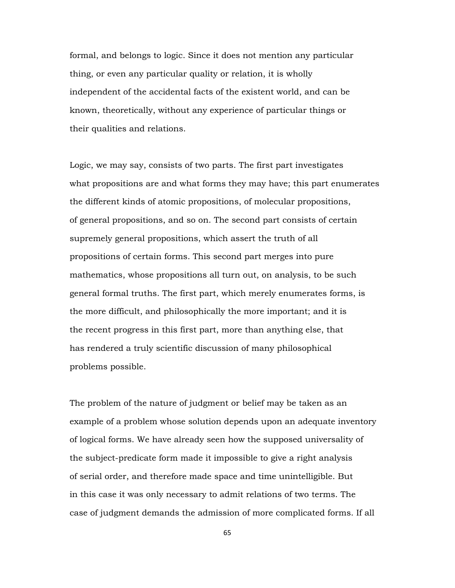formal, and belongs to logic. Since it does not mention any particular thing, or even any particular quality or relation, it is wholly independent of the accidental facts of the existent world, and can be known, theoretically, without any experience of particular things or their qualities and relations.

Logic, we may say, consists of two parts. The first part investigates what propositions are and what forms they may have; this part enumerates the different kinds of atomic propositions, of molecular propositions, of general propositions, and so on. The second part consists of certain supremely general propositions, which assert the truth of all propositions of certain forms. This second part merges into pure mathematics, whose propositions all turn out, on analysis, to be such general formal truths. The first part, which merely enumerates forms, is the more difficult, and philosophically the more important; and it is the recent progress in this first part, more than anything else, that has rendered a truly scientific discussion of many philosophical problems possible.

The problem of the nature of judgment or belief may be taken as an example of a problem whose solution depends upon an adequate inventory of logical forms. We have already seen how the supposed universality of the subject-predicate form made it impossible to give a right analysis of serial order, and therefore made space and time unintelligible. But in this case it was only necessary to admit relations of two terms. The case of judgment demands the admission of more complicated forms. If all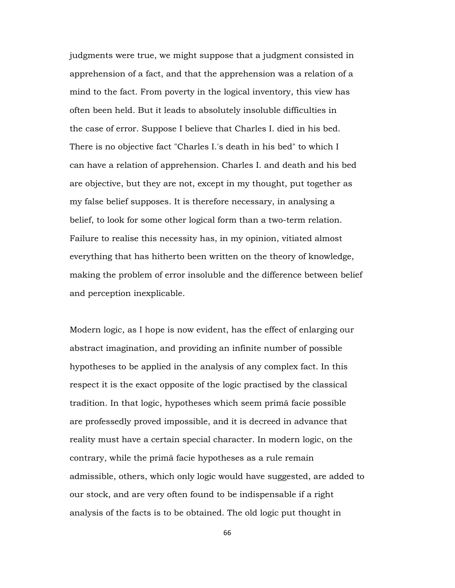judgments were true, we might suppose that a judgment consisted in apprehension of a fact, and that the apprehension was a relation of a mind to the fact. From poverty in the logical inventory, this view has often been held. But it leads to absolutely insoluble difficulties in the case of error. Suppose I believe that Charles I. died in his bed. There is no objective fact "Charles I.'s death in his bed" to which I can have a relation of apprehension. Charles I. and death and his bed are objective, but they are not, except in my thought, put together as my false belief supposes. It is therefore necessary, in analysing a belief, to look for some other logical form than a two-term relation. Failure to realise this necessity has, in my opinion, vitiated almost everything that has hitherto been written on the theory of knowledge, making the problem of error insoluble and the difference between belief and perception inexplicable.

Modern logic, as I hope is now evident, has the effect of enlarging our abstract imagination, and providing an infinite number of possible hypotheses to be applied in the analysis of any complex fact. In this respect it is the exact opposite of the logic practised by the classical tradition. In that logic, hypotheses which seem primâ facie possible are professedly proved impossible, and it is decreed in advance that reality must have a certain special character. In modern logic, on the contrary, while the primâ facie hypotheses as a rule remain admissible, others, which only logic would have suggested, are added to our stock, and are very often found to be indispensable if a right analysis of the facts is to be obtained. The old logic put thought in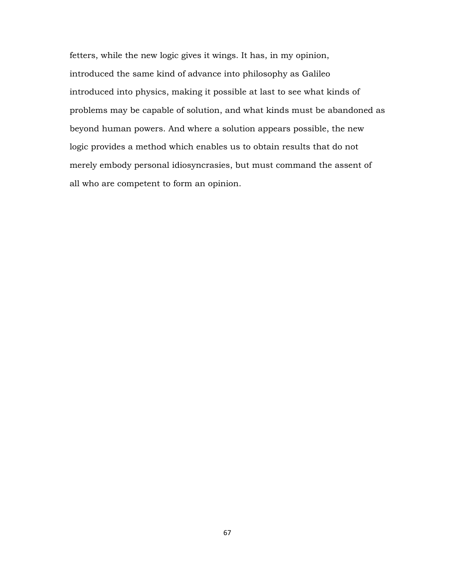fetters, while the new logic gives it wings. It has, in my opinion, introduced the same kind of advance into philosophy as Galileo introduced into physics, making it possible at last to see what kinds of problems may be capable of solution, and what kinds must be abandoned as beyond human powers. And where a solution appears possible, the new logic provides a method which enables us to obtain results that do not merely embody personal idiosyncrasies, but must command the assent of all who are competent to form an opinion.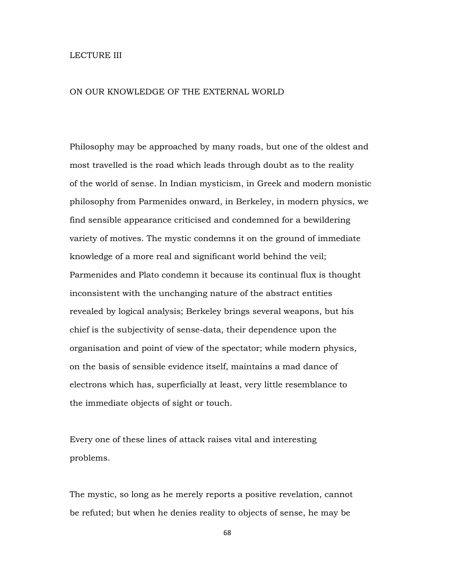## LECTURE III

## ON OUR KNOWLEDGE OF THE EXTERNAL WORLD

Philosophy may be approached by many roads, but one of the oldest and most travelled is the road which leads through doubt as to the reality of the world of sense. In Indian mysticism, in Greek and modern monistic philosophy from Parmenides onward, in Berkeley, in modern physics, we find sensible appearance criticised and condemned for a bewildering variety of motives. The mystic condemns it on the ground of immediate knowledge of a more real and significant world behind the veil; Parmenides and Plato condemn it because its continual flux is thought inconsistent with the unchanging nature of the abstract entities revealed by logical analysis; Berkeley brings several weapons, but his chief is the subjectivity of sense-data, their dependence upon the organisation and point of view of the spectator; while modern physics, on the basis of sensible evidence itself, maintains a mad dance of electrons which has, superficially at least, very little resemblance to the immediate objects of sight or touch.

Every one of these lines of attack raises vital and interesting problems.

The mystic, so long as he merely reports a positive revelation, cannot be refuted; but when he denies reality to objects of sense, he may be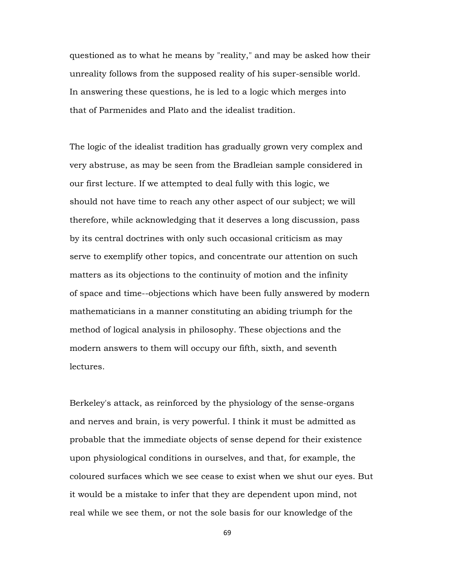questioned as to what he means by "reality," and may be asked how their unreality follows from the supposed reality of his super-sensible world. In answering these questions, he is led to a logic which merges into that of Parmenides and Plato and the idealist tradition.

The logic of the idealist tradition has gradually grown very complex and very abstruse, as may be seen from the Bradleian sample considered in our first lecture. If we attempted to deal fully with this logic, we should not have time to reach any other aspect of our subject; we will therefore, while acknowledging that it deserves a long discussion, pass by its central doctrines with only such occasional criticism as may serve to exemplify other topics, and concentrate our attention on such matters as its objections to the continuity of motion and the infinity of space and time--objections which have been fully answered by modern mathematicians in a manner constituting an abiding triumph for the method of logical analysis in philosophy. These objections and the modern answers to them will occupy our fifth, sixth, and seventh lectures.

Berkeley's attack, as reinforced by the physiology of the sense-organs and nerves and brain, is very powerful. I think it must be admitted as probable that the immediate objects of sense depend for their existence upon physiological conditions in ourselves, and that, for example, the coloured surfaces which we see cease to exist when we shut our eyes. But it would be a mistake to infer that they are dependent upon mind, not real while we see them, or not the sole basis for our knowledge of the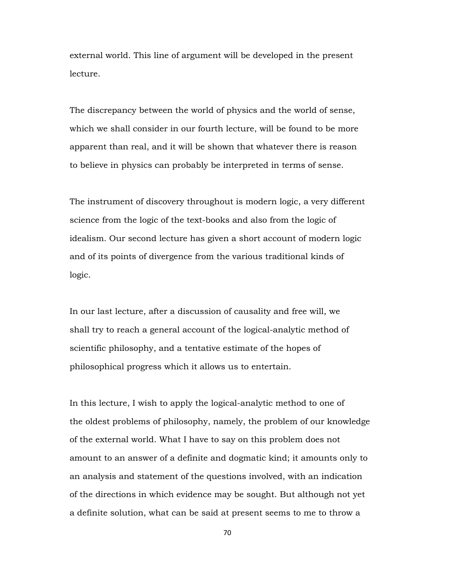external world. This line of argument will be developed in the present lecture.

The discrepancy between the world of physics and the world of sense, which we shall consider in our fourth lecture, will be found to be more apparent than real, and it will be shown that whatever there is reason to believe in physics can probably be interpreted in terms of sense.

The instrument of discovery throughout is modern logic, a very different science from the logic of the text-books and also from the logic of idealism. Our second lecture has given a short account of modern logic and of its points of divergence from the various traditional kinds of logic.

In our last lecture, after a discussion of causality and free will, we shall try to reach a general account of the logical-analytic method of scientific philosophy, and a tentative estimate of the hopes of philosophical progress which it allows us to entertain.

In this lecture, I wish to apply the logical-analytic method to one of the oldest problems of philosophy, namely, the problem of our knowledge of the external world. What I have to say on this problem does not amount to an answer of a definite and dogmatic kind; it amounts only to an analysis and statement of the questions involved, with an indication of the directions in which evidence may be sought. But although not yet a definite solution, what can be said at present seems to me to throw a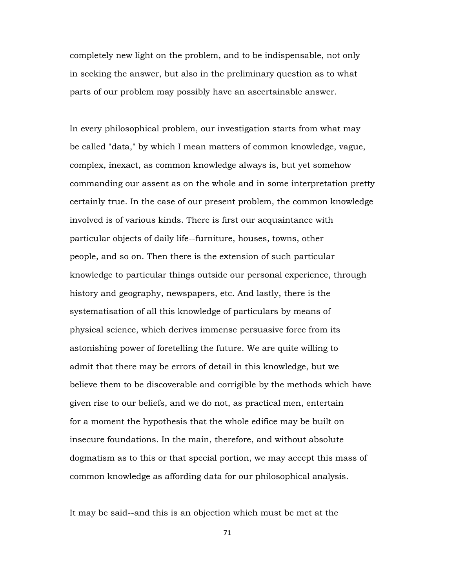completely new light on the problem, and to be indispensable, not only in seeking the answer, but also in the preliminary question as to what parts of our problem may possibly have an ascertainable answer.

In every philosophical problem, our investigation starts from what may be called "data," by which I mean matters of common knowledge, vague, complex, inexact, as common knowledge always is, but yet somehow commanding our assent as on the whole and in some interpretation pretty certainly true. In the case of our present problem, the common knowledge involved is of various kinds. There is first our acquaintance with particular objects of daily life--furniture, houses, towns, other people, and so on. Then there is the extension of such particular knowledge to particular things outside our personal experience, through history and geography, newspapers, etc. And lastly, there is the systematisation of all this knowledge of particulars by means of physical science, which derives immense persuasive force from its astonishing power of foretelling the future. We are quite willing to admit that there may be errors of detail in this knowledge, but we believe them to be discoverable and corrigible by the methods which have given rise to our beliefs, and we do not, as practical men, entertain for a moment the hypothesis that the whole edifice may be built on insecure foundations. In the main, therefore, and without absolute dogmatism as to this or that special portion, we may accept this mass of common knowledge as affording data for our philosophical analysis.

It may be said--and this is an objection which must be met at the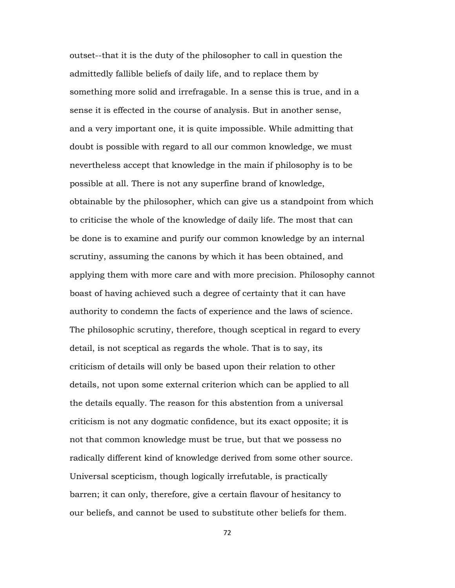outset--that it is the duty of the philosopher to call in question the admittedly fallible beliefs of daily life, and to replace them by something more solid and irrefragable. In a sense this is true, and in a sense it is effected in the course of analysis. But in another sense, and a very important one, it is quite impossible. While admitting that doubt is possible with regard to all our common knowledge, we must nevertheless accept that knowledge in the main if philosophy is to be possible at all. There is not any superfine brand of knowledge, obtainable by the philosopher, which can give us a standpoint from which to criticise the whole of the knowledge of daily life. The most that can be done is to examine and purify our common knowledge by an internal scrutiny, assuming the canons by which it has been obtained, and applying them with more care and with more precision. Philosophy cannot boast of having achieved such a degree of certainty that it can have authority to condemn the facts of experience and the laws of science. The philosophic scrutiny, therefore, though sceptical in regard to every detail, is not sceptical as regards the whole. That is to say, its criticism of details will only be based upon their relation to other details, not upon some external criterion which can be applied to all the details equally. The reason for this abstention from a universal criticism is not any dogmatic confidence, but its exact opposite; it is not that common knowledge must be true, but that we possess no radically different kind of knowledge derived from some other source. Universal scepticism, though logically irrefutable, is practically barren; it can only, therefore, give a certain flavour of hesitancy to our beliefs, and cannot be used to substitute other beliefs for them.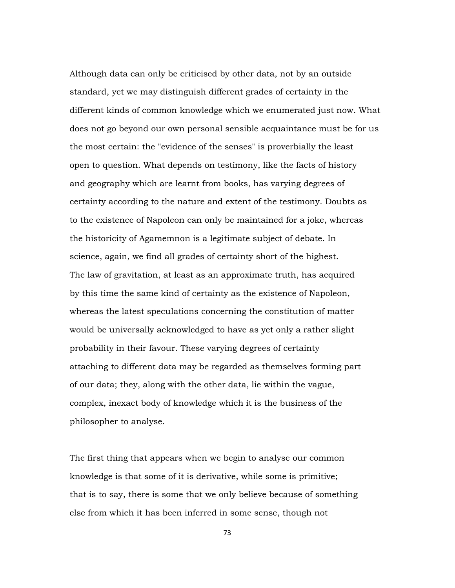Although data can only be criticised by other data, not by an outside standard, yet we may distinguish different grades of certainty in the different kinds of common knowledge which we enumerated just now. What does not go beyond our own personal sensible acquaintance must be for us the most certain: the "evidence of the senses" is proverbially the least open to question. What depends on testimony, like the facts of history and geography which are learnt from books, has varying degrees of certainty according to the nature and extent of the testimony. Doubts as to the existence of Napoleon can only be maintained for a joke, whereas the historicity of Agamemnon is a legitimate subject of debate. In science, again, we find all grades of certainty short of the highest. The law of gravitation, at least as an approximate truth, has acquired by this time the same kind of certainty as the existence of Napoleon, whereas the latest speculations concerning the constitution of matter would be universally acknowledged to have as yet only a rather slight probability in their favour. These varying degrees of certainty attaching to different data may be regarded as themselves forming part of our data; they, along with the other data, lie within the vague, complex, inexact body of knowledge which it is the business of the philosopher to analyse.

The first thing that appears when we begin to analyse our common knowledge is that some of it is derivative, while some is primitive; that is to say, there is some that we only believe because of something else from which it has been inferred in some sense, though not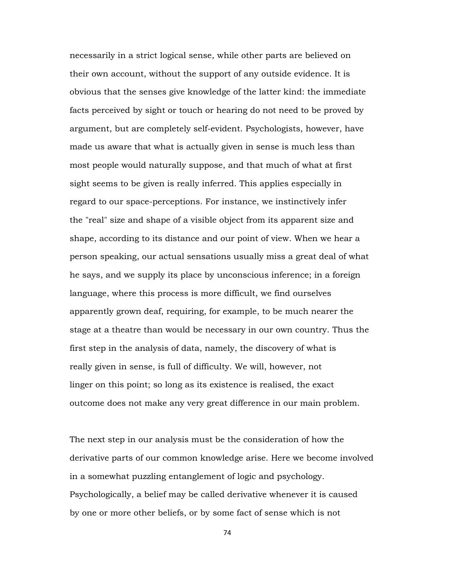necessarily in a strict logical sense, while other parts are believed on their own account, without the support of any outside evidence. It is obvious that the senses give knowledge of the latter kind: the immediate facts perceived by sight or touch or hearing do not need to be proved by argument, but are completely self-evident. Psychologists, however, have made us aware that what is actually given in sense is much less than most people would naturally suppose, and that much of what at first sight seems to be given is really inferred. This applies especially in regard to our space-perceptions. For instance, we instinctively infer the "real" size and shape of a visible object from its apparent size and shape, according to its distance and our point of view. When we hear a person speaking, our actual sensations usually miss a great deal of what he says, and we supply its place by unconscious inference; in a foreign language, where this process is more difficult, we find ourselves apparently grown deaf, requiring, for example, to be much nearer the stage at a theatre than would be necessary in our own country. Thus the first step in the analysis of data, namely, the discovery of what is really given in sense, is full of difficulty. We will, however, not linger on this point; so long as its existence is realised, the exact outcome does not make any very great difference in our main problem.

The next step in our analysis must be the consideration of how the derivative parts of our common knowledge arise. Here we become involved in a somewhat puzzling entanglement of logic and psychology. Psychologically, a belief may be called derivative whenever it is caused by one or more other beliefs, or by some fact of sense which is not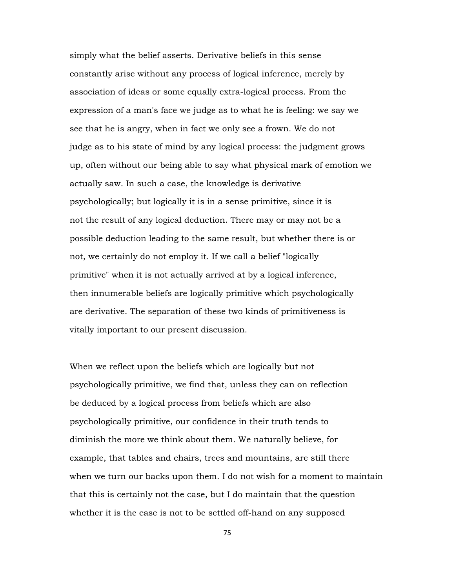simply what the belief asserts. Derivative beliefs in this sense constantly arise without any process of logical inference, merely by association of ideas or some equally extra-logical process. From the expression of a man's face we judge as to what he is feeling: we say we see that he is angry, when in fact we only see a frown. We do not judge as to his state of mind by any logical process: the judgment grows up, often without our being able to say what physical mark of emotion we actually saw. In such a case, the knowledge is derivative psychologically; but logically it is in a sense primitive, since it is not the result of any logical deduction. There may or may not be a possible deduction leading to the same result, but whether there is or not, we certainly do not employ it. If we call a belief "logically primitive" when it is not actually arrived at by a logical inference, then innumerable beliefs are logically primitive which psychologically are derivative. The separation of these two kinds of primitiveness is vitally important to our present discussion.

When we reflect upon the beliefs which are logically but not psychologically primitive, we find that, unless they can on reflection be deduced by a logical process from beliefs which are also psychologically primitive, our confidence in their truth tends to diminish the more we think about them. We naturally believe, for example, that tables and chairs, trees and mountains, are still there when we turn our backs upon them. I do not wish for a moment to maintain that this is certainly not the case, but I do maintain that the question whether it is the case is not to be settled off-hand on any supposed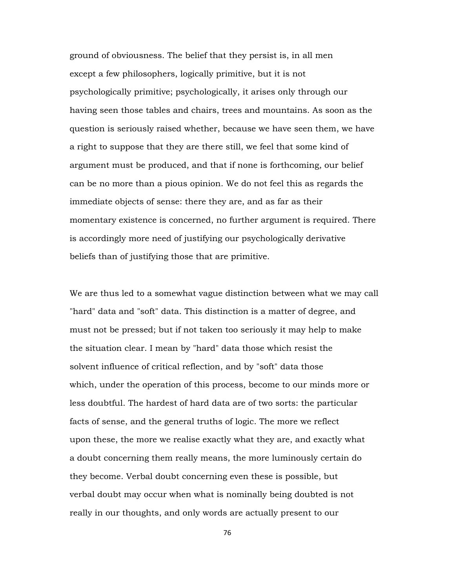ground of obviousness. The belief that they persist is, in all men except a few philosophers, logically primitive, but it is not psychologically primitive; psychologically, it arises only through our having seen those tables and chairs, trees and mountains. As soon as the question is seriously raised whether, because we have seen them, we have a right to suppose that they are there still, we feel that some kind of argument must be produced, and that if none is forthcoming, our belief can be no more than a pious opinion. We do not feel this as regards the immediate objects of sense: there they are, and as far as their momentary existence is concerned, no further argument is required. There is accordingly more need of justifying our psychologically derivative beliefs than of justifying those that are primitive.

We are thus led to a somewhat vague distinction between what we may call "hard" data and "soft" data. This distinction is a matter of degree, and must not be pressed; but if not taken too seriously it may help to make the situation clear. I mean by "hard" data those which resist the solvent influence of critical reflection, and by "soft" data those which, under the operation of this process, become to our minds more or less doubtful. The hardest of hard data are of two sorts: the particular facts of sense, and the general truths of logic. The more we reflect upon these, the more we realise exactly what they are, and exactly what a doubt concerning them really means, the more luminously certain do they become. Verbal doubt concerning even these is possible, but verbal doubt may occur when what is nominally being doubted is not really in our thoughts, and only words are actually present to our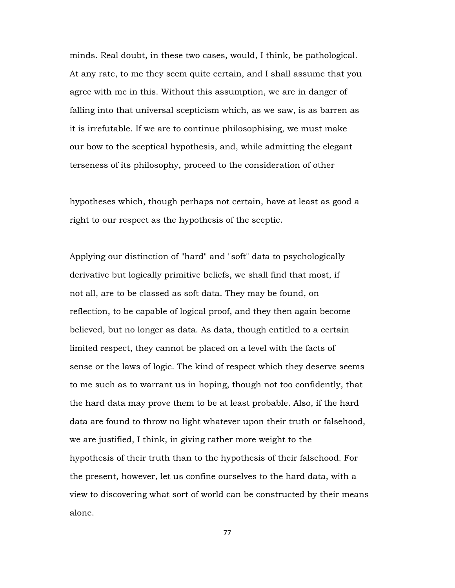minds. Real doubt, in these two cases, would, I think, be pathological. At any rate, to me they seem quite certain, and I shall assume that you agree with me in this. Without this assumption, we are in danger of falling into that universal scepticism which, as we saw, is as barren as it is irrefutable. If we are to continue philosophising, we must make our bow to the sceptical hypothesis, and, while admitting the elegant terseness of its philosophy, proceed to the consideration of other

hypotheses which, though perhaps not certain, have at least as good a right to our respect as the hypothesis of the sceptic.

Applying our distinction of "hard" and "soft" data to psychologically derivative but logically primitive beliefs, we shall find that most, if not all, are to be classed as soft data. They may be found, on reflection, to be capable of logical proof, and they then again become believed, but no longer as data. As data, though entitled to a certain limited respect, they cannot be placed on a level with the facts of sense or the laws of logic. The kind of respect which they deserve seems to me such as to warrant us in hoping, though not too confidently, that the hard data may prove them to be at least probable. Also, if the hard data are found to throw no light whatever upon their truth or falsehood, we are justified, I think, in giving rather more weight to the hypothesis of their truth than to the hypothesis of their falsehood. For the present, however, let us confine ourselves to the hard data, with a view to discovering what sort of world can be constructed by their means alone.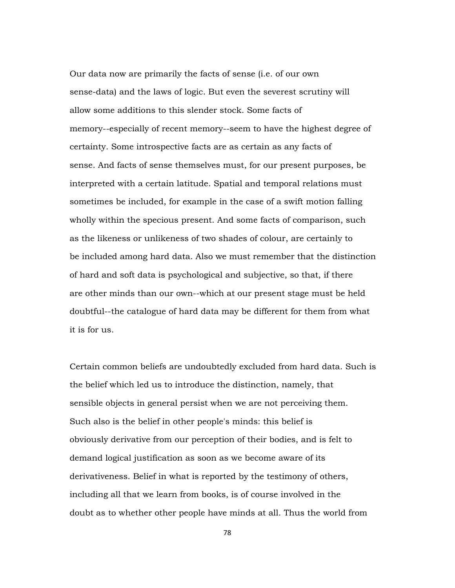Our data now are primarily the facts of sense (i.e. of our own sense-data) and the laws of logic. But even the severest scrutiny will allow some additions to this slender stock. Some facts of memory--especially of recent memory--seem to have the highest degree of certainty. Some introspective facts are as certain as any facts of sense. And facts of sense themselves must, for our present purposes, be interpreted with a certain latitude. Spatial and temporal relations must sometimes be included, for example in the case of a swift motion falling wholly within the specious present. And some facts of comparison, such as the likeness or unlikeness of two shades of colour, are certainly to be included among hard data. Also we must remember that the distinction of hard and soft data is psychological and subjective, so that, if there are other minds than our own--which at our present stage must be held doubtful--the catalogue of hard data may be different for them from what it is for us.

Certain common beliefs are undoubtedly excluded from hard data. Such is the belief which led us to introduce the distinction, namely, that sensible objects in general persist when we are not perceiving them. Such also is the belief in other people's minds: this belief is obviously derivative from our perception of their bodies, and is felt to demand logical justification as soon as we become aware of its derivativeness. Belief in what is reported by the testimony of others, including all that we learn from books, is of course involved in the doubt as to whether other people have minds at all. Thus the world from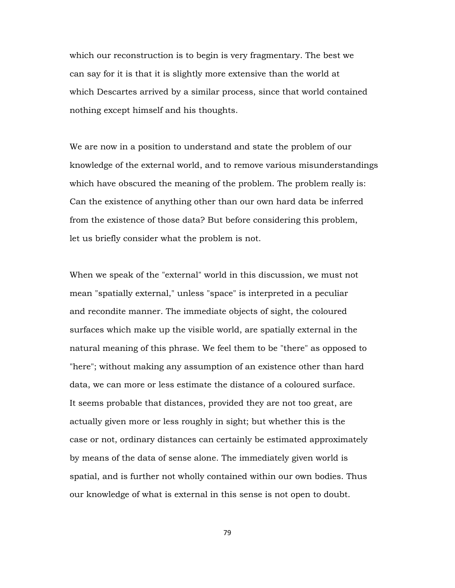which our reconstruction is to begin is very fragmentary. The best we can say for it is that it is slightly more extensive than the world at which Descartes arrived by a similar process, since that world contained nothing except himself and his thoughts.

We are now in a position to understand and state the problem of our knowledge of the external world, and to remove various misunderstandings which have obscured the meaning of the problem. The problem really is: Can the existence of anything other than our own hard data be inferred from the existence of those data? But before considering this problem, let us briefly consider what the problem is not.

When we speak of the "external" world in this discussion, we must not mean "spatially external," unless "space" is interpreted in a peculiar and recondite manner. The immediate objects of sight, the coloured surfaces which make up the visible world, are spatially external in the natural meaning of this phrase. We feel them to be "there" as opposed to "here"; without making any assumption of an existence other than hard data, we can more or less estimate the distance of a coloured surface. It seems probable that distances, provided they are not too great, are actually given more or less roughly in sight; but whether this is the case or not, ordinary distances can certainly be estimated approximately by means of the data of sense alone. The immediately given world is spatial, and is further not wholly contained within our own bodies. Thus our knowledge of what is external in this sense is not open to doubt.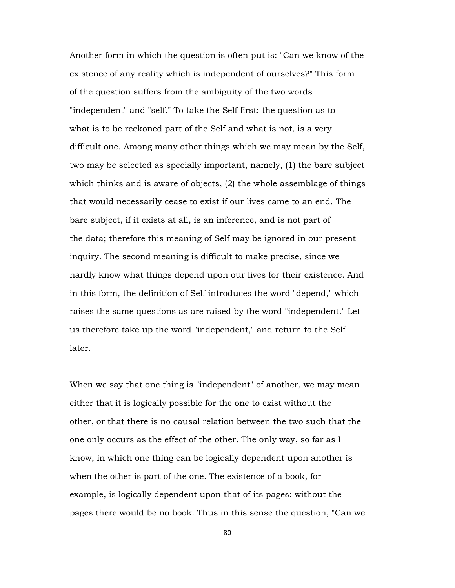Another form in which the question is often put is: "Can we know of the existence of any reality which is independent of ourselves?" This form of the question suffers from the ambiguity of the two words "independent" and "self." To take the Self first: the question as to what is to be reckoned part of the Self and what is not, is a very difficult one. Among many other things which we may mean by the Self, two may be selected as specially important, namely, (1) the bare subject which thinks and is aware of objects, (2) the whole assemblage of things that would necessarily cease to exist if our lives came to an end. The bare subject, if it exists at all, is an inference, and is not part of the data; therefore this meaning of Self may be ignored in our present inquiry. The second meaning is difficult to make precise, since we hardly know what things depend upon our lives for their existence. And in this form, the definition of Self introduces the word "depend," which raises the same questions as are raised by the word "independent." Let us therefore take up the word "independent," and return to the Self later.

When we say that one thing is "independent" of another, we may mean either that it is logically possible for the one to exist without the other, or that there is no causal relation between the two such that the one only occurs as the effect of the other. The only way, so far as I know, in which one thing can be logically dependent upon another is when the other is part of the one. The existence of a book, for example, is logically dependent upon that of its pages: without the pages there would be no book. Thus in this sense the question, "Can we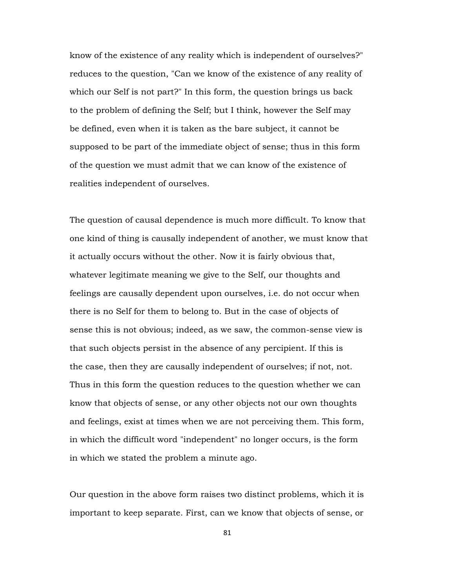know of the existence of any reality which is independent of ourselves?" reduces to the question, "Can we know of the existence of any reality of which our Self is not part?" In this form, the question brings us back to the problem of defining the Self; but I think, however the Self may be defined, even when it is taken as the bare subject, it cannot be supposed to be part of the immediate object of sense; thus in this form of the question we must admit that we can know of the existence of realities independent of ourselves.

The question of causal dependence is much more difficult. To know that one kind of thing is causally independent of another, we must know that it actually occurs without the other. Now it is fairly obvious that, whatever legitimate meaning we give to the Self, our thoughts and feelings are causally dependent upon ourselves, i.e. do not occur when there is no Self for them to belong to. But in the case of objects of sense this is not obvious; indeed, as we saw, the common-sense view is that such objects persist in the absence of any percipient. If this is the case, then they are causally independent of ourselves; if not, not. Thus in this form the question reduces to the question whether we can know that objects of sense, or any other objects not our own thoughts and feelings, exist at times when we are not perceiving them. This form, in which the difficult word "independent" no longer occurs, is the form in which we stated the problem a minute ago.

Our question in the above form raises two distinct problems, which it is important to keep separate. First, can we know that objects of sense, or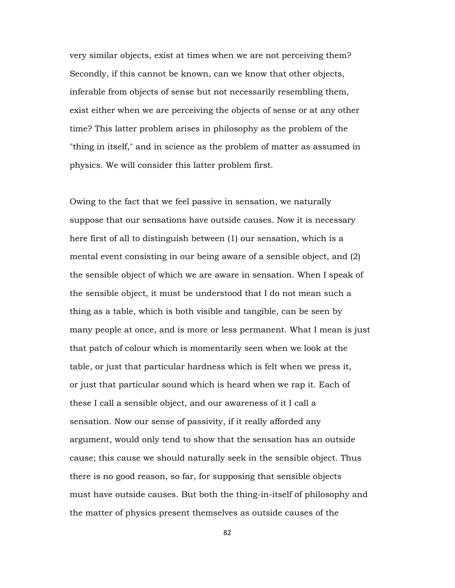very similar objects, exist at times when we are not perceiving them? Secondly, if this cannot be known, can we know that other objects, inferable from objects of sense but not necessarily resembling them, exist either when we are perceiving the objects of sense or at any other time? This latter problem arises in philosophy as the problem of the "thing in itself," and in science as the problem of matter as assumed in physics. We will consider this latter problem first.

Owing to the fact that we feel passive in sensation, we naturally suppose that our sensations have outside causes. Now it is necessary here first of all to distinguish between (1) our sensation, which is a mental event consisting in our being aware of a sensible object, and (2) the sensible object of which we are aware in sensation. When I speak of the sensible object, it must be understood that I do not mean such a thing as a table, which is both visible and tangible, can be seen by many people at once, and is more or less permanent. What I mean is just that patch of colour which is momentarily seen when we look at the table, or just that particular hardness which is felt when we press it, or just that particular sound which is heard when we rap it. Each of these I call a sensible object, and our awareness of it I call a sensation. Now our sense of passivity, if it really afforded any argument, would only tend to show that the sensation has an outside cause; this cause we should naturally seek in the sensible object. Thus there is no good reason, so far, for supposing that sensible objects must have outside causes. But both the thing-in-itself of philosophy and the matter of physics present themselves as outside causes of the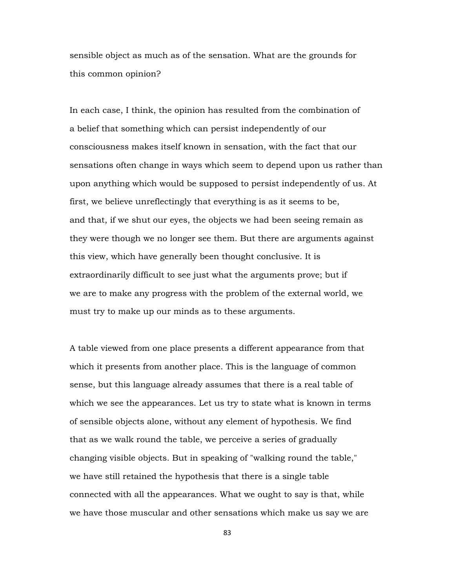sensible object as much as of the sensation. What are the grounds for this common opinion?

In each case, I think, the opinion has resulted from the combination of a belief that something which can persist independently of our consciousness makes itself known in sensation, with the fact that our sensations often change in ways which seem to depend upon us rather than upon anything which would be supposed to persist independently of us. At first, we believe unreflectingly that everything is as it seems to be, and that, if we shut our eyes, the objects we had been seeing remain as they were though we no longer see them. But there are arguments against this view, which have generally been thought conclusive. It is extraordinarily difficult to see just what the arguments prove; but if we are to make any progress with the problem of the external world, we must try to make up our minds as to these arguments.

A table viewed from one place presents a different appearance from that which it presents from another place. This is the language of common sense, but this language already assumes that there is a real table of which we see the appearances. Let us try to state what is known in terms of sensible objects alone, without any element of hypothesis. We find that as we walk round the table, we perceive a series of gradually changing visible objects. But in speaking of "walking round the table," we have still retained the hypothesis that there is a single table connected with all the appearances. What we ought to say is that, while we have those muscular and other sensations which make us say we are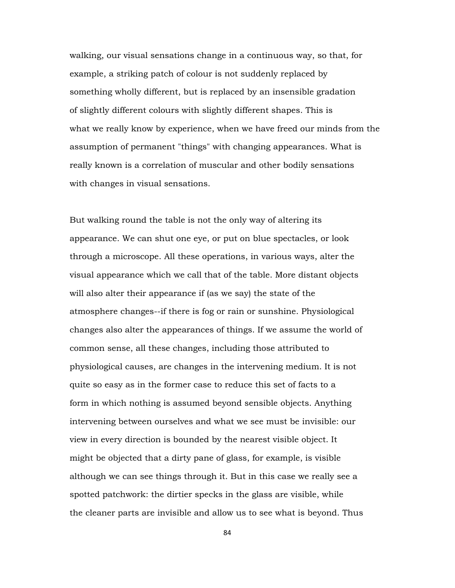walking, our visual sensations change in a continuous way, so that, for example, a striking patch of colour is not suddenly replaced by something wholly different, but is replaced by an insensible gradation of slightly different colours with slightly different shapes. This is what we really know by experience, when we have freed our minds from the assumption of permanent "things" with changing appearances. What is really known is a correlation of muscular and other bodily sensations with changes in visual sensations.

But walking round the table is not the only way of altering its appearance. We can shut one eye, or put on blue spectacles, or look through a microscope. All these operations, in various ways, alter the visual appearance which we call that of the table. More distant objects will also alter their appearance if (as we say) the state of the atmosphere changes--if there is fog or rain or sunshine. Physiological changes also alter the appearances of things. If we assume the world of common sense, all these changes, including those attributed to physiological causes, are changes in the intervening medium. It is not quite so easy as in the former case to reduce this set of facts to a form in which nothing is assumed beyond sensible objects. Anything intervening between ourselves and what we see must be invisible: our view in every direction is bounded by the nearest visible object. It might be objected that a dirty pane of glass, for example, is visible although we can see things through it. But in this case we really see a spotted patchwork: the dirtier specks in the glass are visible, while the cleaner parts are invisible and allow us to see what is beyond. Thus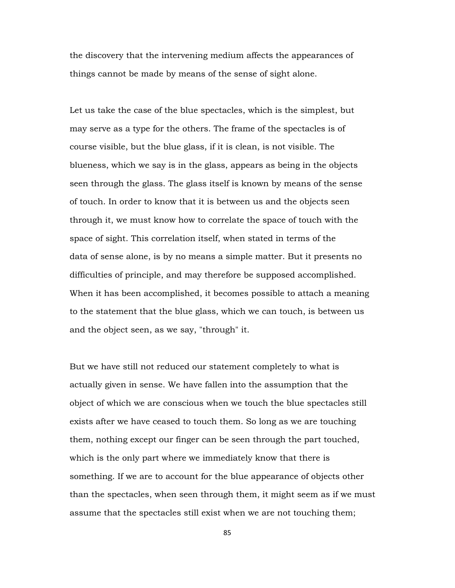the discovery that the intervening medium affects the appearances of things cannot be made by means of the sense of sight alone.

Let us take the case of the blue spectacles, which is the simplest, but may serve as a type for the others. The frame of the spectacles is of course visible, but the blue glass, if it is clean, is not visible. The blueness, which we say is in the glass, appears as being in the objects seen through the glass. The glass itself is known by means of the sense of touch. In order to know that it is between us and the objects seen through it, we must know how to correlate the space of touch with the space of sight. This correlation itself, when stated in terms of the data of sense alone, is by no means a simple matter. But it presents no difficulties of principle, and may therefore be supposed accomplished. When it has been accomplished, it becomes possible to attach a meaning to the statement that the blue glass, which we can touch, is between us and the object seen, as we say, "through" it.

But we have still not reduced our statement completely to what is actually given in sense. We have fallen into the assumption that the object of which we are conscious when we touch the blue spectacles still exists after we have ceased to touch them. So long as we are touching them, nothing except our finger can be seen through the part touched, which is the only part where we immediately know that there is something. If we are to account for the blue appearance of objects other than the spectacles, when seen through them, it might seem as if we must assume that the spectacles still exist when we are not touching them;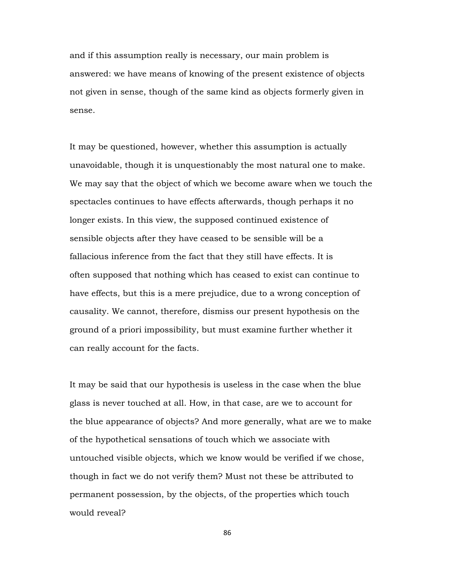and if this assumption really is necessary, our main problem is answered: we have means of knowing of the present existence of objects not given in sense, though of the same kind as objects formerly given in sense.

It may be questioned, however, whether this assumption is actually unavoidable, though it is unquestionably the most natural one to make. We may say that the object of which we become aware when we touch the spectacles continues to have effects afterwards, though perhaps it no longer exists. In this view, the supposed continued existence of sensible objects after they have ceased to be sensible will be a fallacious inference from the fact that they still have effects. It is often supposed that nothing which has ceased to exist can continue to have effects, but this is a mere prejudice, due to a wrong conception of causality. We cannot, therefore, dismiss our present hypothesis on the ground of a priori impossibility, but must examine further whether it can really account for the facts.

It may be said that our hypothesis is useless in the case when the blue glass is never touched at all. How, in that case, are we to account for the blue appearance of objects? And more generally, what are we to make of the hypothetical sensations of touch which we associate with untouched visible objects, which we know would be verified if we chose, though in fact we do not verify them? Must not these be attributed to permanent possession, by the objects, of the properties which touch would reveal?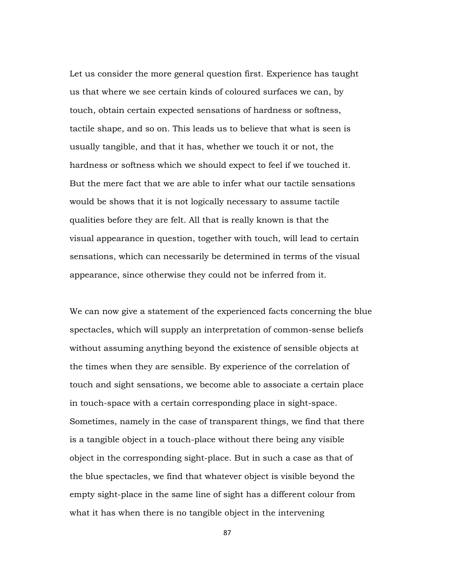Let us consider the more general question first. Experience has taught us that where we see certain kinds of coloured surfaces we can, by touch, obtain certain expected sensations of hardness or softness, tactile shape, and so on. This leads us to believe that what is seen is usually tangible, and that it has, whether we touch it or not, the hardness or softness which we should expect to feel if we touched it. But the mere fact that we are able to infer what our tactile sensations would be shows that it is not logically necessary to assume tactile qualities before they are felt. All that is really known is that the visual appearance in question, together with touch, will lead to certain sensations, which can necessarily be determined in terms of the visual appearance, since otherwise they could not be inferred from it.

We can now give a statement of the experienced facts concerning the blue spectacles, which will supply an interpretation of common-sense beliefs without assuming anything beyond the existence of sensible objects at the times when they are sensible. By experience of the correlation of touch and sight sensations, we become able to associate a certain place in touch-space with a certain corresponding place in sight-space. Sometimes, namely in the case of transparent things, we find that there is a tangible object in a touch-place without there being any visible object in the corresponding sight-place. But in such a case as that of the blue spectacles, we find that whatever object is visible beyond the empty sight-place in the same line of sight has a different colour from what it has when there is no tangible object in the intervening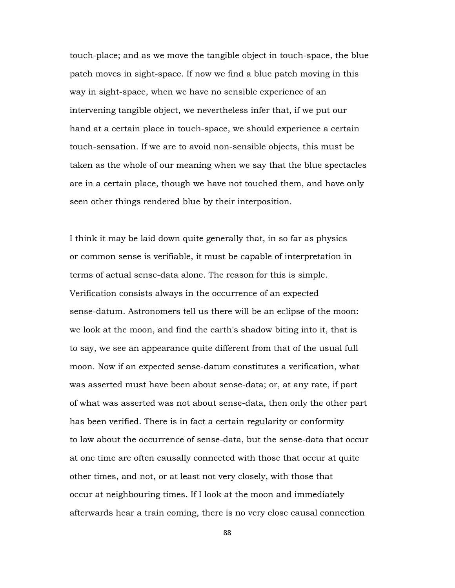touch-place; and as we move the tangible object in touch-space, the blue patch moves in sight-space. If now we find a blue patch moving in this way in sight-space, when we have no sensible experience of an intervening tangible object, we nevertheless infer that, if we put our hand at a certain place in touch-space, we should experience a certain touch-sensation. If we are to avoid non-sensible objects, this must be taken as the whole of our meaning when we say that the blue spectacles are in a certain place, though we have not touched them, and have only seen other things rendered blue by their interposition.

I think it may be laid down quite generally that, in so far as physics or common sense is verifiable, it must be capable of interpretation in terms of actual sense-data alone. The reason for this is simple. Verification consists always in the occurrence of an expected sense-datum. Astronomers tell us there will be an eclipse of the moon: we look at the moon, and find the earth's shadow biting into it, that is to say, we see an appearance quite different from that of the usual full moon. Now if an expected sense-datum constitutes a verification, what was asserted must have been about sense-data; or, at any rate, if part of what was asserted was not about sense-data, then only the other part has been verified. There is in fact a certain regularity or conformity to law about the occurrence of sense-data, but the sense-data that occur at one time are often causally connected with those that occur at quite other times, and not, or at least not very closely, with those that occur at neighbouring times. If I look at the moon and immediately afterwards hear a train coming, there is no very close causal connection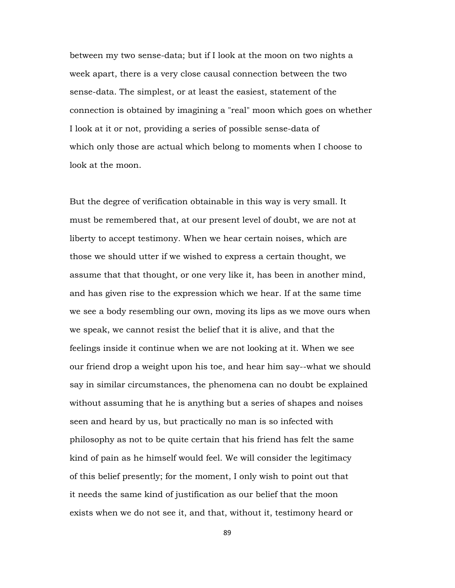between my two sense-data; but if I look at the moon on two nights a week apart, there is a very close causal connection between the two sense-data. The simplest, or at least the easiest, statement of the connection is obtained by imagining a "real" moon which goes on whether I look at it or not, providing a series of possible sense-data of which only those are actual which belong to moments when I choose to look at the moon.

But the degree of verification obtainable in this way is very small. It must be remembered that, at our present level of doubt, we are not at liberty to accept testimony. When we hear certain noises, which are those we should utter if we wished to express a certain thought, we assume that that thought, or one very like it, has been in another mind, and has given rise to the expression which we hear. If at the same time we see a body resembling our own, moving its lips as we move ours when we speak, we cannot resist the belief that it is alive, and that the feelings inside it continue when we are not looking at it. When we see our friend drop a weight upon his toe, and hear him say--what we should say in similar circumstances, the phenomena can no doubt be explained without assuming that he is anything but a series of shapes and noises seen and heard by us, but practically no man is so infected with philosophy as not to be quite certain that his friend has felt the same kind of pain as he himself would feel. We will consider the legitimacy of this belief presently; for the moment, I only wish to point out that it needs the same kind of justification as our belief that the moon exists when we do not see it, and that, without it, testimony heard or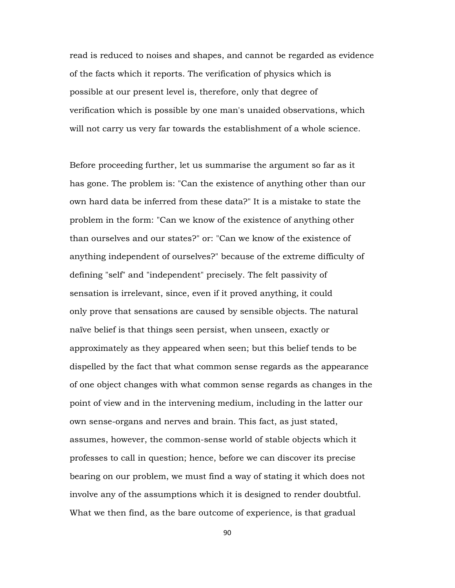read is reduced to noises and shapes, and cannot be regarded as evidence of the facts which it reports. The verification of physics which is possible at our present level is, therefore, only that degree of verification which is possible by one man's unaided observations, which will not carry us very far towards the establishment of a whole science.

Before proceeding further, let us summarise the argument so far as it has gone. The problem is: "Can the existence of anything other than our own hard data be inferred from these data?" It is a mistake to state the problem in the form: "Can we know of the existence of anything other than ourselves and our states?" or: "Can we know of the existence of anything independent of ourselves?" because of the extreme difficulty of defining "self" and "independent" precisely. The felt passivity of sensation is irrelevant, since, even if it proved anything, it could only prove that sensations are caused by sensible objects. The natural naïve belief is that things seen persist, when unseen, exactly or approximately as they appeared when seen; but this belief tends to be dispelled by the fact that what common sense regards as the appearance of one object changes with what common sense regards as changes in the point of view and in the intervening medium, including in the latter our own sense-organs and nerves and brain. This fact, as just stated, assumes, however, the common-sense world of stable objects which it professes to call in question; hence, before we can discover its precise bearing on our problem, we must find a way of stating it which does not involve any of the assumptions which it is designed to render doubtful. What we then find, as the bare outcome of experience, is that gradual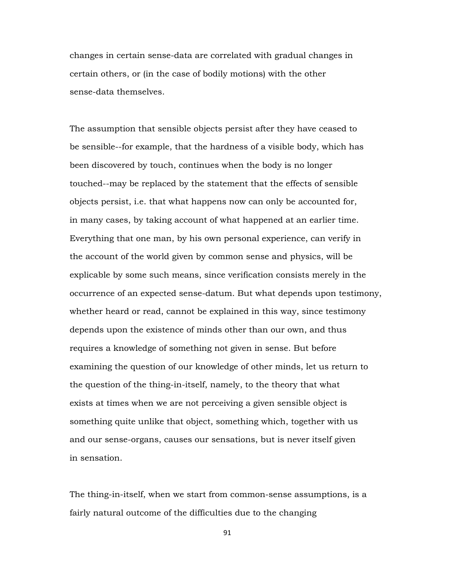changes in certain sense-data are correlated with gradual changes in certain others, or (in the case of bodily motions) with the other sense-data themselves.

The assumption that sensible objects persist after they have ceased to be sensible--for example, that the hardness of a visible body, which has been discovered by touch, continues when the body is no longer touched--may be replaced by the statement that the effects of sensible objects persist, i.e. that what happens now can only be accounted for, in many cases, by taking account of what happened at an earlier time. Everything that one man, by his own personal experience, can verify in the account of the world given by common sense and physics, will be explicable by some such means, since verification consists merely in the occurrence of an expected sense-datum. But what depends upon testimony, whether heard or read, cannot be explained in this way, since testimony depends upon the existence of minds other than our own, and thus requires a knowledge of something not given in sense. But before examining the question of our knowledge of other minds, let us return to the question of the thing-in-itself, namely, to the theory that what exists at times when we are not perceiving a given sensible object is something quite unlike that object, something which, together with us and our sense-organs, causes our sensations, but is never itself given in sensation.

The thing-in-itself, when we start from common-sense assumptions, is a fairly natural outcome of the difficulties due to the changing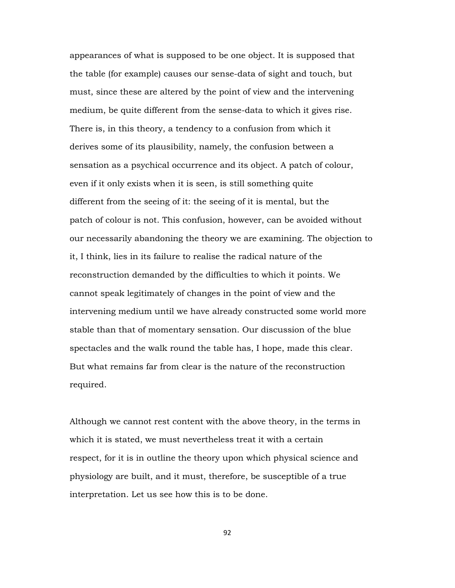appearances of what is supposed to be one object. It is supposed that the table (for example) causes our sense-data of sight and touch, but must, since these are altered by the point of view and the intervening medium, be quite different from the sense-data to which it gives rise. There is, in this theory, a tendency to a confusion from which it derives some of its plausibility, namely, the confusion between a sensation as a psychical occurrence and its object. A patch of colour, even if it only exists when it is seen, is still something quite different from the seeing of it: the seeing of it is mental, but the patch of colour is not. This confusion, however, can be avoided without our necessarily abandoning the theory we are examining. The objection to it, I think, lies in its failure to realise the radical nature of the reconstruction demanded by the difficulties to which it points. We cannot speak legitimately of changes in the point of view and the intervening medium until we have already constructed some world more stable than that of momentary sensation. Our discussion of the blue spectacles and the walk round the table has, I hope, made this clear. But what remains far from clear is the nature of the reconstruction required.

Although we cannot rest content with the above theory, in the terms in which it is stated, we must nevertheless treat it with a certain respect, for it is in outline the theory upon which physical science and physiology are built, and it must, therefore, be susceptible of a true interpretation. Let us see how this is to be done.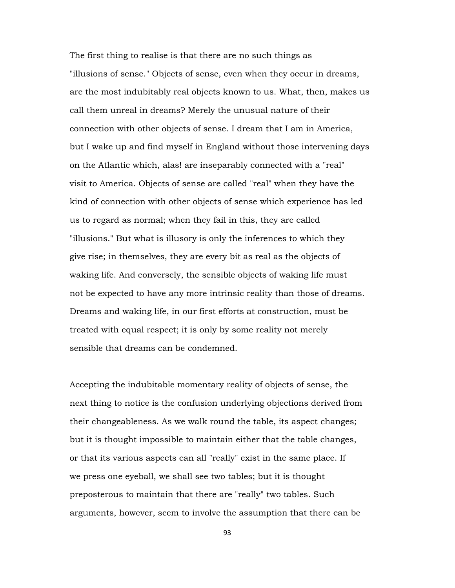The first thing to realise is that there are no such things as "illusions of sense." Objects of sense, even when they occur in dreams, are the most indubitably real objects known to us. What, then, makes us call them unreal in dreams? Merely the unusual nature of their connection with other objects of sense. I dream that I am in America, but I wake up and find myself in England without those intervening days on the Atlantic which, alas! are inseparably connected with a "real" visit to America. Objects of sense are called "real" when they have the kind of connection with other objects of sense which experience has led us to regard as normal; when they fail in this, they are called "illusions." But what is illusory is only the inferences to which they give rise; in themselves, they are every bit as real as the objects of waking life. And conversely, the sensible objects of waking life must not be expected to have any more intrinsic reality than those of dreams. Dreams and waking life, in our first efforts at construction, must be treated with equal respect; it is only by some reality not merely sensible that dreams can be condemned.

Accepting the indubitable momentary reality of objects of sense, the next thing to notice is the confusion underlying objections derived from their changeableness. As we walk round the table, its aspect changes; but it is thought impossible to maintain either that the table changes, or that its various aspects can all "really" exist in the same place. If we press one eyeball, we shall see two tables; but it is thought preposterous to maintain that there are "really" two tables. Such arguments, however, seem to involve the assumption that there can be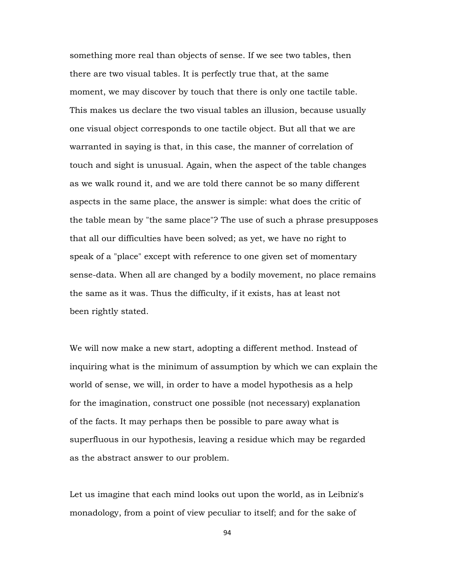something more real than objects of sense. If we see two tables, then there are two visual tables. It is perfectly true that, at the same moment, we may discover by touch that there is only one tactile table. This makes us declare the two visual tables an illusion, because usually one visual object corresponds to one tactile object. But all that we are warranted in saying is that, in this case, the manner of correlation of touch and sight is unusual. Again, when the aspect of the table changes as we walk round it, and we are told there cannot be so many different aspects in the same place, the answer is simple: what does the critic of the table mean by "the same place"? The use of such a phrase presupposes that all our difficulties have been solved; as yet, we have no right to speak of a "place" except with reference to one given set of momentary sense-data. When all are changed by a bodily movement, no place remains the same as it was. Thus the difficulty, if it exists, has at least not been rightly stated.

We will now make a new start, adopting a different method. Instead of inquiring what is the minimum of assumption by which we can explain the world of sense, we will, in order to have a model hypothesis as a help for the imagination, construct one possible (not necessary) explanation of the facts. It may perhaps then be possible to pare away what is superfluous in our hypothesis, leaving a residue which may be regarded as the abstract answer to our problem.

Let us imagine that each mind looks out upon the world, as in Leibniz's monadology, from a point of view peculiar to itself; and for the sake of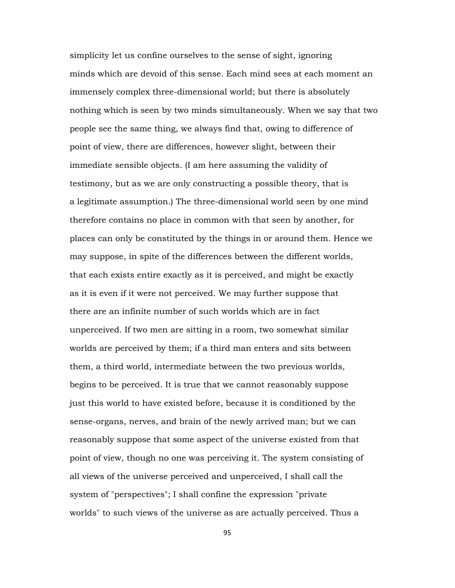simplicity let us confine ourselves to the sense of sight, ignoring minds which are devoid of this sense. Each mind sees at each moment an immensely complex three-dimensional world; but there is absolutely nothing which is seen by two minds simultaneously. When we say that two people see the same thing, we always find that, owing to difference of point of view, there are differences, however slight, between their immediate sensible objects. (I am here assuming the validity of testimony, but as we are only constructing a possible theory, that is a legitimate assumption.) The three-dimensional world seen by one mind therefore contains no place in common with that seen by another, for places can only be constituted by the things in or around them. Hence we may suppose, in spite of the differences between the different worlds, that each exists entire exactly as it is perceived, and might be exactly as it is even if it were not perceived. We may further suppose that there are an infinite number of such worlds which are in fact unperceived. If two men are sitting in a room, two somewhat similar worlds are perceived by them; if a third man enters and sits between them, a third world, intermediate between the two previous worlds, begins to be perceived. It is true that we cannot reasonably suppose just this world to have existed before, because it is conditioned by the sense-organs, nerves, and brain of the newly arrived man; but we can reasonably suppose that some aspect of the universe existed from that point of view, though no one was perceiving it. The system consisting of all views of the universe perceived and unperceived, I shall call the system of "perspectives"; I shall confine the expression "private worlds" to such views of the universe as are actually perceived. Thus a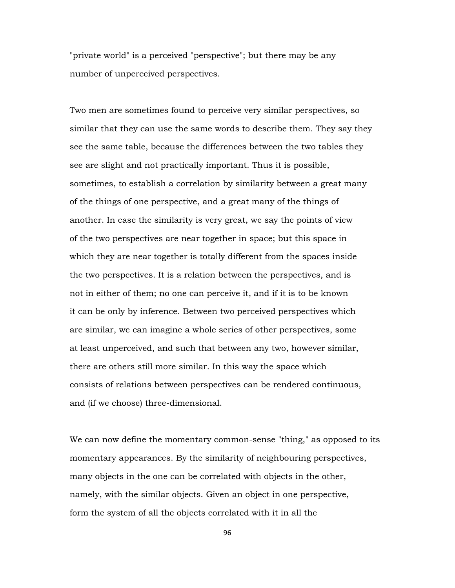"private world" is a perceived "perspective"; but there may be any number of unperceived perspectives.

Two men are sometimes found to perceive very similar perspectives, so similar that they can use the same words to describe them. They say they see the same table, because the differences between the two tables they see are slight and not practically important. Thus it is possible, sometimes, to establish a correlation by similarity between a great many of the things of one perspective, and a great many of the things of another. In case the similarity is very great, we say the points of view of the two perspectives are near together in space; but this space in which they are near together is totally different from the spaces inside the two perspectives. It is a relation between the perspectives, and is not in either of them; no one can perceive it, and if it is to be known it can be only by inference. Between two perceived perspectives which are similar, we can imagine a whole series of other perspectives, some at least unperceived, and such that between any two, however similar, there are others still more similar. In this way the space which consists of relations between perspectives can be rendered continuous, and (if we choose) three-dimensional.

We can now define the momentary common-sense "thing," as opposed to its momentary appearances. By the similarity of neighbouring perspectives, many objects in the one can be correlated with objects in the other, namely, with the similar objects. Given an object in one perspective, form the system of all the objects correlated with it in all the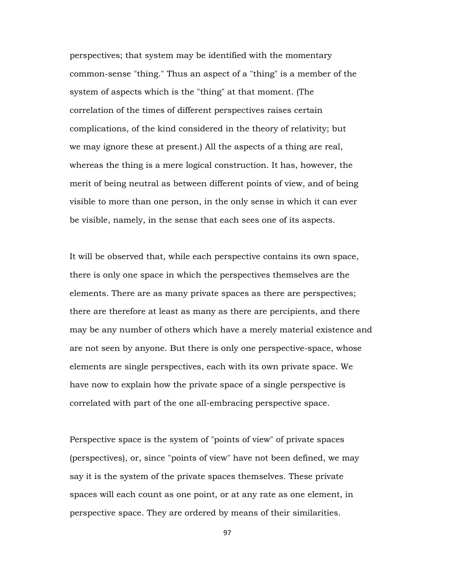perspectives; that system may be identified with the momentary common-sense "thing." Thus an aspect of a "thing" is a member of the system of aspects which is the "thing" at that moment. (The correlation of the times of different perspectives raises certain complications, of the kind considered in the theory of relativity; but we may ignore these at present.) All the aspects of a thing are real, whereas the thing is a mere logical construction. It has, however, the merit of being neutral as between different points of view, and of being visible to more than one person, in the only sense in which it can ever be visible, namely, in the sense that each sees one of its aspects.

It will be observed that, while each perspective contains its own space, there is only one space in which the perspectives themselves are the elements. There are as many private spaces as there are perspectives; there are therefore at least as many as there are percipients, and there may be any number of others which have a merely material existence and are not seen by anyone. But there is only one perspective-space, whose elements are single perspectives, each with its own private space. We have now to explain how the private space of a single perspective is correlated with part of the one all-embracing perspective space.

Perspective space is the system of "points of view" of private spaces (perspectives), or, since "points of view" have not been defined, we may say it is the system of the private spaces themselves. These private spaces will each count as one point, or at any rate as one element, in perspective space. They are ordered by means of their similarities.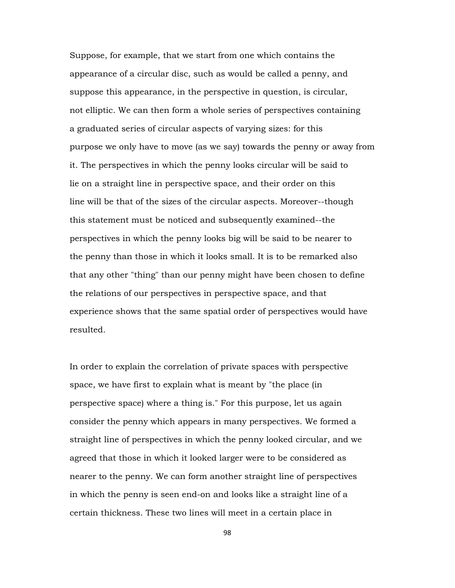Suppose, for example, that we start from one which contains the appearance of a circular disc, such as would be called a penny, and suppose this appearance, in the perspective in question, is circular, not elliptic. We can then form a whole series of perspectives containing a graduated series of circular aspects of varying sizes: for this purpose we only have to move (as we say) towards the penny or away from it. The perspectives in which the penny looks circular will be said to lie on a straight line in perspective space, and their order on this line will be that of the sizes of the circular aspects. Moreover--though this statement must be noticed and subsequently examined--the perspectives in which the penny looks big will be said to be nearer to the penny than those in which it looks small. It is to be remarked also that any other "thing" than our penny might have been chosen to define the relations of our perspectives in perspective space, and that experience shows that the same spatial order of perspectives would have resulted.

In order to explain the correlation of private spaces with perspective space, we have first to explain what is meant by "the place (in perspective space) where a thing is." For this purpose, let us again consider the penny which appears in many perspectives. We formed a straight line of perspectives in which the penny looked circular, and we agreed that those in which it looked larger were to be considered as nearer to the penny. We can form another straight line of perspectives in which the penny is seen end-on and looks like a straight line of a certain thickness. These two lines will meet in a certain place in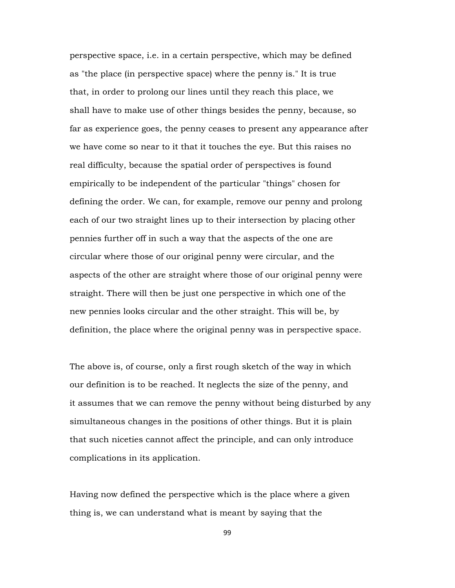perspective space, i.e. in a certain perspective, which may be defined as "the place (in perspective space) where the penny is." It is true that, in order to prolong our lines until they reach this place, we shall have to make use of other things besides the penny, because, so far as experience goes, the penny ceases to present any appearance after we have come so near to it that it touches the eye. But this raises no real difficulty, because the spatial order of perspectives is found empirically to be independent of the particular "things" chosen for defining the order. We can, for example, remove our penny and prolong each of our two straight lines up to their intersection by placing other pennies further off in such a way that the aspects of the one are circular where those of our original penny were circular, and the aspects of the other are straight where those of our original penny were straight. There will then be just one perspective in which one of the new pennies looks circular and the other straight. This will be, by definition, the place where the original penny was in perspective space.

The above is, of course, only a first rough sketch of the way in which our definition is to be reached. It neglects the size of the penny, and it assumes that we can remove the penny without being disturbed by any simultaneous changes in the positions of other things. But it is plain that such niceties cannot affect the principle, and can only introduce complications in its application.

Having now defined the perspective which is the place where a given thing is, we can understand what is meant by saying that the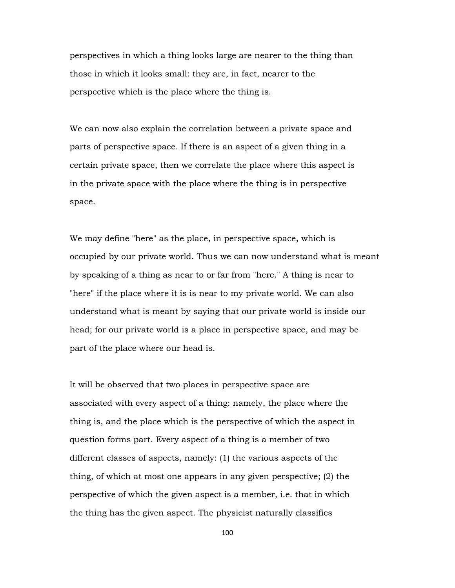perspectives in which a thing looks large are nearer to the thing than those in which it looks small: they are, in fact, nearer to the perspective which is the place where the thing is.

We can now also explain the correlation between a private space and parts of perspective space. If there is an aspect of a given thing in a certain private space, then we correlate the place where this aspect is in the private space with the place where the thing is in perspective space.

We may define "here" as the place, in perspective space, which is occupied by our private world. Thus we can now understand what is meant by speaking of a thing as near to or far from "here." A thing is near to "here" if the place where it is is near to my private world. We can also understand what is meant by saying that our private world is inside our head; for our private world is a place in perspective space, and may be part of the place where our head is.

It will be observed that two places in perspective space are associated with every aspect of a thing: namely, the place where the thing is, and the place which is the perspective of which the aspect in question forms part. Every aspect of a thing is a member of two different classes of aspects, namely: (1) the various aspects of the thing, of which at most one appears in any given perspective; (2) the perspective of which the given aspect is a member, i.e. that in which the thing has the given aspect. The physicist naturally classifies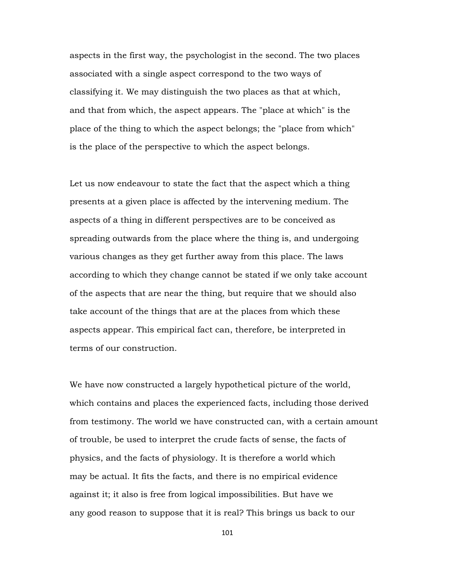aspects in the first way, the psychologist in the second. The two places associated with a single aspect correspond to the two ways of classifying it. We may distinguish the two places as that at which, and that from which, the aspect appears. The "place at which" is the place of the thing to which the aspect belongs; the "place from which" is the place of the perspective to which the aspect belongs.

Let us now endeavour to state the fact that the aspect which a thing presents at a given place is affected by the intervening medium. The aspects of a thing in different perspectives are to be conceived as spreading outwards from the place where the thing is, and undergoing various changes as they get further away from this place. The laws according to which they change cannot be stated if we only take account of the aspects that are near the thing, but require that we should also take account of the things that are at the places from which these aspects appear. This empirical fact can, therefore, be interpreted in terms of our construction.

We have now constructed a largely hypothetical picture of the world, which contains and places the experienced facts, including those derived from testimony. The world we have constructed can, with a certain amount of trouble, be used to interpret the crude facts of sense, the facts of physics, and the facts of physiology. It is therefore a world which may be actual. It fits the facts, and there is no empirical evidence against it; it also is free from logical impossibilities. But have we any good reason to suppose that it is real? This brings us back to our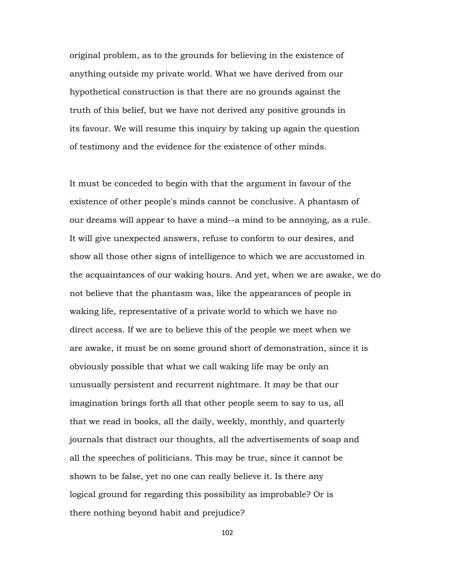original problem, as to the grounds for believing in the existence of anything outside my private world. What we have derived from our hypothetical construction is that there are no grounds against the truth of this belief, but we have not derived any positive grounds in its favour. We will resume this inquiry by taking up again the question of testimony and the evidence for the existence of other minds.

It must be conceded to begin with that the argument in favour of the existence of other people's minds cannot be conclusive. A phantasm of our dreams will appear to have a mind--a mind to be annoying, as a rule. It will give unexpected answers, refuse to conform to our desires, and show all those other signs of intelligence to which we are accustomed in the acquaintances of our waking hours. And yet, when we are awake, we do not believe that the phantasm was, like the appearances of people in waking life, representative of a private world to which we have no direct access. If we are to believe this of the people we meet when we are awake, it must be on some ground short of demonstration, since it is obviously possible that what we call waking life may be only an unusually persistent and recurrent nightmare. It may be that our imagination brings forth all that other people seem to say to us, all that we read in books, all the daily, weekly, monthly, and quarterly journals that distract our thoughts, all the advertisements of soap and all the speeches of politicians. This may be true, since it cannot be shown to be false, yet no one can really believe it. Is there any logical ground for regarding this possibility as improbable? Or is there nothing beyond habit and prejudice?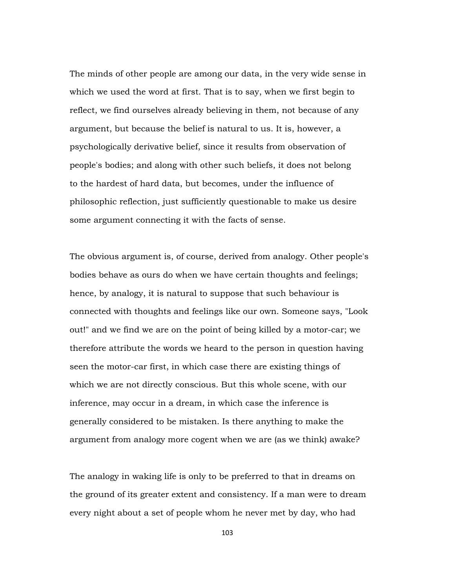The minds of other people are among our data, in the very wide sense in which we used the word at first. That is to say, when we first begin to reflect, we find ourselves already believing in them, not because of any argument, but because the belief is natural to us. It is, however, a psychologically derivative belief, since it results from observation of people's bodies; and along with other such beliefs, it does not belong to the hardest of hard data, but becomes, under the influence of philosophic reflection, just sufficiently questionable to make us desire some argument connecting it with the facts of sense.

The obvious argument is, of course, derived from analogy. Other people's bodies behave as ours do when we have certain thoughts and feelings; hence, by analogy, it is natural to suppose that such behaviour is connected with thoughts and feelings like our own. Someone says, "Look out!" and we find we are on the point of being killed by a motor-car; we therefore attribute the words we heard to the person in question having seen the motor-car first, in which case there are existing things of which we are not directly conscious. But this whole scene, with our inference, may occur in a dream, in which case the inference is generally considered to be mistaken. Is there anything to make the argument from analogy more cogent when we are (as we think) awake?

The analogy in waking life is only to be preferred to that in dreams on the ground of its greater extent and consistency. If a man were to dream every night about a set of people whom he never met by day, who had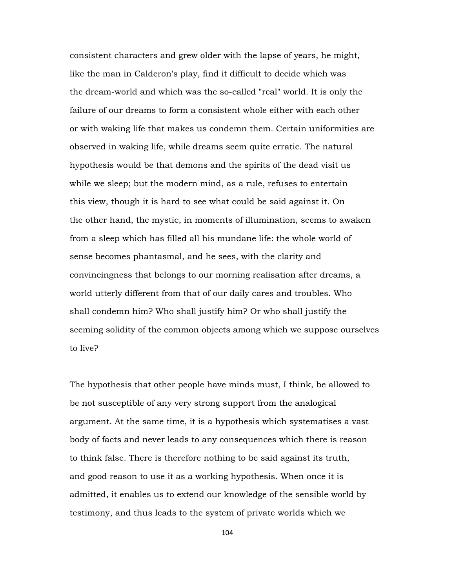consistent characters and grew older with the lapse of years, he might, like the man in Calderon's play, find it difficult to decide which was the dream-world and which was the so-called "real" world. It is only the failure of our dreams to form a consistent whole either with each other or with waking life that makes us condemn them. Certain uniformities are observed in waking life, while dreams seem quite erratic. The natural hypothesis would be that demons and the spirits of the dead visit us while we sleep; but the modern mind, as a rule, refuses to entertain this view, though it is hard to see what could be said against it. On the other hand, the mystic, in moments of illumination, seems to awaken from a sleep which has filled all his mundane life: the whole world of sense becomes phantasmal, and he sees, with the clarity and convincingness that belongs to our morning realisation after dreams, a world utterly different from that of our daily cares and troubles. Who shall condemn him? Who shall justify him? Or who shall justify the seeming solidity of the common objects among which we suppose ourselves to live?

The hypothesis that other people have minds must, I think, be allowed to be not susceptible of any very strong support from the analogical argument. At the same time, it is a hypothesis which systematises a vast body of facts and never leads to any consequences which there is reason to think false. There is therefore nothing to be said against its truth, and good reason to use it as a working hypothesis. When once it is admitted, it enables us to extend our knowledge of the sensible world by testimony, and thus leads to the system of private worlds which we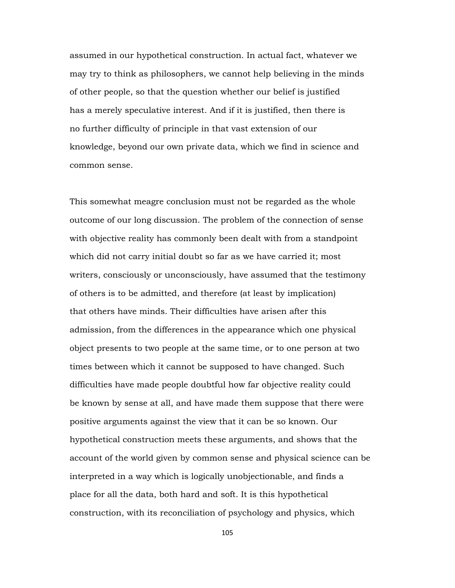assumed in our hypothetical construction. In actual fact, whatever we may try to think as philosophers, we cannot help believing in the minds of other people, so that the question whether our belief is justified has a merely speculative interest. And if it is justified, then there is no further difficulty of principle in that vast extension of our knowledge, beyond our own private data, which we find in science and common sense.

This somewhat meagre conclusion must not be regarded as the whole outcome of our long discussion. The problem of the connection of sense with objective reality has commonly been dealt with from a standpoint which did not carry initial doubt so far as we have carried it; most writers, consciously or unconsciously, have assumed that the testimony of others is to be admitted, and therefore (at least by implication) that others have minds. Their difficulties have arisen after this admission, from the differences in the appearance which one physical object presents to two people at the same time, or to one person at two times between which it cannot be supposed to have changed. Such difficulties have made people doubtful how far objective reality could be known by sense at all, and have made them suppose that there were positive arguments against the view that it can be so known. Our hypothetical construction meets these arguments, and shows that the account of the world given by common sense and physical science can be interpreted in a way which is logically unobjectionable, and finds a place for all the data, both hard and soft. It is this hypothetical construction, with its reconciliation of psychology and physics, which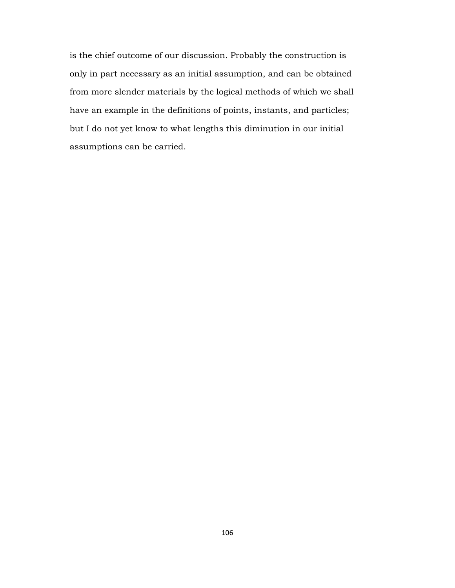is the chief outcome of our discussion. Probably the construction is only in part necessary as an initial assumption, and can be obtained from more slender materials by the logical methods of which we shall have an example in the definitions of points, instants, and particles; but I do not yet know to what lengths this diminution in our initial assumptions can be carried.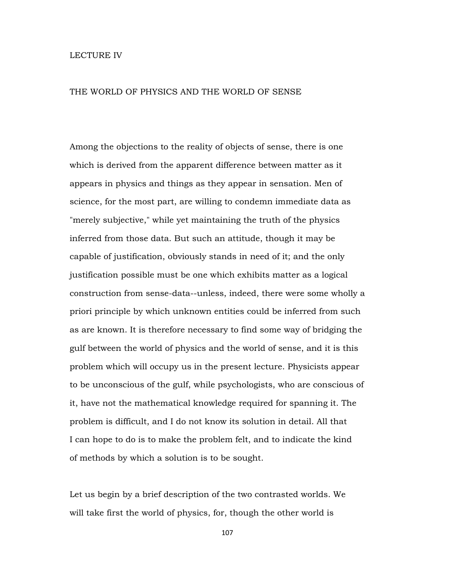## LECTURE IV

## THE WORLD OF PHYSICS AND THE WORLD OF SENSE

Among the objections to the reality of objects of sense, there is one which is derived from the apparent difference between matter as it appears in physics and things as they appear in sensation. Men of science, for the most part, are willing to condemn immediate data as "merely subjective," while yet maintaining the truth of the physics inferred from those data. But such an attitude, though it may be capable of justification, obviously stands in need of it; and the only justification possible must be one which exhibits matter as a logical construction from sense-data--unless, indeed, there were some wholly a priori principle by which unknown entities could be inferred from such as are known. It is therefore necessary to find some way of bridging the gulf between the world of physics and the world of sense, and it is this problem which will occupy us in the present lecture. Physicists appear to be unconscious of the gulf, while psychologists, who are conscious of it, have not the mathematical knowledge required for spanning it. The problem is difficult, and I do not know its solution in detail. All that I can hope to do is to make the problem felt, and to indicate the kind of methods by which a solution is to be sought.

Let us begin by a brief description of the two contrasted worlds. We will take first the world of physics, for, though the other world is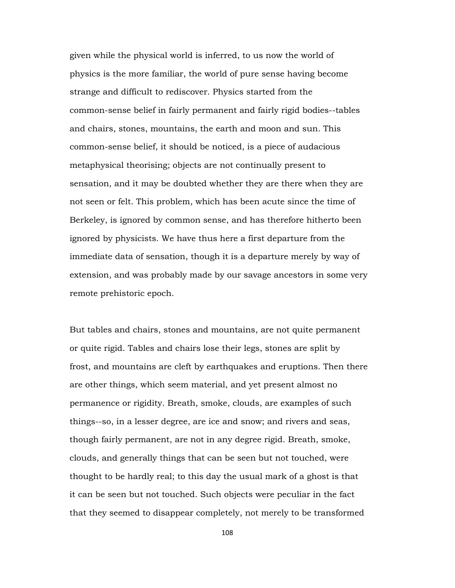given while the physical world is inferred, to us now the world of physics is the more familiar, the world of pure sense having become strange and difficult to rediscover. Physics started from the common-sense belief in fairly permanent and fairly rigid bodies--tables and chairs, stones, mountains, the earth and moon and sun. This common-sense belief, it should be noticed, is a piece of audacious metaphysical theorising; objects are not continually present to sensation, and it may be doubted whether they are there when they are not seen or felt. This problem, which has been acute since the time of Berkeley, is ignored by common sense, and has therefore hitherto been ignored by physicists. We have thus here a first departure from the immediate data of sensation, though it is a departure merely by way of extension, and was probably made by our savage ancestors in some very remote prehistoric epoch.

But tables and chairs, stones and mountains, are not quite permanent or quite rigid. Tables and chairs lose their legs, stones are split by frost, and mountains are cleft by earthquakes and eruptions. Then there are other things, which seem material, and yet present almost no permanence or rigidity. Breath, smoke, clouds, are examples of such things--so, in a lesser degree, are ice and snow; and rivers and seas, though fairly permanent, are not in any degree rigid. Breath, smoke, clouds, and generally things that can be seen but not touched, were thought to be hardly real; to this day the usual mark of a ghost is that it can be seen but not touched. Such objects were peculiar in the fact that they seemed to disappear completely, not merely to be transformed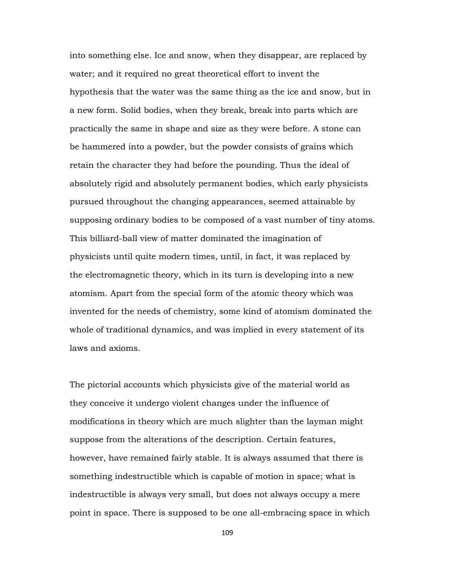into something else. Ice and snow, when they disappear, are replaced by water; and it required no great theoretical effort to invent the hypothesis that the water was the same thing as the ice and snow, but in a new form. Solid bodies, when they break, break into parts which are practically the same in shape and size as they were before. A stone can be hammered into a powder, but the powder consists of grains which retain the character they had before the pounding. Thus the ideal of absolutely rigid and absolutely permanent bodies, which early physicists pursued throughout the changing appearances, seemed attainable by supposing ordinary bodies to be composed of a vast number of tiny atoms. This billiard-ball view of matter dominated the imagination of physicists until quite modern times, until, in fact, it was replaced by the electromagnetic theory, which in its turn is developing into a new atomism. Apart from the special form of the atomic theory which was invented for the needs of chemistry, some kind of atomism dominated the whole of traditional dynamics, and was implied in every statement of its laws and axioms.

The pictorial accounts which physicists give of the material world as they conceive it undergo violent changes under the influence of modifications in theory which are much slighter than the layman might suppose from the alterations of the description. Certain features, however, have remained fairly stable. It is always assumed that there is something indestructible which is capable of motion in space; what is indestructible is always very small, but does not always occupy a mere point in space. There is supposed to be one all-embracing space in which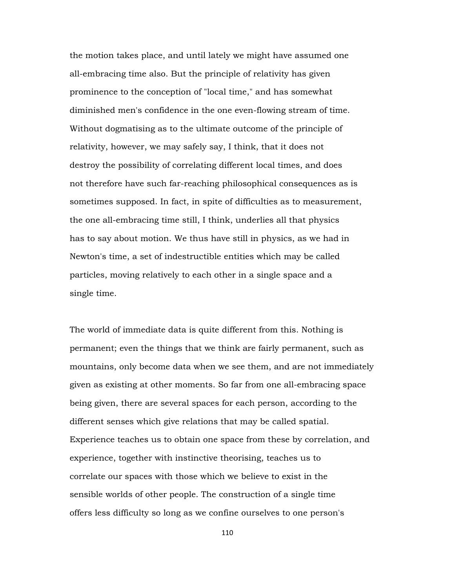the motion takes place, and until lately we might have assumed one all-embracing time also. But the principle of relativity has given prominence to the conception of "local time," and has somewhat diminished men's confidence in the one even-flowing stream of time. Without dogmatising as to the ultimate outcome of the principle of relativity, however, we may safely say, I think, that it does not destroy the possibility of correlating different local times, and does not therefore have such far-reaching philosophical consequences as is sometimes supposed. In fact, in spite of difficulties as to measurement, the one all-embracing time still, I think, underlies all that physics has to say about motion. We thus have still in physics, as we had in Newton's time, a set of indestructible entities which may be called particles, moving relatively to each other in a single space and a single time.

The world of immediate data is quite different from this. Nothing is permanent; even the things that we think are fairly permanent, such as mountains, only become data when we see them, and are not immediately given as existing at other moments. So far from one all-embracing space being given, there are several spaces for each person, according to the different senses which give relations that may be called spatial. Experience teaches us to obtain one space from these by correlation, and experience, together with instinctive theorising, teaches us to correlate our spaces with those which we believe to exist in the sensible worlds of other people. The construction of a single time offers less difficulty so long as we confine ourselves to one person's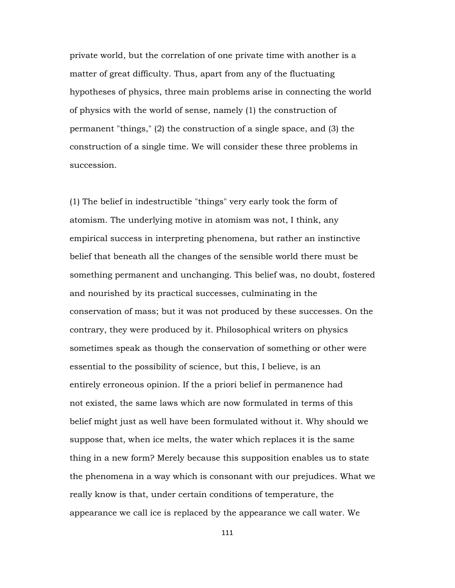private world, but the correlation of one private time with another is a matter of great difficulty. Thus, apart from any of the fluctuating hypotheses of physics, three main problems arise in connecting the world of physics with the world of sense, namely (1) the construction of permanent "things," (2) the construction of a single space, and (3) the construction of a single time. We will consider these three problems in succession.

(1) The belief in indestructible "things" very early took the form of atomism. The underlying motive in atomism was not, I think, any empirical success in interpreting phenomena, but rather an instinctive belief that beneath all the changes of the sensible world there must be something permanent and unchanging. This belief was, no doubt, fostered and nourished by its practical successes, culminating in the conservation of mass; but it was not produced by these successes. On the contrary, they were produced by it. Philosophical writers on physics sometimes speak as though the conservation of something or other were essential to the possibility of science, but this, I believe, is an entirely erroneous opinion. If the a priori belief in permanence had not existed, the same laws which are now formulated in terms of this belief might just as well have been formulated without it. Why should we suppose that, when ice melts, the water which replaces it is the same thing in a new form? Merely because this supposition enables us to state the phenomena in a way which is consonant with our prejudices. What we really know is that, under certain conditions of temperature, the appearance we call ice is replaced by the appearance we call water. We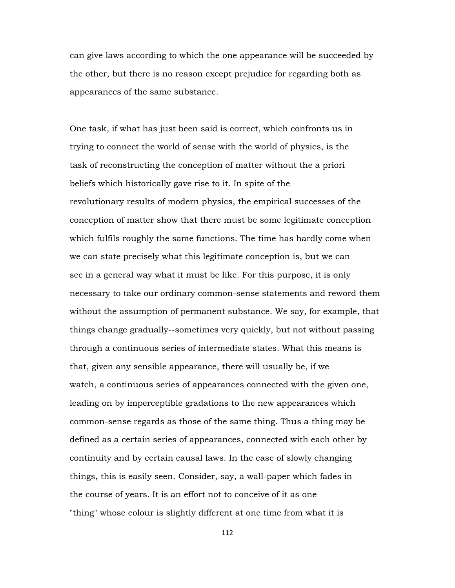can give laws according to which the one appearance will be succeeded by the other, but there is no reason except prejudice for regarding both as appearances of the same substance.

One task, if what has just been said is correct, which confronts us in trying to connect the world of sense with the world of physics, is the task of reconstructing the conception of matter without the a priori beliefs which historically gave rise to it. In spite of the revolutionary results of modern physics, the empirical successes of the conception of matter show that there must be some legitimate conception which fulfils roughly the same functions. The time has hardly come when we can state precisely what this legitimate conception is, but we can see in a general way what it must be like. For this purpose, it is only necessary to take our ordinary common-sense statements and reword them without the assumption of permanent substance. We say, for example, that things change gradually--sometimes very quickly, but not without passing through a continuous series of intermediate states. What this means is that, given any sensible appearance, there will usually be, if we watch, a continuous series of appearances connected with the given one, leading on by imperceptible gradations to the new appearances which common-sense regards as those of the same thing. Thus a thing may be defined as a certain series of appearances, connected with each other by continuity and by certain causal laws. In the case of slowly changing things, this is easily seen. Consider, say, a wall-paper which fades in the course of years. It is an effort not to conceive of it as one "thing" whose colour is slightly different at one time from what it is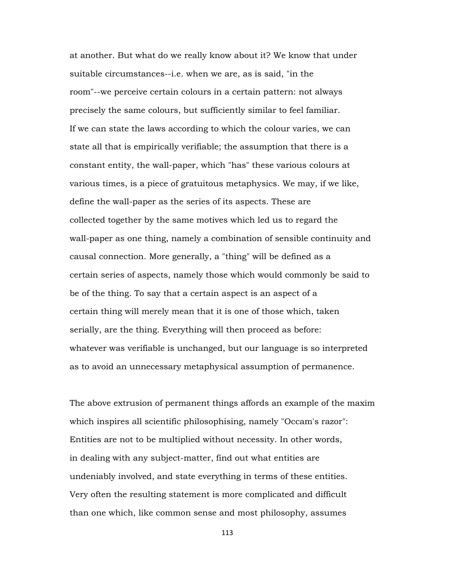at another. But what do we really know about it? We know that under suitable circumstances--i.e. when we are, as is said, "in the room"--we perceive certain colours in a certain pattern: not always precisely the same colours, but sufficiently similar to feel familiar. If we can state the laws according to which the colour varies, we can state all that is empirically verifiable; the assumption that there is a constant entity, the wall-paper, which "has" these various colours at various times, is a piece of gratuitous metaphysics. We may, if we like, define the wall-paper as the series of its aspects. These are collected together by the same motives which led us to regard the wall-paper as one thing, namely a combination of sensible continuity and causal connection. More generally, a "thing" will be defined as a certain series of aspects, namely those which would commonly be said to be of the thing. To say that a certain aspect is an aspect of a certain thing will merely mean that it is one of those which, taken serially, are the thing. Everything will then proceed as before: whatever was verifiable is unchanged, but our language is so interpreted as to avoid an unnecessary metaphysical assumption of permanence.

The above extrusion of permanent things affords an example of the maxim which inspires all scientific philosophising, namely "Occam's razor": Entities are not to be multiplied without necessity. In other words, in dealing with any subject-matter, find out what entities are undeniably involved, and state everything in terms of these entities. Very often the resulting statement is more complicated and difficult than one which, like common sense and most philosophy, assumes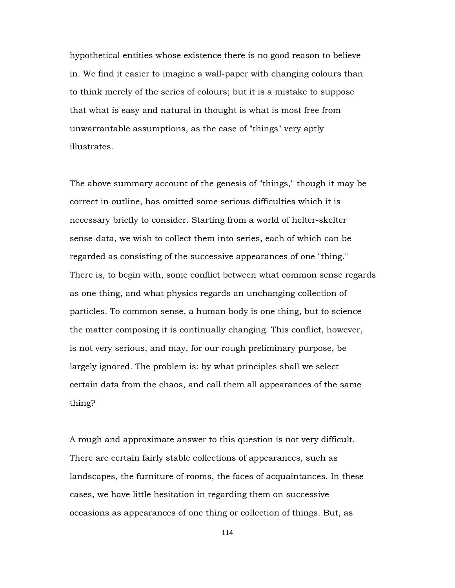hypothetical entities whose existence there is no good reason to believe in. We find it easier to imagine a wall-paper with changing colours than to think merely of the series of colours; but it is a mistake to suppose that what is easy and natural in thought is what is most free from unwarrantable assumptions, as the case of "things" very aptly illustrates.

The above summary account of the genesis of "things," though it may be correct in outline, has omitted some serious difficulties which it is necessary briefly to consider. Starting from a world of helter-skelter sense-data, we wish to collect them into series, each of which can be regarded as consisting of the successive appearances of one "thing." There is, to begin with, some conflict between what common sense regards as one thing, and what physics regards an unchanging collection of particles. To common sense, a human body is one thing, but to science the matter composing it is continually changing. This conflict, however, is not very serious, and may, for our rough preliminary purpose, be largely ignored. The problem is: by what principles shall we select certain data from the chaos, and call them all appearances of the same thing?

A rough and approximate answer to this question is not very difficult. There are certain fairly stable collections of appearances, such as landscapes, the furniture of rooms, the faces of acquaintances. In these cases, we have little hesitation in regarding them on successive occasions as appearances of one thing or collection of things. But, as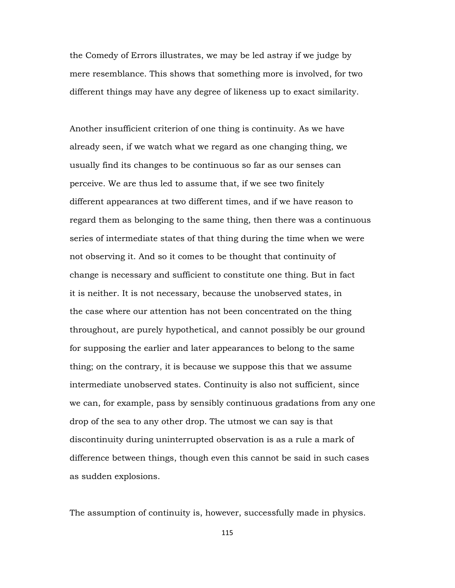the Comedy of Errors illustrates, we may be led astray if we judge by mere resemblance. This shows that something more is involved, for two different things may have any degree of likeness up to exact similarity.

Another insufficient criterion of one thing is continuity. As we have already seen, if we watch what we regard as one changing thing, we usually find its changes to be continuous so far as our senses can perceive. We are thus led to assume that, if we see two finitely different appearances at two different times, and if we have reason to regard them as belonging to the same thing, then there was a continuous series of intermediate states of that thing during the time when we were not observing it. And so it comes to be thought that continuity of change is necessary and sufficient to constitute one thing. But in fact it is neither. It is not necessary, because the unobserved states, in the case where our attention has not been concentrated on the thing throughout, are purely hypothetical, and cannot possibly be our ground for supposing the earlier and later appearances to belong to the same thing; on the contrary, it is because we suppose this that we assume intermediate unobserved states. Continuity is also not sufficient, since we can, for example, pass by sensibly continuous gradations from any one drop of the sea to any other drop. The utmost we can say is that discontinuity during uninterrupted observation is as a rule a mark of difference between things, though even this cannot be said in such cases as sudden explosions.

The assumption of continuity is, however, successfully made in physics.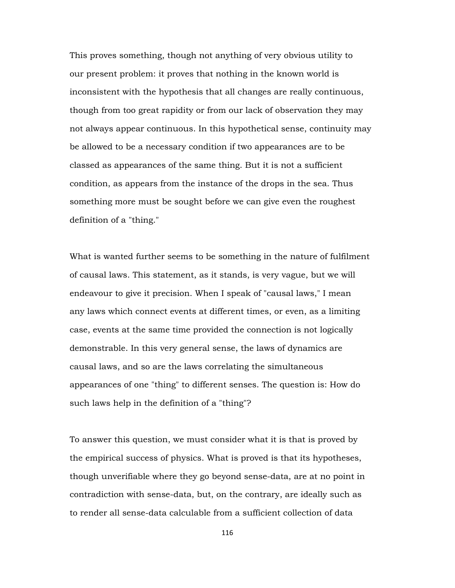This proves something, though not anything of very obvious utility to our present problem: it proves that nothing in the known world is inconsistent with the hypothesis that all changes are really continuous, though from too great rapidity or from our lack of observation they may not always appear continuous. In this hypothetical sense, continuity may be allowed to be a necessary condition if two appearances are to be classed as appearances of the same thing. But it is not a sufficient condition, as appears from the instance of the drops in the sea. Thus something more must be sought before we can give even the roughest definition of a "thing."

What is wanted further seems to be something in the nature of fulfilment of causal laws. This statement, as it stands, is very vague, but we will endeavour to give it precision. When I speak of "causal laws," I mean any laws which connect events at different times, or even, as a limiting case, events at the same time provided the connection is not logically demonstrable. In this very general sense, the laws of dynamics are causal laws, and so are the laws correlating the simultaneous appearances of one "thing" to different senses. The question is: How do such laws help in the definition of a "thing"?

To answer this question, we must consider what it is that is proved by the empirical success of physics. What is proved is that its hypotheses, though unverifiable where they go beyond sense-data, are at no point in contradiction with sense-data, but, on the contrary, are ideally such as to render all sense-data calculable from a sufficient collection of data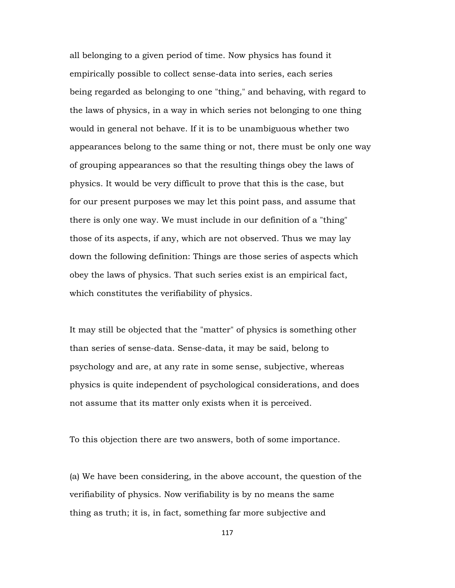all belonging to a given period of time. Now physics has found it empirically possible to collect sense-data into series, each series being regarded as belonging to one "thing," and behaving, with regard to the laws of physics, in a way in which series not belonging to one thing would in general not behave. If it is to be unambiguous whether two appearances belong to the same thing or not, there must be only one way of grouping appearances so that the resulting things obey the laws of physics. It would be very difficult to prove that this is the case, but for our present purposes we may let this point pass, and assume that there is only one way. We must include in our definition of a "thing" those of its aspects, if any, which are not observed. Thus we may lay down the following definition: Things are those series of aspects which obey the laws of physics. That such series exist is an empirical fact, which constitutes the verifiability of physics.

It may still be objected that the "matter" of physics is something other than series of sense-data. Sense-data, it may be said, belong to psychology and are, at any rate in some sense, subjective, whereas physics is quite independent of psychological considerations, and does not assume that its matter only exists when it is perceived.

To this objection there are two answers, both of some importance.

(a) We have been considering, in the above account, the question of the verifiability of physics. Now verifiability is by no means the same thing as truth; it is, in fact, something far more subjective and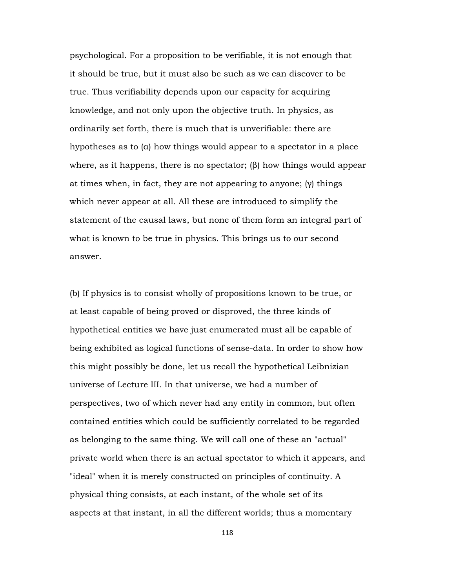psychological. For a proposition to be verifiable, it is not enough that it should be true, but it must also be such as we can discover to be true. Thus verifiability depends upon our capacity for acquiring knowledge, and not only upon the objective truth. In physics, as ordinarily set forth, there is much that is unverifiable: there are hypotheses as to (α) how things would appear to a spectator in a place where, as it happens, there is no spectator;  $(\beta)$  how things would appear at times when, in fact, they are not appearing to anyone; (γ) things which never appear at all. All these are introduced to simplify the statement of the causal laws, but none of them form an integral part of what is known to be true in physics. This brings us to our second answer.

(b) If physics is to consist wholly of propositions known to be true, or at least capable of being proved or disproved, the three kinds of hypothetical entities we have just enumerated must all be capable of being exhibited as logical functions of sense-data. In order to show how this might possibly be done, let us recall the hypothetical Leibnizian universe of Lecture III. In that universe, we had a number of perspectives, two of which never had any entity in common, but often contained entities which could be sufficiently correlated to be regarded as belonging to the same thing. We will call one of these an "actual" private world when there is an actual spectator to which it appears, and "ideal" when it is merely constructed on principles of continuity. A physical thing consists, at each instant, of the whole set of its aspects at that instant, in all the different worlds; thus a momentary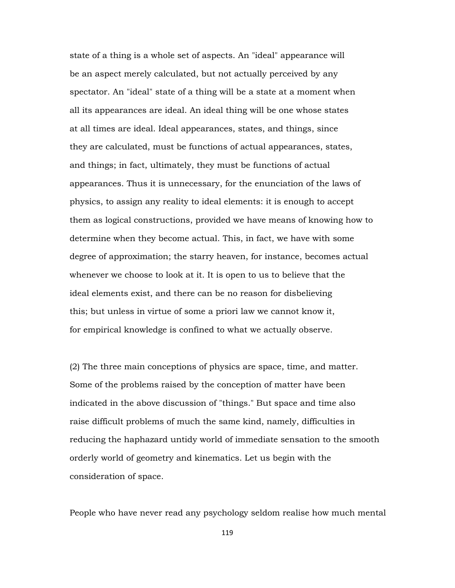state of a thing is a whole set of aspects. An "ideal" appearance will be an aspect merely calculated, but not actually perceived by any spectator. An "ideal" state of a thing will be a state at a moment when all its appearances are ideal. An ideal thing will be one whose states at all times are ideal. Ideal appearances, states, and things, since they are calculated, must be functions of actual appearances, states, and things; in fact, ultimately, they must be functions of actual appearances. Thus it is unnecessary, for the enunciation of the laws of physics, to assign any reality to ideal elements: it is enough to accept them as logical constructions, provided we have means of knowing how to determine when they become actual. This, in fact, we have with some degree of approximation; the starry heaven, for instance, becomes actual whenever we choose to look at it. It is open to us to believe that the ideal elements exist, and there can be no reason for disbelieving this; but unless in virtue of some a priori law we cannot know it, for empirical knowledge is confined to what we actually observe.

(2) The three main conceptions of physics are space, time, and matter. Some of the problems raised by the conception of matter have been indicated in the above discussion of "things." But space and time also raise difficult problems of much the same kind, namely, difficulties in reducing the haphazard untidy world of immediate sensation to the smooth orderly world of geometry and kinematics. Let us begin with the consideration of space.

People who have never read any psychology seldom realise how much mental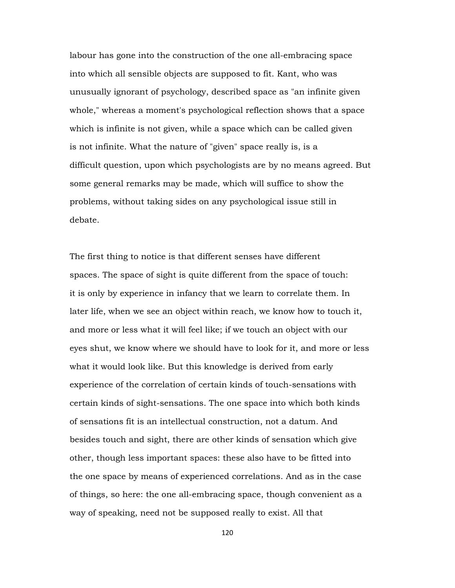labour has gone into the construction of the one all-embracing space into which all sensible objects are supposed to fit. Kant, who was unusually ignorant of psychology, described space as "an infinite given whole," whereas a moment's psychological reflection shows that a space which is infinite is not given, while a space which can be called given is not infinite. What the nature of "given" space really is, is a difficult question, upon which psychologists are by no means agreed. But some general remarks may be made, which will suffice to show the problems, without taking sides on any psychological issue still in debate.

The first thing to notice is that different senses have different spaces. The space of sight is quite different from the space of touch: it is only by experience in infancy that we learn to correlate them. In later life, when we see an object within reach, we know how to touch it, and more or less what it will feel like; if we touch an object with our eyes shut, we know where we should have to look for it, and more or less what it would look like. But this knowledge is derived from early experience of the correlation of certain kinds of touch-sensations with certain kinds of sight-sensations. The one space into which both kinds of sensations fit is an intellectual construction, not a datum. And besides touch and sight, there are other kinds of sensation which give other, though less important spaces: these also have to be fitted into the one space by means of experienced correlations. And as in the case of things, so here: the one all-embracing space, though convenient as a way of speaking, need not be supposed really to exist. All that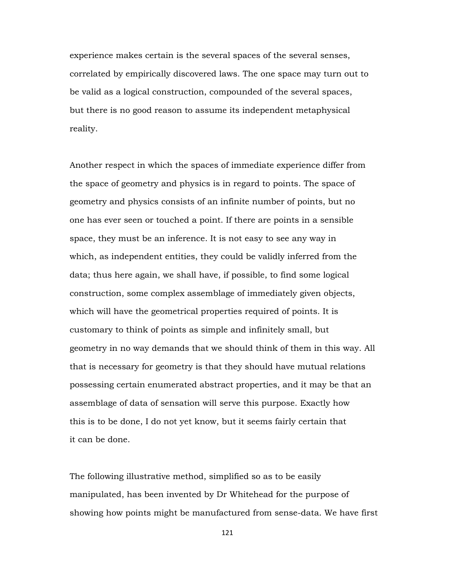experience makes certain is the several spaces of the several senses, correlated by empirically discovered laws. The one space may turn out to be valid as a logical construction, compounded of the several spaces, but there is no good reason to assume its independent metaphysical reality.

Another respect in which the spaces of immediate experience differ from the space of geometry and physics is in regard to points. The space of geometry and physics consists of an infinite number of points, but no one has ever seen or touched a point. If there are points in a sensible space, they must be an inference. It is not easy to see any way in which, as independent entities, they could be validly inferred from the data; thus here again, we shall have, if possible, to find some logical construction, some complex assemblage of immediately given objects, which will have the geometrical properties required of points. It is customary to think of points as simple and infinitely small, but geometry in no way demands that we should think of them in this way. All that is necessary for geometry is that they should have mutual relations possessing certain enumerated abstract properties, and it may be that an assemblage of data of sensation will serve this purpose. Exactly how this is to be done, I do not yet know, but it seems fairly certain that it can be done.

The following illustrative method, simplified so as to be easily manipulated, has been invented by Dr Whitehead for the purpose of showing how points might be manufactured from sense-data. We have first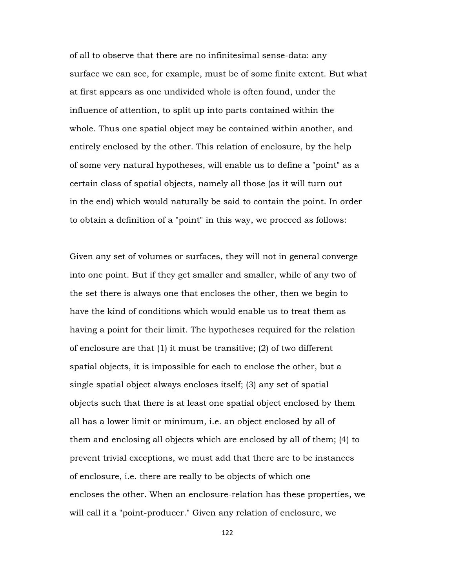of all to observe that there are no infinitesimal sense-data: any surface we can see, for example, must be of some finite extent. But what at first appears as one undivided whole is often found, under the influence of attention, to split up into parts contained within the whole. Thus one spatial object may be contained within another, and entirely enclosed by the other. This relation of enclosure, by the help of some very natural hypotheses, will enable us to define a "point" as a certain class of spatial objects, namely all those (as it will turn out in the end) which would naturally be said to contain the point. In order to obtain a definition of a "point" in this way, we proceed as follows:

Given any set of volumes or surfaces, they will not in general converge into one point. But if they get smaller and smaller, while of any two of the set there is always one that encloses the other, then we begin to have the kind of conditions which would enable us to treat them as having a point for their limit. The hypotheses required for the relation of enclosure are that (1) it must be transitive; (2) of two different spatial objects, it is impossible for each to enclose the other, but a single spatial object always encloses itself; (3) any set of spatial objects such that there is at least one spatial object enclosed by them all has a lower limit or minimum, i.e. an object enclosed by all of them and enclosing all objects which are enclosed by all of them; (4) to prevent trivial exceptions, we must add that there are to be instances of enclosure, i.e. there are really to be objects of which one encloses the other. When an enclosure-relation has these properties, we will call it a "point-producer." Given any relation of enclosure, we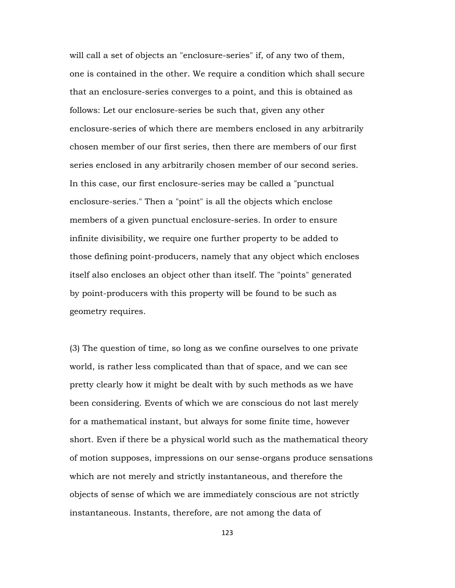will call a set of objects an "enclosure-series" if, of any two of them, one is contained in the other. We require a condition which shall secure that an enclosure-series converges to a point, and this is obtained as follows: Let our enclosure-series be such that, given any other enclosure-series of which there are members enclosed in any arbitrarily chosen member of our first series, then there are members of our first series enclosed in any arbitrarily chosen member of our second series. In this case, our first enclosure-series may be called a "punctual enclosure-series." Then a "point" is all the objects which enclose members of a given punctual enclosure-series. In order to ensure infinite divisibility, we require one further property to be added to those defining point-producers, namely that any object which encloses itself also encloses an object other than itself. The "points" generated by point-producers with this property will be found to be such as geometry requires.

(3) The question of time, so long as we confine ourselves to one private world, is rather less complicated than that of space, and we can see pretty clearly how it might be dealt with by such methods as we have been considering. Events of which we are conscious do not last merely for a mathematical instant, but always for some finite time, however short. Even if there be a physical world such as the mathematical theory of motion supposes, impressions on our sense-organs produce sensations which are not merely and strictly instantaneous, and therefore the objects of sense of which we are immediately conscious are not strictly instantaneous. Instants, therefore, are not among the data of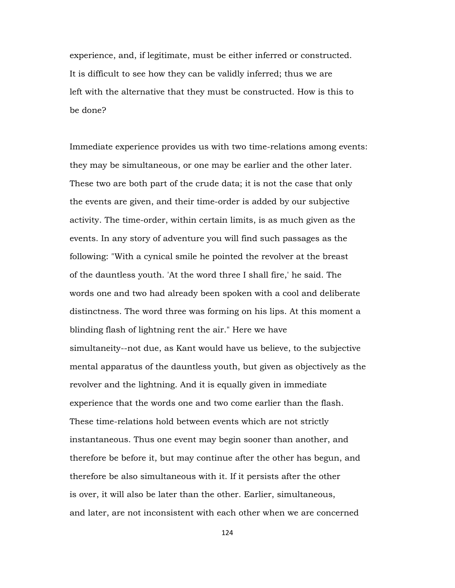experience, and, if legitimate, must be either inferred or constructed. It is difficult to see how they can be validly inferred; thus we are left with the alternative that they must be constructed. How is this to be done?

Immediate experience provides us with two time-relations among events: they may be simultaneous, or one may be earlier and the other later. These two are both part of the crude data; it is not the case that only the events are given, and their time-order is added by our subjective activity. The time-order, within certain limits, is as much given as the events. In any story of adventure you will find such passages as the following: "With a cynical smile he pointed the revolver at the breast of the dauntless youth. 'At the word three I shall fire,' he said. The words one and two had already been spoken with a cool and deliberate distinctness. The word three was forming on his lips. At this moment a blinding flash of lightning rent the air." Here we have simultaneity--not due, as Kant would have us believe, to the subjective mental apparatus of the dauntless youth, but given as objectively as the revolver and the lightning. And it is equally given in immediate experience that the words one and two come earlier than the flash. These time-relations hold between events which are not strictly instantaneous. Thus one event may begin sooner than another, and therefore be before it, but may continue after the other has begun, and therefore be also simultaneous with it. If it persists after the other is over, it will also be later than the other. Earlier, simultaneous, and later, are not inconsistent with each other when we are concerned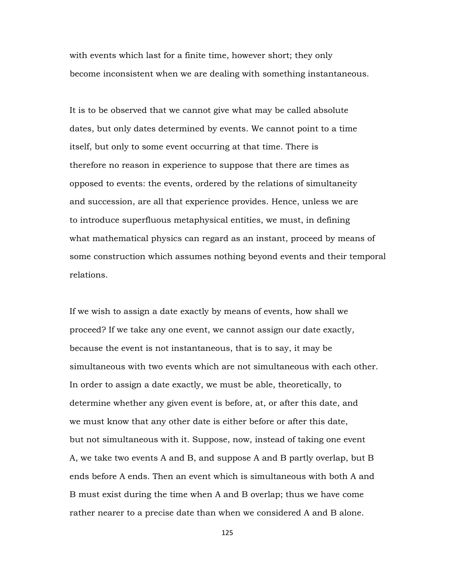with events which last for a finite time, however short; they only become inconsistent when we are dealing with something instantaneous.

It is to be observed that we cannot give what may be called absolute dates, but only dates determined by events. We cannot point to a time itself, but only to some event occurring at that time. There is therefore no reason in experience to suppose that there are times as opposed to events: the events, ordered by the relations of simultaneity and succession, are all that experience provides. Hence, unless we are to introduce superfluous metaphysical entities, we must, in defining what mathematical physics can regard as an instant, proceed by means of some construction which assumes nothing beyond events and their temporal relations.

If we wish to assign a date exactly by means of events, how shall we proceed? If we take any one event, we cannot assign our date exactly, because the event is not instantaneous, that is to say, it may be simultaneous with two events which are not simultaneous with each other. In order to assign a date exactly, we must be able, theoretically, to determine whether any given event is before, at, or after this date, and we must know that any other date is either before or after this date, but not simultaneous with it. Suppose, now, instead of taking one event A, we take two events A and B, and suppose A and B partly overlap, but B ends before A ends. Then an event which is simultaneous with both A and B must exist during the time when A and B overlap; thus we have come rather nearer to a precise date than when we considered A and B alone.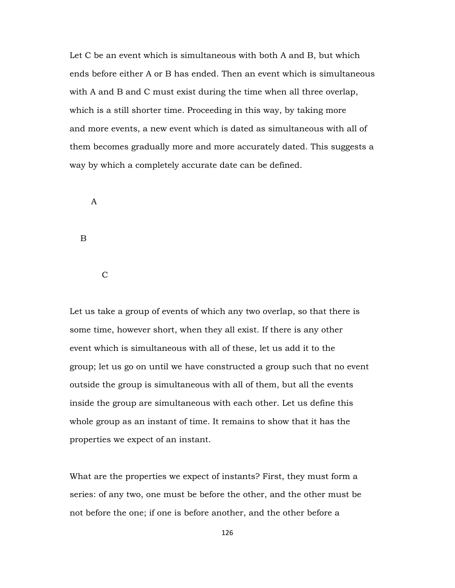Let C be an event which is simultaneous with both A and B, but which ends before either A or B has ended. Then an event which is simultaneous with A and B and C must exist during the time when all three overlap, which is a still shorter time. Proceeding in this way, by taking more and more events, a new event which is dated as simultaneous with all of them becomes gradually more and more accurately dated. This suggests a way by which a completely accurate date can be defined.

A

B

 $\mathcal{C}$ 

Let us take a group of events of which any two overlap, so that there is some time, however short, when they all exist. If there is any other event which is simultaneous with all of these, let us add it to the group; let us go on until we have constructed a group such that no event outside the group is simultaneous with all of them, but all the events inside the group are simultaneous with each other. Let us define this whole group as an instant of time. It remains to show that it has the properties we expect of an instant.

What are the properties we expect of instants? First, they must form a series: of any two, one must be before the other, and the other must be not before the one; if one is before another, and the other before a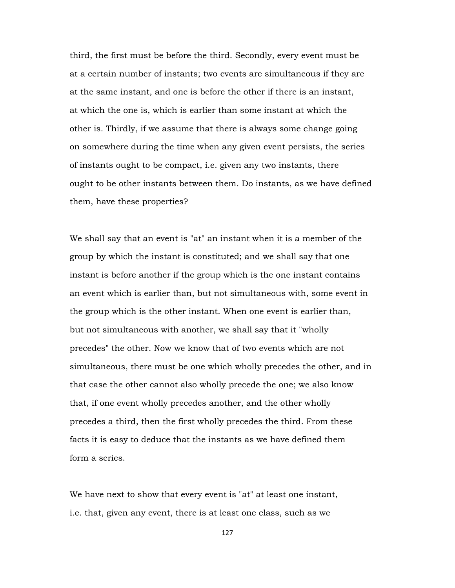third, the first must be before the third. Secondly, every event must be at a certain number of instants; two events are simultaneous if they are at the same instant, and one is before the other if there is an instant, at which the one is, which is earlier than some instant at which the other is. Thirdly, if we assume that there is always some change going on somewhere during the time when any given event persists, the series of instants ought to be compact, i.e. given any two instants, there ought to be other instants between them. Do instants, as we have defined them, have these properties?

We shall say that an event is "at" an instant when it is a member of the group by which the instant is constituted; and we shall say that one instant is before another if the group which is the one instant contains an event which is earlier than, but not simultaneous with, some event in the group which is the other instant. When one event is earlier than, but not simultaneous with another, we shall say that it "wholly precedes" the other. Now we know that of two events which are not simultaneous, there must be one which wholly precedes the other, and in that case the other cannot also wholly precede the one; we also know that, if one event wholly precedes another, and the other wholly precedes a third, then the first wholly precedes the third. From these facts it is easy to deduce that the instants as we have defined them form a series.

We have next to show that every event is "at" at least one instant, i.e. that, given any event, there is at least one class, such as we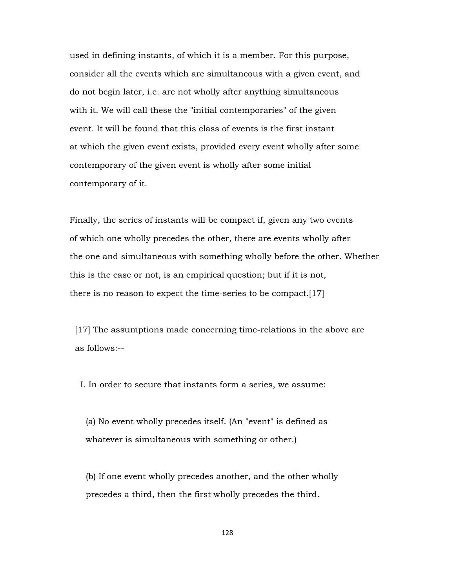used in defining instants, of which it is a member. For this purpose, consider all the events which are simultaneous with a given event, and do not begin later, i.e. are not wholly after anything simultaneous with it. We will call these the "initial contemporaries" of the given event. It will be found that this class of events is the first instant at which the given event exists, provided every event wholly after some contemporary of the given event is wholly after some initial contemporary of it.

Finally, the series of instants will be compact if, given any two events of which one wholly precedes the other, there are events wholly after the one and simultaneous with something wholly before the other. Whether this is the case or not, is an empirical question; but if it is not, there is no reason to expect the time-series to be compact.[17]

 [17] The assumptions made concerning time-relations in the above are as follows:--

I. In order to secure that instants form a series, we assume:

 (a) No event wholly precedes itself. (An "event" is defined as whatever is simultaneous with something or other.)

 (b) If one event wholly precedes another, and the other wholly precedes a third, then the first wholly precedes the third.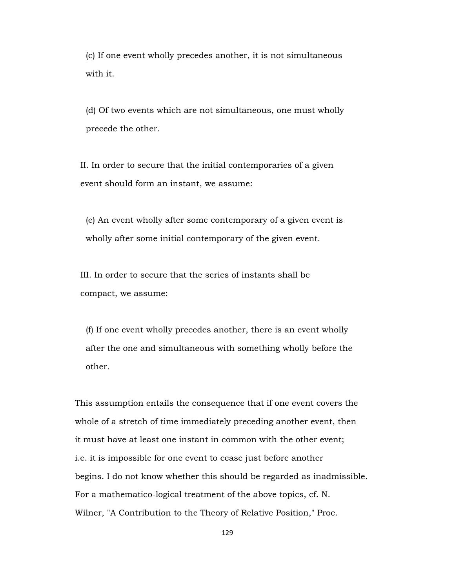(c) If one event wholly precedes another, it is not simultaneous with it.

 (d) Of two events which are not simultaneous, one must wholly precede the other.

 II. In order to secure that the initial contemporaries of a given event should form an instant, we assume:

 (e) An event wholly after some contemporary of a given event is wholly after some initial contemporary of the given event.

 III. In order to secure that the series of instants shall be compact, we assume:

 (f) If one event wholly precedes another, there is an event wholly after the one and simultaneous with something wholly before the other.

 This assumption entails the consequence that if one event covers the whole of a stretch of time immediately preceding another event, then it must have at least one instant in common with the other event; i.e. it is impossible for one event to cease just before another begins. I do not know whether this should be regarded as inadmissible. For a mathematico-logical treatment of the above topics, cf. N. Wilner, "A Contribution to the Theory of Relative Position," Proc.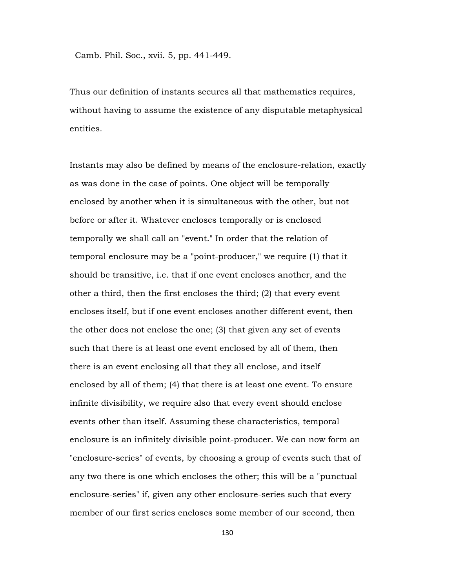Camb. Phil. Soc., xvii. 5, pp. 441-449.

Thus our definition of instants secures all that mathematics requires, without having to assume the existence of any disputable metaphysical entities.

Instants may also be defined by means of the enclosure-relation, exactly as was done in the case of points. One object will be temporally enclosed by another when it is simultaneous with the other, but not before or after it. Whatever encloses temporally or is enclosed temporally we shall call an "event." In order that the relation of temporal enclosure may be a "point-producer," we require (1) that it should be transitive, i.e. that if one event encloses another, and the other a third, then the first encloses the third; (2) that every event encloses itself, but if one event encloses another different event, then the other does not enclose the one; (3) that given any set of events such that there is at least one event enclosed by all of them, then there is an event enclosing all that they all enclose, and itself enclosed by all of them; (4) that there is at least one event. To ensure infinite divisibility, we require also that every event should enclose events other than itself. Assuming these characteristics, temporal enclosure is an infinitely divisible point-producer. We can now form an "enclosure-series" of events, by choosing a group of events such that of any two there is one which encloses the other; this will be a "punctual enclosure-series" if, given any other enclosure-series such that every member of our first series encloses some member of our second, then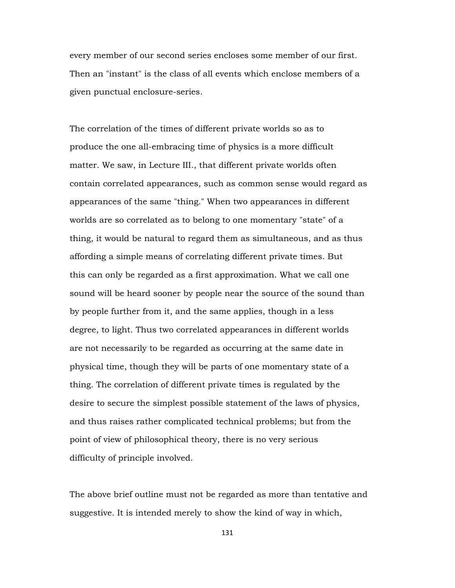every member of our second series encloses some member of our first. Then an "instant" is the class of all events which enclose members of a given punctual enclosure-series.

The correlation of the times of different private worlds so as to produce the one all-embracing time of physics is a more difficult matter. We saw, in Lecture III., that different private worlds often contain correlated appearances, such as common sense would regard as appearances of the same "thing." When two appearances in different worlds are so correlated as to belong to one momentary "state" of a thing, it would be natural to regard them as simultaneous, and as thus affording a simple means of correlating different private times. But this can only be regarded as a first approximation. What we call one sound will be heard sooner by people near the source of the sound than by people further from it, and the same applies, though in a less degree, to light. Thus two correlated appearances in different worlds are not necessarily to be regarded as occurring at the same date in physical time, though they will be parts of one momentary state of a thing. The correlation of different private times is regulated by the desire to secure the simplest possible statement of the laws of physics, and thus raises rather complicated technical problems; but from the point of view of philosophical theory, there is no very serious difficulty of principle involved.

The above brief outline must not be regarded as more than tentative and suggestive. It is intended merely to show the kind of way in which,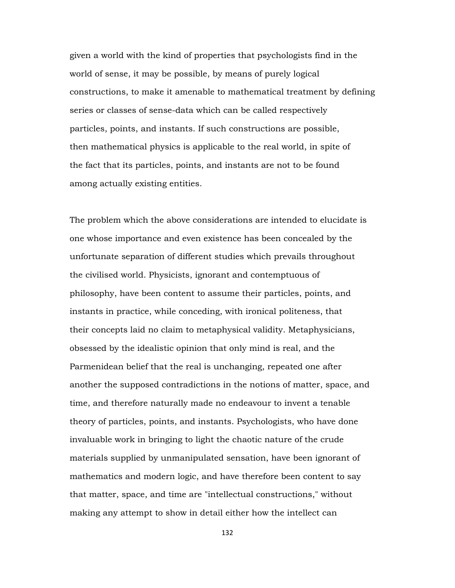given a world with the kind of properties that psychologists find in the world of sense, it may be possible, by means of purely logical constructions, to make it amenable to mathematical treatment by defining series or classes of sense-data which can be called respectively particles, points, and instants. If such constructions are possible, then mathematical physics is applicable to the real world, in spite of the fact that its particles, points, and instants are not to be found among actually existing entities.

The problem which the above considerations are intended to elucidate is one whose importance and even existence has been concealed by the unfortunate separation of different studies which prevails throughout the civilised world. Physicists, ignorant and contemptuous of philosophy, have been content to assume their particles, points, and instants in practice, while conceding, with ironical politeness, that their concepts laid no claim to metaphysical validity. Metaphysicians, obsessed by the idealistic opinion that only mind is real, and the Parmenidean belief that the real is unchanging, repeated one after another the supposed contradictions in the notions of matter, space, and time, and therefore naturally made no endeavour to invent a tenable theory of particles, points, and instants. Psychologists, who have done invaluable work in bringing to light the chaotic nature of the crude materials supplied by unmanipulated sensation, have been ignorant of mathematics and modern logic, and have therefore been content to say that matter, space, and time are "intellectual constructions," without making any attempt to show in detail either how the intellect can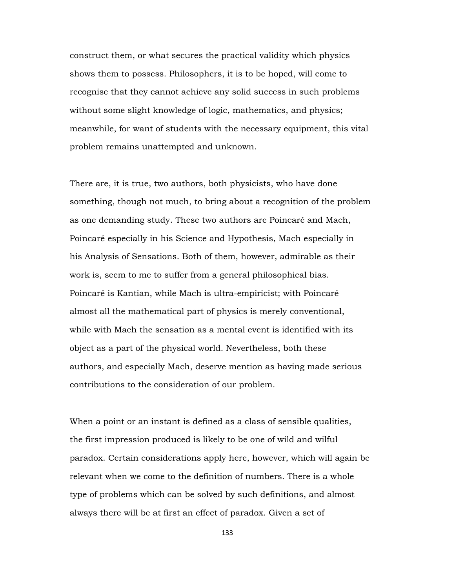construct them, or what secures the practical validity which physics shows them to possess. Philosophers, it is to be hoped, will come to recognise that they cannot achieve any solid success in such problems without some slight knowledge of logic, mathematics, and physics; meanwhile, for want of students with the necessary equipment, this vital problem remains unattempted and unknown.

There are, it is true, two authors, both physicists, who have done something, though not much, to bring about a recognition of the problem as one demanding study. These two authors are Poincaré and Mach, Poincaré especially in his Science and Hypothesis, Mach especially in his Analysis of Sensations. Both of them, however, admirable as their work is, seem to me to suffer from a general philosophical bias. Poincaré is Kantian, while Mach is ultra-empiricist; with Poincaré almost all the mathematical part of physics is merely conventional, while with Mach the sensation as a mental event is identified with its object as a part of the physical world. Nevertheless, both these authors, and especially Mach, deserve mention as having made serious contributions to the consideration of our problem.

When a point or an instant is defined as a class of sensible qualities, the first impression produced is likely to be one of wild and wilful paradox. Certain considerations apply here, however, which will again be relevant when we come to the definition of numbers. There is a whole type of problems which can be solved by such definitions, and almost always there will be at first an effect of paradox. Given a set of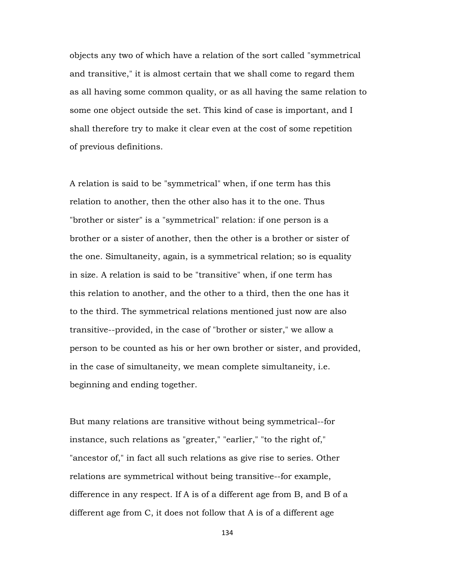objects any two of which have a relation of the sort called "symmetrical and transitive," it is almost certain that we shall come to regard them as all having some common quality, or as all having the same relation to some one object outside the set. This kind of case is important, and I shall therefore try to make it clear even at the cost of some repetition of previous definitions.

A relation is said to be "symmetrical" when, if one term has this relation to another, then the other also has it to the one. Thus "brother or sister" is a "symmetrical" relation: if one person is a brother or a sister of another, then the other is a brother or sister of the one. Simultaneity, again, is a symmetrical relation; so is equality in size. A relation is said to be "transitive" when, if one term has this relation to another, and the other to a third, then the one has it to the third. The symmetrical relations mentioned just now are also transitive--provided, in the case of "brother or sister," we allow a person to be counted as his or her own brother or sister, and provided, in the case of simultaneity, we mean complete simultaneity, i.e. beginning and ending together.

But many relations are transitive without being symmetrical--for instance, such relations as "greater," "earlier," "to the right of," "ancestor of," in fact all such relations as give rise to series. Other relations are symmetrical without being transitive--for example, difference in any respect. If A is of a different age from B, and B of a different age from C, it does not follow that A is of a different age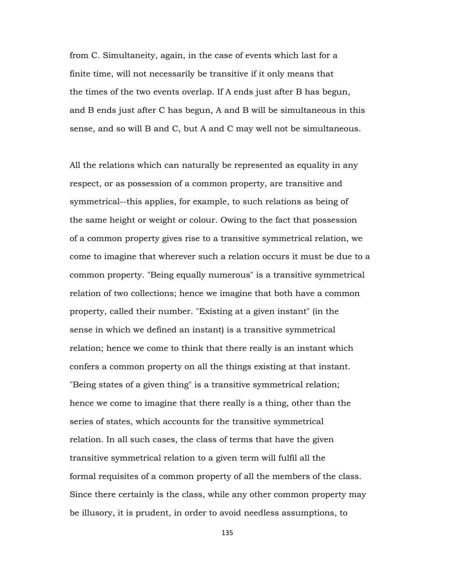from C. Simultaneity, again, in the case of events which last for a finite time, will not necessarily be transitive if it only means that the times of the two events overlap. If A ends just after B has begun, and B ends just after C has begun, A and B will be simultaneous in this sense, and so will B and C, but A and C may well not be simultaneous.

All the relations which can naturally be represented as equality in any respect, or as possession of a common property, are transitive and symmetrical--this applies, for example, to such relations as being of the same height or weight or colour. Owing to the fact that possession of a common property gives rise to a transitive symmetrical relation, we come to imagine that wherever such a relation occurs it must be due to a common property. "Being equally numerous" is a transitive symmetrical relation of two collections; hence we imagine that both have a common property, called their number. "Existing at a given instant" (in the sense in which we defined an instant) is a transitive symmetrical relation; hence we come to think that there really is an instant which confers a common property on all the things existing at that instant. "Being states of a given thing" is a transitive symmetrical relation; hence we come to imagine that there really is a thing, other than the series of states, which accounts for the transitive symmetrical relation. In all such cases, the class of terms that have the given transitive symmetrical relation to a given term will fulfil all the formal requisites of a common property of all the members of the class. Since there certainly is the class, while any other common property may be illusory, it is prudent, in order to avoid needless assumptions, to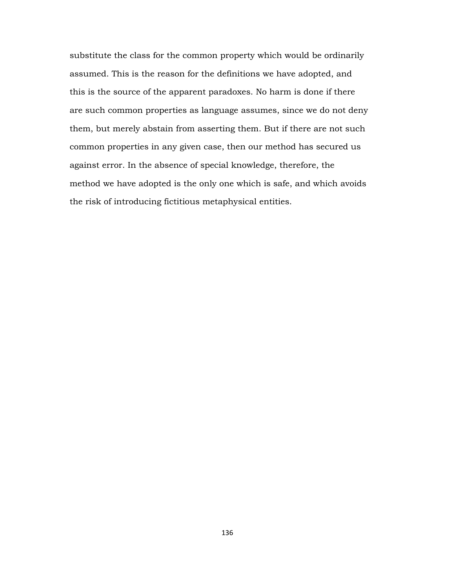substitute the class for the common property which would be ordinarily assumed. This is the reason for the definitions we have adopted, and this is the source of the apparent paradoxes. No harm is done if there are such common properties as language assumes, since we do not deny them, but merely abstain from asserting them. But if there are not such common properties in any given case, then our method has secured us against error. In the absence of special knowledge, therefore, the method we have adopted is the only one which is safe, and which avoids the risk of introducing fictitious metaphysical entities.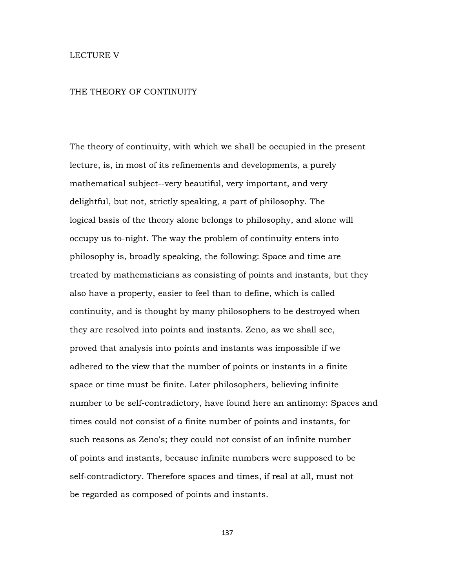## LECTURE V

## THE THEORY OF CONTINUITY

The theory of continuity, with which we shall be occupied in the present lecture, is, in most of its refinements and developments, a purely mathematical subject--very beautiful, very important, and very delightful, but not, strictly speaking, a part of philosophy. The logical basis of the theory alone belongs to philosophy, and alone will occupy us to-night. The way the problem of continuity enters into philosophy is, broadly speaking, the following: Space and time are treated by mathematicians as consisting of points and instants, but they also have a property, easier to feel than to define, which is called continuity, and is thought by many philosophers to be destroyed when they are resolved into points and instants. Zeno, as we shall see, proved that analysis into points and instants was impossible if we adhered to the view that the number of points or instants in a finite space or time must be finite. Later philosophers, believing infinite number to be self-contradictory, have found here an antinomy: Spaces and times could not consist of a finite number of points and instants, for such reasons as Zeno's; they could not consist of an infinite number of points and instants, because infinite numbers were supposed to be self-contradictory. Therefore spaces and times, if real at all, must not be regarded as composed of points and instants.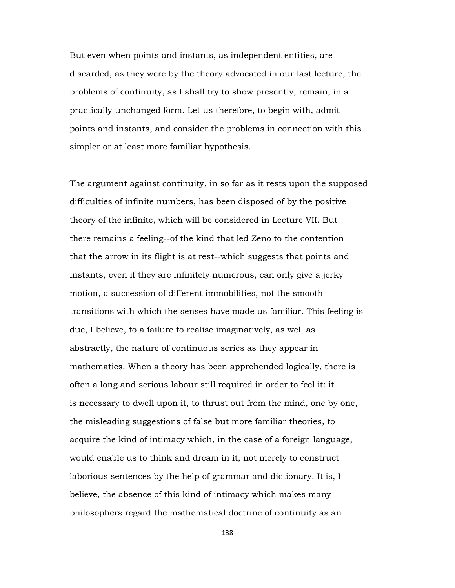But even when points and instants, as independent entities, are discarded, as they were by the theory advocated in our last lecture, the problems of continuity, as I shall try to show presently, remain, in a practically unchanged form. Let us therefore, to begin with, admit points and instants, and consider the problems in connection with this simpler or at least more familiar hypothesis.

The argument against continuity, in so far as it rests upon the supposed difficulties of infinite numbers, has been disposed of by the positive theory of the infinite, which will be considered in Lecture VII. But there remains a feeling--of the kind that led Zeno to the contention that the arrow in its flight is at rest--which suggests that points and instants, even if they are infinitely numerous, can only give a jerky motion, a succession of different immobilities, not the smooth transitions with which the senses have made us familiar. This feeling is due, I believe, to a failure to realise imaginatively, as well as abstractly, the nature of continuous series as they appear in mathematics. When a theory has been apprehended logically, there is often a long and serious labour still required in order to feel it: it is necessary to dwell upon it, to thrust out from the mind, one by one, the misleading suggestions of false but more familiar theories, to acquire the kind of intimacy which, in the case of a foreign language, would enable us to think and dream in it, not merely to construct laborious sentences by the help of grammar and dictionary. It is, I believe, the absence of this kind of intimacy which makes many philosophers regard the mathematical doctrine of continuity as an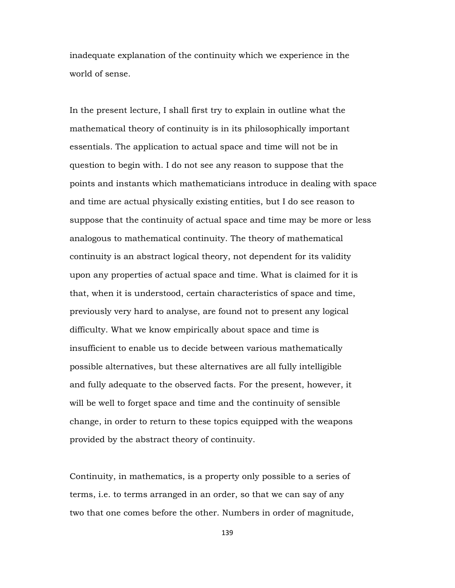inadequate explanation of the continuity which we experience in the world of sense.

In the present lecture, I shall first try to explain in outline what the mathematical theory of continuity is in its philosophically important essentials. The application to actual space and time will not be in question to begin with. I do not see any reason to suppose that the points and instants which mathematicians introduce in dealing with space and time are actual physically existing entities, but I do see reason to suppose that the continuity of actual space and time may be more or less analogous to mathematical continuity. The theory of mathematical continuity is an abstract logical theory, not dependent for its validity upon any properties of actual space and time. What is claimed for it is that, when it is understood, certain characteristics of space and time, previously very hard to analyse, are found not to present any logical difficulty. What we know empirically about space and time is insufficient to enable us to decide between various mathematically possible alternatives, but these alternatives are all fully intelligible and fully adequate to the observed facts. For the present, however, it will be well to forget space and time and the continuity of sensible change, in order to return to these topics equipped with the weapons provided by the abstract theory of continuity.

Continuity, in mathematics, is a property only possible to a series of terms, i.e. to terms arranged in an order, so that we can say of any two that one comes before the other. Numbers in order of magnitude,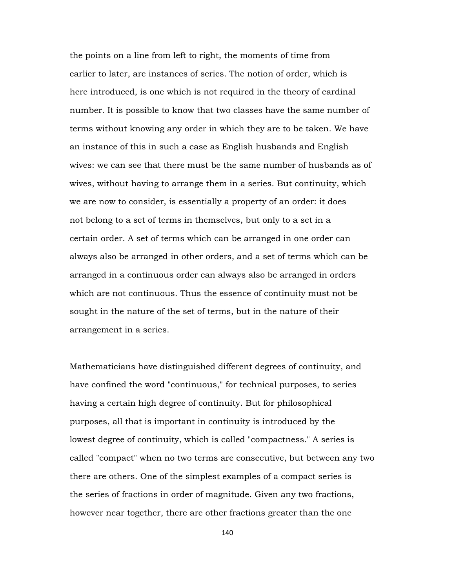the points on a line from left to right, the moments of time from earlier to later, are instances of series. The notion of order, which is here introduced, is one which is not required in the theory of cardinal number. It is possible to know that two classes have the same number of terms without knowing any order in which they are to be taken. We have an instance of this in such a case as English husbands and English wives: we can see that there must be the same number of husbands as of wives, without having to arrange them in a series. But continuity, which we are now to consider, is essentially a property of an order: it does not belong to a set of terms in themselves, but only to a set in a certain order. A set of terms which can be arranged in one order can always also be arranged in other orders, and a set of terms which can be arranged in a continuous order can always also be arranged in orders which are not continuous. Thus the essence of continuity must not be sought in the nature of the set of terms, but in the nature of their arrangement in a series.

Mathematicians have distinguished different degrees of continuity, and have confined the word "continuous," for technical purposes, to series having a certain high degree of continuity. But for philosophical purposes, all that is important in continuity is introduced by the lowest degree of continuity, which is called "compactness." A series is called "compact" when no two terms are consecutive, but between any two there are others. One of the simplest examples of a compact series is the series of fractions in order of magnitude. Given any two fractions, however near together, there are other fractions greater than the one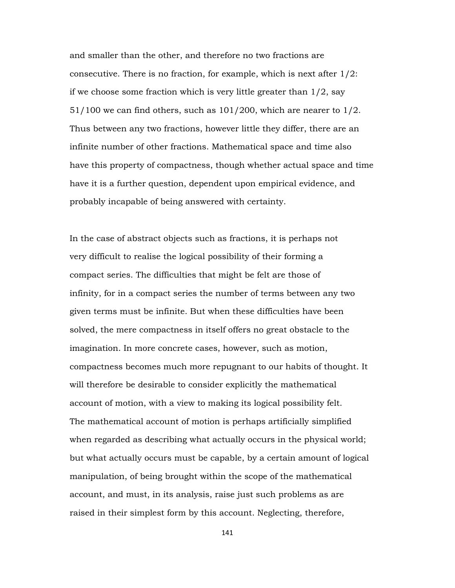and smaller than the other, and therefore no two fractions are consecutive. There is no fraction, for example, which is next after 1/2: if we choose some fraction which is very little greater than  $1/2$ , say  $51/100$  we can find others, such as  $101/200$ , which are nearer to  $1/2$ . Thus between any two fractions, however little they differ, there are an infinite number of other fractions. Mathematical space and time also have this property of compactness, though whether actual space and time have it is a further question, dependent upon empirical evidence, and probably incapable of being answered with certainty.

In the case of abstract objects such as fractions, it is perhaps not very difficult to realise the logical possibility of their forming a compact series. The difficulties that might be felt are those of infinity, for in a compact series the number of terms between any two given terms must be infinite. But when these difficulties have been solved, the mere compactness in itself offers no great obstacle to the imagination. In more concrete cases, however, such as motion, compactness becomes much more repugnant to our habits of thought. It will therefore be desirable to consider explicitly the mathematical account of motion, with a view to making its logical possibility felt. The mathematical account of motion is perhaps artificially simplified when regarded as describing what actually occurs in the physical world; but what actually occurs must be capable, by a certain amount of logical manipulation, of being brought within the scope of the mathematical account, and must, in its analysis, raise just such problems as are raised in their simplest form by this account. Neglecting, therefore,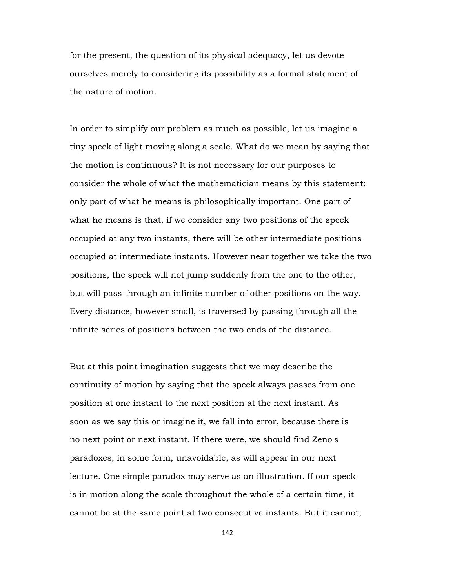for the present, the question of its physical adequacy, let us devote ourselves merely to considering its possibility as a formal statement of the nature of motion.

In order to simplify our problem as much as possible, let us imagine a tiny speck of light moving along a scale. What do we mean by saying that the motion is continuous? It is not necessary for our purposes to consider the whole of what the mathematician means by this statement: only part of what he means is philosophically important. One part of what he means is that, if we consider any two positions of the speck occupied at any two instants, there will be other intermediate positions occupied at intermediate instants. However near together we take the two positions, the speck will not jump suddenly from the one to the other, but will pass through an infinite number of other positions on the way. Every distance, however small, is traversed by passing through all the infinite series of positions between the two ends of the distance.

But at this point imagination suggests that we may describe the continuity of motion by saying that the speck always passes from one position at one instant to the next position at the next instant. As soon as we say this or imagine it, we fall into error, because there is no next point or next instant. If there were, we should find Zeno's paradoxes, in some form, unavoidable, as will appear in our next lecture. One simple paradox may serve as an illustration. If our speck is in motion along the scale throughout the whole of a certain time, it cannot be at the same point at two consecutive instants. But it cannot,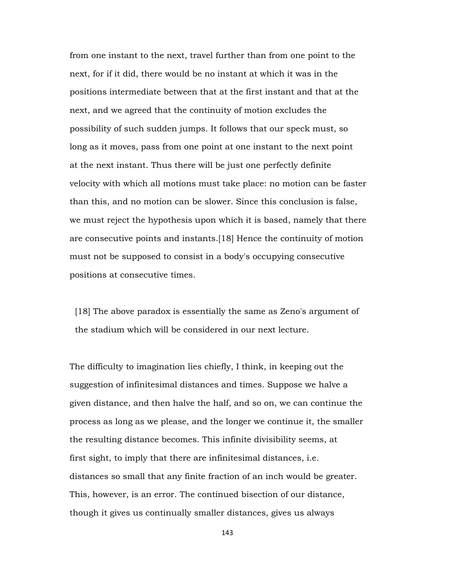from one instant to the next, travel further than from one point to the next, for if it did, there would be no instant at which it was in the positions intermediate between that at the first instant and that at the next, and we agreed that the continuity of motion excludes the possibility of such sudden jumps. It follows that our speck must, so long as it moves, pass from one point at one instant to the next point at the next instant. Thus there will be just one perfectly definite velocity with which all motions must take place: no motion can be faster than this, and no motion can be slower. Since this conclusion is false, we must reject the hypothesis upon which it is based, namely that there are consecutive points and instants.[18] Hence the continuity of motion must not be supposed to consist in a body's occupying consecutive positions at consecutive times.

 [18] The above paradox is essentially the same as Zeno's argument of the stadium which will be considered in our next lecture.

The difficulty to imagination lies chiefly, I think, in keeping out the suggestion of infinitesimal distances and times. Suppose we halve a given distance, and then halve the half, and so on, we can continue the process as long as we please, and the longer we continue it, the smaller the resulting distance becomes. This infinite divisibility seems, at first sight, to imply that there are infinitesimal distances, i.e. distances so small that any finite fraction of an inch would be greater. This, however, is an error. The continued bisection of our distance, though it gives us continually smaller distances, gives us always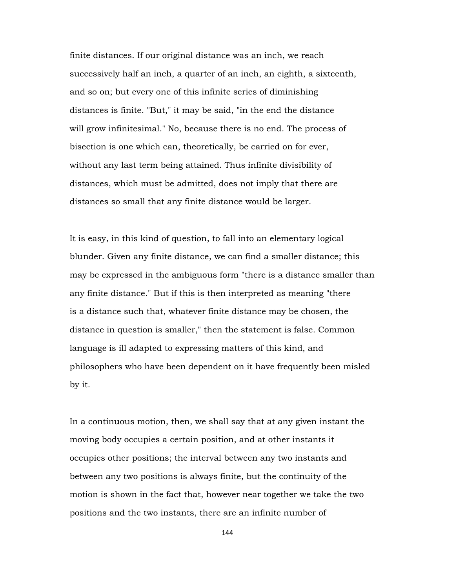finite distances. If our original distance was an inch, we reach successively half an inch, a quarter of an inch, an eighth, a sixteenth, and so on; but every one of this infinite series of diminishing distances is finite. "But," it may be said, "in the end the distance will grow infinitesimal." No, because there is no end. The process of bisection is one which can, theoretically, be carried on for ever, without any last term being attained. Thus infinite divisibility of distances, which must be admitted, does not imply that there are distances so small that any finite distance would be larger.

It is easy, in this kind of question, to fall into an elementary logical blunder. Given any finite distance, we can find a smaller distance; this may be expressed in the ambiguous form "there is a distance smaller than any finite distance." But if this is then interpreted as meaning "there is a distance such that, whatever finite distance may be chosen, the distance in question is smaller," then the statement is false. Common language is ill adapted to expressing matters of this kind, and philosophers who have been dependent on it have frequently been misled by it.

In a continuous motion, then, we shall say that at any given instant the moving body occupies a certain position, and at other instants it occupies other positions; the interval between any two instants and between any two positions is always finite, but the continuity of the motion is shown in the fact that, however near together we take the two positions and the two instants, there are an infinite number of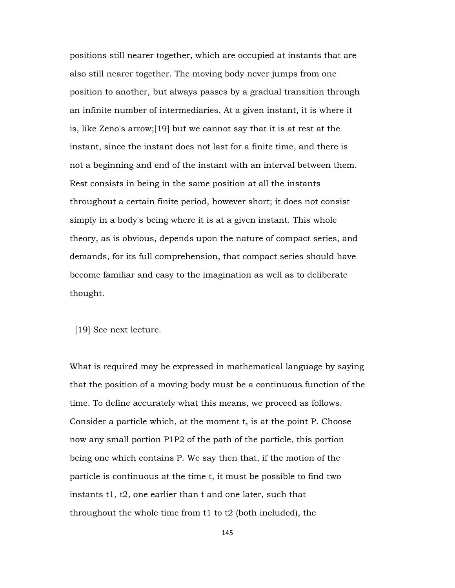positions still nearer together, which are occupied at instants that are also still nearer together. The moving body never jumps from one position to another, but always passes by a gradual transition through an infinite number of intermediaries. At a given instant, it is where it is, like Zeno's arrow;[19] but we cannot say that it is at rest at the instant, since the instant does not last for a finite time, and there is not a beginning and end of the instant with an interval between them. Rest consists in being in the same position at all the instants throughout a certain finite period, however short; it does not consist simply in a body's being where it is at a given instant. This whole theory, as is obvious, depends upon the nature of compact series, and demands, for its full comprehension, that compact series should have become familiar and easy to the imagination as well as to deliberate thought.

[19] See next lecture.

What is required may be expressed in mathematical language by saying that the position of a moving body must be a continuous function of the time. To define accurately what this means, we proceed as follows. Consider a particle which, at the moment t, is at the point P. Choose now any small portion P1P2 of the path of the particle, this portion being one which contains P. We say then that, if the motion of the particle is continuous at the time t, it must be possible to find two instants t1, t2, one earlier than t and one later, such that throughout the whole time from t1 to t2 (both included), the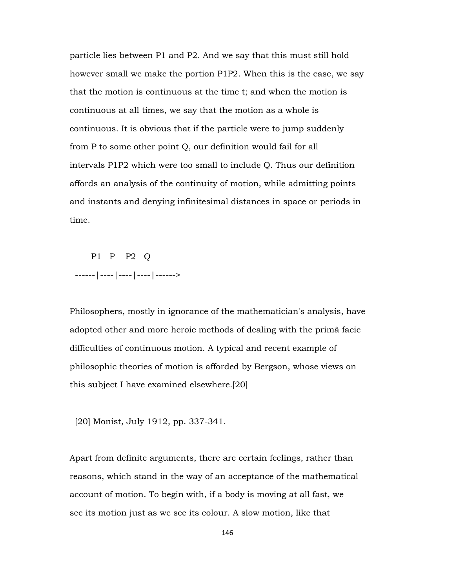particle lies between P1 and P2. And we say that this must still hold however small we make the portion P1P2. When this is the case, we say that the motion is continuous at the time t; and when the motion is continuous at all times, we say that the motion as a whole is continuous. It is obvious that if the particle were to jump suddenly from P to some other point Q, our definition would fail for all intervals P1P2 which were too small to include Q. Thus our definition affords an analysis of the continuity of motion, while admitting points and instants and denying infinitesimal distances in space or periods in time.

 P1 P P2 Q ------|----|----|----|------>

Philosophers, mostly in ignorance of the mathematician's analysis, have adopted other and more heroic methods of dealing with the primâ facie difficulties of continuous motion. A typical and recent example of philosophic theories of motion is afforded by Bergson, whose views on this subject I have examined elsewhere.[20]

[20] Monist, July 1912, pp. 337-341.

Apart from definite arguments, there are certain feelings, rather than reasons, which stand in the way of an acceptance of the mathematical account of motion. To begin with, if a body is moving at all fast, we see its motion just as we see its colour. A slow motion, like that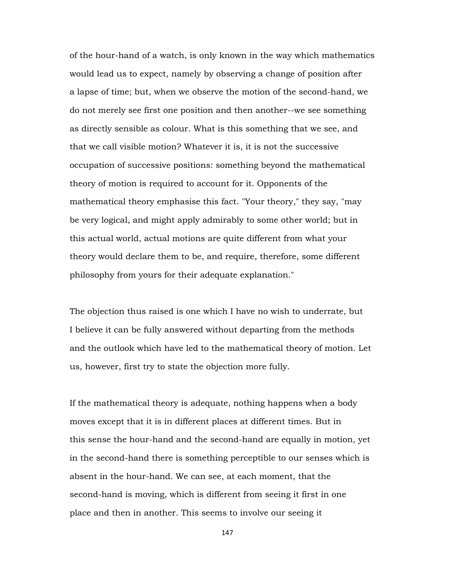of the hour-hand of a watch, is only known in the way which mathematics would lead us to expect, namely by observing a change of position after a lapse of time; but, when we observe the motion of the second-hand, we do not merely see first one position and then another--we see something as directly sensible as colour. What is this something that we see, and that we call visible motion? Whatever it is, it is not the successive occupation of successive positions: something beyond the mathematical theory of motion is required to account for it. Opponents of the mathematical theory emphasise this fact. "Your theory," they say, "may be very logical, and might apply admirably to some other world; but in this actual world, actual motions are quite different from what your theory would declare them to be, and require, therefore, some different philosophy from yours for their adequate explanation."

The objection thus raised is one which I have no wish to underrate, but I believe it can be fully answered without departing from the methods and the outlook which have led to the mathematical theory of motion. Let us, however, first try to state the objection more fully.

If the mathematical theory is adequate, nothing happens when a body moves except that it is in different places at different times. But in this sense the hour-hand and the second-hand are equally in motion, yet in the second-hand there is something perceptible to our senses which is absent in the hour-hand. We can see, at each moment, that the second-hand is moving, which is different from seeing it first in one place and then in another. This seems to involve our seeing it

147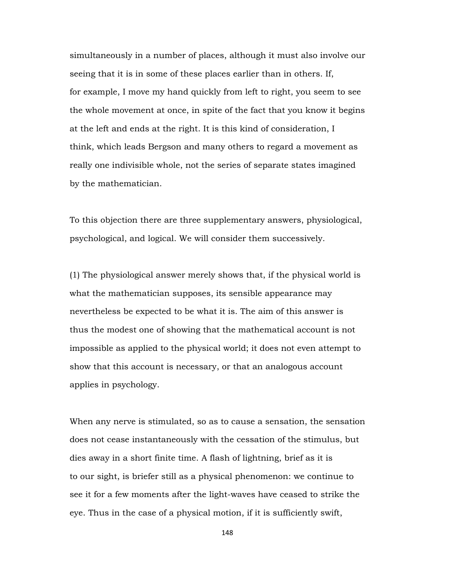simultaneously in a number of places, although it must also involve our seeing that it is in some of these places earlier than in others. If, for example, I move my hand quickly from left to right, you seem to see the whole movement at once, in spite of the fact that you know it begins at the left and ends at the right. It is this kind of consideration, I think, which leads Bergson and many others to regard a movement as really one indivisible whole, not the series of separate states imagined by the mathematician.

To this objection there are three supplementary answers, physiological, psychological, and logical. We will consider them successively.

(1) The physiological answer merely shows that, if the physical world is what the mathematician supposes, its sensible appearance may nevertheless be expected to be what it is. The aim of this answer is thus the modest one of showing that the mathematical account is not impossible as applied to the physical world; it does not even attempt to show that this account is necessary, or that an analogous account applies in psychology.

When any nerve is stimulated, so as to cause a sensation, the sensation does not cease instantaneously with the cessation of the stimulus, but dies away in a short finite time. A flash of lightning, brief as it is to our sight, is briefer still as a physical phenomenon: we continue to see it for a few moments after the light-waves have ceased to strike the eye. Thus in the case of a physical motion, if it is sufficiently swift,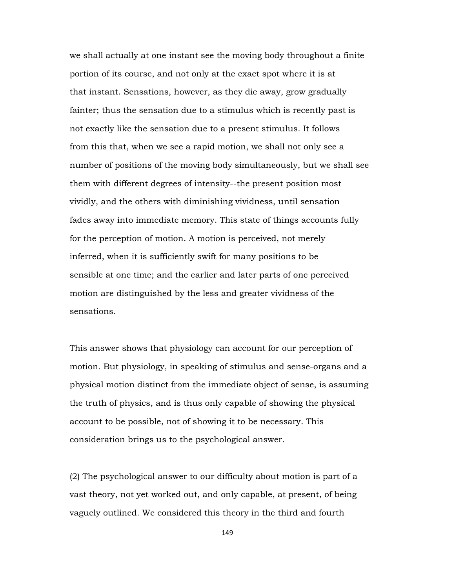we shall actually at one instant see the moving body throughout a finite portion of its course, and not only at the exact spot where it is at that instant. Sensations, however, as they die away, grow gradually fainter; thus the sensation due to a stimulus which is recently past is not exactly like the sensation due to a present stimulus. It follows from this that, when we see a rapid motion, we shall not only see a number of positions of the moving body simultaneously, but we shall see them with different degrees of intensity--the present position most vividly, and the others with diminishing vividness, until sensation fades away into immediate memory. This state of things accounts fully for the perception of motion. A motion is perceived, not merely inferred, when it is sufficiently swift for many positions to be sensible at one time; and the earlier and later parts of one perceived motion are distinguished by the less and greater vividness of the sensations.

This answer shows that physiology can account for our perception of motion. But physiology, in speaking of stimulus and sense-organs and a physical motion distinct from the immediate object of sense, is assuming the truth of physics, and is thus only capable of showing the physical account to be possible, not of showing it to be necessary. This consideration brings us to the psychological answer.

(2) The psychological answer to our difficulty about motion is part of a vast theory, not yet worked out, and only capable, at present, of being vaguely outlined. We considered this theory in the third and fourth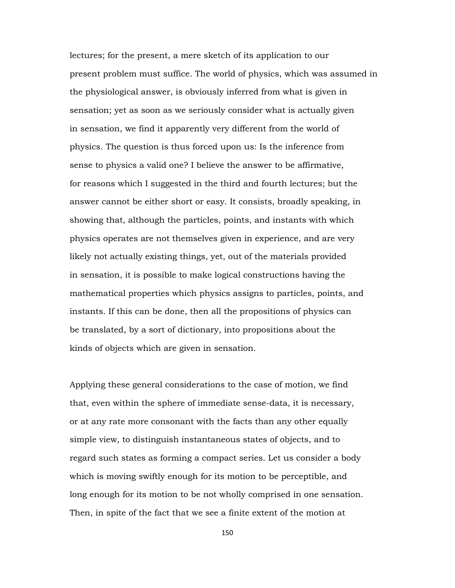lectures; for the present, a mere sketch of its application to our present problem must suffice. The world of physics, which was assumed in the physiological answer, is obviously inferred from what is given in sensation; yet as soon as we seriously consider what is actually given in sensation, we find it apparently very different from the world of physics. The question is thus forced upon us: Is the inference from sense to physics a valid one? I believe the answer to be affirmative, for reasons which I suggested in the third and fourth lectures; but the answer cannot be either short or easy. It consists, broadly speaking, in showing that, although the particles, points, and instants with which physics operates are not themselves given in experience, and are very likely not actually existing things, yet, out of the materials provided in sensation, it is possible to make logical constructions having the mathematical properties which physics assigns to particles, points, and instants. If this can be done, then all the propositions of physics can be translated, by a sort of dictionary, into propositions about the kinds of objects which are given in sensation.

Applying these general considerations to the case of motion, we find that, even within the sphere of immediate sense-data, it is necessary, or at any rate more consonant with the facts than any other equally simple view, to distinguish instantaneous states of objects, and to regard such states as forming a compact series. Let us consider a body which is moving swiftly enough for its motion to be perceptible, and long enough for its motion to be not wholly comprised in one sensation. Then, in spite of the fact that we see a finite extent of the motion at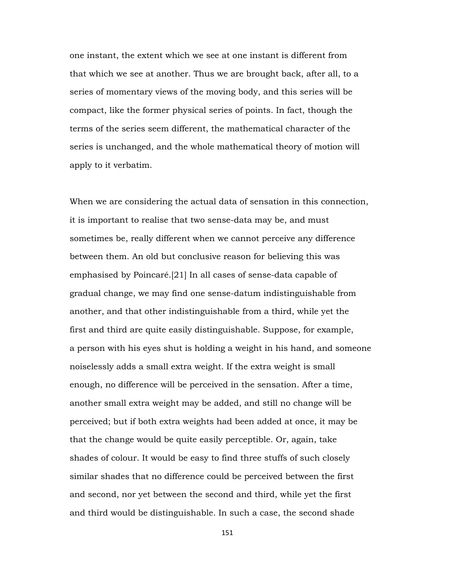one instant, the extent which we see at one instant is different from that which we see at another. Thus we are brought back, after all, to a series of momentary views of the moving body, and this series will be compact, like the former physical series of points. In fact, though the terms of the series seem different, the mathematical character of the series is unchanged, and the whole mathematical theory of motion will apply to it verbatim.

When we are considering the actual data of sensation in this connection, it is important to realise that two sense-data may be, and must sometimes be, really different when we cannot perceive any difference between them. An old but conclusive reason for believing this was emphasised by Poincaré.[21] In all cases of sense-data capable of gradual change, we may find one sense-datum indistinguishable from another, and that other indistinguishable from a third, while yet the first and third are quite easily distinguishable. Suppose, for example, a person with his eyes shut is holding a weight in his hand, and someone noiselessly adds a small extra weight. If the extra weight is small enough, no difference will be perceived in the sensation. After a time, another small extra weight may be added, and still no change will be perceived; but if both extra weights had been added at once, it may be that the change would be quite easily perceptible. Or, again, take shades of colour. It would be easy to find three stuffs of such closely similar shades that no difference could be perceived between the first and second, nor yet between the second and third, while yet the first and third would be distinguishable. In such a case, the second shade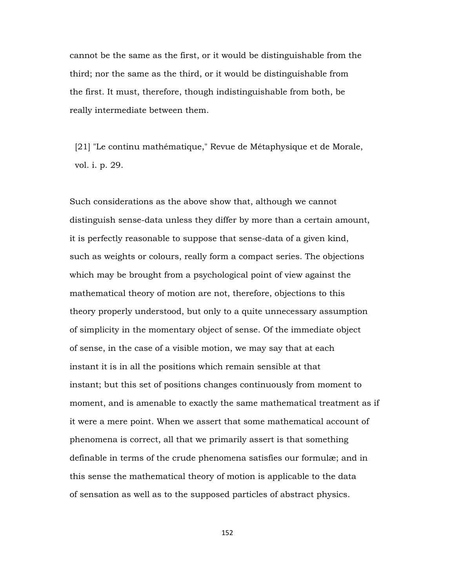cannot be the same as the first, or it would be distinguishable from the third; nor the same as the third, or it would be distinguishable from the first. It must, therefore, though indistinguishable from both, be really intermediate between them.

 [21] "Le continu mathématique," Revue de Métaphysique et de Morale, vol. i. p. 29.

Such considerations as the above show that, although we cannot distinguish sense-data unless they differ by more than a certain amount, it is perfectly reasonable to suppose that sense-data of a given kind, such as weights or colours, really form a compact series. The objections which may be brought from a psychological point of view against the mathematical theory of motion are not, therefore, objections to this theory properly understood, but only to a quite unnecessary assumption of simplicity in the momentary object of sense. Of the immediate object of sense, in the case of a visible motion, we may say that at each instant it is in all the positions which remain sensible at that instant; but this set of positions changes continuously from moment to moment, and is amenable to exactly the same mathematical treatment as if it were a mere point. When we assert that some mathematical account of phenomena is correct, all that we primarily assert is that something definable in terms of the crude phenomena satisfies our formulæ; and in this sense the mathematical theory of motion is applicable to the data of sensation as well as to the supposed particles of abstract physics.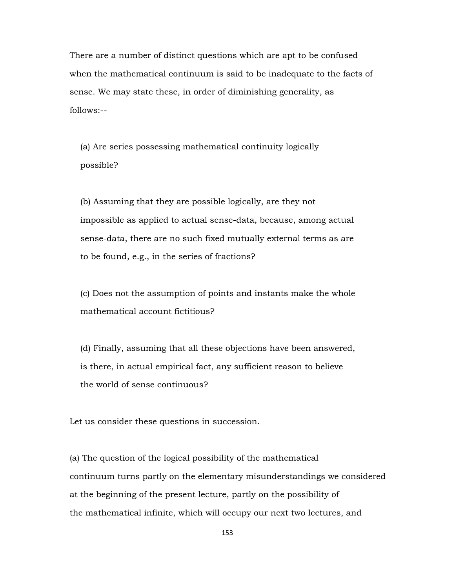There are a number of distinct questions which are apt to be confused when the mathematical continuum is said to be inadequate to the facts of sense. We may state these, in order of diminishing generality, as follows:--

 (a) Are series possessing mathematical continuity logically possible?

 (b) Assuming that they are possible logically, are they not impossible as applied to actual sense-data, because, among actual sense-data, there are no such fixed mutually external terms as are to be found, e.g., in the series of fractions?

 (c) Does not the assumption of points and instants make the whole mathematical account fictitious?

 (d) Finally, assuming that all these objections have been answered, is there, in actual empirical fact, any sufficient reason to believe the world of sense continuous?

Let us consider these questions in succession.

(a) The question of the logical possibility of the mathematical continuum turns partly on the elementary misunderstandings we considered at the beginning of the present lecture, partly on the possibility of the mathematical infinite, which will occupy our next two lectures, and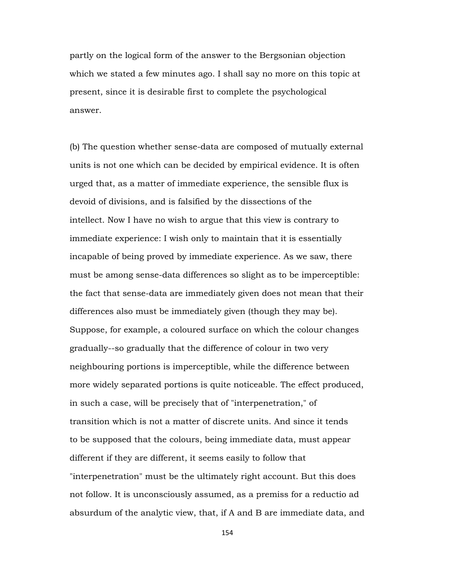partly on the logical form of the answer to the Bergsonian objection which we stated a few minutes ago. I shall say no more on this topic at present, since it is desirable first to complete the psychological answer.

(b) The question whether sense-data are composed of mutually external units is not one which can be decided by empirical evidence. It is often urged that, as a matter of immediate experience, the sensible flux is devoid of divisions, and is falsified by the dissections of the intellect. Now I have no wish to argue that this view is contrary to immediate experience: I wish only to maintain that it is essentially incapable of being proved by immediate experience. As we saw, there must be among sense-data differences so slight as to be imperceptible: the fact that sense-data are immediately given does not mean that their differences also must be immediately given (though they may be). Suppose, for example, a coloured surface on which the colour changes gradually--so gradually that the difference of colour in two very neighbouring portions is imperceptible, while the difference between more widely separated portions is quite noticeable. The effect produced, in such a case, will be precisely that of "interpenetration," of transition which is not a matter of discrete units. And since it tends to be supposed that the colours, being immediate data, must appear different if they are different, it seems easily to follow that "interpenetration" must be the ultimately right account. But this does not follow. It is unconsciously assumed, as a premiss for a reductio ad absurdum of the analytic view, that, if A and B are immediate data, and

154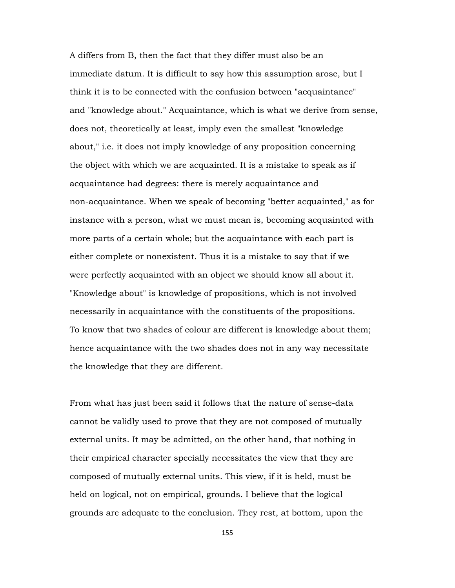A differs from B, then the fact that they differ must also be an immediate datum. It is difficult to say how this assumption arose, but I think it is to be connected with the confusion between "acquaintance" and "knowledge about." Acquaintance, which is what we derive from sense, does not, theoretically at least, imply even the smallest "knowledge about," i.e. it does not imply knowledge of any proposition concerning the object with which we are acquainted. It is a mistake to speak as if acquaintance had degrees: there is merely acquaintance and non-acquaintance. When we speak of becoming "better acquainted," as for instance with a person, what we must mean is, becoming acquainted with more parts of a certain whole; but the acquaintance with each part is either complete or nonexistent. Thus it is a mistake to say that if we were perfectly acquainted with an object we should know all about it. "Knowledge about" is knowledge of propositions, which is not involved necessarily in acquaintance with the constituents of the propositions. To know that two shades of colour are different is knowledge about them; hence acquaintance with the two shades does not in any way necessitate the knowledge that they are different.

From what has just been said it follows that the nature of sense-data cannot be validly used to prove that they are not composed of mutually external units. It may be admitted, on the other hand, that nothing in their empirical character specially necessitates the view that they are composed of mutually external units. This view, if it is held, must be held on logical, not on empirical, grounds. I believe that the logical grounds are adequate to the conclusion. They rest, at bottom, upon the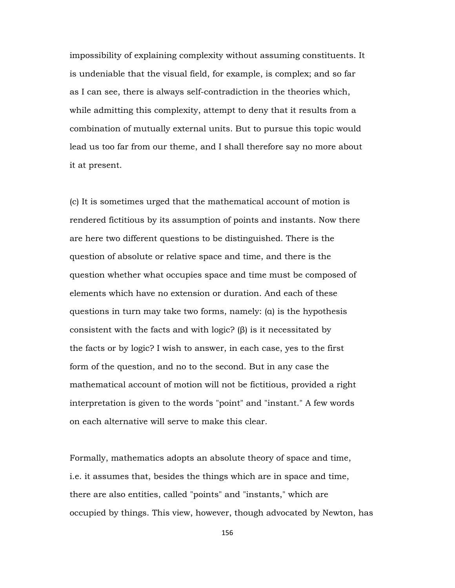impossibility of explaining complexity without assuming constituents. It is undeniable that the visual field, for example, is complex; and so far as I can see, there is always self-contradiction in the theories which, while admitting this complexity, attempt to deny that it results from a combination of mutually external units. But to pursue this topic would lead us too far from our theme, and I shall therefore say no more about it at present.

(c) It is sometimes urged that the mathematical account of motion is rendered fictitious by its assumption of points and instants. Now there are here two different questions to be distinguished. There is the question of absolute or relative space and time, and there is the question whether what occupies space and time must be composed of elements which have no extension or duration. And each of these questions in turn may take two forms, namely: (α) is the hypothesis consistent with the facts and with logic? (β) is it necessitated by the facts or by logic? I wish to answer, in each case, yes to the first form of the question, and no to the second. But in any case the mathematical account of motion will not be fictitious, provided a right interpretation is given to the words "point" and "instant." A few words on each alternative will serve to make this clear.

Formally, mathematics adopts an absolute theory of space and time, i.e. it assumes that, besides the things which are in space and time, there are also entities, called "points" and "instants," which are occupied by things. This view, however, though advocated by Newton, has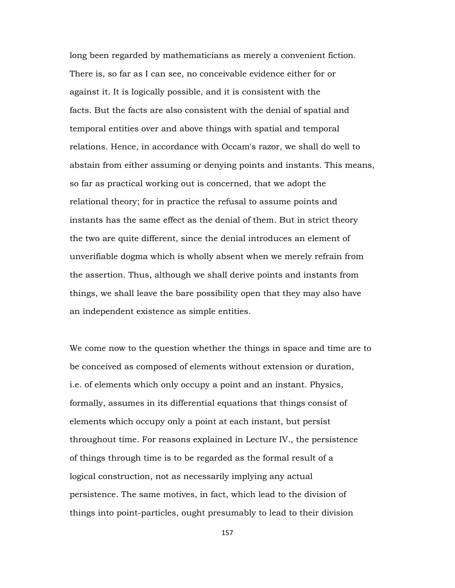long been regarded by mathematicians as merely a convenient fiction. There is, so far as I can see, no conceivable evidence either for or against it. It is logically possible, and it is consistent with the facts. But the facts are also consistent with the denial of spatial and temporal entities over and above things with spatial and temporal relations. Hence, in accordance with Occam's razor, we shall do well to abstain from either assuming or denying points and instants. This means, so far as practical working out is concerned, that we adopt the relational theory; for in practice the refusal to assume points and instants has the same effect as the denial of them. But in strict theory the two are quite different, since the denial introduces an element of unverifiable dogma which is wholly absent when we merely refrain from the assertion. Thus, although we shall derive points and instants from things, we shall leave the bare possibility open that they may also have an independent existence as simple entities.

We come now to the question whether the things in space and time are to be conceived as composed of elements without extension or duration, i.e. of elements which only occupy a point and an instant. Physics, formally, assumes in its differential equations that things consist of elements which occupy only a point at each instant, but persist throughout time. For reasons explained in Lecture IV., the persistence of things through time is to be regarded as the formal result of a logical construction, not as necessarily implying any actual persistence. The same motives, in fact, which lead to the division of things into point-particles, ought presumably to lead to their division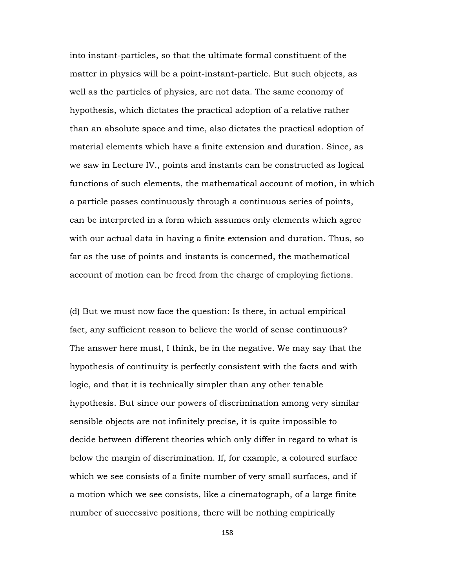into instant-particles, so that the ultimate formal constituent of the matter in physics will be a point-instant-particle. But such objects, as well as the particles of physics, are not data. The same economy of hypothesis, which dictates the practical adoption of a relative rather than an absolute space and time, also dictates the practical adoption of material elements which have a finite extension and duration. Since, as we saw in Lecture IV., points and instants can be constructed as logical functions of such elements, the mathematical account of motion, in which a particle passes continuously through a continuous series of points, can be interpreted in a form which assumes only elements which agree with our actual data in having a finite extension and duration. Thus, so far as the use of points and instants is concerned, the mathematical account of motion can be freed from the charge of employing fictions.

(d) But we must now face the question: Is there, in actual empirical fact, any sufficient reason to believe the world of sense continuous? The answer here must, I think, be in the negative. We may say that the hypothesis of continuity is perfectly consistent with the facts and with logic, and that it is technically simpler than any other tenable hypothesis. But since our powers of discrimination among very similar sensible objects are not infinitely precise, it is quite impossible to decide between different theories which only differ in regard to what is below the margin of discrimination. If, for example, a coloured surface which we see consists of a finite number of very small surfaces, and if a motion which we see consists, like a cinematograph, of a large finite number of successive positions, there will be nothing empirically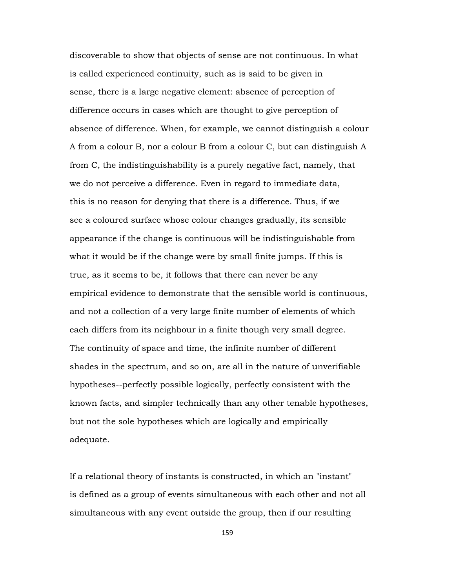discoverable to show that objects of sense are not continuous. In what is called experienced continuity, such as is said to be given in sense, there is a large negative element: absence of perception of difference occurs in cases which are thought to give perception of absence of difference. When, for example, we cannot distinguish a colour A from a colour B, nor a colour B from a colour C, but can distinguish A from C, the indistinguishability is a purely negative fact, namely, that we do not perceive a difference. Even in regard to immediate data, this is no reason for denying that there is a difference. Thus, if we see a coloured surface whose colour changes gradually, its sensible appearance if the change is continuous will be indistinguishable from what it would be if the change were by small finite jumps. If this is true, as it seems to be, it follows that there can never be any empirical evidence to demonstrate that the sensible world is continuous, and not a collection of a very large finite number of elements of which each differs from its neighbour in a finite though very small degree. The continuity of space and time, the infinite number of different shades in the spectrum, and so on, are all in the nature of unverifiable hypotheses--perfectly possible logically, perfectly consistent with the known facts, and simpler technically than any other tenable hypotheses, but not the sole hypotheses which are logically and empirically adequate.

If a relational theory of instants is constructed, in which an "instant" is defined as a group of events simultaneous with each other and not all simultaneous with any event outside the group, then if our resulting

159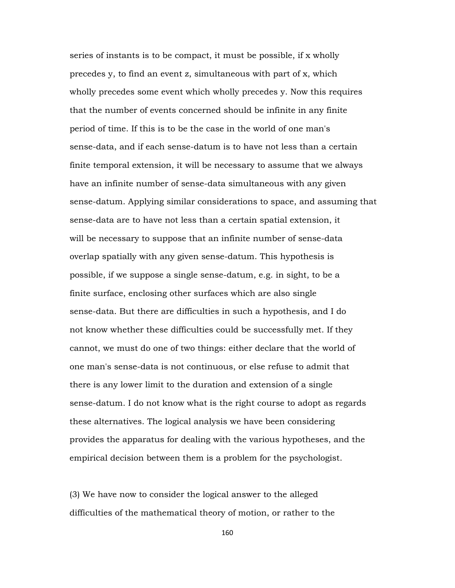series of instants is to be compact, it must be possible, if x wholly precedes y, to find an event z, simultaneous with part of x, which wholly precedes some event which wholly precedes y. Now this requires that the number of events concerned should be infinite in any finite period of time. If this is to be the case in the world of one man's sense-data, and if each sense-datum is to have not less than a certain finite temporal extension, it will be necessary to assume that we always have an infinite number of sense-data simultaneous with any given sense-datum. Applying similar considerations to space, and assuming that sense-data are to have not less than a certain spatial extension, it will be necessary to suppose that an infinite number of sense-data overlap spatially with any given sense-datum. This hypothesis is possible, if we suppose a single sense-datum, e.g. in sight, to be a finite surface, enclosing other surfaces which are also single sense-data. But there are difficulties in such a hypothesis, and I do not know whether these difficulties could be successfully met. If they cannot, we must do one of two things: either declare that the world of one man's sense-data is not continuous, or else refuse to admit that there is any lower limit to the duration and extension of a single sense-datum. I do not know what is the right course to adopt as regards these alternatives. The logical analysis we have been considering provides the apparatus for dealing with the various hypotheses, and the empirical decision between them is a problem for the psychologist.

(3) We have now to consider the logical answer to the alleged difficulties of the mathematical theory of motion, or rather to the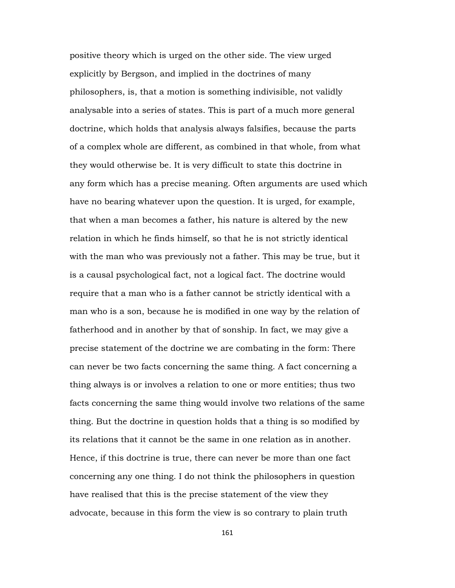positive theory which is urged on the other side. The view urged explicitly by Bergson, and implied in the doctrines of many philosophers, is, that a motion is something indivisible, not validly analysable into a series of states. This is part of a much more general doctrine, which holds that analysis always falsifies, because the parts of a complex whole are different, as combined in that whole, from what they would otherwise be. It is very difficult to state this doctrine in any form which has a precise meaning. Often arguments are used which have no bearing whatever upon the question. It is urged, for example, that when a man becomes a father, his nature is altered by the new relation in which he finds himself, so that he is not strictly identical with the man who was previously not a father. This may be true, but it is a causal psychological fact, not a logical fact. The doctrine would require that a man who is a father cannot be strictly identical with a man who is a son, because he is modified in one way by the relation of fatherhood and in another by that of sonship. In fact, we may give a precise statement of the doctrine we are combating in the form: There can never be two facts concerning the same thing. A fact concerning a thing always is or involves a relation to one or more entities; thus two facts concerning the same thing would involve two relations of the same thing. But the doctrine in question holds that a thing is so modified by its relations that it cannot be the same in one relation as in another. Hence, if this doctrine is true, there can never be more than one fact concerning any one thing. I do not think the philosophers in question have realised that this is the precise statement of the view they advocate, because in this form the view is so contrary to plain truth

161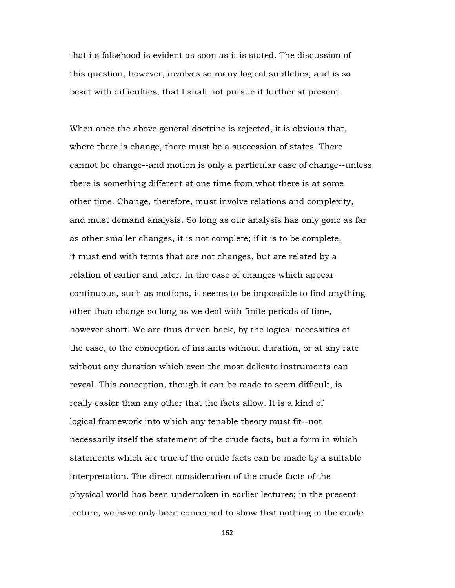that its falsehood is evident as soon as it is stated. The discussion of this question, however, involves so many logical subtleties, and is so beset with difficulties, that I shall not pursue it further at present.

When once the above general doctrine is rejected, it is obvious that, where there is change, there must be a succession of states. There cannot be change--and motion is only a particular case of change--unless there is something different at one time from what there is at some other time. Change, therefore, must involve relations and complexity, and must demand analysis. So long as our analysis has only gone as far as other smaller changes, it is not complete; if it is to be complete, it must end with terms that are not changes, but are related by a relation of earlier and later. In the case of changes which appear continuous, such as motions, it seems to be impossible to find anything other than change so long as we deal with finite periods of time, however short. We are thus driven back, by the logical necessities of the case, to the conception of instants without duration, or at any rate without any duration which even the most delicate instruments can reveal. This conception, though it can be made to seem difficult, is really easier than any other that the facts allow. It is a kind of logical framework into which any tenable theory must fit--not necessarily itself the statement of the crude facts, but a form in which statements which are true of the crude facts can be made by a suitable interpretation. The direct consideration of the crude facts of the physical world has been undertaken in earlier lectures; in the present lecture, we have only been concerned to show that nothing in the crude

162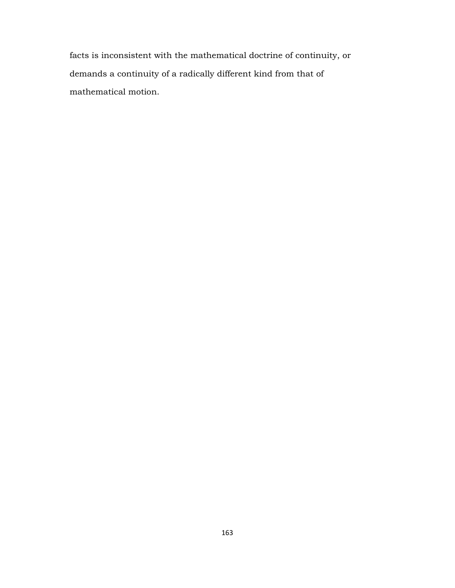facts is inconsistent with the mathematical doctrine of continuity, or demands a continuity of a radically different kind from that of mathematical motion.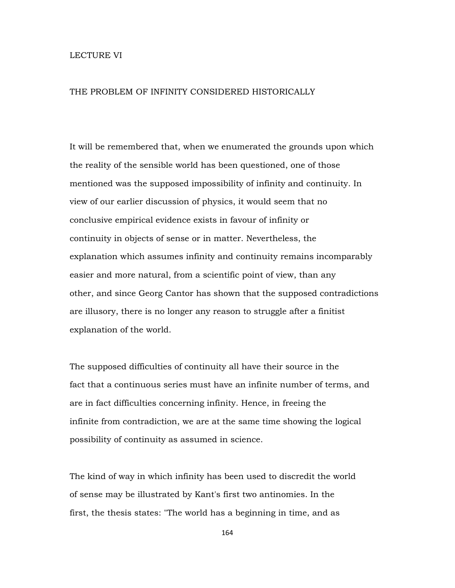## LECTURE VI

## THE PROBLEM OF INFINITY CONSIDERED HISTORICALLY

It will be remembered that, when we enumerated the grounds upon which the reality of the sensible world has been questioned, one of those mentioned was the supposed impossibility of infinity and continuity. In view of our earlier discussion of physics, it would seem that no conclusive empirical evidence exists in favour of infinity or continuity in objects of sense or in matter. Nevertheless, the explanation which assumes infinity and continuity remains incomparably easier and more natural, from a scientific point of view, than any other, and since Georg Cantor has shown that the supposed contradictions are illusory, there is no longer any reason to struggle after a finitist explanation of the world.

The supposed difficulties of continuity all have their source in the fact that a continuous series must have an infinite number of terms, and are in fact difficulties concerning infinity. Hence, in freeing the infinite from contradiction, we are at the same time showing the logical possibility of continuity as assumed in science.

The kind of way in which infinity has been used to discredit the world of sense may be illustrated by Kant's first two antinomies. In the first, the thesis states: "The world has a beginning in time, and as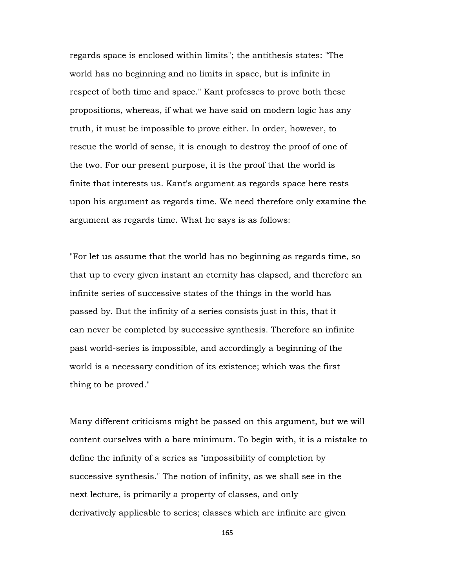regards space is enclosed within limits"; the antithesis states: "The world has no beginning and no limits in space, but is infinite in respect of both time and space." Kant professes to prove both these propositions, whereas, if what we have said on modern logic has any truth, it must be impossible to prove either. In order, however, to rescue the world of sense, it is enough to destroy the proof of one of the two. For our present purpose, it is the proof that the world is finite that interests us. Kant's argument as regards space here rests upon his argument as regards time. We need therefore only examine the argument as regards time. What he says is as follows:

"For let us assume that the world has no beginning as regards time, so that up to every given instant an eternity has elapsed, and therefore an infinite series of successive states of the things in the world has passed by. But the infinity of a series consists just in this, that it can never be completed by successive synthesis. Therefore an infinite past world-series is impossible, and accordingly a beginning of the world is a necessary condition of its existence; which was the first thing to be proved."

Many different criticisms might be passed on this argument, but we will content ourselves with a bare minimum. To begin with, it is a mistake to define the infinity of a series as "impossibility of completion by successive synthesis." The notion of infinity, as we shall see in the next lecture, is primarily a property of classes, and only derivatively applicable to series; classes which are infinite are given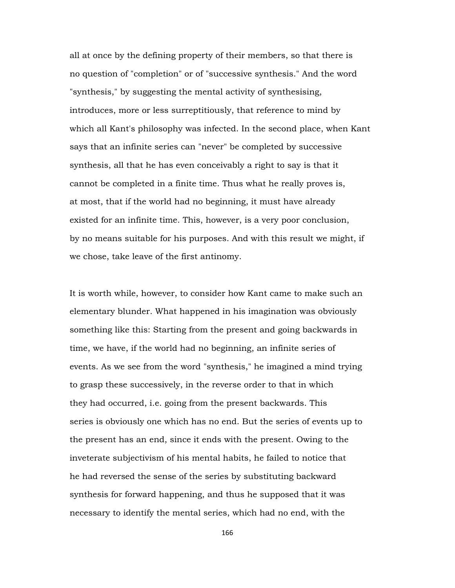all at once by the defining property of their members, so that there is no question of "completion" or of "successive synthesis." And the word "synthesis," by suggesting the mental activity of synthesising, introduces, more or less surreptitiously, that reference to mind by which all Kant's philosophy was infected. In the second place, when Kant says that an infinite series can "never" be completed by successive synthesis, all that he has even conceivably a right to say is that it cannot be completed in a finite time. Thus what he really proves is, at most, that if the world had no beginning, it must have already existed for an infinite time. This, however, is a very poor conclusion, by no means suitable for his purposes. And with this result we might, if we chose, take leave of the first antinomy.

It is worth while, however, to consider how Kant came to make such an elementary blunder. What happened in his imagination was obviously something like this: Starting from the present and going backwards in time, we have, if the world had no beginning, an infinite series of events. As we see from the word "synthesis," he imagined a mind trying to grasp these successively, in the reverse order to that in which they had occurred, i.e. going from the present backwards. This series is obviously one which has no end. But the series of events up to the present has an end, since it ends with the present. Owing to the inveterate subjectivism of his mental habits, he failed to notice that he had reversed the sense of the series by substituting backward synthesis for forward happening, and thus he supposed that it was necessary to identify the mental series, which had no end, with the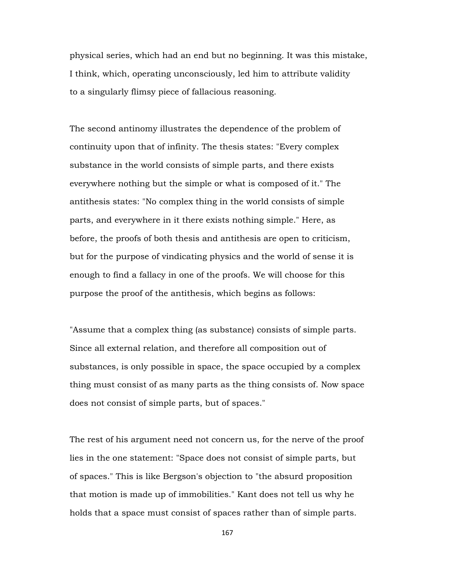physical series, which had an end but no beginning. It was this mistake, I think, which, operating unconsciously, led him to attribute validity to a singularly flimsy piece of fallacious reasoning.

The second antinomy illustrates the dependence of the problem of continuity upon that of infinity. The thesis states: "Every complex substance in the world consists of simple parts, and there exists everywhere nothing but the simple or what is composed of it." The antithesis states: "No complex thing in the world consists of simple parts, and everywhere in it there exists nothing simple." Here, as before, the proofs of both thesis and antithesis are open to criticism, but for the purpose of vindicating physics and the world of sense it is enough to find a fallacy in one of the proofs. We will choose for this purpose the proof of the antithesis, which begins as follows:

"Assume that a complex thing (as substance) consists of simple parts. Since all external relation, and therefore all composition out of substances, is only possible in space, the space occupied by a complex thing must consist of as many parts as the thing consists of. Now space does not consist of simple parts, but of spaces."

The rest of his argument need not concern us, for the nerve of the proof lies in the one statement: "Space does not consist of simple parts, but of spaces." This is like Bergson's objection to "the absurd proposition that motion is made up of immobilities." Kant does not tell us why he holds that a space must consist of spaces rather than of simple parts.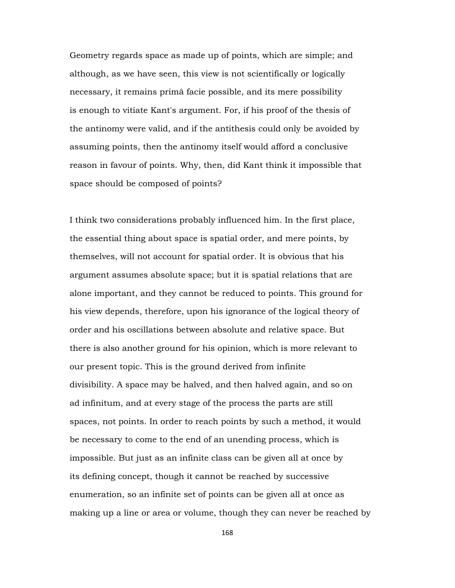Geometry regards space as made up of points, which are simple; and although, as we have seen, this view is not scientifically or logically necessary, it remains primâ facie possible, and its mere possibility is enough to vitiate Kant's argument. For, if his proof of the thesis of the antinomy were valid, and if the antithesis could only be avoided by assuming points, then the antinomy itself would afford a conclusive reason in favour of points. Why, then, did Kant think it impossible that space should be composed of points?

I think two considerations probably influenced him. In the first place, the essential thing about space is spatial order, and mere points, by themselves, will not account for spatial order. It is obvious that his argument assumes absolute space; but it is spatial relations that are alone important, and they cannot be reduced to points. This ground for his view depends, therefore, upon his ignorance of the logical theory of order and his oscillations between absolute and relative space. But there is also another ground for his opinion, which is more relevant to our present topic. This is the ground derived from infinite divisibility. A space may be halved, and then halved again, and so on ad infinitum, and at every stage of the process the parts are still spaces, not points. In order to reach points by such a method, it would be necessary to come to the end of an unending process, which is impossible. But just as an infinite class can be given all at once by its defining concept, though it cannot be reached by successive enumeration, so an infinite set of points can be given all at once as making up a line or area or volume, though they can never be reached by

168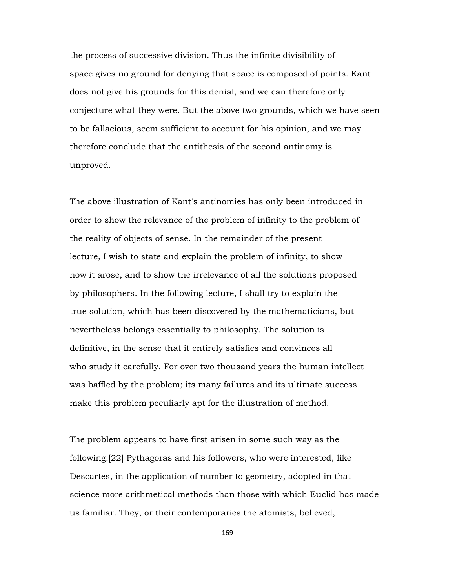the process of successive division. Thus the infinite divisibility of space gives no ground for denying that space is composed of points. Kant does not give his grounds for this denial, and we can therefore only conjecture what they were. But the above two grounds, which we have seen to be fallacious, seem sufficient to account for his opinion, and we may therefore conclude that the antithesis of the second antinomy is unproved.

The above illustration of Kant's antinomies has only been introduced in order to show the relevance of the problem of infinity to the problem of the reality of objects of sense. In the remainder of the present lecture, I wish to state and explain the problem of infinity, to show how it arose, and to show the irrelevance of all the solutions proposed by philosophers. In the following lecture, I shall try to explain the true solution, which has been discovered by the mathematicians, but nevertheless belongs essentially to philosophy. The solution is definitive, in the sense that it entirely satisfies and convinces all who study it carefully. For over two thousand years the human intellect was baffled by the problem; its many failures and its ultimate success make this problem peculiarly apt for the illustration of method.

The problem appears to have first arisen in some such way as the following.[22] Pythagoras and his followers, who were interested, like Descartes, in the application of number to geometry, adopted in that science more arithmetical methods than those with which Euclid has made us familiar. They, or their contemporaries the atomists, believed,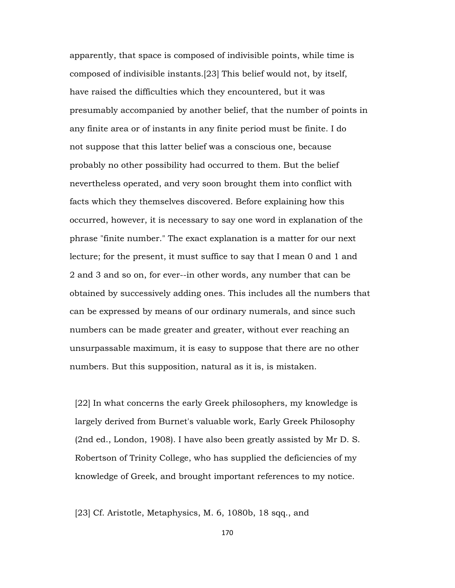apparently, that space is composed of indivisible points, while time is composed of indivisible instants.[23] This belief would not, by itself, have raised the difficulties which they encountered, but it was presumably accompanied by another belief, that the number of points in any finite area or of instants in any finite period must be finite. I do not suppose that this latter belief was a conscious one, because probably no other possibility had occurred to them. But the belief nevertheless operated, and very soon brought them into conflict with facts which they themselves discovered. Before explaining how this occurred, however, it is necessary to say one word in explanation of the phrase "finite number." The exact explanation is a matter for our next lecture; for the present, it must suffice to say that I mean 0 and 1 and 2 and 3 and so on, for ever--in other words, any number that can be obtained by successively adding ones. This includes all the numbers that can be expressed by means of our ordinary numerals, and since such numbers can be made greater and greater, without ever reaching an unsurpassable maximum, it is easy to suppose that there are no other numbers. But this supposition, natural as it is, is mistaken.

 [22] In what concerns the early Greek philosophers, my knowledge is largely derived from Burnet's valuable work, Early Greek Philosophy (2nd ed., London, 1908). I have also been greatly assisted by Mr D. S. Robertson of Trinity College, who has supplied the deficiencies of my knowledge of Greek, and brought important references to my notice.

[23] Cf. Aristotle, Metaphysics, M. 6, 1080b, 18 sqq., and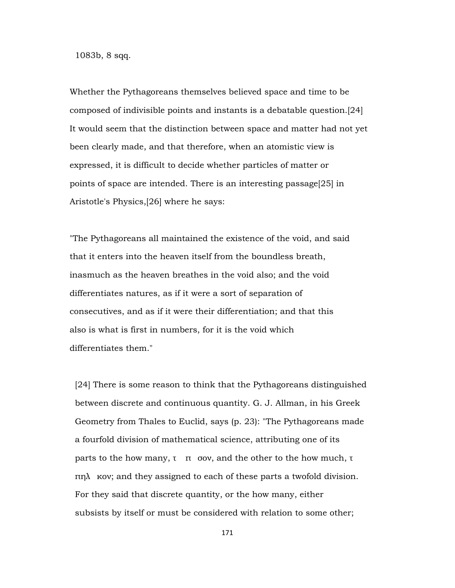1083b, 8 sqq.

Whether the Pythagoreans themselves believed space and time to be composed of indivisible points and instants is a debatable question.[24] It would seem that the distinction between space and matter had not yet been clearly made, and that therefore, when an atomistic view is expressed, it is difficult to decide whether particles of matter or points of space are intended. There is an interesting passage[25] in Aristotle's Physics,[26] where he says:

"The Pythagoreans all maintained the existence of the void, and said that it enters into the heaven itself from the boundless breath, inasmuch as the heaven breathes in the void also; and the void differentiates natures, as if it were a sort of separation of consecutives, and as if it were their differentiation; and that this also is what is first in numbers, for it is the void which differentiates them."

 [24] There is some reason to think that the Pythagoreans distinguished between discrete and continuous quantity. G. J. Allman, in his Greek Geometry from Thales to Euclid, says (p. 23): "The Pythagoreans made a fourfold division of mathematical science, attributing one of its parts to the how many,  $\tau$  π σον, and the other to the how much,  $\tau$  $πηλ$  κον; and they assigned to each of these parts a twofold division. For they said that discrete quantity, or the how many, either subsists by itself or must be considered with relation to some other;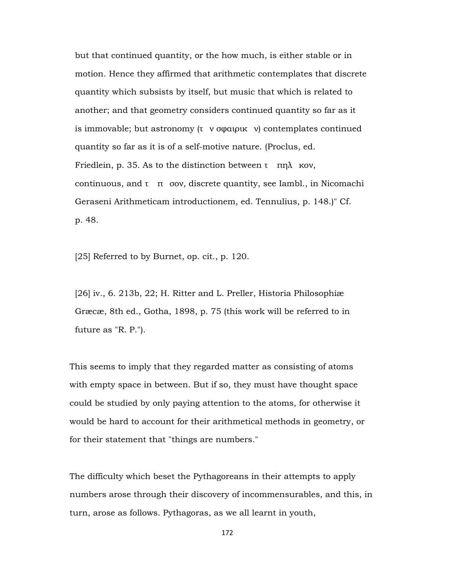but that continued quantity, or the how much, is either stable or in motion. Hence they affirmed that arithmetic contemplates that discrete quantity which subsists by itself, but music that which is related to another; and that geometry considers continued quantity so far as it is immovable; but astronomy  $(τ v σφαιρικ v)$  contemplates continued quantity so far as it is of a self-motive nature. (Proclus, ed. Friedlein, p. 35. As to the distinction between  $\tau$  πηλ κον, continuous, and  $\tau$  π σον, discrete quantity, see Iambl., in Nicomachi Geraseni Arithmeticam introductionem, ed. Tennulius, p. 148.)" Cf. p. 48.

[25] Referred to by Burnet, op. cit., p. 120.

 [26] iv., 6. 213b, 22; H. Ritter and L. Preller, Historia Philosophiæ Græcæ, 8th ed., Gotha, 1898, p. 75 (this work will be referred to in future as "R. P.").

This seems to imply that they regarded matter as consisting of atoms with empty space in between. But if so, they must have thought space could be studied by only paying attention to the atoms, for otherwise it would be hard to account for their arithmetical methods in geometry, or for their statement that "things are numbers."

The difficulty which beset the Pythagoreans in their attempts to apply numbers arose through their discovery of incommensurables, and this, in turn, arose as follows. Pythagoras, as we all learnt in youth,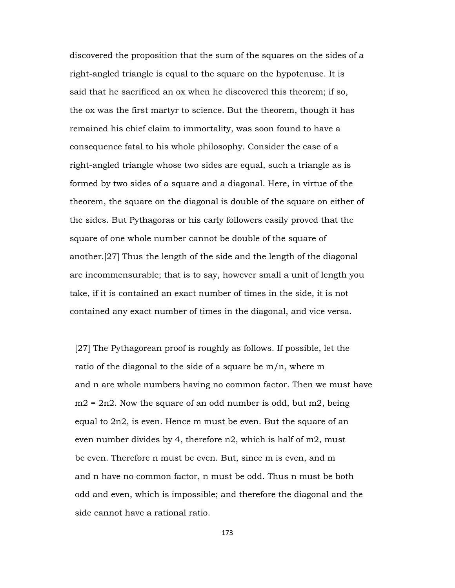discovered the proposition that the sum of the squares on the sides of a right-angled triangle is equal to the square on the hypotenuse. It is said that he sacrificed an ox when he discovered this theorem; if so, the ox was the first martyr to science. But the theorem, though it has remained his chief claim to immortality, was soon found to have a consequence fatal to his whole philosophy. Consider the case of a right-angled triangle whose two sides are equal, such a triangle as is formed by two sides of a square and a diagonal. Here, in virtue of the theorem, the square on the diagonal is double of the square on either of the sides. But Pythagoras or his early followers easily proved that the square of one whole number cannot be double of the square of another.[27] Thus the length of the side and the length of the diagonal are incommensurable; that is to say, however small a unit of length you take, if it is contained an exact number of times in the side, it is not contained any exact number of times in the diagonal, and vice versa.

 [27] The Pythagorean proof is roughly as follows. If possible, let the ratio of the diagonal to the side of a square be m/n, where m and n are whole numbers having no common factor. Then we must have  $m2 = 2n2$ . Now the square of an odd number is odd, but m2, being equal to 2n2, is even. Hence m must be even. But the square of an even number divides by 4, therefore n2, which is half of m2, must be even. Therefore n must be even. But, since m is even, and m and n have no common factor, n must be odd. Thus n must be both odd and even, which is impossible; and therefore the diagonal and the side cannot have a rational ratio.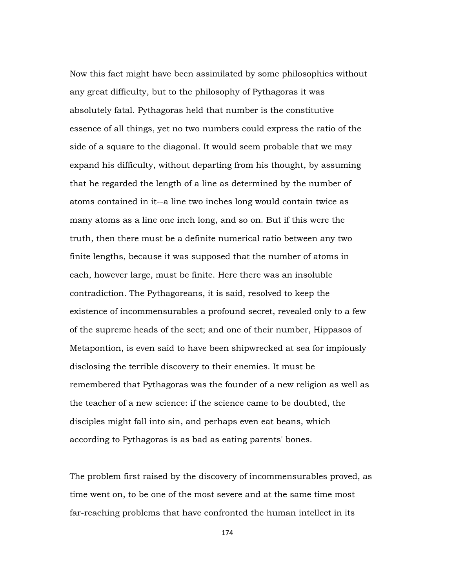Now this fact might have been assimilated by some philosophies without any great difficulty, but to the philosophy of Pythagoras it was absolutely fatal. Pythagoras held that number is the constitutive essence of all things, yet no two numbers could express the ratio of the side of a square to the diagonal. It would seem probable that we may expand his difficulty, without departing from his thought, by assuming that he regarded the length of a line as determined by the number of atoms contained in it--a line two inches long would contain twice as many atoms as a line one inch long, and so on. But if this were the truth, then there must be a definite numerical ratio between any two finite lengths, because it was supposed that the number of atoms in each, however large, must be finite. Here there was an insoluble contradiction. The Pythagoreans, it is said, resolved to keep the existence of incommensurables a profound secret, revealed only to a few of the supreme heads of the sect; and one of their number, Hippasos of Metapontion, is even said to have been shipwrecked at sea for impiously disclosing the terrible discovery to their enemies. It must be remembered that Pythagoras was the founder of a new religion as well as the teacher of a new science: if the science came to be doubted, the disciples might fall into sin, and perhaps even eat beans, which according to Pythagoras is as bad as eating parents' bones.

The problem first raised by the discovery of incommensurables proved, as time went on, to be one of the most severe and at the same time most far-reaching problems that have confronted the human intellect in its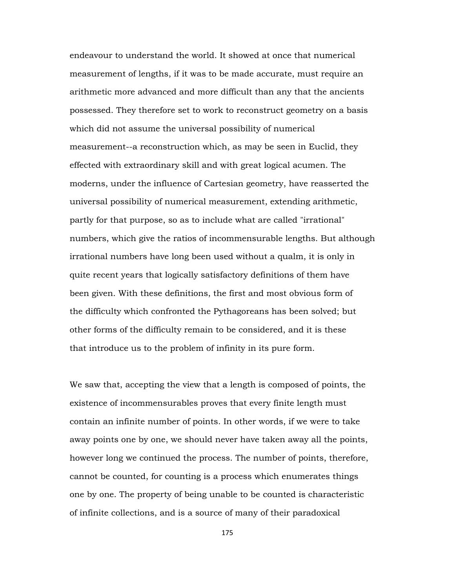endeavour to understand the world. It showed at once that numerical measurement of lengths, if it was to be made accurate, must require an arithmetic more advanced and more difficult than any that the ancients possessed. They therefore set to work to reconstruct geometry on a basis which did not assume the universal possibility of numerical measurement--a reconstruction which, as may be seen in Euclid, they effected with extraordinary skill and with great logical acumen. The moderns, under the influence of Cartesian geometry, have reasserted the universal possibility of numerical measurement, extending arithmetic, partly for that purpose, so as to include what are called "irrational" numbers, which give the ratios of incommensurable lengths. But although irrational numbers have long been used without a qualm, it is only in quite recent years that logically satisfactory definitions of them have been given. With these definitions, the first and most obvious form of the difficulty which confronted the Pythagoreans has been solved; but other forms of the difficulty remain to be considered, and it is these that introduce us to the problem of infinity in its pure form.

We saw that, accepting the view that a length is composed of points, the existence of incommensurables proves that every finite length must contain an infinite number of points. In other words, if we were to take away points one by one, we should never have taken away all the points, however long we continued the process. The number of points, therefore, cannot be counted, for counting is a process which enumerates things one by one. The property of being unable to be counted is characteristic of infinite collections, and is a source of many of their paradoxical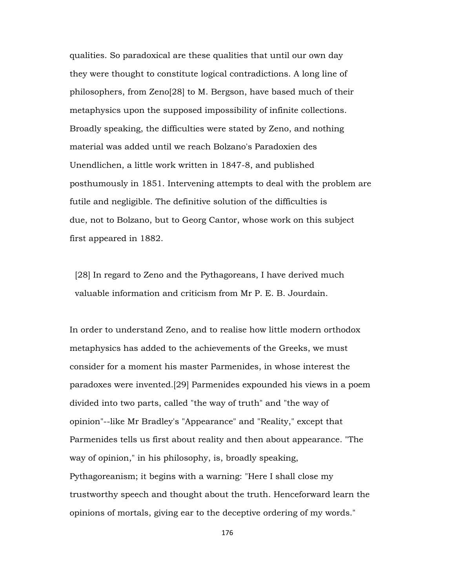qualities. So paradoxical are these qualities that until our own day they were thought to constitute logical contradictions. A long line of philosophers, from Zeno[28] to M. Bergson, have based much of their metaphysics upon the supposed impossibility of infinite collections. Broadly speaking, the difficulties were stated by Zeno, and nothing material was added until we reach Bolzano's Paradoxien des Unendlichen, a little work written in 1847-8, and published posthumously in 1851. Intervening attempts to deal with the problem are futile and negligible. The definitive solution of the difficulties is due, not to Bolzano, but to Georg Cantor, whose work on this subject first appeared in 1882.

[28] In regard to Zeno and the Pythagoreans, I have derived much valuable information and criticism from Mr P. E. B. Jourdain.

In order to understand Zeno, and to realise how little modern orthodox metaphysics has added to the achievements of the Greeks, we must consider for a moment his master Parmenides, in whose interest the paradoxes were invented.[29] Parmenides expounded his views in a poem divided into two parts, called "the way of truth" and "the way of opinion"--like Mr Bradley's "Appearance" and "Reality," except that Parmenides tells us first about reality and then about appearance. "The way of opinion," in his philosophy, is, broadly speaking, Pythagoreanism; it begins with a warning: "Here I shall close my trustworthy speech and thought about the truth. Henceforward learn the opinions of mortals, giving ear to the deceptive ordering of my words."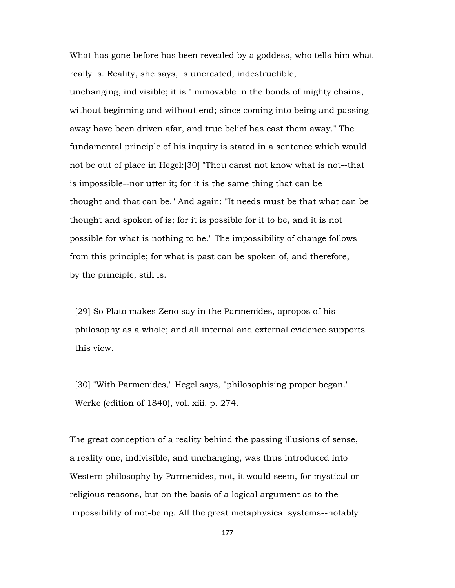What has gone before has been revealed by a goddess, who tells him what really is. Reality, she says, is uncreated, indestructible, unchanging, indivisible; it is "immovable in the bonds of mighty chains, without beginning and without end; since coming into being and passing away have been driven afar, and true belief has cast them away." The fundamental principle of his inquiry is stated in a sentence which would not be out of place in Hegel:[30] "Thou canst not know what is not--that is impossible--nor utter it; for it is the same thing that can be thought and that can be." And again: "It needs must be that what can be thought and spoken of is; for it is possible for it to be, and it is not possible for what is nothing to be." The impossibility of change follows from this principle; for what is past can be spoken of, and therefore, by the principle, still is.

 [29] So Plato makes Zeno say in the Parmenides, apropos of his philosophy as a whole; and all internal and external evidence supports this view.

 [30] "With Parmenides," Hegel says, "philosophising proper began." Werke (edition of 1840), vol. xiii. p. 274.

The great conception of a reality behind the passing illusions of sense, a reality one, indivisible, and unchanging, was thus introduced into Western philosophy by Parmenides, not, it would seem, for mystical or religious reasons, but on the basis of a logical argument as to the impossibility of not-being. All the great metaphysical systems--notably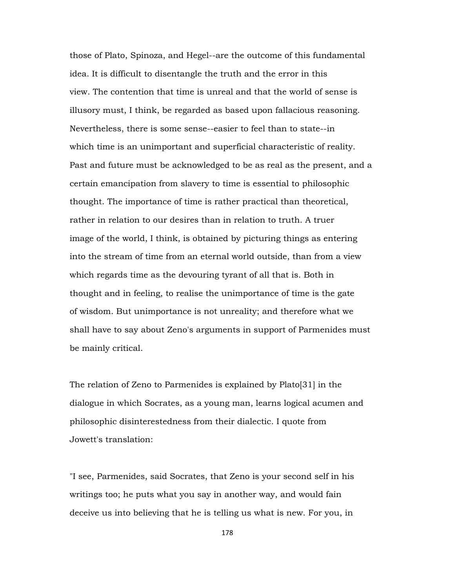those of Plato, Spinoza, and Hegel--are the outcome of this fundamental idea. It is difficult to disentangle the truth and the error in this view. The contention that time is unreal and that the world of sense is illusory must, I think, be regarded as based upon fallacious reasoning. Nevertheless, there is some sense--easier to feel than to state--in which time is an unimportant and superficial characteristic of reality. Past and future must be acknowledged to be as real as the present, and a certain emancipation from slavery to time is essential to philosophic thought. The importance of time is rather practical than theoretical, rather in relation to our desires than in relation to truth. A truer image of the world, I think, is obtained by picturing things as entering into the stream of time from an eternal world outside, than from a view which regards time as the devouring tyrant of all that is. Both in thought and in feeling, to realise the unimportance of time is the gate of wisdom. But unimportance is not unreality; and therefore what we shall have to say about Zeno's arguments in support of Parmenides must be mainly critical.

The relation of Zeno to Parmenides is explained by Plato[31] in the dialogue in which Socrates, as a young man, learns logical acumen and philosophic disinterestedness from their dialectic. I quote from Jowett's translation:

"I see, Parmenides, said Socrates, that Zeno is your second self in his writings too; he puts what you say in another way, and would fain deceive us into believing that he is telling us what is new. For you, in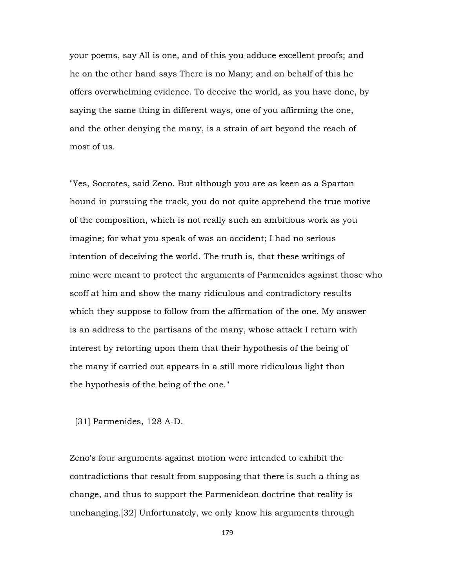your poems, say All is one, and of this you adduce excellent proofs; and he on the other hand says There is no Many; and on behalf of this he offers overwhelming evidence. To deceive the world, as you have done, by saying the same thing in different ways, one of you affirming the one, and the other denying the many, is a strain of art beyond the reach of most of us.

"Yes, Socrates, said Zeno. But although you are as keen as a Spartan hound in pursuing the track, you do not quite apprehend the true motive of the composition, which is not really such an ambitious work as you imagine; for what you speak of was an accident; I had no serious intention of deceiving the world. The truth is, that these writings of mine were meant to protect the arguments of Parmenides against those who scoff at him and show the many ridiculous and contradictory results which they suppose to follow from the affirmation of the one. My answer is an address to the partisans of the many, whose attack I return with interest by retorting upon them that their hypothesis of the being of the many if carried out appears in a still more ridiculous light than the hypothesis of the being of the one."

[31] Parmenides, 128 A-D.

Zeno's four arguments against motion were intended to exhibit the contradictions that result from supposing that there is such a thing as change, and thus to support the Parmenidean doctrine that reality is unchanging.[32] Unfortunately, we only know his arguments through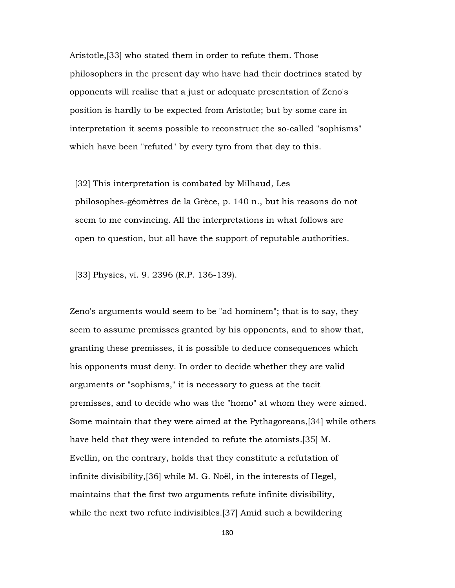Aristotle,[33] who stated them in order to refute them. Those philosophers in the present day who have had their doctrines stated by opponents will realise that a just or adequate presentation of Zeno's position is hardly to be expected from Aristotle; but by some care in interpretation it seems possible to reconstruct the so-called "sophisms" which have been "refuted" by every tyro from that day to this.

 [32] This interpretation is combated by Milhaud, Les philosophes-géomètres de la Grèce, p. 140 n., but his reasons do not seem to me convincing. All the interpretations in what follows are open to question, but all have the support of reputable authorities.

[33] Physics, vi. 9. 2396 (R.P. 136-139).

Zeno's arguments would seem to be "ad hominem"; that is to say, they seem to assume premisses granted by his opponents, and to show that, granting these premisses, it is possible to deduce consequences which his opponents must deny. In order to decide whether they are valid arguments or "sophisms," it is necessary to guess at the tacit premisses, and to decide who was the "homo" at whom they were aimed. Some maintain that they were aimed at the Pythagoreans,[34] while others have held that they were intended to refute the atomists.[35] M. Evellin, on the contrary, holds that they constitute a refutation of infinite divisibility,[36] while M. G. Noël, in the interests of Hegel, maintains that the first two arguments refute infinite divisibility, while the next two refute indivisibles.[37] Amid such a bewildering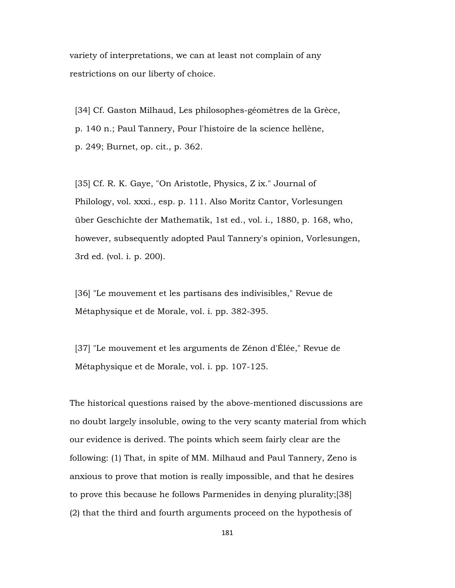variety of interpretations, we can at least not complain of any restrictions on our liberty of choice.

 [34] Cf. Gaston Milhaud, Les philosophes-géomètres de la Grèce, p. 140 n.; Paul Tannery, Pour l'histoire de la science hellène, p. 249; Burnet, op. cit., p. 362.

 [35] Cf. R. K. Gaye, "On Aristotle, Physics, Z ix." Journal of Philology, vol. xxxi., esp. p. 111. Also Moritz Cantor, Vorlesungen über Geschichte der Mathematik, 1st ed., vol. i., 1880, p. 168, who, however, subsequently adopted Paul Tannery's opinion, Vorlesungen, 3rd ed. (vol. i. p. 200).

 [36] "Le mouvement et les partisans des indivisibles," Revue de Métaphysique et de Morale, vol. i. pp. 382-395.

 [37] "Le mouvement et les arguments de Zénon d'Élée," Revue de Métaphysique et de Morale, vol. i. pp. 107-125.

The historical questions raised by the above-mentioned discussions are no doubt largely insoluble, owing to the very scanty material from which our evidence is derived. The points which seem fairly clear are the following: (1) That, in spite of MM. Milhaud and Paul Tannery, Zeno is anxious to prove that motion is really impossible, and that he desires to prove this because he follows Parmenides in denying plurality;[38] (2) that the third and fourth arguments proceed on the hypothesis of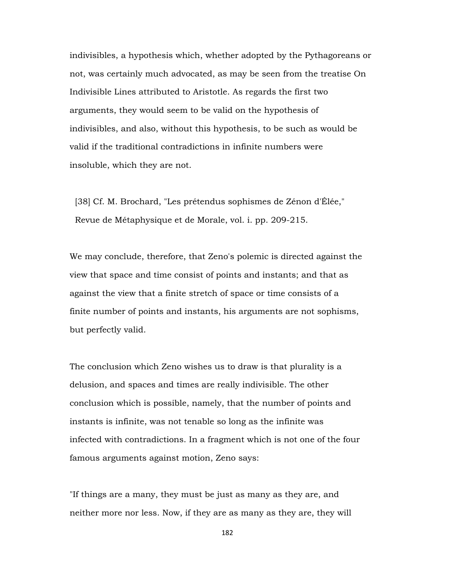indivisibles, a hypothesis which, whether adopted by the Pythagoreans or not, was certainly much advocated, as may be seen from the treatise On Indivisible Lines attributed to Aristotle. As regards the first two arguments, they would seem to be valid on the hypothesis of indivisibles, and also, without this hypothesis, to be such as would be valid if the traditional contradictions in infinite numbers were insoluble, which they are not.

 [38] Cf. M. Brochard, "Les prétendus sophismes de Zénon d'Élée," Revue de Métaphysique et de Morale, vol. i. pp. 209-215.

We may conclude, therefore, that Zeno's polemic is directed against the view that space and time consist of points and instants; and that as against the view that a finite stretch of space or time consists of a finite number of points and instants, his arguments are not sophisms, but perfectly valid.

The conclusion which Zeno wishes us to draw is that plurality is a delusion, and spaces and times are really indivisible. The other conclusion which is possible, namely, that the number of points and instants is infinite, was not tenable so long as the infinite was infected with contradictions. In a fragment which is not one of the four famous arguments against motion, Zeno says:

"If things are a many, they must be just as many as they are, and neither more nor less. Now, if they are as many as they are, they will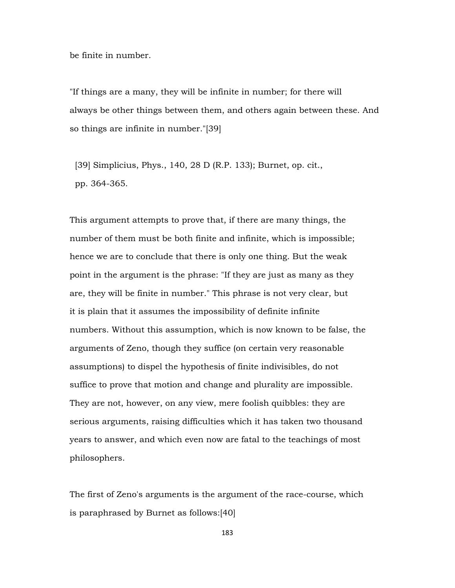be finite in number.

"If things are a many, they will be infinite in number; for there will always be other things between them, and others again between these. And so things are infinite in number."[39]

 [39] Simplicius, Phys., 140, 28 D (R.P. 133); Burnet, op. cit., pp. 364-365.

This argument attempts to prove that, if there are many things, the number of them must be both finite and infinite, which is impossible; hence we are to conclude that there is only one thing. But the weak point in the argument is the phrase: "If they are just as many as they are, they will be finite in number." This phrase is not very clear, but it is plain that it assumes the impossibility of definite infinite numbers. Without this assumption, which is now known to be false, the arguments of Zeno, though they suffice (on certain very reasonable assumptions) to dispel the hypothesis of finite indivisibles, do not suffice to prove that motion and change and plurality are impossible. They are not, however, on any view, mere foolish quibbles: they are serious arguments, raising difficulties which it has taken two thousand years to answer, and which even now are fatal to the teachings of most philosophers.

The first of Zeno's arguments is the argument of the race-course, which is paraphrased by Burnet as follows:[40]

183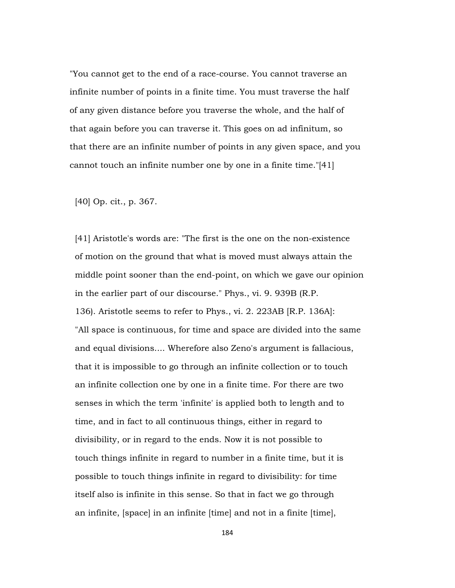"You cannot get to the end of a race-course. You cannot traverse an infinite number of points in a finite time. You must traverse the half of any given distance before you traverse the whole, and the half of that again before you can traverse it. This goes on ad infinitum, so that there are an infinite number of points in any given space, and you cannot touch an infinite number one by one in a finite time."[41]

[40] Op. cit., p. 367.

 [41] Aristotle's words are: "The first is the one on the non-existence of motion on the ground that what is moved must always attain the middle point sooner than the end-point, on which we gave our opinion in the earlier part of our discourse." Phys., vi. 9. 939B (R.P. 136). Aristotle seems to refer to Phys., vi. 2. 223AB [R.P. 136A]: "All space is continuous, for time and space are divided into the same and equal divisions.... Wherefore also Zeno's argument is fallacious, that it is impossible to go through an infinite collection or to touch an infinite collection one by one in a finite time. For there are two senses in which the term 'infinite' is applied both to length and to time, and in fact to all continuous things, either in regard to divisibility, or in regard to the ends. Now it is not possible to touch things infinite in regard to number in a finite time, but it is possible to touch things infinite in regard to divisibility: for time itself also is infinite in this sense. So that in fact we go through an infinite, [space] in an infinite [time] and not in a finite [time],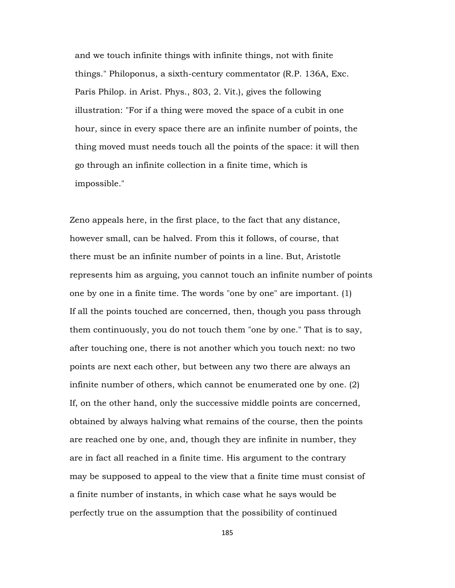and we touch infinite things with infinite things, not with finite things." Philoponus, a sixth-century commentator (R.P. 136A, Exc. Paris Philop. in Arist. Phys., 803, 2. Vit.), gives the following illustration: "For if a thing were moved the space of a cubit in one hour, since in every space there are an infinite number of points, the thing moved must needs touch all the points of the space: it will then go through an infinite collection in a finite time, which is impossible."

Zeno appeals here, in the first place, to the fact that any distance, however small, can be halved. From this it follows, of course, that there must be an infinite number of points in a line. But, Aristotle represents him as arguing, you cannot touch an infinite number of points one by one in a finite time. The words "one by one" are important. (1) If all the points touched are concerned, then, though you pass through them continuously, you do not touch them "one by one." That is to say, after touching one, there is not another which you touch next: no two points are next each other, but between any two there are always an infinite number of others, which cannot be enumerated one by one. (2) If, on the other hand, only the successive middle points are concerned, obtained by always halving what remains of the course, then the points are reached one by one, and, though they are infinite in number, they are in fact all reached in a finite time. His argument to the contrary may be supposed to appeal to the view that a finite time must consist of a finite number of instants, in which case what he says would be perfectly true on the assumption that the possibility of continued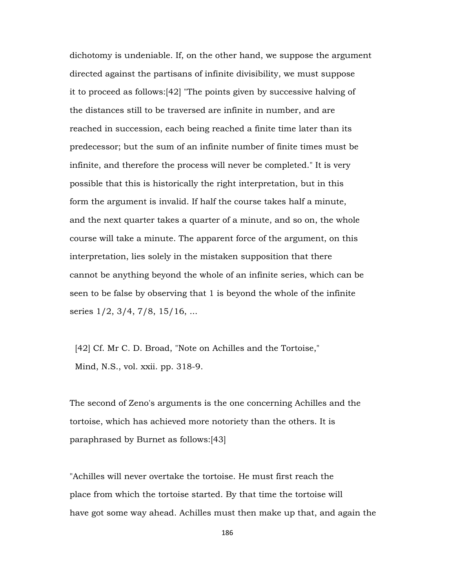dichotomy is undeniable. If, on the other hand, we suppose the argument directed against the partisans of infinite divisibility, we must suppose it to proceed as follows:[42] "The points given by successive halving of the distances still to be traversed are infinite in number, and are reached in succession, each being reached a finite time later than its predecessor; but the sum of an infinite number of finite times must be infinite, and therefore the process will never be completed." It is very possible that this is historically the right interpretation, but in this form the argument is invalid. If half the course takes half a minute, and the next quarter takes a quarter of a minute, and so on, the whole course will take a minute. The apparent force of the argument, on this interpretation, lies solely in the mistaken supposition that there cannot be anything beyond the whole of an infinite series, which can be seen to be false by observing that 1 is beyond the whole of the infinite series 1/2, 3/4, 7/8, 15/16, ...

[42] Cf. Mr C. D. Broad, "Note on Achilles and the Tortoise," Mind, N.S., vol. xxii. pp. 318-9.

The second of Zeno's arguments is the one concerning Achilles and the tortoise, which has achieved more notoriety than the others. It is paraphrased by Burnet as follows:[43]

"Achilles will never overtake the tortoise. He must first reach the place from which the tortoise started. By that time the tortoise will have got some way ahead. Achilles must then make up that, and again the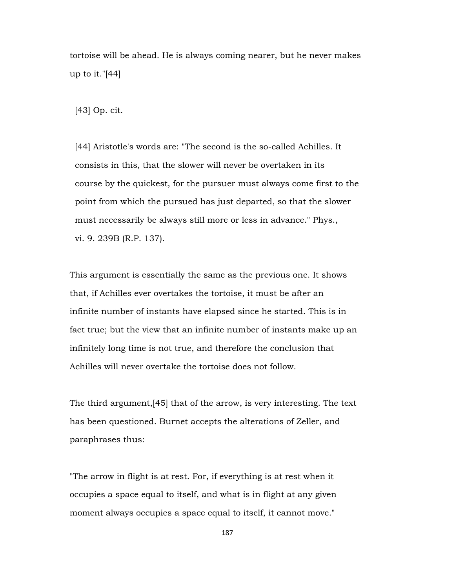tortoise will be ahead. He is always coming nearer, but he never makes up to it."[44]

[43] Op. cit.

 [44] Aristotle's words are: "The second is the so-called Achilles. It consists in this, that the slower will never be overtaken in its course by the quickest, for the pursuer must always come first to the point from which the pursued has just departed, so that the slower must necessarily be always still more or less in advance." Phys., vi. 9. 239B (R.P. 137).

This argument is essentially the same as the previous one. It shows that, if Achilles ever overtakes the tortoise, it must be after an infinite number of instants have elapsed since he started. This is in fact true; but the view that an infinite number of instants make up an infinitely long time is not true, and therefore the conclusion that Achilles will never overtake the tortoise does not follow.

The third argument,[45] that of the arrow, is very interesting. The text has been questioned. Burnet accepts the alterations of Zeller, and paraphrases thus:

"The arrow in flight is at rest. For, if everything is at rest when it occupies a space equal to itself, and what is in flight at any given moment always occupies a space equal to itself, it cannot move."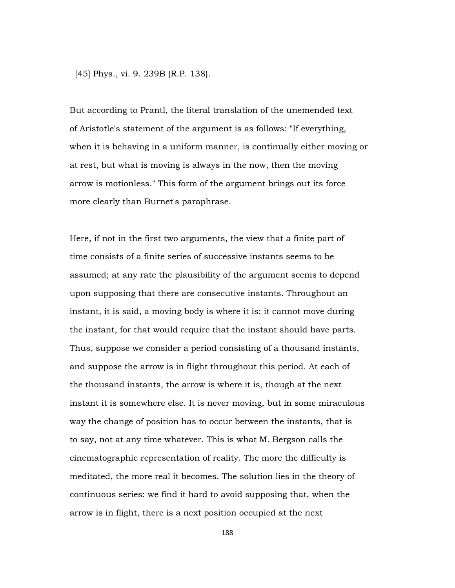[45] Phys., vi. 9. 239B (R.P. 138).

But according to Prantl, the literal translation of the unemended text of Aristotle's statement of the argument is as follows: "If everything, when it is behaving in a uniform manner, is continually either moving or at rest, but what is moving is always in the now, then the moving arrow is motionless." This form of the argument brings out its force more clearly than Burnet's paraphrase.

Here, if not in the first two arguments, the view that a finite part of time consists of a finite series of successive instants seems to be assumed; at any rate the plausibility of the argument seems to depend upon supposing that there are consecutive instants. Throughout an instant, it is said, a moving body is where it is: it cannot move during the instant, for that would require that the instant should have parts. Thus, suppose we consider a period consisting of a thousand instants, and suppose the arrow is in flight throughout this period. At each of the thousand instants, the arrow is where it is, though at the next instant it is somewhere else. It is never moving, but in some miraculous way the change of position has to occur between the instants, that is to say, not at any time whatever. This is what M. Bergson calls the cinematographic representation of reality. The more the difficulty is meditated, the more real it becomes. The solution lies in the theory of continuous series: we find it hard to avoid supposing that, when the arrow is in flight, there is a next position occupied at the next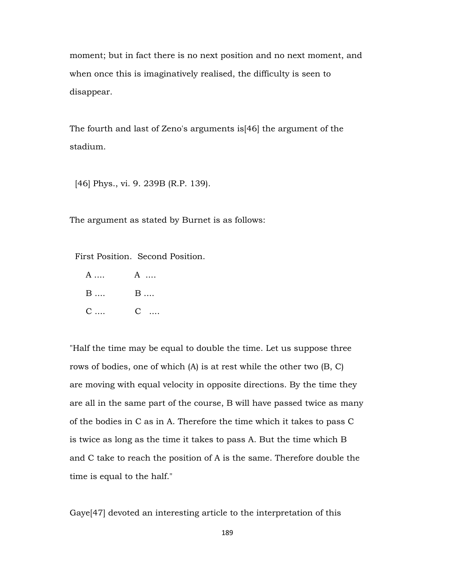moment; but in fact there is no next position and no next moment, and when once this is imaginatively realised, the difficulty is seen to disappear.

The fourth and last of Zeno's arguments is[46] the argument of the stadium.

[46] Phys., vi. 9. 239B (R.P. 139).

The argument as stated by Burnet is as follows:

First Position. Second Position.

 A .... A .... **B** .... **B** .... C .... C ....

"Half the time may be equal to double the time. Let us suppose three rows of bodies, one of which (A) is at rest while the other two (B, C) are moving with equal velocity in opposite directions. By the time they are all in the same part of the course, B will have passed twice as many of the bodies in C as in A. Therefore the time which it takes to pass C is twice as long as the time it takes to pass A. But the time which B and C take to reach the position of A is the same. Therefore double the time is equal to the half."

Gaye[47] devoted an interesting article to the interpretation of this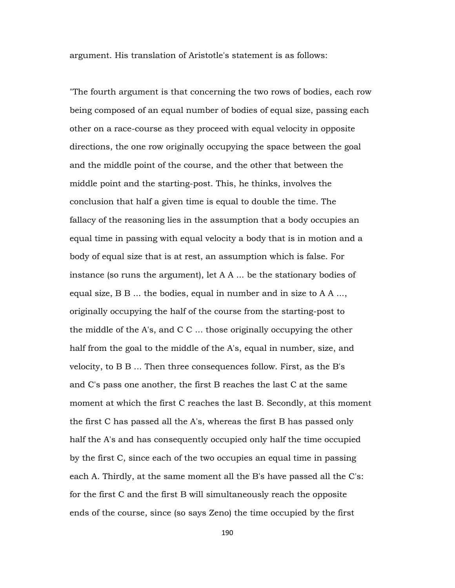argument. His translation of Aristotle's statement is as follows:

"The fourth argument is that concerning the two rows of bodies, each row being composed of an equal number of bodies of equal size, passing each other on a race-course as they proceed with equal velocity in opposite directions, the one row originally occupying the space between the goal and the middle point of the course, and the other that between the middle point and the starting-post. This, he thinks, involves the conclusion that half a given time is equal to double the time. The fallacy of the reasoning lies in the assumption that a body occupies an equal time in passing with equal velocity a body that is in motion and a body of equal size that is at rest, an assumption which is false. For instance (so runs the argument), let A A ... be the stationary bodies of equal size, B B ... the bodies, equal in number and in size to A A ..., originally occupying the half of the course from the starting-post to the middle of the A's, and C C ... those originally occupying the other half from the goal to the middle of the A's, equal in number, size, and velocity, to B B ... Then three consequences follow. First, as the B's and C's pass one another, the first B reaches the last C at the same moment at which the first C reaches the last B. Secondly, at this moment the first C has passed all the A's, whereas the first B has passed only half the A's and has consequently occupied only half the time occupied by the first C, since each of the two occupies an equal time in passing each A. Thirdly, at the same moment all the B's have passed all the C's: for the first C and the first B will simultaneously reach the opposite ends of the course, since (so says Zeno) the time occupied by the first

190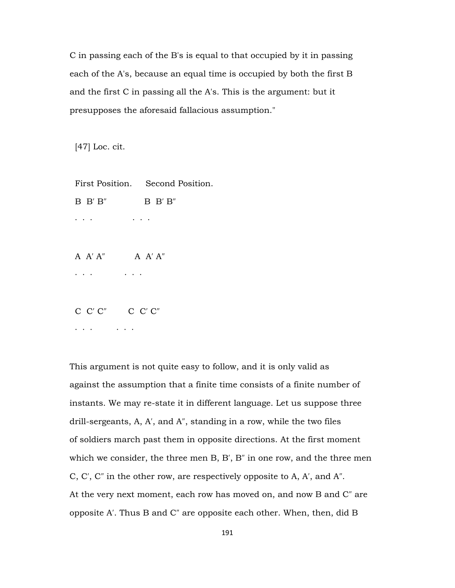C in passing each of the B's is equal to that occupied by it in passing each of the A's, because an equal time is occupied by both the first B and the first C in passing all the A's. This is the argument: but it presupposes the aforesaid fallacious assumption."

[47] Loc. cit.

First Position. Second Position.

B B′ B″ B B′ B″

· · · · · ·

A A′ A″ A A′ A″

· · · · · ·

C C′ C″ C C′ C″

· · · · · ·

This argument is not quite easy to follow, and it is only valid as against the assumption that a finite time consists of a finite number of instants. We may re-state it in different language. Let us suppose three drill-sergeants, A, A′, and A″, standing in a row, while the two files of soldiers march past them in opposite directions. At the first moment which we consider, the three men B, B′, B″ in one row, and the three men C, C′, C″ in the other row, are respectively opposite to A, A′, and A″. At the very next moment, each row has moved on, and now B and C″ are opposite A′. Thus B and C″ are opposite each other. When, then, did B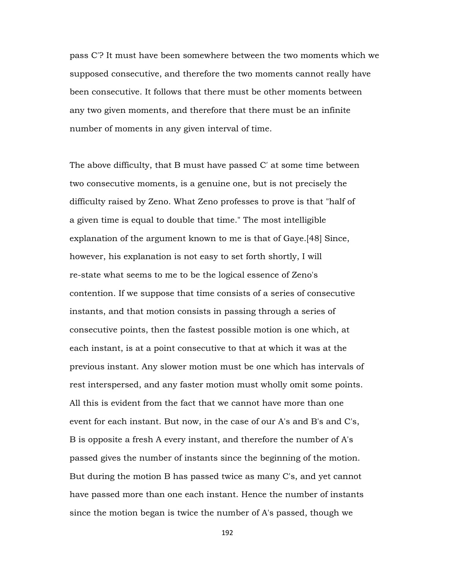pass C′? It must have been somewhere between the two moments which we supposed consecutive, and therefore the two moments cannot really have been consecutive. It follows that there must be other moments between any two given moments, and therefore that there must be an infinite number of moments in any given interval of time.

The above difficulty, that B must have passed C' at some time between two consecutive moments, is a genuine one, but is not precisely the difficulty raised by Zeno. What Zeno professes to prove is that "half of a given time is equal to double that time." The most intelligible explanation of the argument known to me is that of Gaye.[48] Since, however, his explanation is not easy to set forth shortly, I will re-state what seems to me to be the logical essence of Zeno's contention. If we suppose that time consists of a series of consecutive instants, and that motion consists in passing through a series of consecutive points, then the fastest possible motion is one which, at each instant, is at a point consecutive to that at which it was at the previous instant. Any slower motion must be one which has intervals of rest interspersed, and any faster motion must wholly omit some points. All this is evident from the fact that we cannot have more than one event for each instant. But now, in the case of our A's and B's and C's, B is opposite a fresh A every instant, and therefore the number of A's passed gives the number of instants since the beginning of the motion. But during the motion B has passed twice as many C's, and yet cannot have passed more than one each instant. Hence the number of instants since the motion began is twice the number of A's passed, though we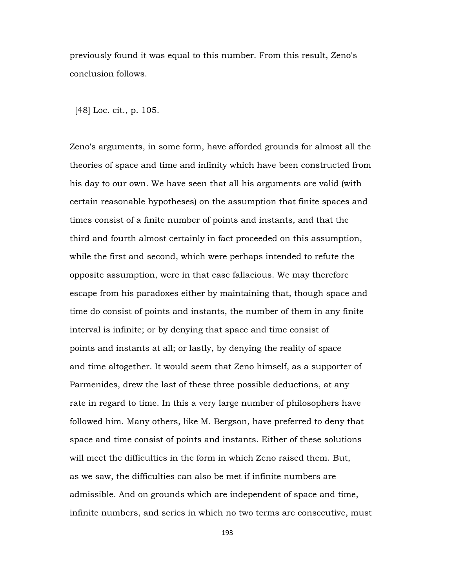previously found it was equal to this number. From this result, Zeno's conclusion follows.

[48] Loc. cit., p. 105.

Zeno's arguments, in some form, have afforded grounds for almost all the theories of space and time and infinity which have been constructed from his day to our own. We have seen that all his arguments are valid (with certain reasonable hypotheses) on the assumption that finite spaces and times consist of a finite number of points and instants, and that the third and fourth almost certainly in fact proceeded on this assumption, while the first and second, which were perhaps intended to refute the opposite assumption, were in that case fallacious. We may therefore escape from his paradoxes either by maintaining that, though space and time do consist of points and instants, the number of them in any finite interval is infinite; or by denying that space and time consist of points and instants at all; or lastly, by denying the reality of space and time altogether. It would seem that Zeno himself, as a supporter of Parmenides, drew the last of these three possible deductions, at any rate in regard to time. In this a very large number of philosophers have followed him. Many others, like M. Bergson, have preferred to deny that space and time consist of points and instants. Either of these solutions will meet the difficulties in the form in which Zeno raised them. But, as we saw, the difficulties can also be met if infinite numbers are admissible. And on grounds which are independent of space and time, infinite numbers, and series in which no two terms are consecutive, must

193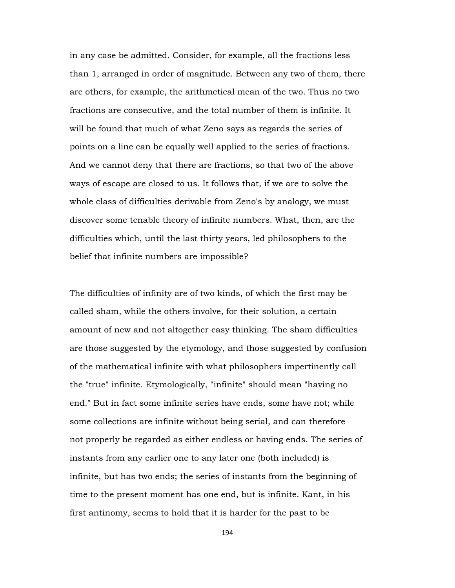in any case be admitted. Consider, for example, all the fractions less than 1, arranged in order of magnitude. Between any two of them, there are others, for example, the arithmetical mean of the two. Thus no two fractions are consecutive, and the total number of them is infinite. It will be found that much of what Zeno says as regards the series of points on a line can be equally well applied to the series of fractions. And we cannot deny that there are fractions, so that two of the above ways of escape are closed to us. It follows that, if we are to solve the whole class of difficulties derivable from Zeno's by analogy, we must discover some tenable theory of infinite numbers. What, then, are the difficulties which, until the last thirty years, led philosophers to the belief that infinite numbers are impossible?

The difficulties of infinity are of two kinds, of which the first may be called sham, while the others involve, for their solution, a certain amount of new and not altogether easy thinking. The sham difficulties are those suggested by the etymology, and those suggested by confusion of the mathematical infinite with what philosophers impertinently call the "true" infinite. Etymologically, "infinite" should mean "having no end." But in fact some infinite series have ends, some have not; while some collections are infinite without being serial, and can therefore not properly be regarded as either endless or having ends. The series of instants from any earlier one to any later one (both included) is infinite, but has two ends; the series of instants from the beginning of time to the present moment has one end, but is infinite. Kant, in his first antinomy, seems to hold that it is harder for the past to be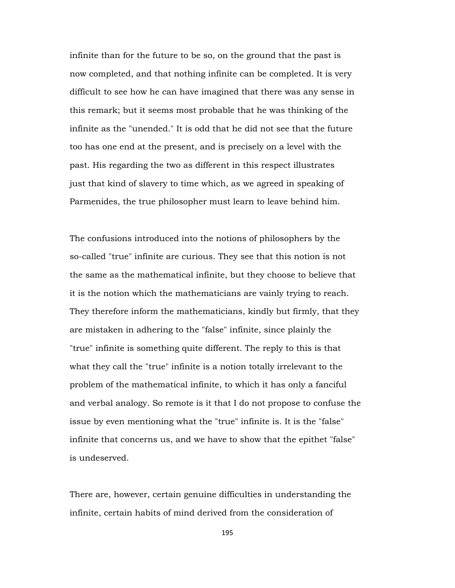infinite than for the future to be so, on the ground that the past is now completed, and that nothing infinite can be completed. It is very difficult to see how he can have imagined that there was any sense in this remark; but it seems most probable that he was thinking of the infinite as the "unended." It is odd that he did not see that the future too has one end at the present, and is precisely on a level with the past. His regarding the two as different in this respect illustrates just that kind of slavery to time which, as we agreed in speaking of Parmenides, the true philosopher must learn to leave behind him.

The confusions introduced into the notions of philosophers by the so-called "true" infinite are curious. They see that this notion is not the same as the mathematical infinite, but they choose to believe that it is the notion which the mathematicians are vainly trying to reach. They therefore inform the mathematicians, kindly but firmly, that they are mistaken in adhering to the "false" infinite, since plainly the "true" infinite is something quite different. The reply to this is that what they call the "true" infinite is a notion totally irrelevant to the problem of the mathematical infinite, to which it has only a fanciful and verbal analogy. So remote is it that I do not propose to confuse the issue by even mentioning what the "true" infinite is. It is the "false" infinite that concerns us, and we have to show that the epithet "false" is undeserved.

There are, however, certain genuine difficulties in understanding the infinite, certain habits of mind derived from the consideration of

195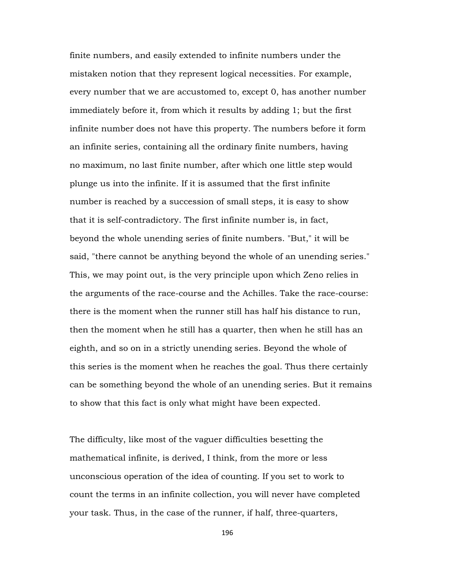finite numbers, and easily extended to infinite numbers under the mistaken notion that they represent logical necessities. For example, every number that we are accustomed to, except 0, has another number immediately before it, from which it results by adding 1; but the first infinite number does not have this property. The numbers before it form an infinite series, containing all the ordinary finite numbers, having no maximum, no last finite number, after which one little step would plunge us into the infinite. If it is assumed that the first infinite number is reached by a succession of small steps, it is easy to show that it is self-contradictory. The first infinite number is, in fact, beyond the whole unending series of finite numbers. "But," it will be said, "there cannot be anything beyond the whole of an unending series." This, we may point out, is the very principle upon which Zeno relies in the arguments of the race-course and the Achilles. Take the race-course: there is the moment when the runner still has half his distance to run, then the moment when he still has a quarter, then when he still has an eighth, and so on in a strictly unending series. Beyond the whole of this series is the moment when he reaches the goal. Thus there certainly can be something beyond the whole of an unending series. But it remains to show that this fact is only what might have been expected.

The difficulty, like most of the vaguer difficulties besetting the mathematical infinite, is derived, I think, from the more or less unconscious operation of the idea of counting. If you set to work to count the terms in an infinite collection, you will never have completed your task. Thus, in the case of the runner, if half, three-quarters,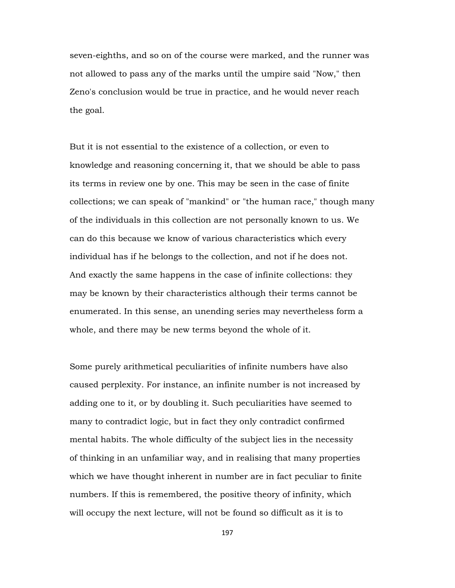seven-eighths, and so on of the course were marked, and the runner was not allowed to pass any of the marks until the umpire said "Now," then Zeno's conclusion would be true in practice, and he would never reach the goal.

But it is not essential to the existence of a collection, or even to knowledge and reasoning concerning it, that we should be able to pass its terms in review one by one. This may be seen in the case of finite collections; we can speak of "mankind" or "the human race," though many of the individuals in this collection are not personally known to us. We can do this because we know of various characteristics which every individual has if he belongs to the collection, and not if he does not. And exactly the same happens in the case of infinite collections: they may be known by their characteristics although their terms cannot be enumerated. In this sense, an unending series may nevertheless form a whole, and there may be new terms beyond the whole of it.

Some purely arithmetical peculiarities of infinite numbers have also caused perplexity. For instance, an infinite number is not increased by adding one to it, or by doubling it. Such peculiarities have seemed to many to contradict logic, but in fact they only contradict confirmed mental habits. The whole difficulty of the subject lies in the necessity of thinking in an unfamiliar way, and in realising that many properties which we have thought inherent in number are in fact peculiar to finite numbers. If this is remembered, the positive theory of infinity, which will occupy the next lecture, will not be found so difficult as it is to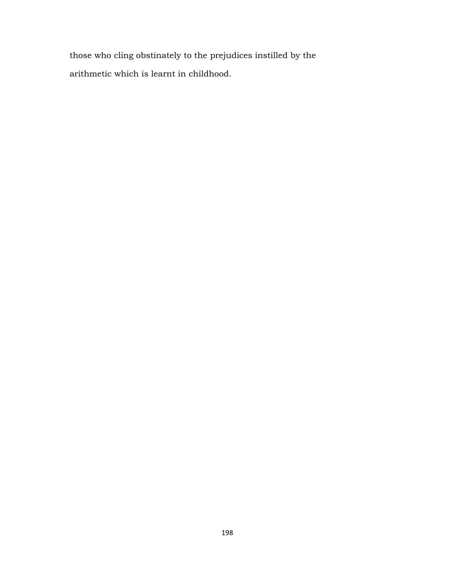those who cling obstinately to the prejudices instilled by the arithmetic which is learnt in childhood.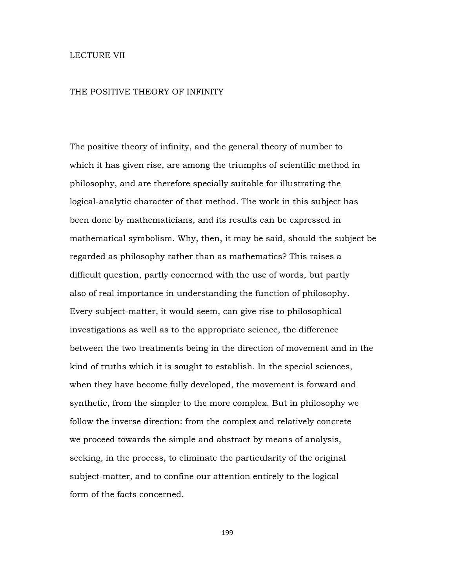## LECTURE VII

## THE POSITIVE THEORY OF INFINITY

The positive theory of infinity, and the general theory of number to which it has given rise, are among the triumphs of scientific method in philosophy, and are therefore specially suitable for illustrating the logical-analytic character of that method. The work in this subject has been done by mathematicians, and its results can be expressed in mathematical symbolism. Why, then, it may be said, should the subject be regarded as philosophy rather than as mathematics? This raises a difficult question, partly concerned with the use of words, but partly also of real importance in understanding the function of philosophy. Every subject-matter, it would seem, can give rise to philosophical investigations as well as to the appropriate science, the difference between the two treatments being in the direction of movement and in the kind of truths which it is sought to establish. In the special sciences, when they have become fully developed, the movement is forward and synthetic, from the simpler to the more complex. But in philosophy we follow the inverse direction: from the complex and relatively concrete we proceed towards the simple and abstract by means of analysis, seeking, in the process, to eliminate the particularity of the original subject-matter, and to confine our attention entirely to the logical form of the facts concerned.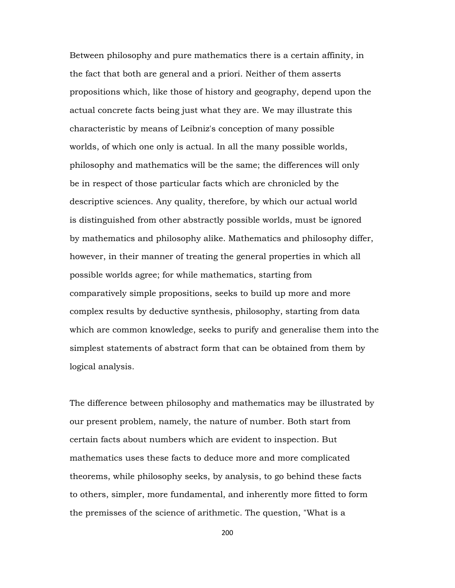Between philosophy and pure mathematics there is a certain affinity, in the fact that both are general and a priori. Neither of them asserts propositions which, like those of history and geography, depend upon the actual concrete facts being just what they are. We may illustrate this characteristic by means of Leibniz's conception of many possible worlds, of which one only is actual. In all the many possible worlds, philosophy and mathematics will be the same; the differences will only be in respect of those particular facts which are chronicled by the descriptive sciences. Any quality, therefore, by which our actual world is distinguished from other abstractly possible worlds, must be ignored by mathematics and philosophy alike. Mathematics and philosophy differ, however, in their manner of treating the general properties in which all possible worlds agree; for while mathematics, starting from comparatively simple propositions, seeks to build up more and more complex results by deductive synthesis, philosophy, starting from data which are common knowledge, seeks to purify and generalise them into the simplest statements of abstract form that can be obtained from them by logical analysis.

The difference between philosophy and mathematics may be illustrated by our present problem, namely, the nature of number. Both start from certain facts about numbers which are evident to inspection. But mathematics uses these facts to deduce more and more complicated theorems, while philosophy seeks, by analysis, to go behind these facts to others, simpler, more fundamental, and inherently more fitted to form the premisses of the science of arithmetic. The question, "What is a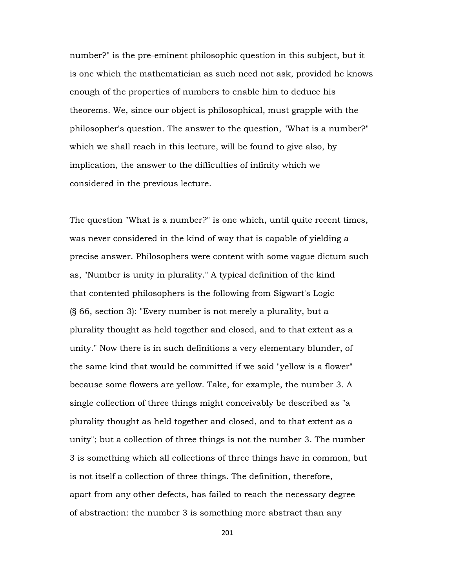number?" is the pre-eminent philosophic question in this subject, but it is one which the mathematician as such need not ask, provided he knows enough of the properties of numbers to enable him to deduce his theorems. We, since our object is philosophical, must grapple with the philosopher's question. The answer to the question, "What is a number?" which we shall reach in this lecture, will be found to give also, by implication, the answer to the difficulties of infinity which we considered in the previous lecture.

The question "What is a number?" is one which, until quite recent times, was never considered in the kind of way that is capable of yielding a precise answer. Philosophers were content with some vague dictum such as, "Number is unity in plurality." A typical definition of the kind that contented philosophers is the following from Sigwart's Logic (§ 66, section 3): "Every number is not merely a plurality, but a plurality thought as held together and closed, and to that extent as a unity." Now there is in such definitions a very elementary blunder, of the same kind that would be committed if we said "yellow is a flower" because some flowers are yellow. Take, for example, the number 3. A single collection of three things might conceivably be described as "a plurality thought as held together and closed, and to that extent as a unity"; but a collection of three things is not the number 3. The number 3 is something which all collections of three things have in common, but is not itself a collection of three things. The definition, therefore, apart from any other defects, has failed to reach the necessary degree of abstraction: the number 3 is something more abstract than any

201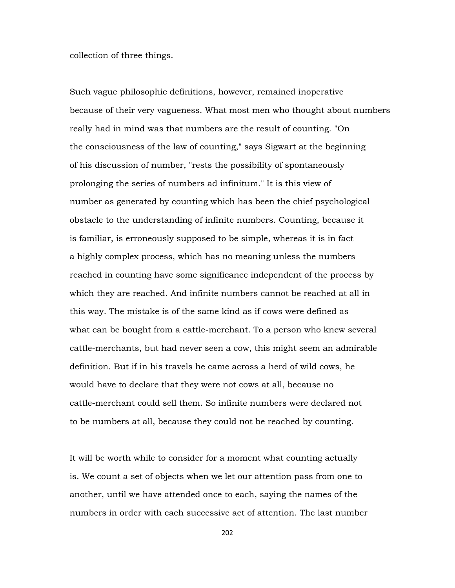collection of three things.

Such vague philosophic definitions, however, remained inoperative because of their very vagueness. What most men who thought about numbers really had in mind was that numbers are the result of counting. "On the consciousness of the law of counting," says Sigwart at the beginning of his discussion of number, "rests the possibility of spontaneously prolonging the series of numbers ad infinitum." It is this view of number as generated by counting which has been the chief psychological obstacle to the understanding of infinite numbers. Counting, because it is familiar, is erroneously supposed to be simple, whereas it is in fact a highly complex process, which has no meaning unless the numbers reached in counting have some significance independent of the process by which they are reached. And infinite numbers cannot be reached at all in this way. The mistake is of the same kind as if cows were defined as what can be bought from a cattle-merchant. To a person who knew several cattle-merchants, but had never seen a cow, this might seem an admirable definition. But if in his travels he came across a herd of wild cows, he would have to declare that they were not cows at all, because no cattle-merchant could sell them. So infinite numbers were declared not to be numbers at all, because they could not be reached by counting.

It will be worth while to consider for a moment what counting actually is. We count a set of objects when we let our attention pass from one to another, until we have attended once to each, saying the names of the numbers in order with each successive act of attention. The last number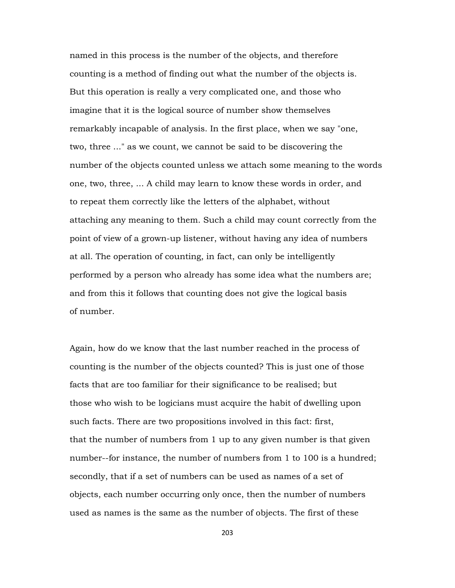named in this process is the number of the objects, and therefore counting is a method of finding out what the number of the objects is. But this operation is really a very complicated one, and those who imagine that it is the logical source of number show themselves remarkably incapable of analysis. In the first place, when we say "one, two, three ..." as we count, we cannot be said to be discovering the number of the objects counted unless we attach some meaning to the words one, two, three, ... A child may learn to know these words in order, and to repeat them correctly like the letters of the alphabet, without attaching any meaning to them. Such a child may count correctly from the point of view of a grown-up listener, without having any idea of numbers at all. The operation of counting, in fact, can only be intelligently performed by a person who already has some idea what the numbers are; and from this it follows that counting does not give the logical basis of number.

Again, how do we know that the last number reached in the process of counting is the number of the objects counted? This is just one of those facts that are too familiar for their significance to be realised; but those who wish to be logicians must acquire the habit of dwelling upon such facts. There are two propositions involved in this fact: first, that the number of numbers from 1 up to any given number is that given number--for instance, the number of numbers from 1 to 100 is a hundred; secondly, that if a set of numbers can be used as names of a set of objects, each number occurring only once, then the number of numbers used as names is the same as the number of objects. The first of these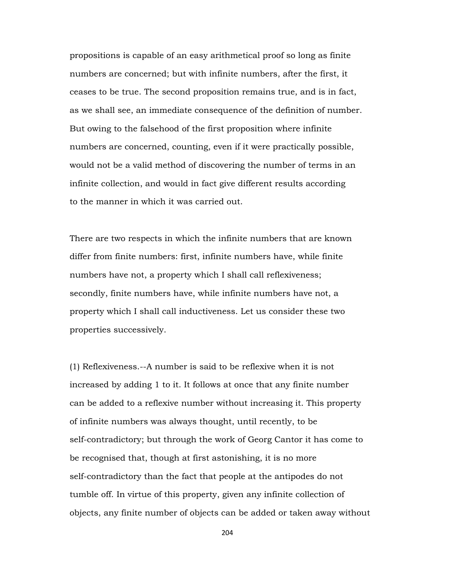propositions is capable of an easy arithmetical proof so long as finite numbers are concerned; but with infinite numbers, after the first, it ceases to be true. The second proposition remains true, and is in fact, as we shall see, an immediate consequence of the definition of number. But owing to the falsehood of the first proposition where infinite numbers are concerned, counting, even if it were practically possible, would not be a valid method of discovering the number of terms in an infinite collection, and would in fact give different results according to the manner in which it was carried out.

There are two respects in which the infinite numbers that are known differ from finite numbers: first, infinite numbers have, while finite numbers have not, a property which I shall call reflexiveness; secondly, finite numbers have, while infinite numbers have not, a property which I shall call inductiveness. Let us consider these two properties successively.

(1) Reflexiveness.--A number is said to be reflexive when it is not increased by adding 1 to it. It follows at once that any finite number can be added to a reflexive number without increasing it. This property of infinite numbers was always thought, until recently, to be self-contradictory; but through the work of Georg Cantor it has come to be recognised that, though at first astonishing, it is no more self-contradictory than the fact that people at the antipodes do not tumble off. In virtue of this property, given any infinite collection of objects, any finite number of objects can be added or taken away without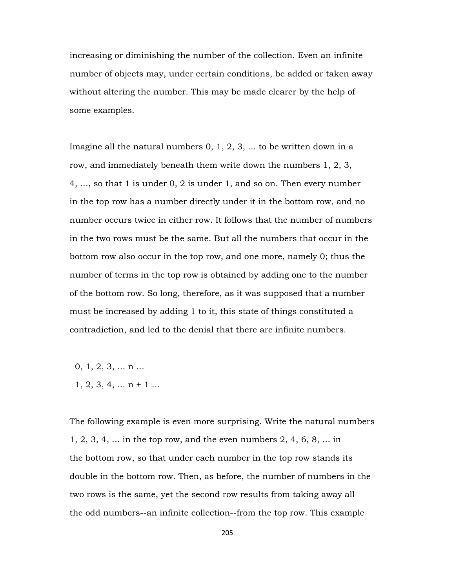increasing or diminishing the number of the collection. Even an infinite number of objects may, under certain conditions, be added or taken away without altering the number. This may be made clearer by the help of some examples.

Imagine all the natural numbers 0, 1, 2, 3, ... to be written down in a row, and immediately beneath them write down the numbers 1, 2, 3, 4, ..., so that 1 is under 0, 2 is under 1, and so on. Then every number in the top row has a number directly under it in the bottom row, and no number occurs twice in either row. It follows that the number of numbers in the two rows must be the same. But all the numbers that occur in the bottom row also occur in the top row, and one more, namely 0; thus the number of terms in the top row is obtained by adding one to the number of the bottom row. So long, therefore, as it was supposed that a number must be increased by adding 1 to it, this state of things constituted a contradiction, and led to the denial that there are infinite numbers.

- $0, 1, 2, 3, \ldots n \ldots$
- $1, 2, 3, 4, \ldots n + 1 \ldots$

The following example is even more surprising. Write the natural numbers 1, 2, 3, 4, ... in the top row, and the even numbers 2, 4, 6, 8, ... in the bottom row, so that under each number in the top row stands its double in the bottom row. Then, as before, the number of numbers in the two rows is the same, yet the second row results from taking away all the odd numbers--an infinite collection--from the top row. This example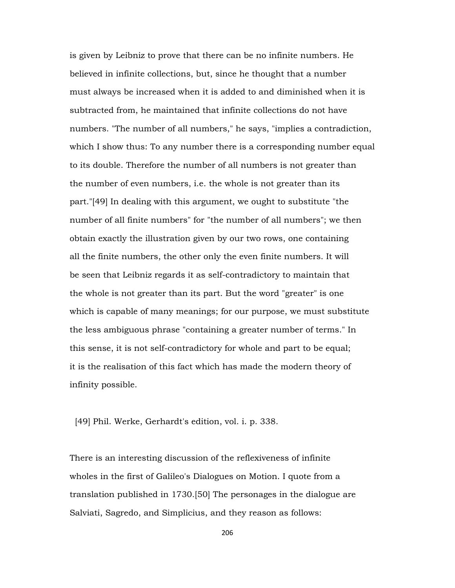is given by Leibniz to prove that there can be no infinite numbers. He believed in infinite collections, but, since he thought that a number must always be increased when it is added to and diminished when it is subtracted from, he maintained that infinite collections do not have numbers. "The number of all numbers," he says, "implies a contradiction, which I show thus: To any number there is a corresponding number equal to its double. Therefore the number of all numbers is not greater than the number of even numbers, i.e. the whole is not greater than its part."[49] In dealing with this argument, we ought to substitute "the number of all finite numbers" for "the number of all numbers"; we then obtain exactly the illustration given by our two rows, one containing all the finite numbers, the other only the even finite numbers. It will be seen that Leibniz regards it as self-contradictory to maintain that the whole is not greater than its part. But the word "greater" is one which is capable of many meanings; for our purpose, we must substitute the less ambiguous phrase "containing a greater number of terms." In this sense, it is not self-contradictory for whole and part to be equal; it is the realisation of this fact which has made the modern theory of infinity possible.

[49] Phil. Werke, Gerhardt's edition, vol. i. p. 338.

There is an interesting discussion of the reflexiveness of infinite wholes in the first of Galileo's Dialogues on Motion. I quote from a translation published in 1730.[50] The personages in the dialogue are Salviati, Sagredo, and Simplicius, and they reason as follows: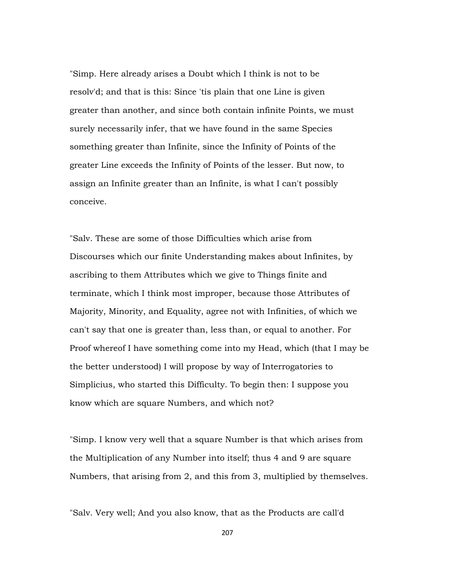"Simp. Here already arises a Doubt which I think is not to be resolv'd; and that is this: Since 'tis plain that one Line is given greater than another, and since both contain infinite Points, we must surely necessarily infer, that we have found in the same Species something greater than Infinite, since the Infinity of Points of the greater Line exceeds the Infinity of Points of the lesser. But now, to assign an Infinite greater than an Infinite, is what I can't possibly conceive.

"Salv. These are some of those Difficulties which arise from Discourses which our finite Understanding makes about Infinites, by ascribing to them Attributes which we give to Things finite and terminate, which I think most improper, because those Attributes of Majority, Minority, and Equality, agree not with Infinities, of which we can't say that one is greater than, less than, or equal to another. For Proof whereof I have something come into my Head, which (that I may be the better understood) I will propose by way of Interrogatories to Simplicius, who started this Difficulty. To begin then: I suppose you know which are square Numbers, and which not?

"Simp. I know very well that a square Number is that which arises from the Multiplication of any Number into itself; thus 4 and 9 are square Numbers, that arising from 2, and this from 3, multiplied by themselves.

"Salv. Very well; And you also know, that as the Products are call'd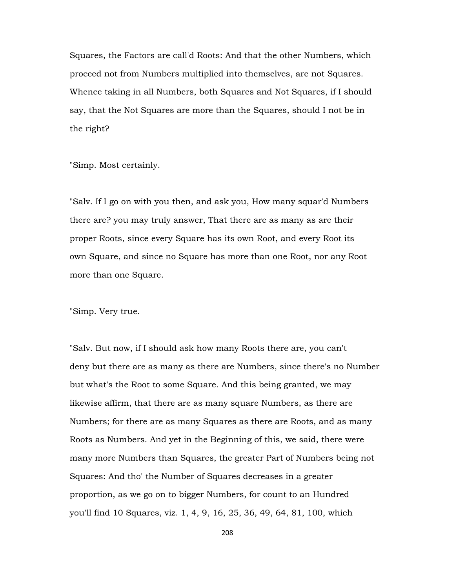Squares, the Factors are call'd Roots: And that the other Numbers, which proceed not from Numbers multiplied into themselves, are not Squares. Whence taking in all Numbers, both Squares and Not Squares, if I should say, that the Not Squares are more than the Squares, should I not be in the right?

"Simp. Most certainly.

"Salv. If I go on with you then, and ask you, How many squar'd Numbers there are? you may truly answer, That there are as many as are their proper Roots, since every Square has its own Root, and every Root its own Square, and since no Square has more than one Root, nor any Root more than one Square.

"Simp. Very true.

"Salv. But now, if I should ask how many Roots there are, you can't deny but there are as many as there are Numbers, since there's no Number but what's the Root to some Square. And this being granted, we may likewise affirm, that there are as many square Numbers, as there are Numbers; for there are as many Squares as there are Roots, and as many Roots as Numbers. And yet in the Beginning of this, we said, there were many more Numbers than Squares, the greater Part of Numbers being not Squares: And tho' the Number of Squares decreases in a greater proportion, as we go on to bigger Numbers, for count to an Hundred you'll find 10 Squares, viz. 1, 4, 9, 16, 25, 36, 49, 64, 81, 100, which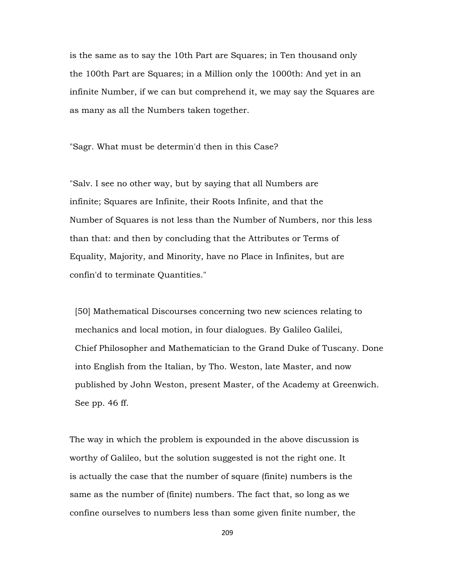is the same as to say the 10th Part are Squares; in Ten thousand only the 100th Part are Squares; in a Million only the 1000th: And yet in an infinite Number, if we can but comprehend it, we may say the Squares are as many as all the Numbers taken together.

"Sagr. What must be determin'd then in this Case?

"Salv. I see no other way, but by saying that all Numbers are infinite; Squares are Infinite, their Roots Infinite, and that the Number of Squares is not less than the Number of Numbers, nor this less than that: and then by concluding that the Attributes or Terms of Equality, Majority, and Minority, have no Place in Infinites, but are confin'd to terminate Quantities."

 [50] Mathematical Discourses concerning two new sciences relating to mechanics and local motion, in four dialogues. By Galileo Galilei, Chief Philosopher and Mathematician to the Grand Duke of Tuscany. Done into English from the Italian, by Tho. Weston, late Master, and now published by John Weston, present Master, of the Academy at Greenwich. See pp. 46 ff.

The way in which the problem is expounded in the above discussion is worthy of Galileo, but the solution suggested is not the right one. It is actually the case that the number of square (finite) numbers is the same as the number of (finite) numbers. The fact that, so long as we confine ourselves to numbers less than some given finite number, the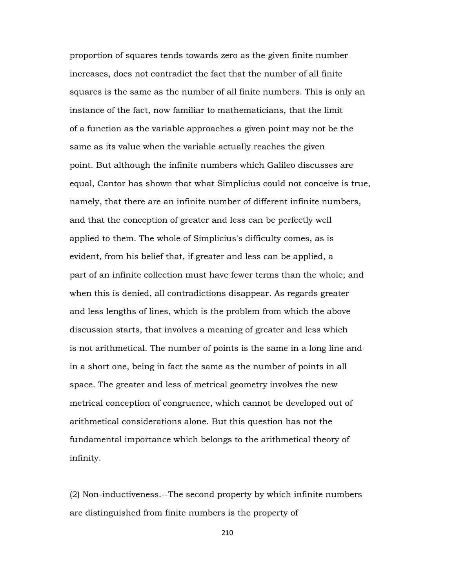proportion of squares tends towards zero as the given finite number increases, does not contradict the fact that the number of all finite squares is the same as the number of all finite numbers. This is only an instance of the fact, now familiar to mathematicians, that the limit of a function as the variable approaches a given point may not be the same as its value when the variable actually reaches the given point. But although the infinite numbers which Galileo discusses are equal, Cantor has shown that what Simplicius could not conceive is true, namely, that there are an infinite number of different infinite numbers, and that the conception of greater and less can be perfectly well applied to them. The whole of Simplicius's difficulty comes, as is evident, from his belief that, if greater and less can be applied, a part of an infinite collection must have fewer terms than the whole; and when this is denied, all contradictions disappear. As regards greater and less lengths of lines, which is the problem from which the above discussion starts, that involves a meaning of greater and less which is not arithmetical. The number of points is the same in a long line and in a short one, being in fact the same as the number of points in all space. The greater and less of metrical geometry involves the new metrical conception of congruence, which cannot be developed out of arithmetical considerations alone. But this question has not the fundamental importance which belongs to the arithmetical theory of infinity.

(2) Non-inductiveness.--The second property by which infinite numbers are distinguished from finite numbers is the property of

210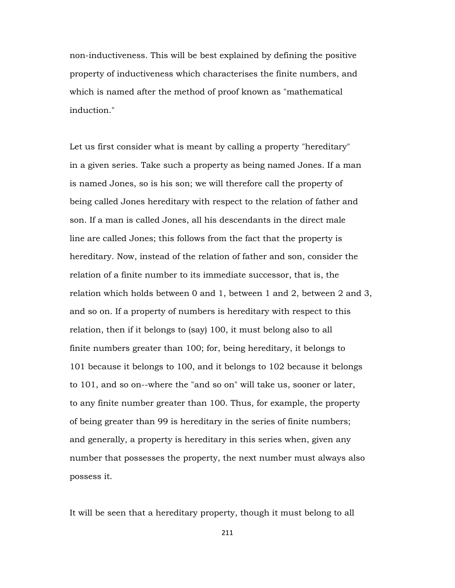non-inductiveness. This will be best explained by defining the positive property of inductiveness which characterises the finite numbers, and which is named after the method of proof known as "mathematical induction."

Let us first consider what is meant by calling a property "hereditary" in a given series. Take such a property as being named Jones. If a man is named Jones, so is his son; we will therefore call the property of being called Jones hereditary with respect to the relation of father and son. If a man is called Jones, all his descendants in the direct male line are called Jones; this follows from the fact that the property is hereditary. Now, instead of the relation of father and son, consider the relation of a finite number to its immediate successor, that is, the relation which holds between 0 and 1, between 1 and 2, between 2 and 3, and so on. If a property of numbers is hereditary with respect to this relation, then if it belongs to (say) 100, it must belong also to all finite numbers greater than 100; for, being hereditary, it belongs to 101 because it belongs to 100, and it belongs to 102 because it belongs to 101, and so on--where the "and so on" will take us, sooner or later, to any finite number greater than 100. Thus, for example, the property of being greater than 99 is hereditary in the series of finite numbers; and generally, a property is hereditary in this series when, given any number that possesses the property, the next number must always also possess it.

It will be seen that a hereditary property, though it must belong to all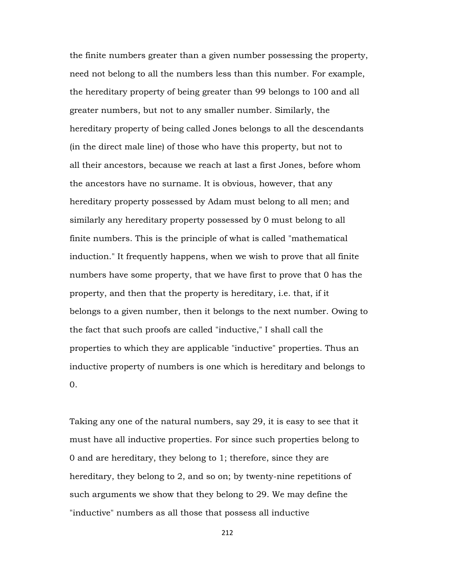the finite numbers greater than a given number possessing the property, need not belong to all the numbers less than this number. For example, the hereditary property of being greater than 99 belongs to 100 and all greater numbers, but not to any smaller number. Similarly, the hereditary property of being called Jones belongs to all the descendants (in the direct male line) of those who have this property, but not to all their ancestors, because we reach at last a first Jones, before whom the ancestors have no surname. It is obvious, however, that any hereditary property possessed by Adam must belong to all men; and similarly any hereditary property possessed by 0 must belong to all finite numbers. This is the principle of what is called "mathematical induction." It frequently happens, when we wish to prove that all finite numbers have some property, that we have first to prove that 0 has the property, and then that the property is hereditary, i.e. that, if it belongs to a given number, then it belongs to the next number. Owing to the fact that such proofs are called "inductive," I shall call the properties to which they are applicable "inductive" properties. Thus an inductive property of numbers is one which is hereditary and belongs to 0.

Taking any one of the natural numbers, say 29, it is easy to see that it must have all inductive properties. For since such properties belong to 0 and are hereditary, they belong to 1; therefore, since they are hereditary, they belong to 2, and so on; by twenty-nine repetitions of such arguments we show that they belong to 29. We may define the "inductive" numbers as all those that possess all inductive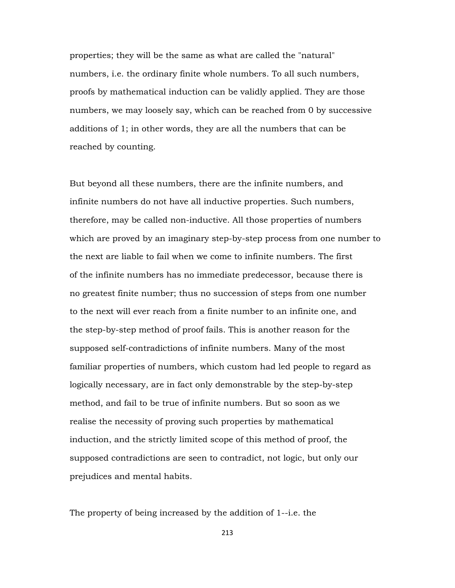properties; they will be the same as what are called the "natural" numbers, i.e. the ordinary finite whole numbers. To all such numbers, proofs by mathematical induction can be validly applied. They are those numbers, we may loosely say, which can be reached from 0 by successive additions of 1; in other words, they are all the numbers that can be reached by counting.

But beyond all these numbers, there are the infinite numbers, and infinite numbers do not have all inductive properties. Such numbers, therefore, may be called non-inductive. All those properties of numbers which are proved by an imaginary step-by-step process from one number to the next are liable to fail when we come to infinite numbers. The first of the infinite numbers has no immediate predecessor, because there is no greatest finite number; thus no succession of steps from one number to the next will ever reach from a finite number to an infinite one, and the step-by-step method of proof fails. This is another reason for the supposed self-contradictions of infinite numbers. Many of the most familiar properties of numbers, which custom had led people to regard as logically necessary, are in fact only demonstrable by the step-by-step method, and fail to be true of infinite numbers. But so soon as we realise the necessity of proving such properties by mathematical induction, and the strictly limited scope of this method of proof, the supposed contradictions are seen to contradict, not logic, but only our prejudices and mental habits.

The property of being increased by the addition of 1--i.e. the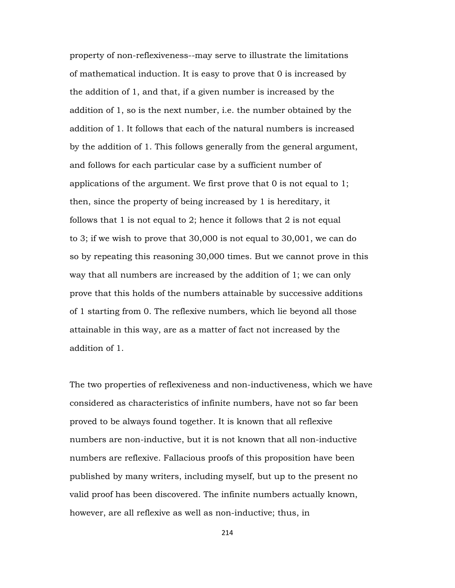property of non-reflexiveness--may serve to illustrate the limitations of mathematical induction. It is easy to prove that 0 is increased by the addition of 1, and that, if a given number is increased by the addition of 1, so is the next number, i.e. the number obtained by the addition of 1. It follows that each of the natural numbers is increased by the addition of 1. This follows generally from the general argument, and follows for each particular case by a sufficient number of applications of the argument. We first prove that 0 is not equal to 1; then, since the property of being increased by 1 is hereditary, it follows that 1 is not equal to 2; hence it follows that 2 is not equal to 3; if we wish to prove that 30,000 is not equal to 30,001, we can do so by repeating this reasoning 30,000 times. But we cannot prove in this way that all numbers are increased by the addition of 1; we can only prove that this holds of the numbers attainable by successive additions of 1 starting from 0. The reflexive numbers, which lie beyond all those attainable in this way, are as a matter of fact not increased by the addition of 1.

The two properties of reflexiveness and non-inductiveness, which we have considered as characteristics of infinite numbers, have not so far been proved to be always found together. It is known that all reflexive numbers are non-inductive, but it is not known that all non-inductive numbers are reflexive. Fallacious proofs of this proposition have been published by many writers, including myself, but up to the present no valid proof has been discovered. The infinite numbers actually known, however, are all reflexive as well as non-inductive; thus, in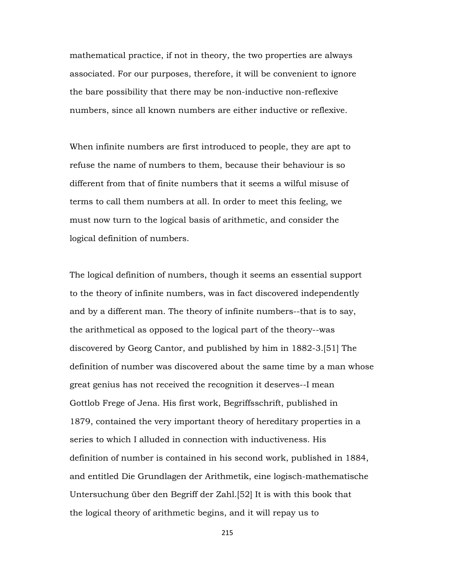mathematical practice, if not in theory, the two properties are always associated. For our purposes, therefore, it will be convenient to ignore the bare possibility that there may be non-inductive non-reflexive numbers, since all known numbers are either inductive or reflexive.

When infinite numbers are first introduced to people, they are apt to refuse the name of numbers to them, because their behaviour is so different from that of finite numbers that it seems a wilful misuse of terms to call them numbers at all. In order to meet this feeling, we must now turn to the logical basis of arithmetic, and consider the logical definition of numbers.

The logical definition of numbers, though it seems an essential support to the theory of infinite numbers, was in fact discovered independently and by a different man. The theory of infinite numbers--that is to say, the arithmetical as opposed to the logical part of the theory--was discovered by Georg Cantor, and published by him in 1882-3.[51] The definition of number was discovered about the same time by a man whose great genius has not received the recognition it deserves--I mean Gottlob Frege of Jena. His first work, Begriffsschrift, published in 1879, contained the very important theory of hereditary properties in a series to which I alluded in connection with inductiveness. His definition of number is contained in his second work, published in 1884, and entitled Die Grundlagen der Arithmetik, eine logisch-mathematische Untersuchung über den Begriff der Zahl.[52] It is with this book that the logical theory of arithmetic begins, and it will repay us to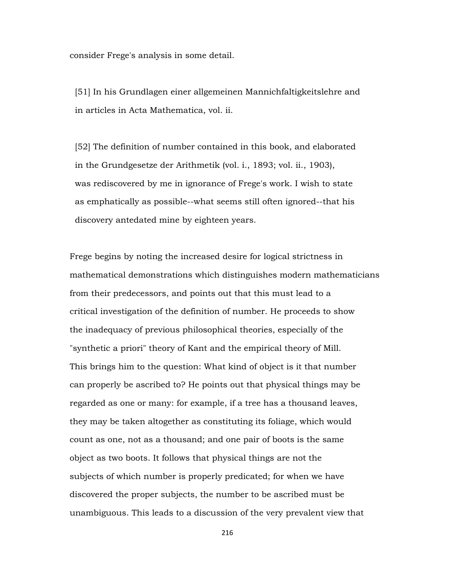consider Frege's analysis in some detail.

 [51] In his Grundlagen einer allgemeinen Mannichfaltigkeitslehre and in articles in Acta Mathematica, vol. ii.

 [52] The definition of number contained in this book, and elaborated in the Grundgesetze der Arithmetik (vol. i., 1893; vol. ii., 1903), was rediscovered by me in ignorance of Frege's work. I wish to state as emphatically as possible--what seems still often ignored--that his discovery antedated mine by eighteen years.

Frege begins by noting the increased desire for logical strictness in mathematical demonstrations which distinguishes modern mathematicians from their predecessors, and points out that this must lead to a critical investigation of the definition of number. He proceeds to show the inadequacy of previous philosophical theories, especially of the "synthetic a priori" theory of Kant and the empirical theory of Mill. This brings him to the question: What kind of object is it that number can properly be ascribed to? He points out that physical things may be regarded as one or many: for example, if a tree has a thousand leaves, they may be taken altogether as constituting its foliage, which would count as one, not as a thousand; and one pair of boots is the same object as two boots. It follows that physical things are not the subjects of which number is properly predicated; for when we have discovered the proper subjects, the number to be ascribed must be unambiguous. This leads to a discussion of the very prevalent view that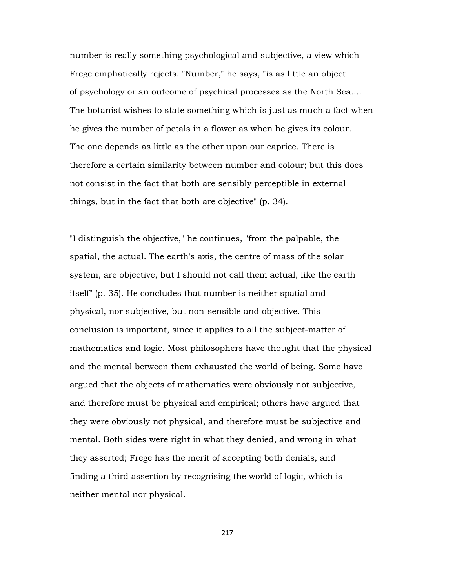number is really something psychological and subjective, a view which Frege emphatically rejects. "Number," he says, "is as little an object of psychology or an outcome of psychical processes as the North Sea.... The botanist wishes to state something which is just as much a fact when he gives the number of petals in a flower as when he gives its colour. The one depends as little as the other upon our caprice. There is therefore a certain similarity between number and colour; but this does not consist in the fact that both are sensibly perceptible in external things, but in the fact that both are objective" (p. 34).

"I distinguish the objective," he continues, "from the palpable, the spatial, the actual. The earth's axis, the centre of mass of the solar system, are objective, but I should not call them actual, like the earth itself" (p. 35). He concludes that number is neither spatial and physical, nor subjective, but non-sensible and objective. This conclusion is important, since it applies to all the subject-matter of mathematics and logic. Most philosophers have thought that the physical and the mental between them exhausted the world of being. Some have argued that the objects of mathematics were obviously not subjective, and therefore must be physical and empirical; others have argued that they were obviously not physical, and therefore must be subjective and mental. Both sides were right in what they denied, and wrong in what they asserted; Frege has the merit of accepting both denials, and finding a third assertion by recognising the world of logic, which is neither mental nor physical.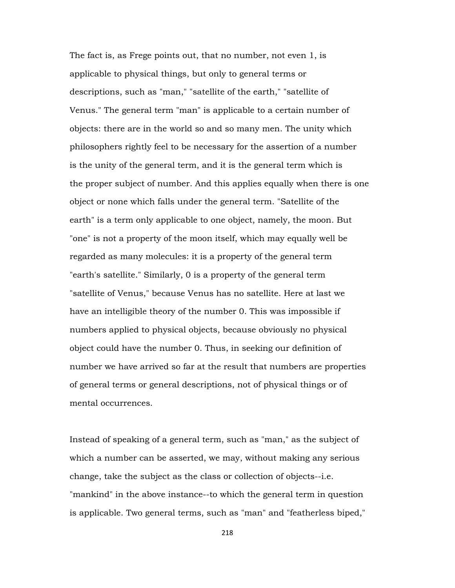The fact is, as Frege points out, that no number, not even 1, is applicable to physical things, but only to general terms or descriptions, such as "man," "satellite of the earth," "satellite of Venus." The general term "man" is applicable to a certain number of objects: there are in the world so and so many men. The unity which philosophers rightly feel to be necessary for the assertion of a number is the unity of the general term, and it is the general term which is the proper subject of number. And this applies equally when there is one object or none which falls under the general term. "Satellite of the earth" is a term only applicable to one object, namely, the moon. But "one" is not a property of the moon itself, which may equally well be regarded as many molecules: it is a property of the general term "earth's satellite." Similarly, 0 is a property of the general term "satellite of Venus," because Venus has no satellite. Here at last we have an intelligible theory of the number 0. This was impossible if numbers applied to physical objects, because obviously no physical object could have the number 0. Thus, in seeking our definition of number we have arrived so far at the result that numbers are properties of general terms or general descriptions, not of physical things or of mental occurrences.

Instead of speaking of a general term, such as "man," as the subject of which a number can be asserted, we may, without making any serious change, take the subject as the class or collection of objects--i.e. "mankind" in the above instance--to which the general term in question is applicable. Two general terms, such as "man" and "featherless biped,"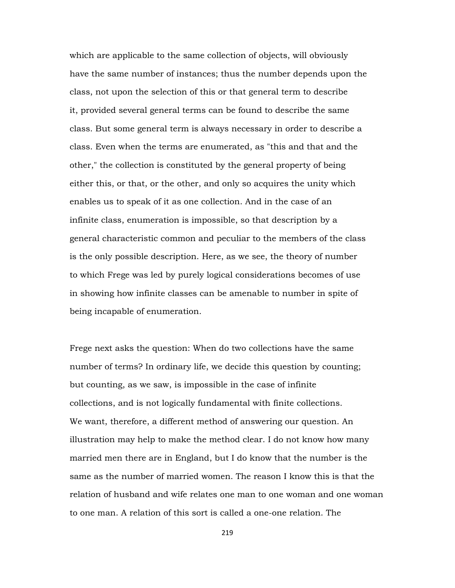which are applicable to the same collection of objects, will obviously have the same number of instances; thus the number depends upon the class, not upon the selection of this or that general term to describe it, provided several general terms can be found to describe the same class. But some general term is always necessary in order to describe a class. Even when the terms are enumerated, as "this and that and the other," the collection is constituted by the general property of being either this, or that, or the other, and only so acquires the unity which enables us to speak of it as one collection. And in the case of an infinite class, enumeration is impossible, so that description by a general characteristic common and peculiar to the members of the class is the only possible description. Here, as we see, the theory of number to which Frege was led by purely logical considerations becomes of use in showing how infinite classes can be amenable to number in spite of being incapable of enumeration.

Frege next asks the question: When do two collections have the same number of terms? In ordinary life, we decide this question by counting; but counting, as we saw, is impossible in the case of infinite collections, and is not logically fundamental with finite collections. We want, therefore, a different method of answering our question. An illustration may help to make the method clear. I do not know how many married men there are in England, but I do know that the number is the same as the number of married women. The reason I know this is that the relation of husband and wife relates one man to one woman and one woman to one man. A relation of this sort is called a one-one relation. The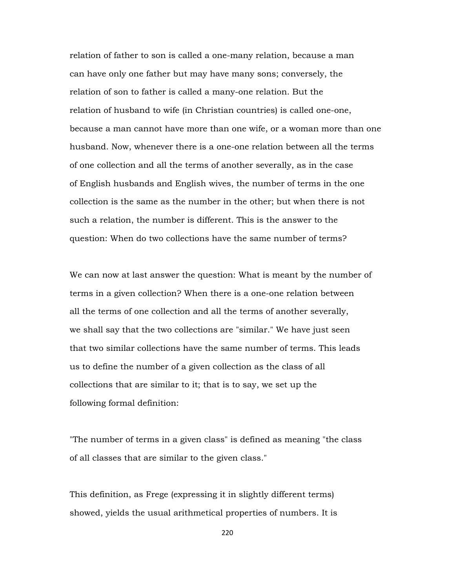relation of father to son is called a one-many relation, because a man can have only one father but may have many sons; conversely, the relation of son to father is called a many-one relation. But the relation of husband to wife (in Christian countries) is called one-one, because a man cannot have more than one wife, or a woman more than one husband. Now, whenever there is a one-one relation between all the terms of one collection and all the terms of another severally, as in the case of English husbands and English wives, the number of terms in the one collection is the same as the number in the other; but when there is not such a relation, the number is different. This is the answer to the question: When do two collections have the same number of terms?

We can now at last answer the question: What is meant by the number of terms in a given collection? When there is a one-one relation between all the terms of one collection and all the terms of another severally, we shall say that the two collections are "similar." We have just seen that two similar collections have the same number of terms. This leads us to define the number of a given collection as the class of all collections that are similar to it; that is to say, we set up the following formal definition:

"The number of terms in a given class" is defined as meaning "the class of all classes that are similar to the given class."

This definition, as Frege (expressing it in slightly different terms) showed, yields the usual arithmetical properties of numbers. It is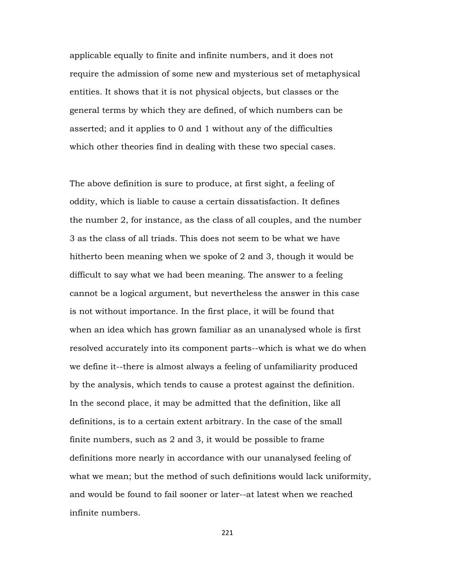applicable equally to finite and infinite numbers, and it does not require the admission of some new and mysterious set of metaphysical entities. It shows that it is not physical objects, but classes or the general terms by which they are defined, of which numbers can be asserted; and it applies to 0 and 1 without any of the difficulties which other theories find in dealing with these two special cases.

The above definition is sure to produce, at first sight, a feeling of oddity, which is liable to cause a certain dissatisfaction. It defines the number 2, for instance, as the class of all couples, and the number 3 as the class of all triads. This does not seem to be what we have hitherto been meaning when we spoke of 2 and 3, though it would be difficult to say what we had been meaning. The answer to a feeling cannot be a logical argument, but nevertheless the answer in this case is not without importance. In the first place, it will be found that when an idea which has grown familiar as an unanalysed whole is first resolved accurately into its component parts--which is what we do when we define it--there is almost always a feeling of unfamiliarity produced by the analysis, which tends to cause a protest against the definition. In the second place, it may be admitted that the definition, like all definitions, is to a certain extent arbitrary. In the case of the small finite numbers, such as 2 and 3, it would be possible to frame definitions more nearly in accordance with our unanalysed feeling of what we mean; but the method of such definitions would lack uniformity, and would be found to fail sooner or later--at latest when we reached infinite numbers.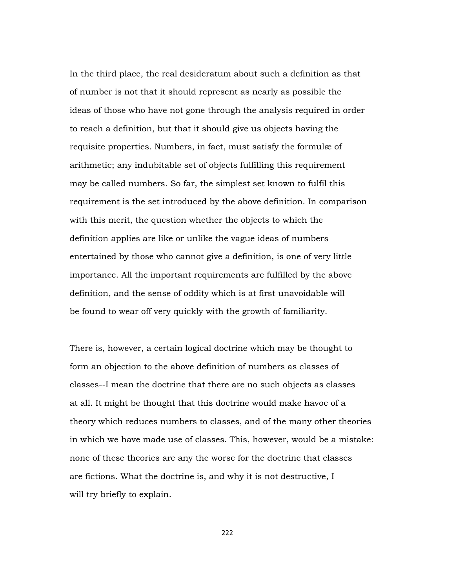In the third place, the real desideratum about such a definition as that of number is not that it should represent as nearly as possible the ideas of those who have not gone through the analysis required in order to reach a definition, but that it should give us objects having the requisite properties. Numbers, in fact, must satisfy the formulæ of arithmetic; any indubitable set of objects fulfilling this requirement may be called numbers. So far, the simplest set known to fulfil this requirement is the set introduced by the above definition. In comparison with this merit, the question whether the objects to which the definition applies are like or unlike the vague ideas of numbers entertained by those who cannot give a definition, is one of very little importance. All the important requirements are fulfilled by the above definition, and the sense of oddity which is at first unavoidable will be found to wear off very quickly with the growth of familiarity.

There is, however, a certain logical doctrine which may be thought to form an objection to the above definition of numbers as classes of classes--I mean the doctrine that there are no such objects as classes at all. It might be thought that this doctrine would make havoc of a theory which reduces numbers to classes, and of the many other theories in which we have made use of classes. This, however, would be a mistake: none of these theories are any the worse for the doctrine that classes are fictions. What the doctrine is, and why it is not destructive, I will try briefly to explain.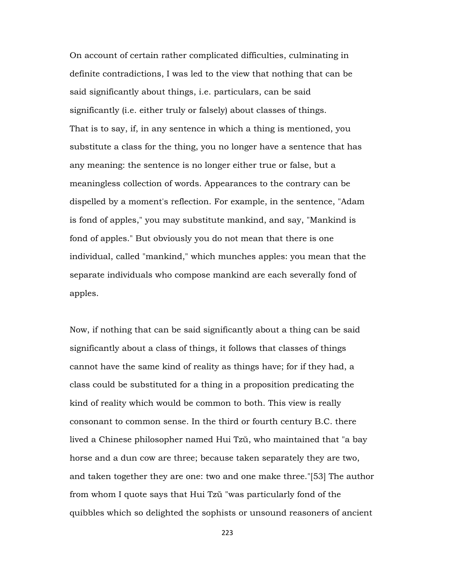On account of certain rather complicated difficulties, culminating in definite contradictions, I was led to the view that nothing that can be said significantly about things, i.e. particulars, can be said significantly (i.e. either truly or falsely) about classes of things. That is to say, if, in any sentence in which a thing is mentioned, you substitute a class for the thing, you no longer have a sentence that has any meaning: the sentence is no longer either true or false, but a meaningless collection of words. Appearances to the contrary can be dispelled by a moment's reflection. For example, in the sentence, "Adam is fond of apples," you may substitute mankind, and say, "Mankind is fond of apples." But obviously you do not mean that there is one individual, called "mankind," which munches apples: you mean that the separate individuals who compose mankind are each severally fond of apples.

Now, if nothing that can be said significantly about a thing can be said significantly about a class of things, it follows that classes of things cannot have the same kind of reality as things have; for if they had, a class could be substituted for a thing in a proposition predicating the kind of reality which would be common to both. This view is really consonant to common sense. In the third or fourth century B.C. there lived a Chinese philosopher named Hui Tzŭ, who maintained that "a bay horse and a dun cow are three; because taken separately they are two, and taken together they are one: two and one make three."[53] The author from whom I quote says that Hui Tzŭ "was particularly fond of the quibbles which so delighted the sophists or unsound reasoners of ancient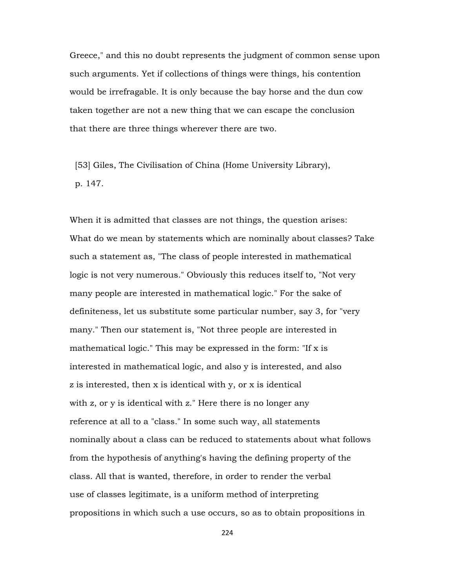Greece," and this no doubt represents the judgment of common sense upon such arguments. Yet if collections of things were things, his contention would be irrefragable. It is only because the bay horse and the dun cow taken together are not a new thing that we can escape the conclusion that there are three things wherever there are two.

 [53] Giles, The Civilisation of China (Home University Library), p. 147.

When it is admitted that classes are not things, the question arises: What do we mean by statements which are nominally about classes? Take such a statement as, "The class of people interested in mathematical logic is not very numerous." Obviously this reduces itself to, "Not very many people are interested in mathematical logic." For the sake of definiteness, let us substitute some particular number, say 3, for "very many." Then our statement is, "Not three people are interested in mathematical logic." This may be expressed in the form: "If x is interested in mathematical logic, and also y is interested, and also z is interested, then x is identical with y, or x is identical with z, or y is identical with z." Here there is no longer any reference at all to a "class." In some such way, all statements nominally about a class can be reduced to statements about what follows from the hypothesis of anything's having the defining property of the class. All that is wanted, therefore, in order to render the verbal use of classes legitimate, is a uniform method of interpreting propositions in which such a use occurs, so as to obtain propositions in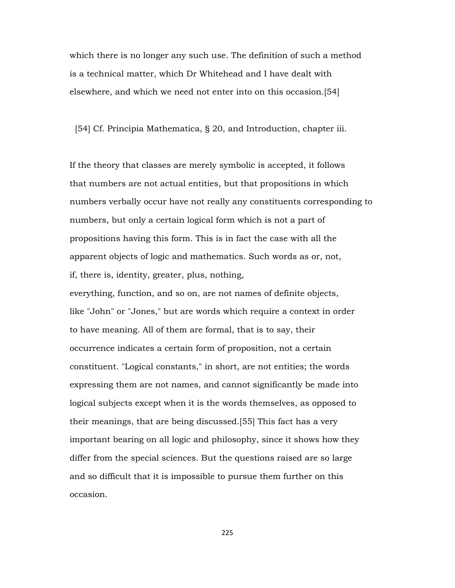which there is no longer any such use. The definition of such a method is a technical matter, which Dr Whitehead and I have dealt with elsewhere, and which we need not enter into on this occasion.[54]

[54] Cf. Principia Mathematica, § 20, and Introduction, chapter iii.

If the theory that classes are merely symbolic is accepted, it follows that numbers are not actual entities, but that propositions in which numbers verbally occur have not really any constituents corresponding to numbers, but only a certain logical form which is not a part of propositions having this form. This is in fact the case with all the apparent objects of logic and mathematics. Such words as or, not, if, there is, identity, greater, plus, nothing,

everything, function, and so on, are not names of definite objects, like "John" or "Jones," but are words which require a context in order to have meaning. All of them are formal, that is to say, their occurrence indicates a certain form of proposition, not a certain constituent. "Logical constants," in short, are not entities; the words expressing them are not names, and cannot significantly be made into logical subjects except when it is the words themselves, as opposed to their meanings, that are being discussed.[55] This fact has a very important bearing on all logic and philosophy, since it shows how they differ from the special sciences. But the questions raised are so large and so difficult that it is impossible to pursue them further on this occasion.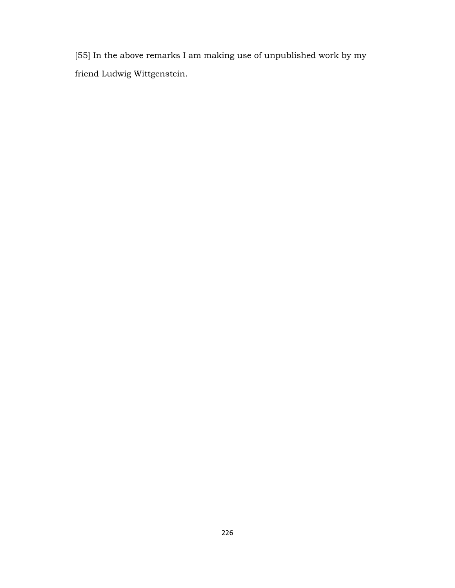[55] In the above remarks I am making use of unpublished work by my friend Ludwig Wittgenstein.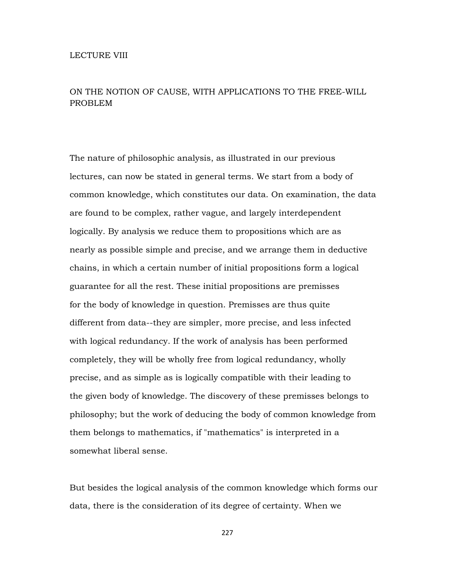## ON THE NOTION OF CAUSE, WITH APPLICATIONS TO THE FREE-WILL PROBLEM

The nature of philosophic analysis, as illustrated in our previous lectures, can now be stated in general terms. We start from a body of common knowledge, which constitutes our data. On examination, the data are found to be complex, rather vague, and largely interdependent logically. By analysis we reduce them to propositions which are as nearly as possible simple and precise, and we arrange them in deductive chains, in which a certain number of initial propositions form a logical guarantee for all the rest. These initial propositions are premisses for the body of knowledge in question. Premisses are thus quite different from data--they are simpler, more precise, and less infected with logical redundancy. If the work of analysis has been performed completely, they will be wholly free from logical redundancy, wholly precise, and as simple as is logically compatible with their leading to the given body of knowledge. The discovery of these premisses belongs to philosophy; but the work of deducing the body of common knowledge from them belongs to mathematics, if "mathematics" is interpreted in a somewhat liberal sense.

But besides the logical analysis of the common knowledge which forms our data, there is the consideration of its degree of certainty. When we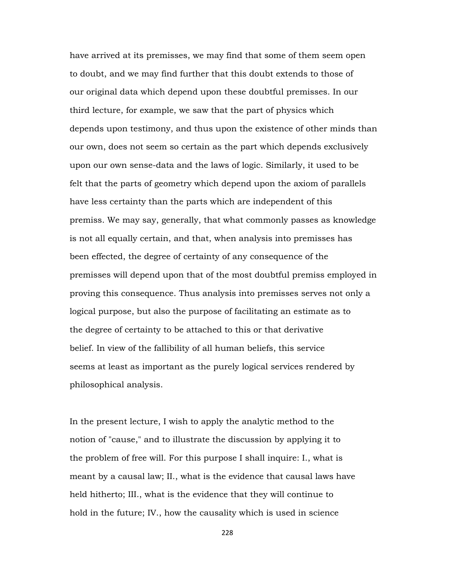have arrived at its premisses, we may find that some of them seem open to doubt, and we may find further that this doubt extends to those of our original data which depend upon these doubtful premisses. In our third lecture, for example, we saw that the part of physics which depends upon testimony, and thus upon the existence of other minds than our own, does not seem so certain as the part which depends exclusively upon our own sense-data and the laws of logic. Similarly, it used to be felt that the parts of geometry which depend upon the axiom of parallels have less certainty than the parts which are independent of this premiss. We may say, generally, that what commonly passes as knowledge is not all equally certain, and that, when analysis into premisses has been effected, the degree of certainty of any consequence of the premisses will depend upon that of the most doubtful premiss employed in proving this consequence. Thus analysis into premisses serves not only a logical purpose, but also the purpose of facilitating an estimate as to the degree of certainty to be attached to this or that derivative belief. In view of the fallibility of all human beliefs, this service seems at least as important as the purely logical services rendered by philosophical analysis.

In the present lecture, I wish to apply the analytic method to the notion of "cause," and to illustrate the discussion by applying it to the problem of free will. For this purpose I shall inquire: I., what is meant by a causal law; II., what is the evidence that causal laws have held hitherto; III., what is the evidence that they will continue to hold in the future; IV., how the causality which is used in science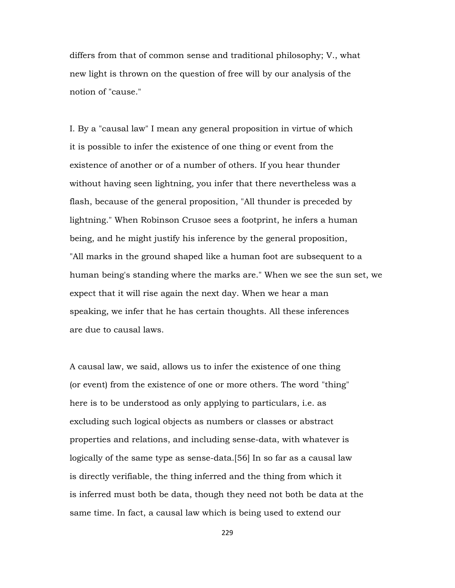differs from that of common sense and traditional philosophy; V., what new light is thrown on the question of free will by our analysis of the notion of "cause."

I. By a "causal law" I mean any general proposition in virtue of which it is possible to infer the existence of one thing or event from the existence of another or of a number of others. If you hear thunder without having seen lightning, you infer that there nevertheless was a flash, because of the general proposition, "All thunder is preceded by lightning." When Robinson Crusoe sees a footprint, he infers a human being, and he might justify his inference by the general proposition, "All marks in the ground shaped like a human foot are subsequent to a human being's standing where the marks are." When we see the sun set, we expect that it will rise again the next day. When we hear a man speaking, we infer that he has certain thoughts. All these inferences are due to causal laws.

A causal law, we said, allows us to infer the existence of one thing (or event) from the existence of one or more others. The word "thing" here is to be understood as only applying to particulars, i.e. as excluding such logical objects as numbers or classes or abstract properties and relations, and including sense-data, with whatever is logically of the same type as sense-data.[56] In so far as a causal law is directly verifiable, the thing inferred and the thing from which it is inferred must both be data, though they need not both be data at the same time. In fact, a causal law which is being used to extend our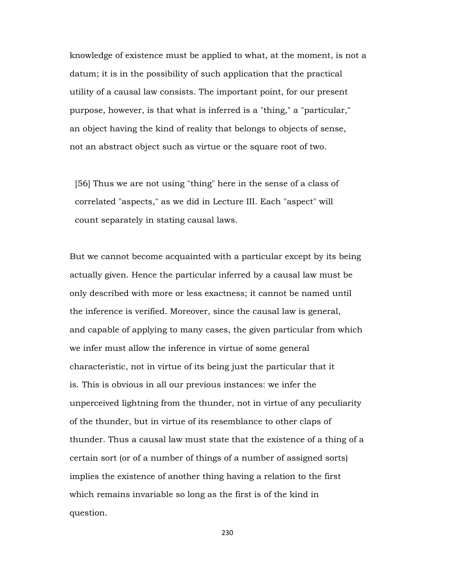knowledge of existence must be applied to what, at the moment, is not a datum; it is in the possibility of such application that the practical utility of a causal law consists. The important point, for our present purpose, however, is that what is inferred is a "thing," a "particular," an object having the kind of reality that belongs to objects of sense, not an abstract object such as virtue or the square root of two.

 [56] Thus we are not using "thing" here in the sense of a class of correlated "aspects," as we did in Lecture III. Each "aspect" will count separately in stating causal laws.

But we cannot become acquainted with a particular except by its being actually given. Hence the particular inferred by a causal law must be only described with more or less exactness; it cannot be named until the inference is verified. Moreover, since the causal law is general, and capable of applying to many cases, the given particular from which we infer must allow the inference in virtue of some general characteristic, not in virtue of its being just the particular that it is. This is obvious in all our previous instances: we infer the unperceived lightning from the thunder, not in virtue of any peculiarity of the thunder, but in virtue of its resemblance to other claps of thunder. Thus a causal law must state that the existence of a thing of a certain sort (or of a number of things of a number of assigned sorts) implies the existence of another thing having a relation to the first which remains invariable so long as the first is of the kind in question.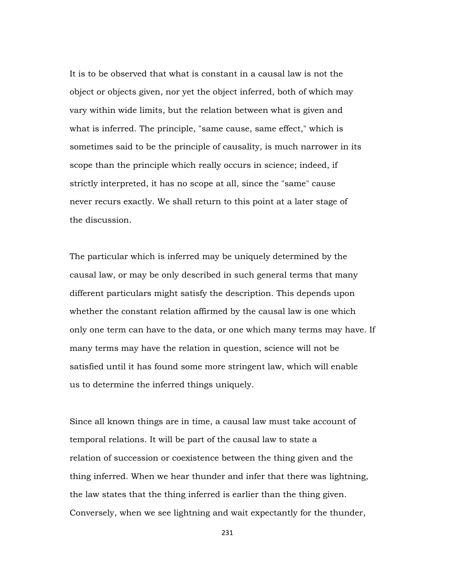It is to be observed that what is constant in a causal law is not the object or objects given, nor yet the object inferred, both of which may vary within wide limits, but the relation between what is given and what is inferred. The principle, "same cause, same effect," which is sometimes said to be the principle of causality, is much narrower in its scope than the principle which really occurs in science; indeed, if strictly interpreted, it has no scope at all, since the "same" cause never recurs exactly. We shall return to this point at a later stage of the discussion.

The particular which is inferred may be uniquely determined by the causal law, or may be only described in such general terms that many different particulars might satisfy the description. This depends upon whether the constant relation affirmed by the causal law is one which only one term can have to the data, or one which many terms may have. If many terms may have the relation in question, science will not be satisfied until it has found some more stringent law, which will enable us to determine the inferred things uniquely.

Since all known things are in time, a causal law must take account of temporal relations. It will be part of the causal law to state a relation of succession or coexistence between the thing given and the thing inferred. When we hear thunder and infer that there was lightning, the law states that the thing inferred is earlier than the thing given. Conversely, when we see lightning and wait expectantly for the thunder,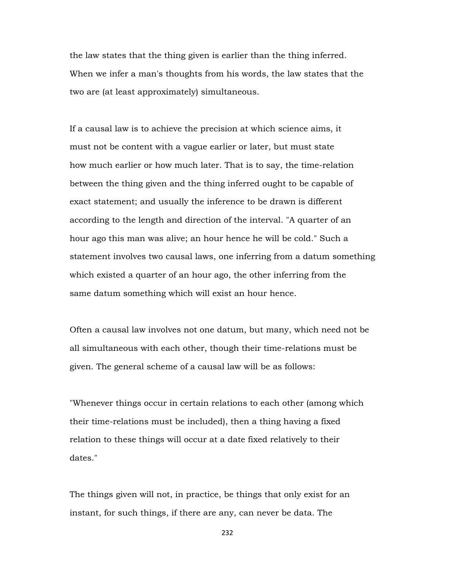the law states that the thing given is earlier than the thing inferred. When we infer a man's thoughts from his words, the law states that the two are (at least approximately) simultaneous.

If a causal law is to achieve the precision at which science aims, it must not be content with a vague earlier or later, but must state how much earlier or how much later. That is to say, the time-relation between the thing given and the thing inferred ought to be capable of exact statement; and usually the inference to be drawn is different according to the length and direction of the interval. "A quarter of an hour ago this man was alive; an hour hence he will be cold." Such a statement involves two causal laws, one inferring from a datum something which existed a quarter of an hour ago, the other inferring from the same datum something which will exist an hour hence.

Often a causal law involves not one datum, but many, which need not be all simultaneous with each other, though their time-relations must be given. The general scheme of a causal law will be as follows:

"Whenever things occur in certain relations to each other (among which their time-relations must be included), then a thing having a fixed relation to these things will occur at a date fixed relatively to their dates."

The things given will not, in practice, be things that only exist for an instant, for such things, if there are any, can never be data. The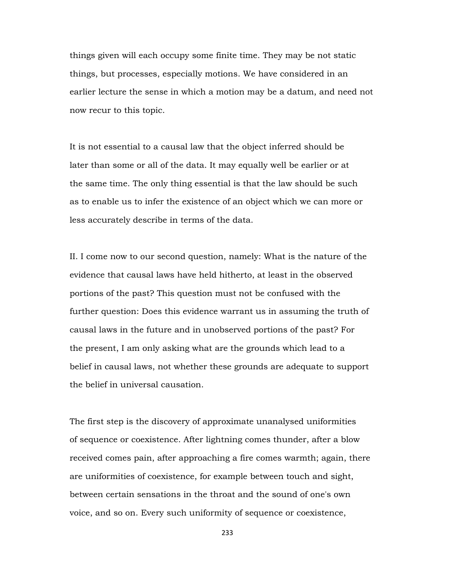things given will each occupy some finite time. They may be not static things, but processes, especially motions. We have considered in an earlier lecture the sense in which a motion may be a datum, and need not now recur to this topic.

It is not essential to a causal law that the object inferred should be later than some or all of the data. It may equally well be earlier or at the same time. The only thing essential is that the law should be such as to enable us to infer the existence of an object which we can more or less accurately describe in terms of the data.

II. I come now to our second question, namely: What is the nature of the evidence that causal laws have held hitherto, at least in the observed portions of the past? This question must not be confused with the further question: Does this evidence warrant us in assuming the truth of causal laws in the future and in unobserved portions of the past? For the present, I am only asking what are the grounds which lead to a belief in causal laws, not whether these grounds are adequate to support the belief in universal causation.

The first step is the discovery of approximate unanalysed uniformities of sequence or coexistence. After lightning comes thunder, after a blow received comes pain, after approaching a fire comes warmth; again, there are uniformities of coexistence, for example between touch and sight, between certain sensations in the throat and the sound of one's own voice, and so on. Every such uniformity of sequence or coexistence,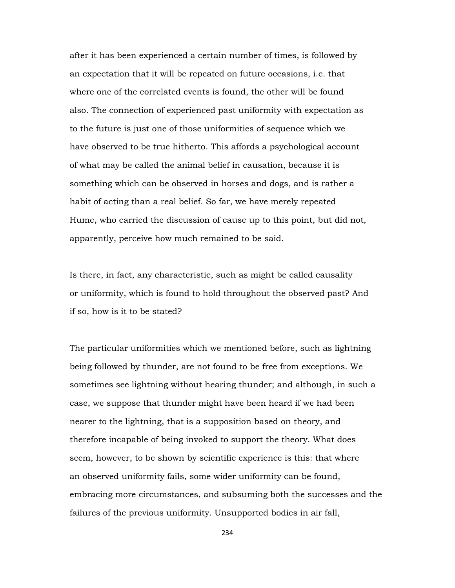after it has been experienced a certain number of times, is followed by an expectation that it will be repeated on future occasions, i.e. that where one of the correlated events is found, the other will be found also. The connection of experienced past uniformity with expectation as to the future is just one of those uniformities of sequence which we have observed to be true hitherto. This affords a psychological account of what may be called the animal belief in causation, because it is something which can be observed in horses and dogs, and is rather a habit of acting than a real belief. So far, we have merely repeated Hume, who carried the discussion of cause up to this point, but did not, apparently, perceive how much remained to be said.

Is there, in fact, any characteristic, such as might be called causality or uniformity, which is found to hold throughout the observed past? And if so, how is it to be stated?

The particular uniformities which we mentioned before, such as lightning being followed by thunder, are not found to be free from exceptions. We sometimes see lightning without hearing thunder; and although, in such a case, we suppose that thunder might have been heard if we had been nearer to the lightning, that is a supposition based on theory, and therefore incapable of being invoked to support the theory. What does seem, however, to be shown by scientific experience is this: that where an observed uniformity fails, some wider uniformity can be found, embracing more circumstances, and subsuming both the successes and the failures of the previous uniformity. Unsupported bodies in air fall,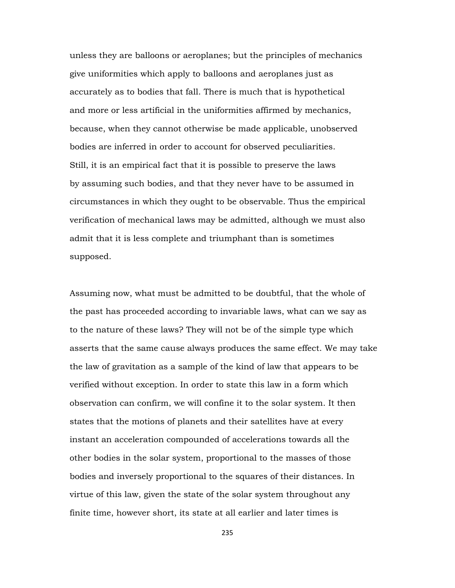unless they are balloons or aeroplanes; but the principles of mechanics give uniformities which apply to balloons and aeroplanes just as accurately as to bodies that fall. There is much that is hypothetical and more or less artificial in the uniformities affirmed by mechanics, because, when they cannot otherwise be made applicable, unobserved bodies are inferred in order to account for observed peculiarities. Still, it is an empirical fact that it is possible to preserve the laws by assuming such bodies, and that they never have to be assumed in circumstances in which they ought to be observable. Thus the empirical verification of mechanical laws may be admitted, although we must also admit that it is less complete and triumphant than is sometimes supposed.

Assuming now, what must be admitted to be doubtful, that the whole of the past has proceeded according to invariable laws, what can we say as to the nature of these laws? They will not be of the simple type which asserts that the same cause always produces the same effect. We may take the law of gravitation as a sample of the kind of law that appears to be verified without exception. In order to state this law in a form which observation can confirm, we will confine it to the solar system. It then states that the motions of planets and their satellites have at every instant an acceleration compounded of accelerations towards all the other bodies in the solar system, proportional to the masses of those bodies and inversely proportional to the squares of their distances. In virtue of this law, given the state of the solar system throughout any finite time, however short, its state at all earlier and later times is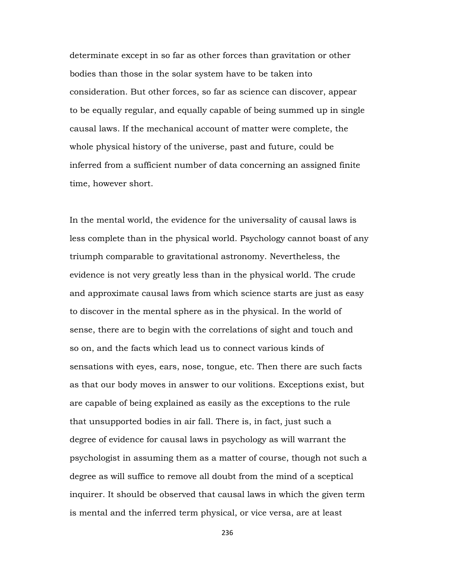determinate except in so far as other forces than gravitation or other bodies than those in the solar system have to be taken into consideration. But other forces, so far as science can discover, appear to be equally regular, and equally capable of being summed up in single causal laws. If the mechanical account of matter were complete, the whole physical history of the universe, past and future, could be inferred from a sufficient number of data concerning an assigned finite time, however short.

In the mental world, the evidence for the universality of causal laws is less complete than in the physical world. Psychology cannot boast of any triumph comparable to gravitational astronomy. Nevertheless, the evidence is not very greatly less than in the physical world. The crude and approximate causal laws from which science starts are just as easy to discover in the mental sphere as in the physical. In the world of sense, there are to begin with the correlations of sight and touch and so on, and the facts which lead us to connect various kinds of sensations with eyes, ears, nose, tongue, etc. Then there are such facts as that our body moves in answer to our volitions. Exceptions exist, but are capable of being explained as easily as the exceptions to the rule that unsupported bodies in air fall. There is, in fact, just such a degree of evidence for causal laws in psychology as will warrant the psychologist in assuming them as a matter of course, though not such a degree as will suffice to remove all doubt from the mind of a sceptical inquirer. It should be observed that causal laws in which the given term is mental and the inferred term physical, or vice versa, are at least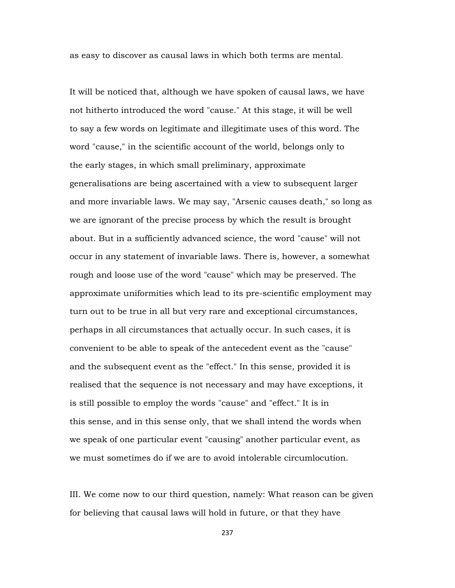as easy to discover as causal laws in which both terms are mental.

It will be noticed that, although we have spoken of causal laws, we have not hitherto introduced the word "cause." At this stage, it will be well to say a few words on legitimate and illegitimate uses of this word. The word "cause," in the scientific account of the world, belongs only to the early stages, in which small preliminary, approximate generalisations are being ascertained with a view to subsequent larger and more invariable laws. We may say, "Arsenic causes death," so long as we are ignorant of the precise process by which the result is brought about. But in a sufficiently advanced science, the word "cause" will not occur in any statement of invariable laws. There is, however, a somewhat rough and loose use of the word "cause" which may be preserved. The approximate uniformities which lead to its pre-scientific employment may turn out to be true in all but very rare and exceptional circumstances, perhaps in all circumstances that actually occur. In such cases, it is convenient to be able to speak of the antecedent event as the "cause" and the subsequent event as the "effect." In this sense, provided it is realised that the sequence is not necessary and may have exceptions, it is still possible to employ the words "cause" and "effect." It is in this sense, and in this sense only, that we shall intend the words when we speak of one particular event "causing" another particular event, as we must sometimes do if we are to avoid intolerable circumlocution.

III. We come now to our third question, namely: What reason can be given for believing that causal laws will hold in future, or that they have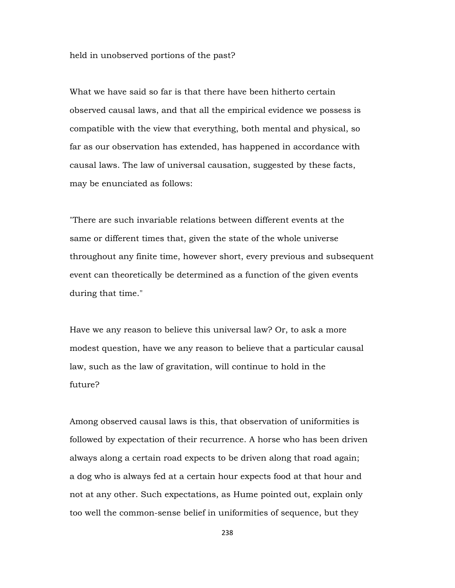held in unobserved portions of the past?

What we have said so far is that there have been hitherto certain observed causal laws, and that all the empirical evidence we possess is compatible with the view that everything, both mental and physical, so far as our observation has extended, has happened in accordance with causal laws. The law of universal causation, suggested by these facts, may be enunciated as follows:

"There are such invariable relations between different events at the same or different times that, given the state of the whole universe throughout any finite time, however short, every previous and subsequent event can theoretically be determined as a function of the given events during that time."

Have we any reason to believe this universal law? Or, to ask a more modest question, have we any reason to believe that a particular causal law, such as the law of gravitation, will continue to hold in the future?

Among observed causal laws is this, that observation of uniformities is followed by expectation of their recurrence. A horse who has been driven always along a certain road expects to be driven along that road again; a dog who is always fed at a certain hour expects food at that hour and not at any other. Such expectations, as Hume pointed out, explain only too well the common-sense belief in uniformities of sequence, but they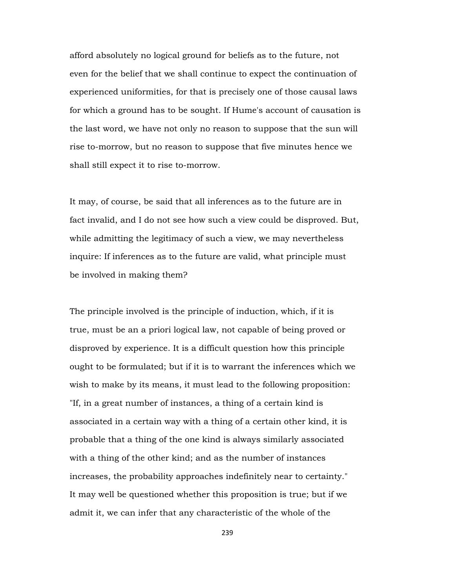afford absolutely no logical ground for beliefs as to the future, not even for the belief that we shall continue to expect the continuation of experienced uniformities, for that is precisely one of those causal laws for which a ground has to be sought. If Hume's account of causation is the last word, we have not only no reason to suppose that the sun will rise to-morrow, but no reason to suppose that five minutes hence we shall still expect it to rise to-morrow.

It may, of course, be said that all inferences as to the future are in fact invalid, and I do not see how such a view could be disproved. But, while admitting the legitimacy of such a view, we may nevertheless inquire: If inferences as to the future are valid, what principle must be involved in making them?

The principle involved is the principle of induction, which, if it is true, must be an a priori logical law, not capable of being proved or disproved by experience. It is a difficult question how this principle ought to be formulated; but if it is to warrant the inferences which we wish to make by its means, it must lead to the following proposition: "If, in a great number of instances, a thing of a certain kind is associated in a certain way with a thing of a certain other kind, it is probable that a thing of the one kind is always similarly associated with a thing of the other kind; and as the number of instances increases, the probability approaches indefinitely near to certainty." It may well be questioned whether this proposition is true; but if we admit it, we can infer that any characteristic of the whole of the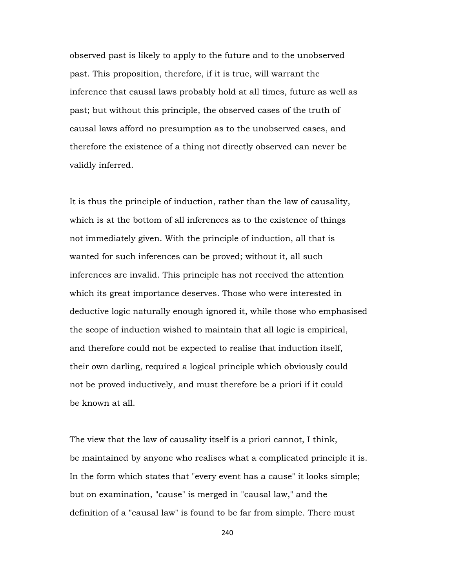observed past is likely to apply to the future and to the unobserved past. This proposition, therefore, if it is true, will warrant the inference that causal laws probably hold at all times, future as well as past; but without this principle, the observed cases of the truth of causal laws afford no presumption as to the unobserved cases, and therefore the existence of a thing not directly observed can never be validly inferred.

It is thus the principle of induction, rather than the law of causality, which is at the bottom of all inferences as to the existence of things not immediately given. With the principle of induction, all that is wanted for such inferences can be proved; without it, all such inferences are invalid. This principle has not received the attention which its great importance deserves. Those who were interested in deductive logic naturally enough ignored it, while those who emphasised the scope of induction wished to maintain that all logic is empirical, and therefore could not be expected to realise that induction itself, their own darling, required a logical principle which obviously could not be proved inductively, and must therefore be a priori if it could be known at all.

The view that the law of causality itself is a priori cannot, I think, be maintained by anyone who realises what a complicated principle it is. In the form which states that "every event has a cause" it looks simple; but on examination, "cause" is merged in "causal law," and the definition of a "causal law" is found to be far from simple. There must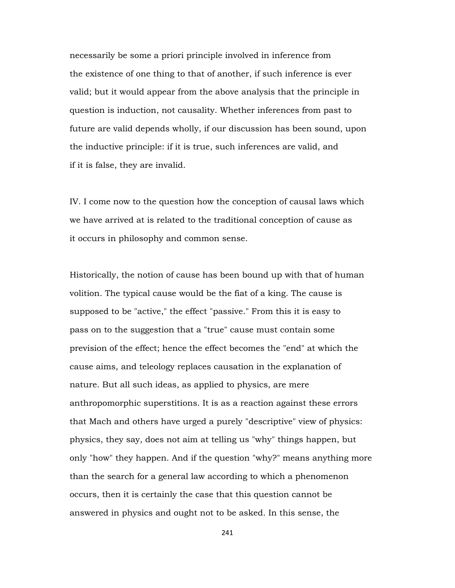necessarily be some a priori principle involved in inference from the existence of one thing to that of another, if such inference is ever valid; but it would appear from the above analysis that the principle in question is induction, not causality. Whether inferences from past to future are valid depends wholly, if our discussion has been sound, upon the inductive principle: if it is true, such inferences are valid, and if it is false, they are invalid.

IV. I come now to the question how the conception of causal laws which we have arrived at is related to the traditional conception of cause as it occurs in philosophy and common sense.

Historically, the notion of cause has been bound up with that of human volition. The typical cause would be the fiat of a king. The cause is supposed to be "active," the effect "passive." From this it is easy to pass on to the suggestion that a "true" cause must contain some prevision of the effect; hence the effect becomes the "end" at which the cause aims, and teleology replaces causation in the explanation of nature. But all such ideas, as applied to physics, are mere anthropomorphic superstitions. It is as a reaction against these errors that Mach and others have urged a purely "descriptive" view of physics: physics, they say, does not aim at telling us "why" things happen, but only "how" they happen. And if the question "why?" means anything more than the search for a general law according to which a phenomenon occurs, then it is certainly the case that this question cannot be answered in physics and ought not to be asked. In this sense, the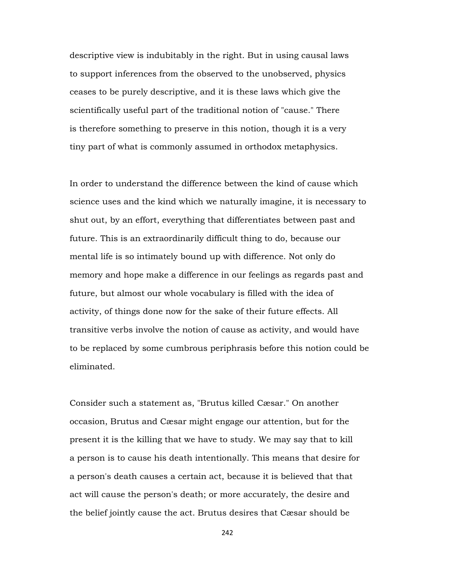descriptive view is indubitably in the right. But in using causal laws to support inferences from the observed to the unobserved, physics ceases to be purely descriptive, and it is these laws which give the scientifically useful part of the traditional notion of "cause." There is therefore something to preserve in this notion, though it is a very tiny part of what is commonly assumed in orthodox metaphysics.

In order to understand the difference between the kind of cause which science uses and the kind which we naturally imagine, it is necessary to shut out, by an effort, everything that differentiates between past and future. This is an extraordinarily difficult thing to do, because our mental life is so intimately bound up with difference. Not only do memory and hope make a difference in our feelings as regards past and future, but almost our whole vocabulary is filled with the idea of activity, of things done now for the sake of their future effects. All transitive verbs involve the notion of cause as activity, and would have to be replaced by some cumbrous periphrasis before this notion could be eliminated.

Consider such a statement as, "Brutus killed Cæsar." On another occasion, Brutus and Cæsar might engage our attention, but for the present it is the killing that we have to study. We may say that to kill a person is to cause his death intentionally. This means that desire for a person's death causes a certain act, because it is believed that that act will cause the person's death; or more accurately, the desire and the belief jointly cause the act. Brutus desires that Cæsar should be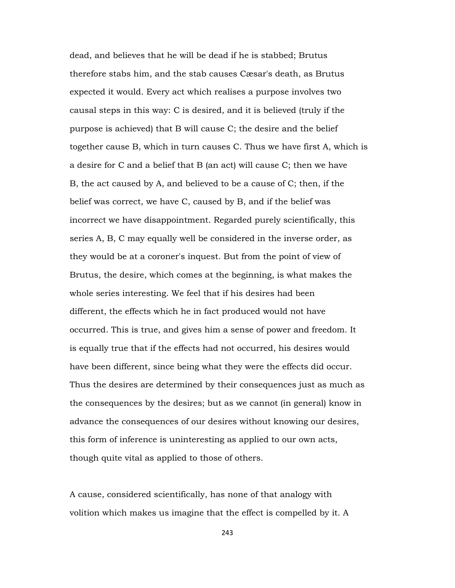dead, and believes that he will be dead if he is stabbed; Brutus therefore stabs him, and the stab causes Cæsar's death, as Brutus expected it would. Every act which realises a purpose involves two causal steps in this way: C is desired, and it is believed (truly if the purpose is achieved) that B will cause C; the desire and the belief together cause B, which in turn causes C. Thus we have first A, which is a desire for C and a belief that B (an act) will cause C; then we have B, the act caused by A, and believed to be a cause of C; then, if the belief was correct, we have C, caused by B, and if the belief was incorrect we have disappointment. Regarded purely scientifically, this series A, B, C may equally well be considered in the inverse order, as they would be at a coroner's inquest. But from the point of view of Brutus, the desire, which comes at the beginning, is what makes the whole series interesting. We feel that if his desires had been different, the effects which he in fact produced would not have occurred. This is true, and gives him a sense of power and freedom. It is equally true that if the effects had not occurred, his desires would have been different, since being what they were the effects did occur. Thus the desires are determined by their consequences just as much as the consequences by the desires; but as we cannot (in general) know in advance the consequences of our desires without knowing our desires, this form of inference is uninteresting as applied to our own acts, though quite vital as applied to those of others.

A cause, considered scientifically, has none of that analogy with volition which makes us imagine that the effect is compelled by it. A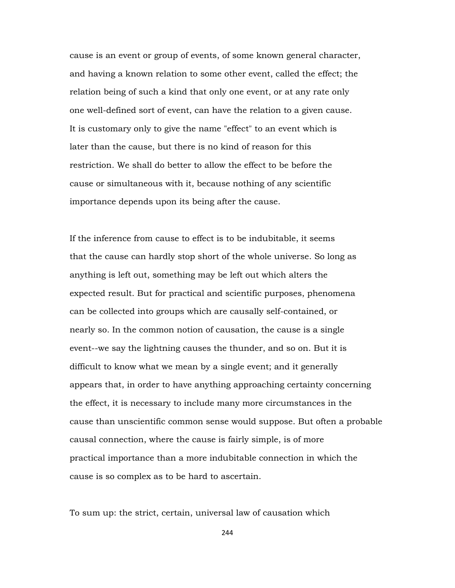cause is an event or group of events, of some known general character, and having a known relation to some other event, called the effect; the relation being of such a kind that only one event, or at any rate only one well-defined sort of event, can have the relation to a given cause. It is customary only to give the name "effect" to an event which is later than the cause, but there is no kind of reason for this restriction. We shall do better to allow the effect to be before the cause or simultaneous with it, because nothing of any scientific importance depends upon its being after the cause.

If the inference from cause to effect is to be indubitable, it seems that the cause can hardly stop short of the whole universe. So long as anything is left out, something may be left out which alters the expected result. But for practical and scientific purposes, phenomena can be collected into groups which are causally self-contained, or nearly so. In the common notion of causation, the cause is a single event--we say the lightning causes the thunder, and so on. But it is difficult to know what we mean by a single event; and it generally appears that, in order to have anything approaching certainty concerning the effect, it is necessary to include many more circumstances in the cause than unscientific common sense would suppose. But often a probable causal connection, where the cause is fairly simple, is of more practical importance than a more indubitable connection in which the cause is so complex as to be hard to ascertain.

To sum up: the strict, certain, universal law of causation which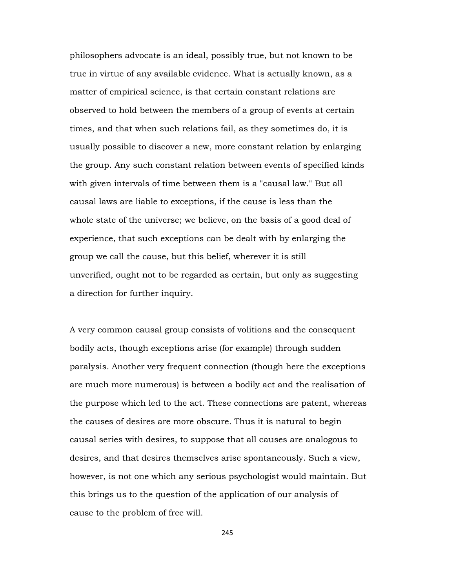philosophers advocate is an ideal, possibly true, but not known to be true in virtue of any available evidence. What is actually known, as a matter of empirical science, is that certain constant relations are observed to hold between the members of a group of events at certain times, and that when such relations fail, as they sometimes do, it is usually possible to discover a new, more constant relation by enlarging the group. Any such constant relation between events of specified kinds with given intervals of time between them is a "causal law." But all causal laws are liable to exceptions, if the cause is less than the whole state of the universe; we believe, on the basis of a good deal of experience, that such exceptions can be dealt with by enlarging the group we call the cause, but this belief, wherever it is still unverified, ought not to be regarded as certain, but only as suggesting a direction for further inquiry.

A very common causal group consists of volitions and the consequent bodily acts, though exceptions arise (for example) through sudden paralysis. Another very frequent connection (though here the exceptions are much more numerous) is between a bodily act and the realisation of the purpose which led to the act. These connections are patent, whereas the causes of desires are more obscure. Thus it is natural to begin causal series with desires, to suppose that all causes are analogous to desires, and that desires themselves arise spontaneously. Such a view, however, is not one which any serious psychologist would maintain. But this brings us to the question of the application of our analysis of cause to the problem of free will.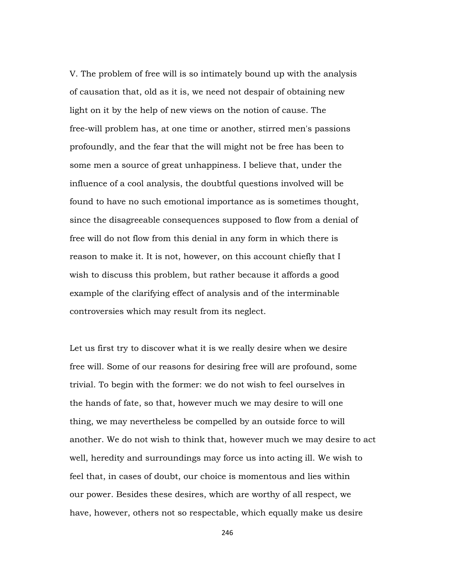V. The problem of free will is so intimately bound up with the analysis of causation that, old as it is, we need not despair of obtaining new light on it by the help of new views on the notion of cause. The free-will problem has, at one time or another, stirred men's passions profoundly, and the fear that the will might not be free has been to some men a source of great unhappiness. I believe that, under the influence of a cool analysis, the doubtful questions involved will be found to have no such emotional importance as is sometimes thought, since the disagreeable consequences supposed to flow from a denial of free will do not flow from this denial in any form in which there is reason to make it. It is not, however, on this account chiefly that I wish to discuss this problem, but rather because it affords a good example of the clarifying effect of analysis and of the interminable controversies which may result from its neglect.

Let us first try to discover what it is we really desire when we desire free will. Some of our reasons for desiring free will are profound, some trivial. To begin with the former: we do not wish to feel ourselves in the hands of fate, so that, however much we may desire to will one thing, we may nevertheless be compelled by an outside force to will another. We do not wish to think that, however much we may desire to act well, heredity and surroundings may force us into acting ill. We wish to feel that, in cases of doubt, our choice is momentous and lies within our power. Besides these desires, which are worthy of all respect, we have, however, others not so respectable, which equally make us desire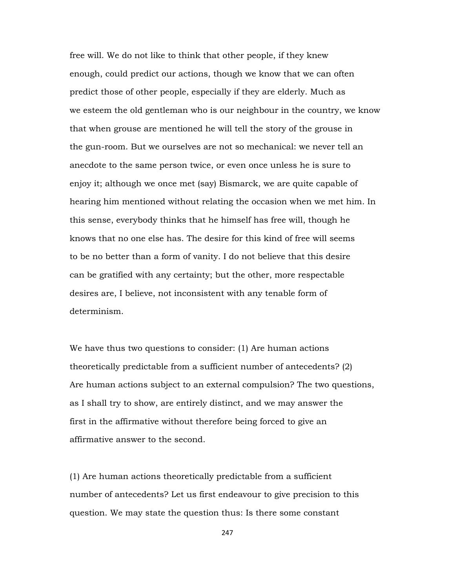free will. We do not like to think that other people, if they knew enough, could predict our actions, though we know that we can often predict those of other people, especially if they are elderly. Much as we esteem the old gentleman who is our neighbour in the country, we know that when grouse are mentioned he will tell the story of the grouse in the gun-room. But we ourselves are not so mechanical: we never tell an anecdote to the same person twice, or even once unless he is sure to enjoy it; although we once met (say) Bismarck, we are quite capable of hearing him mentioned without relating the occasion when we met him. In this sense, everybody thinks that he himself has free will, though he knows that no one else has. The desire for this kind of free will seems to be no better than a form of vanity. I do not believe that this desire can be gratified with any certainty; but the other, more respectable desires are, I believe, not inconsistent with any tenable form of determinism.

We have thus two questions to consider: (1) Are human actions theoretically predictable from a sufficient number of antecedents? (2) Are human actions subject to an external compulsion? The two questions, as I shall try to show, are entirely distinct, and we may answer the first in the affirmative without therefore being forced to give an affirmative answer to the second.

(1) Are human actions theoretically predictable from a sufficient number of antecedents? Let us first endeavour to give precision to this question. We may state the question thus: Is there some constant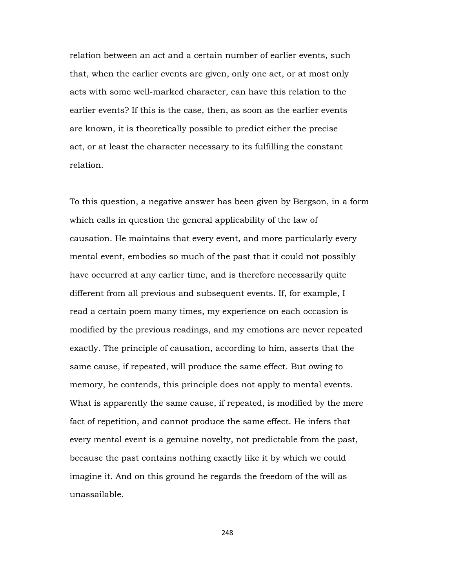relation between an act and a certain number of earlier events, such that, when the earlier events are given, only one act, or at most only acts with some well-marked character, can have this relation to the earlier events? If this is the case, then, as soon as the earlier events are known, it is theoretically possible to predict either the precise act, or at least the character necessary to its fulfilling the constant relation.

To this question, a negative answer has been given by Bergson, in a form which calls in question the general applicability of the law of causation. He maintains that every event, and more particularly every mental event, embodies so much of the past that it could not possibly have occurred at any earlier time, and is therefore necessarily quite different from all previous and subsequent events. If, for example, I read a certain poem many times, my experience on each occasion is modified by the previous readings, and my emotions are never repeated exactly. The principle of causation, according to him, asserts that the same cause, if repeated, will produce the same effect. But owing to memory, he contends, this principle does not apply to mental events. What is apparently the same cause, if repeated, is modified by the mere fact of repetition, and cannot produce the same effect. He infers that every mental event is a genuine novelty, not predictable from the past, because the past contains nothing exactly like it by which we could imagine it. And on this ground he regards the freedom of the will as unassailable.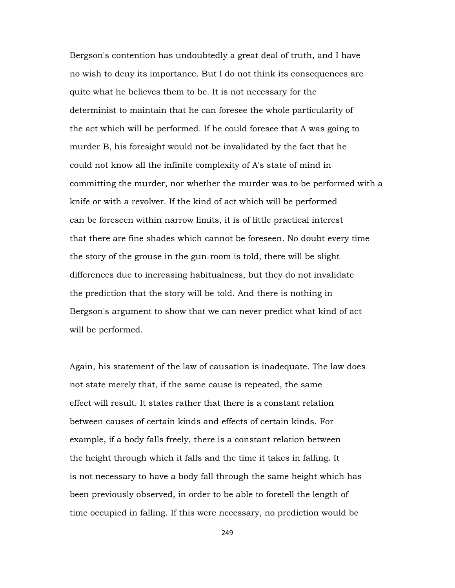Bergson's contention has undoubtedly a great deal of truth, and I have no wish to deny its importance. But I do not think its consequences are quite what he believes them to be. It is not necessary for the determinist to maintain that he can foresee the whole particularity of the act which will be performed. If he could foresee that A was going to murder B, his foresight would not be invalidated by the fact that he could not know all the infinite complexity of A's state of mind in committing the murder, nor whether the murder was to be performed with a knife or with a revolver. If the kind of act which will be performed can be foreseen within narrow limits, it is of little practical interest that there are fine shades which cannot be foreseen. No doubt every time the story of the grouse in the gun-room is told, there will be slight differences due to increasing habitualness, but they do not invalidate the prediction that the story will be told. And there is nothing in Bergson's argument to show that we can never predict what kind of act will be performed.

Again, his statement of the law of causation is inadequate. The law does not state merely that, if the same cause is repeated, the same effect will result. It states rather that there is a constant relation between causes of certain kinds and effects of certain kinds. For example, if a body falls freely, there is a constant relation between the height through which it falls and the time it takes in falling. It is not necessary to have a body fall through the same height which has been previously observed, in order to be able to foretell the length of time occupied in falling. If this were necessary, no prediction would be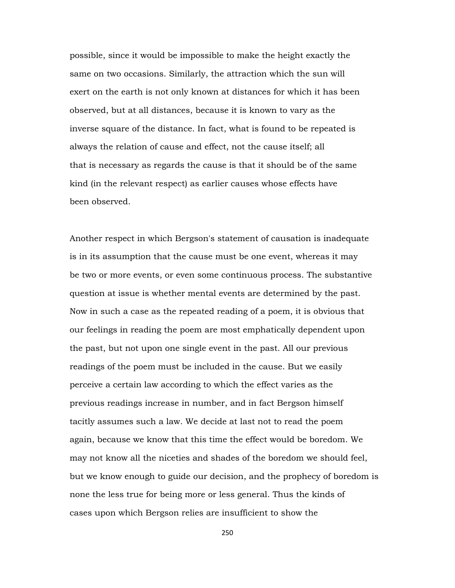possible, since it would be impossible to make the height exactly the same on two occasions. Similarly, the attraction which the sun will exert on the earth is not only known at distances for which it has been observed, but at all distances, because it is known to vary as the inverse square of the distance. In fact, what is found to be repeated is always the relation of cause and effect, not the cause itself; all that is necessary as regards the cause is that it should be of the same kind (in the relevant respect) as earlier causes whose effects have been observed.

Another respect in which Bergson's statement of causation is inadequate is in its assumption that the cause must be one event, whereas it may be two or more events, or even some continuous process. The substantive question at issue is whether mental events are determined by the past. Now in such a case as the repeated reading of a poem, it is obvious that our feelings in reading the poem are most emphatically dependent upon the past, but not upon one single event in the past. All our previous readings of the poem must be included in the cause. But we easily perceive a certain law according to which the effect varies as the previous readings increase in number, and in fact Bergson himself tacitly assumes such a law. We decide at last not to read the poem again, because we know that this time the effect would be boredom. We may not know all the niceties and shades of the boredom we should feel, but we know enough to guide our decision, and the prophecy of boredom is none the less true for being more or less general. Thus the kinds of cases upon which Bergson relies are insufficient to show the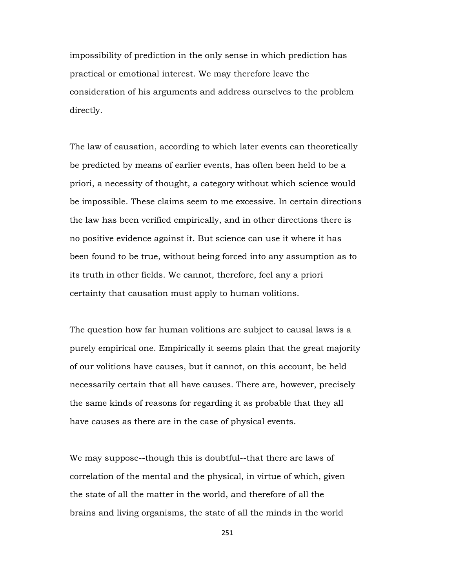impossibility of prediction in the only sense in which prediction has practical or emotional interest. We may therefore leave the consideration of his arguments and address ourselves to the problem directly.

The law of causation, according to which later events can theoretically be predicted by means of earlier events, has often been held to be a priori, a necessity of thought, a category without which science would be impossible. These claims seem to me excessive. In certain directions the law has been verified empirically, and in other directions there is no positive evidence against it. But science can use it where it has been found to be true, without being forced into any assumption as to its truth in other fields. We cannot, therefore, feel any a priori certainty that causation must apply to human volitions.

The question how far human volitions are subject to causal laws is a purely empirical one. Empirically it seems plain that the great majority of our volitions have causes, but it cannot, on this account, be held necessarily certain that all have causes. There are, however, precisely the same kinds of reasons for regarding it as probable that they all have causes as there are in the case of physical events.

We may suppose--though this is doubtful--that there are laws of correlation of the mental and the physical, in virtue of which, given the state of all the matter in the world, and therefore of all the brains and living organisms, the state of all the minds in the world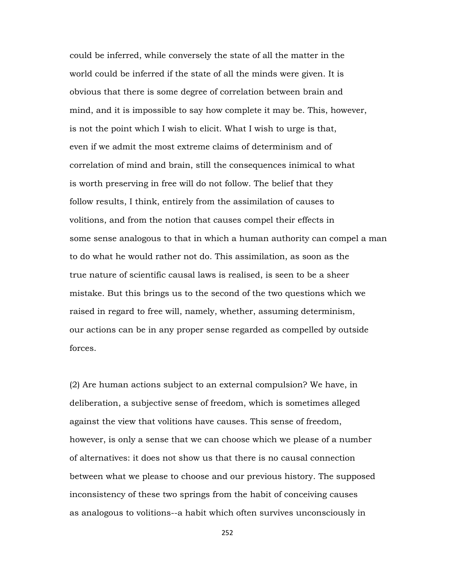could be inferred, while conversely the state of all the matter in the world could be inferred if the state of all the minds were given. It is obvious that there is some degree of correlation between brain and mind, and it is impossible to say how complete it may be. This, however, is not the point which I wish to elicit. What I wish to urge is that, even if we admit the most extreme claims of determinism and of correlation of mind and brain, still the consequences inimical to what is worth preserving in free will do not follow. The belief that they follow results, I think, entirely from the assimilation of causes to volitions, and from the notion that causes compel their effects in some sense analogous to that in which a human authority can compel a man to do what he would rather not do. This assimilation, as soon as the true nature of scientific causal laws is realised, is seen to be a sheer mistake. But this brings us to the second of the two questions which we raised in regard to free will, namely, whether, assuming determinism, our actions can be in any proper sense regarded as compelled by outside forces.

(2) Are human actions subject to an external compulsion? We have, in deliberation, a subjective sense of freedom, which is sometimes alleged against the view that volitions have causes. This sense of freedom, however, is only a sense that we can choose which we please of a number of alternatives: it does not show us that there is no causal connection between what we please to choose and our previous history. The supposed inconsistency of these two springs from the habit of conceiving causes as analogous to volitions--a habit which often survives unconsciously in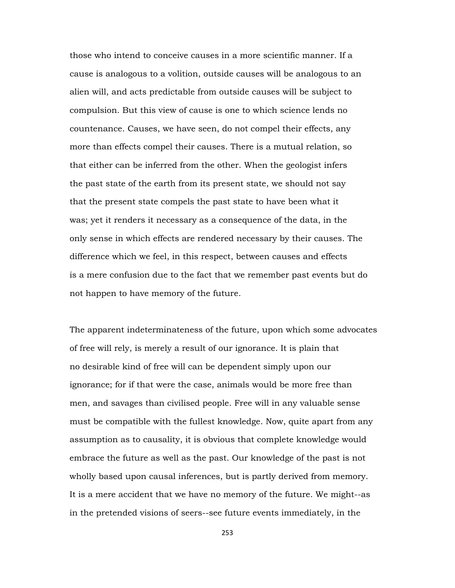those who intend to conceive causes in a more scientific manner. If a cause is analogous to a volition, outside causes will be analogous to an alien will, and acts predictable from outside causes will be subject to compulsion. But this view of cause is one to which science lends no countenance. Causes, we have seen, do not compel their effects, any more than effects compel their causes. There is a mutual relation, so that either can be inferred from the other. When the geologist infers the past state of the earth from its present state, we should not say that the present state compels the past state to have been what it was; yet it renders it necessary as a consequence of the data, in the only sense in which effects are rendered necessary by their causes. The difference which we feel, in this respect, between causes and effects is a mere confusion due to the fact that we remember past events but do not happen to have memory of the future.

The apparent indeterminateness of the future, upon which some advocates of free will rely, is merely a result of our ignorance. It is plain that no desirable kind of free will can be dependent simply upon our ignorance; for if that were the case, animals would be more free than men, and savages than civilised people. Free will in any valuable sense must be compatible with the fullest knowledge. Now, quite apart from any assumption as to causality, it is obvious that complete knowledge would embrace the future as well as the past. Our knowledge of the past is not wholly based upon causal inferences, but is partly derived from memory. It is a mere accident that we have no memory of the future. We might--as in the pretended visions of seers--see future events immediately, in the

253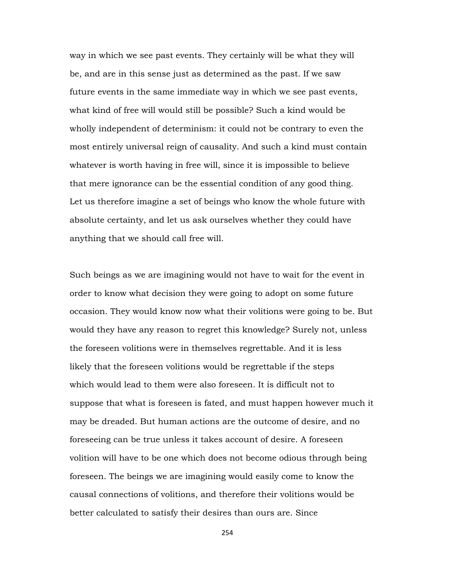way in which we see past events. They certainly will be what they will be, and are in this sense just as determined as the past. If we saw future events in the same immediate way in which we see past events, what kind of free will would still be possible? Such a kind would be wholly independent of determinism: it could not be contrary to even the most entirely universal reign of causality. And such a kind must contain whatever is worth having in free will, since it is impossible to believe that mere ignorance can be the essential condition of any good thing. Let us therefore imagine a set of beings who know the whole future with absolute certainty, and let us ask ourselves whether they could have anything that we should call free will.

Such beings as we are imagining would not have to wait for the event in order to know what decision they were going to adopt on some future occasion. They would know now what their volitions were going to be. But would they have any reason to regret this knowledge? Surely not, unless the foreseen volitions were in themselves regrettable. And it is less likely that the foreseen volitions would be regrettable if the steps which would lead to them were also foreseen. It is difficult not to suppose that what is foreseen is fated, and must happen however much it may be dreaded. But human actions are the outcome of desire, and no foreseeing can be true unless it takes account of desire. A foreseen volition will have to be one which does not become odious through being foreseen. The beings we are imagining would easily come to know the causal connections of volitions, and therefore their volitions would be better calculated to satisfy their desires than ours are. Since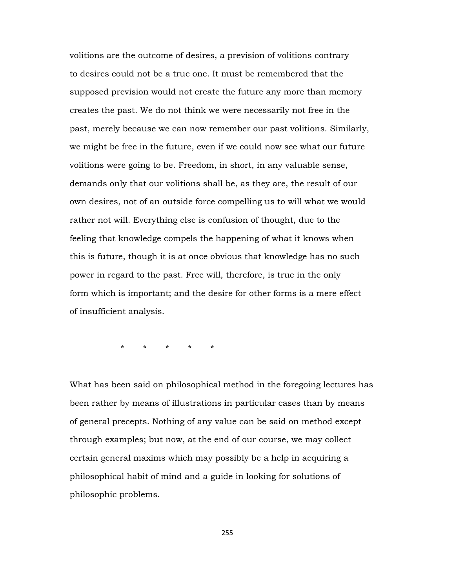volitions are the outcome of desires, a prevision of volitions contrary to desires could not be a true one. It must be remembered that the supposed prevision would not create the future any more than memory creates the past. We do not think we were necessarily not free in the past, merely because we can now remember our past volitions. Similarly, we might be free in the future, even if we could now see what our future volitions were going to be. Freedom, in short, in any valuable sense, demands only that our volitions shall be, as they are, the result of our own desires, not of an outside force compelling us to will what we would rather not will. Everything else is confusion of thought, due to the feeling that knowledge compels the happening of what it knows when this is future, though it is at once obvious that knowledge has no such power in regard to the past. Free will, therefore, is true in the only form which is important; and the desire for other forms is a mere effect of insufficient analysis.

\* \* \* \* \*

What has been said on philosophical method in the foregoing lectures has been rather by means of illustrations in particular cases than by means of general precepts. Nothing of any value can be said on method except through examples; but now, at the end of our course, we may collect certain general maxims which may possibly be a help in acquiring a philosophical habit of mind and a guide in looking for solutions of philosophic problems.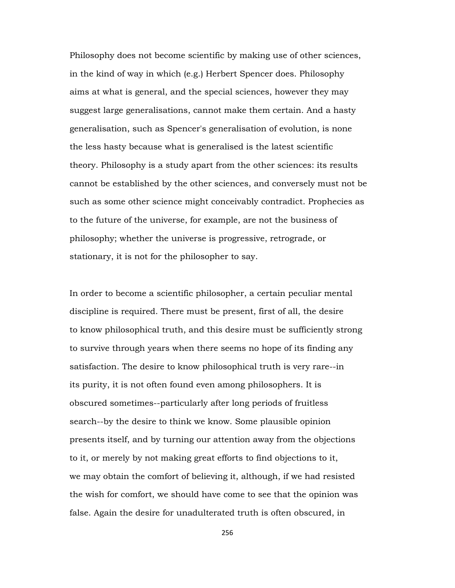Philosophy does not become scientific by making use of other sciences, in the kind of way in which (e.g.) Herbert Spencer does. Philosophy aims at what is general, and the special sciences, however they may suggest large generalisations, cannot make them certain. And a hasty generalisation, such as Spencer's generalisation of evolution, is none the less hasty because what is generalised is the latest scientific theory. Philosophy is a study apart from the other sciences: its results cannot be established by the other sciences, and conversely must not be such as some other science might conceivably contradict. Prophecies as to the future of the universe, for example, are not the business of philosophy; whether the universe is progressive, retrograde, or stationary, it is not for the philosopher to say.

In order to become a scientific philosopher, a certain peculiar mental discipline is required. There must be present, first of all, the desire to know philosophical truth, and this desire must be sufficiently strong to survive through years when there seems no hope of its finding any satisfaction. The desire to know philosophical truth is very rare--in its purity, it is not often found even among philosophers. It is obscured sometimes--particularly after long periods of fruitless search--by the desire to think we know. Some plausible opinion presents itself, and by turning our attention away from the objections to it, or merely by not making great efforts to find objections to it, we may obtain the comfort of believing it, although, if we had resisted the wish for comfort, we should have come to see that the opinion was false. Again the desire for unadulterated truth is often obscured, in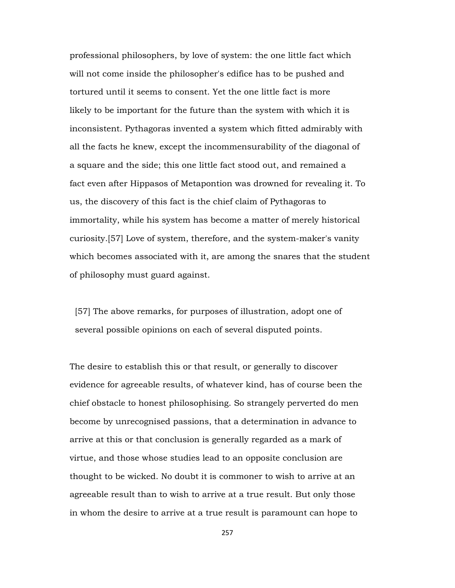professional philosophers, by love of system: the one little fact which will not come inside the philosopher's edifice has to be pushed and tortured until it seems to consent. Yet the one little fact is more likely to be important for the future than the system with which it is inconsistent. Pythagoras invented a system which fitted admirably with all the facts he knew, except the incommensurability of the diagonal of a square and the side; this one little fact stood out, and remained a fact even after Hippasos of Metapontion was drowned for revealing it. To us, the discovery of this fact is the chief claim of Pythagoras to immortality, while his system has become a matter of merely historical curiosity.[57] Love of system, therefore, and the system-maker's vanity which becomes associated with it, are among the snares that the student of philosophy must guard against.

 [57] The above remarks, for purposes of illustration, adopt one of several possible opinions on each of several disputed points.

The desire to establish this or that result, or generally to discover evidence for agreeable results, of whatever kind, has of course been the chief obstacle to honest philosophising. So strangely perverted do men become by unrecognised passions, that a determination in advance to arrive at this or that conclusion is generally regarded as a mark of virtue, and those whose studies lead to an opposite conclusion are thought to be wicked. No doubt it is commoner to wish to arrive at an agreeable result than to wish to arrive at a true result. But only those in whom the desire to arrive at a true result is paramount can hope to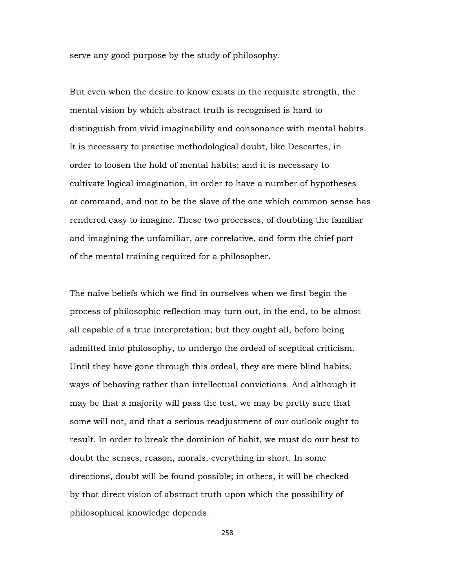serve any good purpose by the study of philosophy.

But even when the desire to know exists in the requisite strength, the mental vision by which abstract truth is recognised is hard to distinguish from vivid imaginability and consonance with mental habits. It is necessary to practise methodological doubt, like Descartes, in order to loosen the hold of mental habits; and it is necessary to cultivate logical imagination, in order to have a number of hypotheses at command, and not to be the slave of the one which common sense has rendered easy to imagine. These two processes, of doubting the familiar and imagining the unfamiliar, are correlative, and form the chief part of the mental training required for a philosopher.

The naïve beliefs which we find in ourselves when we first begin the process of philosophic reflection may turn out, in the end, to be almost all capable of a true interpretation; but they ought all, before being admitted into philosophy, to undergo the ordeal of sceptical criticism. Until they have gone through this ordeal, they are mere blind habits, ways of behaving rather than intellectual convictions. And although it may be that a majority will pass the test, we may be pretty sure that some will not, and that a serious readjustment of our outlook ought to result. In order to break the dominion of habit, we must do our best to doubt the senses, reason, morals, everything in short. In some directions, doubt will be found possible; in others, it will be checked by that direct vision of abstract truth upon which the possibility of philosophical knowledge depends.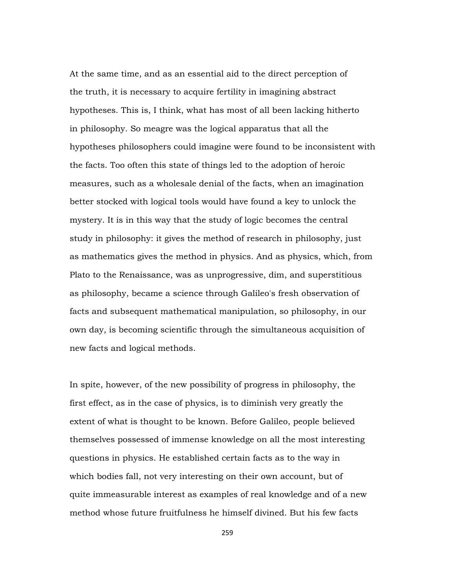At the same time, and as an essential aid to the direct perception of the truth, it is necessary to acquire fertility in imagining abstract hypotheses. This is, I think, what has most of all been lacking hitherto in philosophy. So meagre was the logical apparatus that all the hypotheses philosophers could imagine were found to be inconsistent with the facts. Too often this state of things led to the adoption of heroic measures, such as a wholesale denial of the facts, when an imagination better stocked with logical tools would have found a key to unlock the mystery. It is in this way that the study of logic becomes the central study in philosophy: it gives the method of research in philosophy, just as mathematics gives the method in physics. And as physics, which, from Plato to the Renaissance, was as unprogressive, dim, and superstitious as philosophy, became a science through Galileo's fresh observation of facts and subsequent mathematical manipulation, so philosophy, in our own day, is becoming scientific through the simultaneous acquisition of new facts and logical methods.

In spite, however, of the new possibility of progress in philosophy, the first effect, as in the case of physics, is to diminish very greatly the extent of what is thought to be known. Before Galileo, people believed themselves possessed of immense knowledge on all the most interesting questions in physics. He established certain facts as to the way in which bodies fall, not very interesting on their own account, but of quite immeasurable interest as examples of real knowledge and of a new method whose future fruitfulness he himself divined. But his few facts

259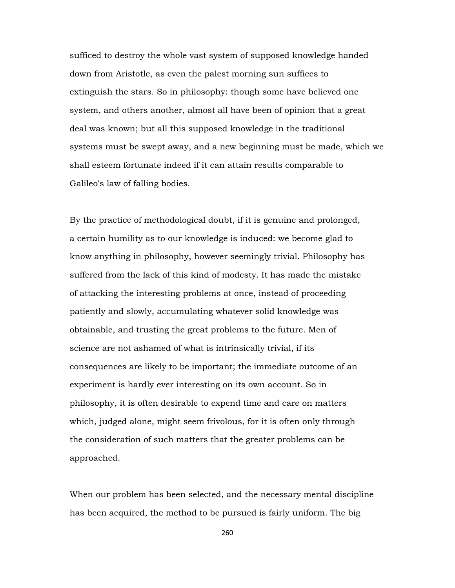sufficed to destroy the whole vast system of supposed knowledge handed down from Aristotle, as even the palest morning sun suffices to extinguish the stars. So in philosophy: though some have believed one system, and others another, almost all have been of opinion that a great deal was known; but all this supposed knowledge in the traditional systems must be swept away, and a new beginning must be made, which we shall esteem fortunate indeed if it can attain results comparable to Galileo's law of falling bodies.

By the practice of methodological doubt, if it is genuine and prolonged, a certain humility as to our knowledge is induced: we become glad to know anything in philosophy, however seemingly trivial. Philosophy has suffered from the lack of this kind of modesty. It has made the mistake of attacking the interesting problems at once, instead of proceeding patiently and slowly, accumulating whatever solid knowledge was obtainable, and trusting the great problems to the future. Men of science are not ashamed of what is intrinsically trivial, if its consequences are likely to be important; the immediate outcome of an experiment is hardly ever interesting on its own account. So in philosophy, it is often desirable to expend time and care on matters which, judged alone, might seem frivolous, for it is often only through the consideration of such matters that the greater problems can be approached.

When our problem has been selected, and the necessary mental discipline has been acquired, the method to be pursued is fairly uniform. The big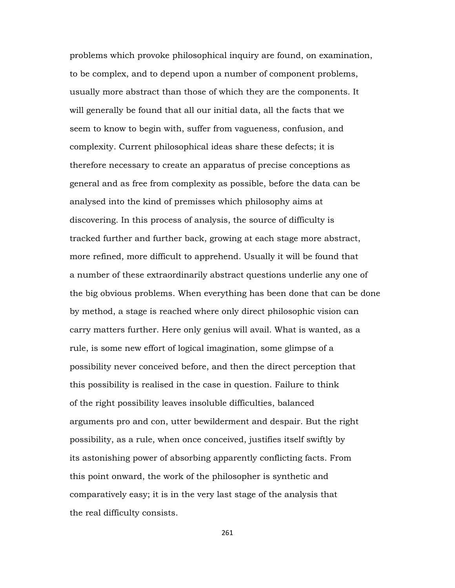problems which provoke philosophical inquiry are found, on examination, to be complex, and to depend upon a number of component problems, usually more abstract than those of which they are the components. It will generally be found that all our initial data, all the facts that we seem to know to begin with, suffer from vagueness, confusion, and complexity. Current philosophical ideas share these defects; it is therefore necessary to create an apparatus of precise conceptions as general and as free from complexity as possible, before the data can be analysed into the kind of premisses which philosophy aims at discovering. In this process of analysis, the source of difficulty is tracked further and further back, growing at each stage more abstract, more refined, more difficult to apprehend. Usually it will be found that a number of these extraordinarily abstract questions underlie any one of the big obvious problems. When everything has been done that can be done by method, a stage is reached where only direct philosophic vision can carry matters further. Here only genius will avail. What is wanted, as a rule, is some new effort of logical imagination, some glimpse of a possibility never conceived before, and then the direct perception that this possibility is realised in the case in question. Failure to think of the right possibility leaves insoluble difficulties, balanced arguments pro and con, utter bewilderment and despair. But the right possibility, as a rule, when once conceived, justifies itself swiftly by its astonishing power of absorbing apparently conflicting facts. From this point onward, the work of the philosopher is synthetic and comparatively easy; it is in the very last stage of the analysis that the real difficulty consists.

261